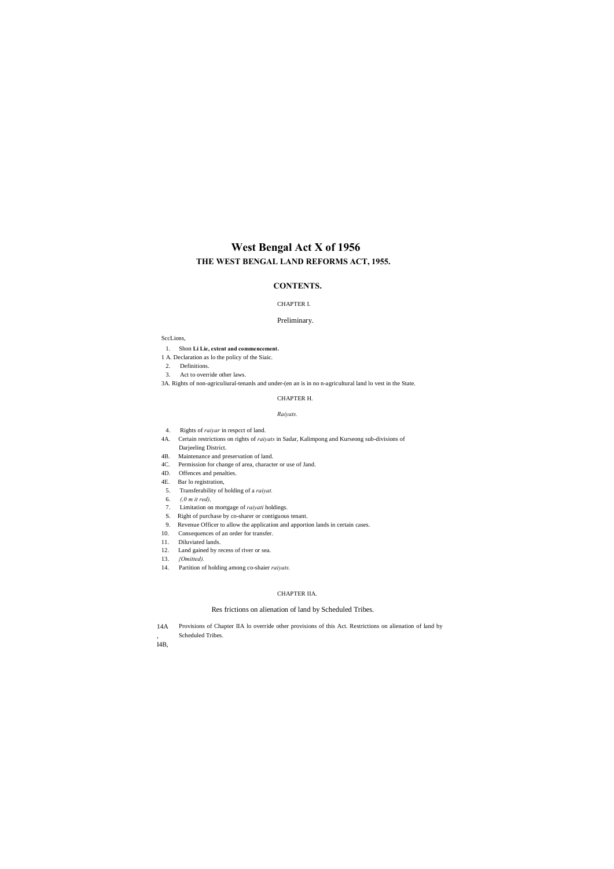- 14A , Provisions of Chapter IIA lo override other provisions of this Act. Restrictions on alienation of land by Scheduled Tribes.
- I4B,

# **West Bengal Act X of 1956 THE WEST BENGAL LAND REFORMS ACT, 1955.**

# **CONTENTS.**

### CHAPTER I.

#### Preliminary.

#### SccLions,

- 1. Shon **Li Lie, extent and commencement.**
- 1 A. Declaration as lo the policy of the Siaic.
- 2. Definitions.
- 3. Act to override other laws.
- 3A. Rights of non-agriculiural-tenanls and under-(en an is in no n-agricultural land lo vest in the State.

#### CHAPTER H.

#### *Raiyats.*

- 4. Rights of *raiyar* in respcct of land.
- 4A. Certain restrictions on rights of *raiyats* in Sadar, Kalimpong and Kurseong sub-divisions of Darjeeling District.
- 4B. Maintenance and preservation of land.
- 4C. Permission for change of area, character or use of Jand.
- 4D. Offences and penalties.
- 4E. Bar lo registration,
- 5. Transferability of holding of a *raiyat.*
- 6. *(,0 m it red),*
- 7. Limitation on mortgage of *raiyati* holdings.
- S. Right of purchase by co-sharer or contiguous tenant.
- 9. Revenue Officer to allow the application and apportion lands in certain cases.
- 10. Consequences of an order for transfer.
- 11. Diluviated lands.
- 12. Land gained by recess of river or sea.
- 13. *{Omitted).*
- 14. Partition of holding among co-shaier *raiyats.*

### CHAPTER IIA.

# Res frictions on alienation of land by Scheduled Tribes.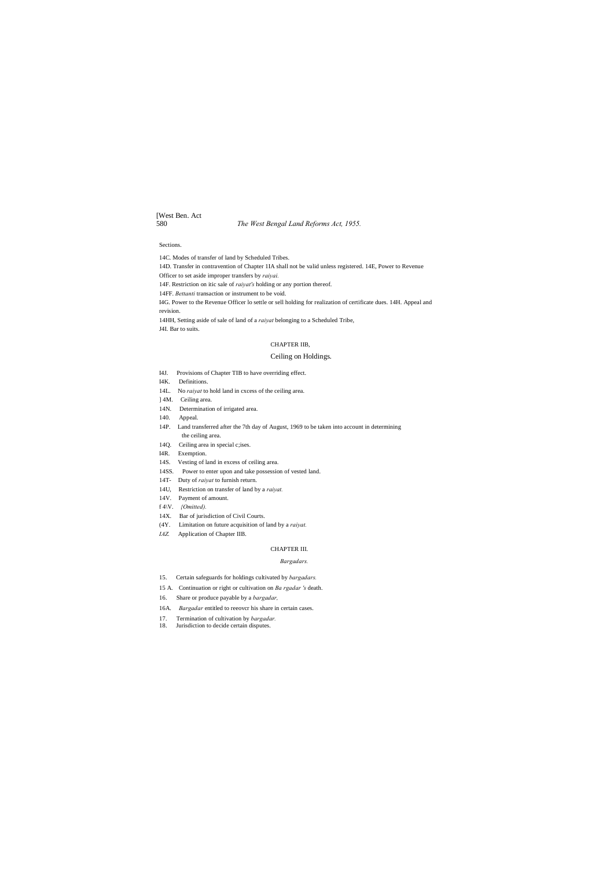# [West Ben. Act

580 *The West Bengal Land Reforms Act, 1955.*

### Sections.

14C. Modes of transfer of land by Scheduled Tribes. 14D. Transfer in contravention of Chapter 1IA shall not be valid unless registered. 14E, Power to Revenue Officer to set aside improper transfers by *raiyai.* 14F. Restriction on itic sale of *raiyat's* holding or any portion thereof. 14FF. *Bettanti* transaction or instrument to be void. I4G. Power to the Revenue Officer lo settle or sell holding for realization of certificate dues. 14H. Appeal and revision. 14HH, Setting aside of sale of land of a *raiyat* belonging to a Scheduled Tribe, J4I. Bar to suits.

#### CHAPTER IIB,

#### Ceiling on Holdings.

- I4J. Provisions of Chapter TIB to have overriding effect.
- I4K. Definitions.
- 14L. No *raiyat* to hold land in cxcess of the ceiling area.
- ] 4M. Ceiling area.
- 14N. Determination of irrigated area.
- 140. Appeal.
- 14P. Land transferred after the 7th day of August, 1969 to be taken into account in determining the ceiling area.
- 14Q. Ceiling area in special c;ises.
- I4R. Exemption.
- 14S. Vesting of land in excess of ceiling area.
- 14SS. Power to enter upon and take possession of vested land.
- 14T- Duty of *raiyat* to furnish return.
- 14U, Restriction on transfer of land by a *raiyat.*
- 14V. Payment of amount.
- f 4\V. *{Omitted).*
- 14X. Bar of jurisdiction of Civil Courts.
- (4Y. Limitation on future acquisition of land by a *raiyat.*
- *IAZ.* Application of Chapter IIB.

# CHAPTER III.

#### *Bargadars.*

- 15. Certain safeguards for holdings cultivated by *bargadars.*
- 15 A. Continuation or right or cultivation on *Ba rgadar 's* death.
- 16. Share or produce payable by a *bargadar,*
- 16A. *Bargadar* entitled to reeovcr his share in certain cases.
- 17. Termination of cultivation by *bargadar.*
- 18. Jurisdiction to decide certain disputes.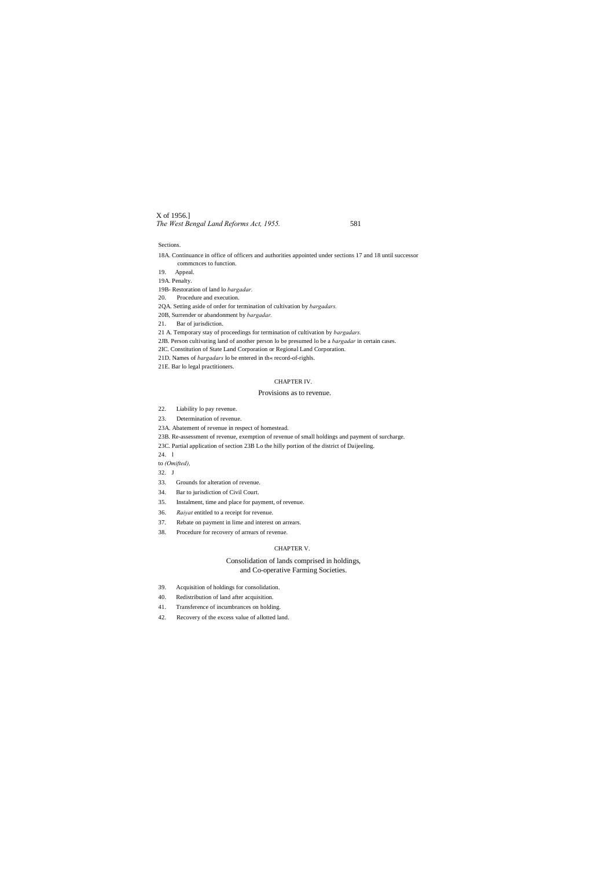# X of 1956.] *The West Bengal Land Reforms Act, 1955.* 581

#### Sections.

- 18A. Continuance in office of officers and authorities appointed under sections 17 and 18 until successor commcnces to function.
- 19. Appeal.
- 19A. Penalty.
- 19B- Restoration of land lo *bargadar.*
- 20. Procedure and execution.
- 2QA. Setting aside of order for termination of cultivation by *bargadars.*
- 20B, Surrender or abandonment by *bargadar.*
- 21. Bar of jurisdiction.
- 21 A. Temporary stay of proceedings for termination of cultivation by *bargadars.*
- 2JB. Person cultivating land of another person lo be presumed lo be a *bargadar* in certain cases.
- 2IC. Constitution of State Land Corporation or Regional Land Corporation.
- 21D. Names of *bargadars* lo be entered in th« record-of-righls.
- 21E. Bar lo legal practitioners.

# CHAPTER IV.

# Provisions as to revenue.

- 22. Liability lo pay revenue.
- 23. Determination of revenue.
- 23A. Abatement of revenue in respect of homestead.
- 23B. Re-assessment of revenue, exemption of revenue of small holdings and payment of surcharge.
- 23C. Partial application of section 23B Lo the hilly portion of the district of Daijeeling.

24. l

to *(Omifted),*

- 32. J
- 33. Grounds for alteration of revenue.
- 34. Bar to jurisdiction of Civil Court.
- 35. Instalment, time and place for payment, of revenue.
- 36. *Raiyat* entitled to a receipt for revenue.
- 37. Rebate on payment in lime and interest on arrears.
- 38. Procedure for recovery of arrears of revenue.

### CHAPTER V.

# Consolidation of lands comprised in holdings, and Co-operative Farming Societies.

- 39. Acquisition of holdings for consolidation.
- 40. Redistribution of land after acquisition.
- 41. Transference of incumbrances on holding.
- 42. Recovery of the excess value of allotted land.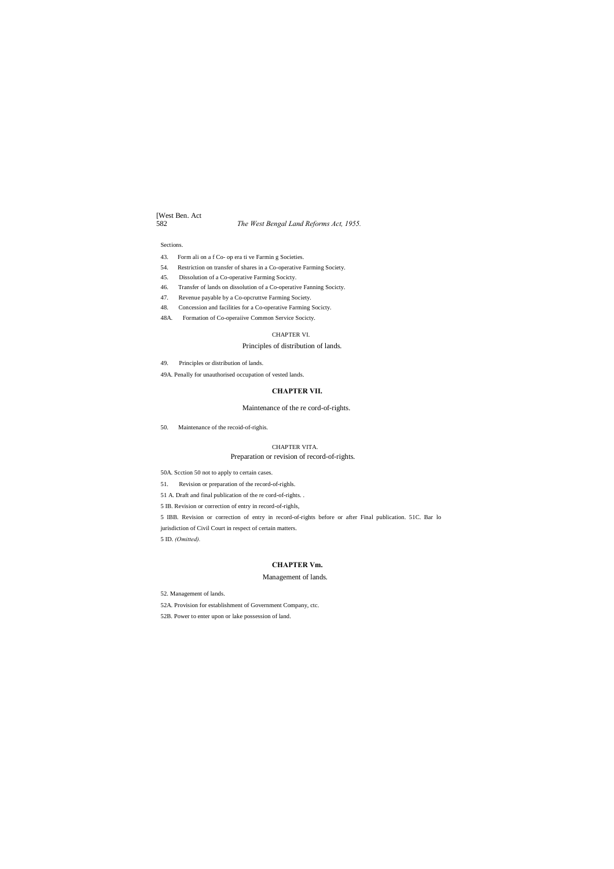# [West Ben. Act 582 *The West Bengal Land Reforms Act, 1955.*

#### Sections.

- 43. Form ali on a f Co- op era ti ve Farmin g Societies.
- 54. Restriction on transfer of shares in a Co-operative Farming Society.
- 45. Dissolution of a Co-operative Farming Socicty.
- 46. Transfer of lands on dissolution of a Co-operative Fanning Socicty.
- 47. Revenue payable by a Co-opcruttve Farming Society.
- 48. Concession and facilities for a Co-operative Farming Socicty.
- 48A. Formation of Co-operaiive Common Service Socicty.

#### CHAPTER VI.

# Principles of distribution of lands.

49. Principles or distribution of lands.

49A. Penally for unauthorised occupation of vested lands.

#### **CHAPTER VII.**

# Maintenance of the re cord-of-rights.

50. Maintenance of the recoid-of-righis.

#### CHAPTER VITA.

# Preparation or revision of record-of-rights.

50A. Scction 50 not to apply to certain cases.

51. Revision or preparation of the record-of-righls.

51 A. Draft and final publication of the re cord-of-rights. .

5 IB. Revision or correction of entry in record-of-righls,

5 IBB. Revision or correction of entry in record-of-rights before or after Final publication. 51C. Bar lo

jurisdiction of Civil Court in respect of certain matters.

5 ID. *(Omitted).*

# **CHAPTER Vm.**

#### Management of lands.

52. Management of lands.

52A. Provision for establishment of Government Company, ctc.

52B. Power to enter upon or lake possession of land.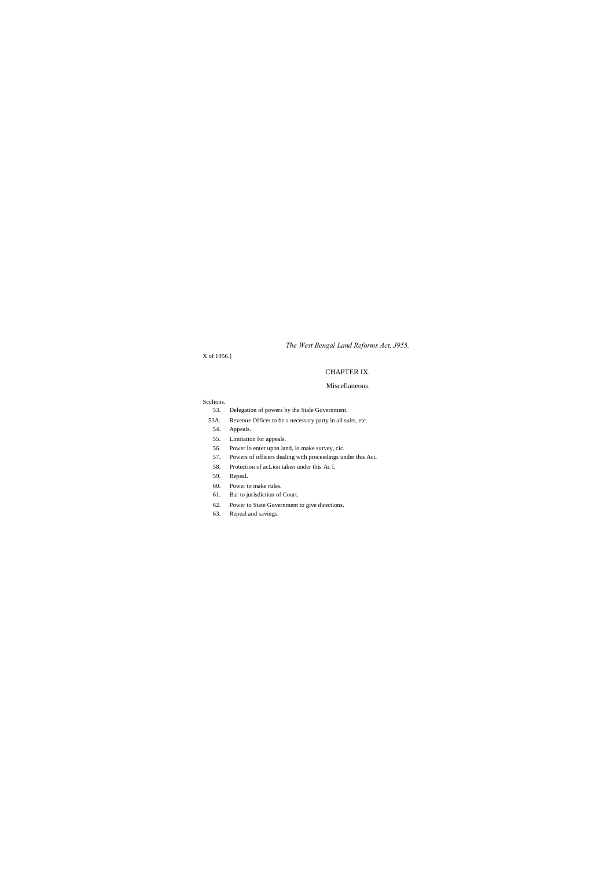*The West Bengal Land Reforms Act, J955.*

X of 1956.]

# CHAPTER IX.

# Miscellaneous.

Scclions.

- 53. Delegation of powers by ihe Stale Government.
- 53A. Revenue Officer to be a necessary party in all suits, etc.
- 54. Appeals.
- 55. Limitation for appeals.
- 56. Power lo enter upon land, lo make survey, cic.
- 57. Powers of officers dealing with proceedings under this Act.
- 58. Protection of acLion taken under this Ac I.
- 59. Repeal.
- 60. Power to make rules.
- 61. Bar to jurisdiction of Court.
- 62. Power to State Government to give directions.
- 63. Repeal and savings.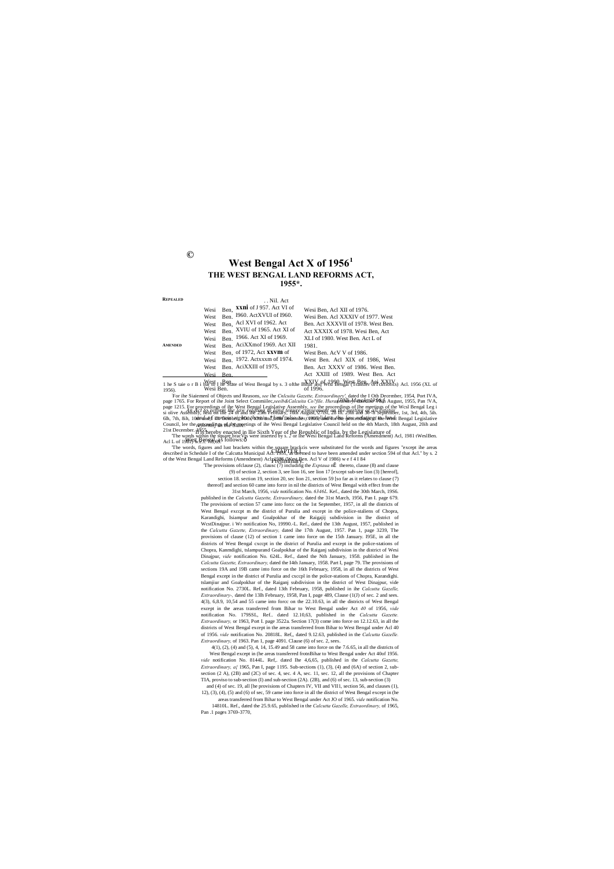**©**

*[30lh March, 1956.] An Act to reform the law relating to land tenure consequent on the vesting of all estates and of certain rights therein \*[and also to consolidate the law relating to land*  Council, lee the *perforendings of the Stames* tings of ihe Wesi Bengal Legislative Council held on the 4th March, 18th August, 20ih and or 1996.<br>For the Siatemend of Objects und Reasons, *see* the Cnlcuita Gazette, *Extraordinary'*, dated the I Oth December, 1954, Port IVA,<br>page 1765. For Report of the Joint Select Committec, *see ib & Calcuita Co.?file. H* 

Il is hereby enacted in llie Sixth Year of the Republic of India, by the Legislature of  $W$ est, Bengal, as follows: $\delta$ 21st December. H<sup>955</sup>.<br>The words within the square bracVts were inserted by s. 2 or Ihe Wesi Bengal Land Reforms (Amendment) Acl, 1981 tWeslBen.<br>Acl L of 1981, Ref. <del>88,69.</del> follows:0

| REPEALED |                                                                                   | . . Nil. Act                                                                                                                                                                                                                                                                         |                                                                                                                                                                                                                                                                                                                              |
|----------|-----------------------------------------------------------------------------------|--------------------------------------------------------------------------------------------------------------------------------------------------------------------------------------------------------------------------------------------------------------------------------------|------------------------------------------------------------------------------------------------------------------------------------------------------------------------------------------------------------------------------------------------------------------------------------------------------------------------------|
| AMENDED  | Wesi<br>West<br>West<br>West<br>Wesi<br>West<br>West<br>Wesi<br>West<br>Wesi Ben. | Ben, XXIII of J 957. Act VI of<br>Ben. 1960. ActXVUI of 1960.<br>Ben, Acl XVI of 1962. Act<br>Ben. XVIU of 1965. Act XI of<br>Ben. 1966. Act XI of 1969.<br>Ben. AciXXmof 1969. Act XII<br>Ben. of 1972, Act $\bf{xxvm}$ of<br>Ben. 1972. Actxxxm of 1974.<br>Ben. AciXXIII of 1975, | Wesi Ben, Acl XII of 1976.<br>Wesi Ben. Acl XXXIV of 1977. West<br>Ben. Act XXXVII of 1978. West Ben.<br>Act XXXIX of 1978. Wesi Ben, Act<br>XLI of 1980. West Ben. Act L of<br>1981.<br>West Ben. AcV V of 1986.<br>West Ben. Acl XIX of 1986, West<br>Ben. Act XXXV of 1986. West Ben.<br>Act XXIII of 1989. West Ben. Act |
|          |                                                                                   |                                                                                                                                                                                                                                                                                      | 1 he S taie o r B i by Est I He State of West Bengal by s. 3 of the BYAN-Mark 18th and the Ref christ Monks) Act. 1956 (XL of                                                                                                                                                                                                |

of 1996. Wesi Ben.

The words, figures and lust brackets within the square brackcis were substituted for the words and figures "except ihe areas described in Schedule I of the Calcutta Municipal Act: 1959, LE deemed to have been amended under Preliminary. of the West Bengal Land Reforms (Amendment) Acl. 1986 (West Ben. Acl V of 1986) w e f 4 I 84

The provisions of clause (2), clausc (7) including the *Exptaua* ni thereto, clause (8) and clause (9) of section 2, section 3, see lion 16, see lion 17 [except sub-see lion (3) [hereof], section 18. section 19, section 20, sec lion 21, section 59 [so far as it relates to clause (7) thereof] and section 60 came into force in nil the districts of West Bengal with effect from the 31st March, 1956, *vide* notification No. *6346L.* Kef., dated the 30th March, 19S6. published in the *Calcutta Gazette, Extraordinary,* dated the 31st March, 1956, Pan I. page 679. The provisions of section 57 came into forcc on the 1st September, 1957, in all the districts of West Bengal exccpt m the district of Purulia and except in the police-staliens of Chopra, Karandighi, Isiampur and Goalpokhar of the Raigajij subdivision in Ihe district of WcstDinajpur. i Wr notification No, 19990.-L. Ref., dated the 13th August, 1957, published in the *Calcutta Gazette, Extraordinary,* dated ihe 17th August, 1957. Pan 1, page 3239, The provisions of clause (12) of section 1 came into force on the 15th January. I95E, in all the districts of West Bengal cxccpt in the district of Purulia and except in the police-stations of Chopra, Kanmdighi, tslampurand Goalpokhar of the Raiganj subdivision in the district of Wesi Dinajpur, *vide* notification No. 624L. Ref., dated the Nth January, 1958. published in Ihe *Calcutta Gazette, Extraordinary,* dated the I4th January, 1958. Part I, page 79. The provisions of sections 19A and 19B came into force on the 16th February, 1958, in all the districts of West Bengal except in the district of Purulia and cxccpl in the police-stations of Chopra, Karandighi. tslamjiur and Goalpokhar of the Raiganj subdivision in the district of West Dinajpur, vide notification No. 2730L. Ref., dated 13th February, 1958, published in ihe *Calcutta Gazelle, Extraordinary-,* dated the 13lh February, 1958, Pan I, page 489, Clause (1(J) of sec. 2 and sees. 4(3), 6,8.9, 10,54 and 55 came into forcc on the 22.10.63, in all the districts of West Bengal except in the areas transferred from Bihar to West Bengal under Act *40* of 1956, *vide* notification No. 179SSL, Ref.. dated 12.10,63, published in the *Calcutta Gazette. Extraordinary,* or 1963, Port I. page 3522a. Section 17(3) come into force on 12.12.63, in all the districts of West Bengal except in the areas transferred from Bihar to West Bengal under Acl 40 of 1956. *vide* notification No. 20818L. Ref,, dated 9.12.63, published in the *Calcutta Gazelle. Extraordinary,* of 1963. Pan 1, page 4091. Clause (6) of sec. 2, sees.

*vide* notification No. 8144L. Ref,. dated Ihe 4,6,65, published in the *Calcutta Gazette, Extraordinary, a{* 1965, Pan I, page 1195. Sub-sections (1), (3), (4) and (6A) of section 2, subsection (2 A), (2B) and (2C) of sec. 4, sec. 4 A, sec. 11, sec. 12, all the provisions of Chapter TIA, proviso to sub-section (I) and sub-section  $(2A)$ .  $(2B)$ , and  $(6)$  of sec. 13, sub-section (3) and (4) of sec. 19, all [he provisions of Chapters IV, VII and VII1, section 56, and clauses (1), 12), (3), (4), (5) and (6) of sec, 59 came into force in all the district of West Bengal except in (he areas transferred from Bihar to West Bengal under Act JO of 1965. *vide* notification No. 14810L. Ref., dated the 25.9.65, published in the *Calcutta Gazelle, Extraordinary,* of 1965, Pan 1 pages 3769-3770

4(1), (2), (4) and (5), 4, 14, 15.49 and 58 came into force on the 7.6.65, in all the districts of West Bengal except in (he areas transferred frotnBihar to West Bengal under Act 40of 1956.

# **West Bengal Act X of 1956<sup>1</sup> THE WEST BENGAL LAND REFORMS ACT, 1955\*.**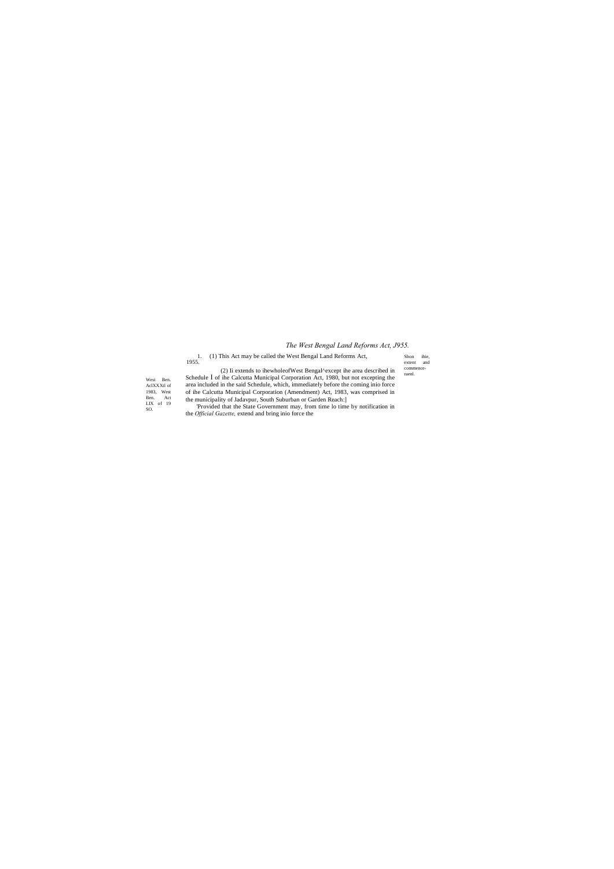# *The West Bengal Land Reforms Act, J955.*

Shon ihie, extent and commence-raenl.

Wesi Ben. AclXXXtl of 1983, West Ben. Act LIX of 19 SO.

1. 1955. (1) This Act may be called the West Bengal Land Reforms Act,

(2) Ii extends to ihewholeofWest Bengal^except ihe area described in

Schedule I of ihe Calcutta Municipal Corporation Act, 1980, but not excepting the area included in the said Schedule, which, immediately before the coming inio force of ihe Calcutta Municipal Corporation (Amendment) Act, 1983, was comprised in the municipality of Jadavpur, South Suburban or Garden Reach:]

'Provided that the State Government may, from time lo time by notification in the *Official Gazette,* extend and bring inio force the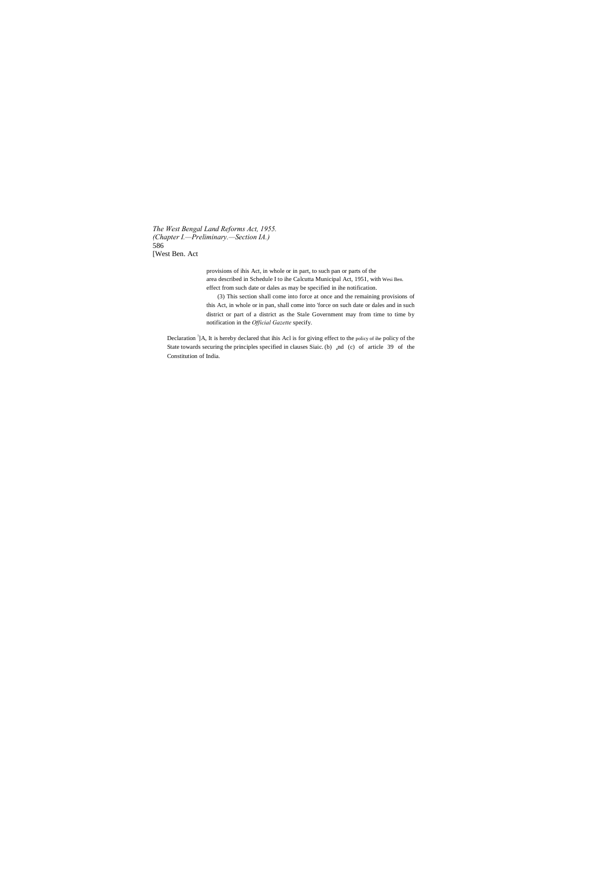*The West Bengal Land Reforms Act, 1955. (Chapter I.—Preliminary.—Section IA.)* 586 [West Ben. Act

> provisions of ihis Act, in whole or in part, to such pan or parts of the area described in Schedule I to ihe Calcutta Municipal Act, 1951, with Wesi Ben. effect from such date or dales as may be specified in ihe notification.

Declaration <sup>1</sup>]A, It is hereby declared that ihis Acl is for giving effect to the policy of ihe policy of the State towards securing the principles specified in clauses Siaic. (b) and (c) of article 39 of the Constitution of India.

(3) This section shall come into force at once and the remaining provisions of this Act, in whole or in pan, shall come into 'force on such date or dales and in such district or part of a district as the Stale Government may from time to time by notification in the *Official Gazette* specify.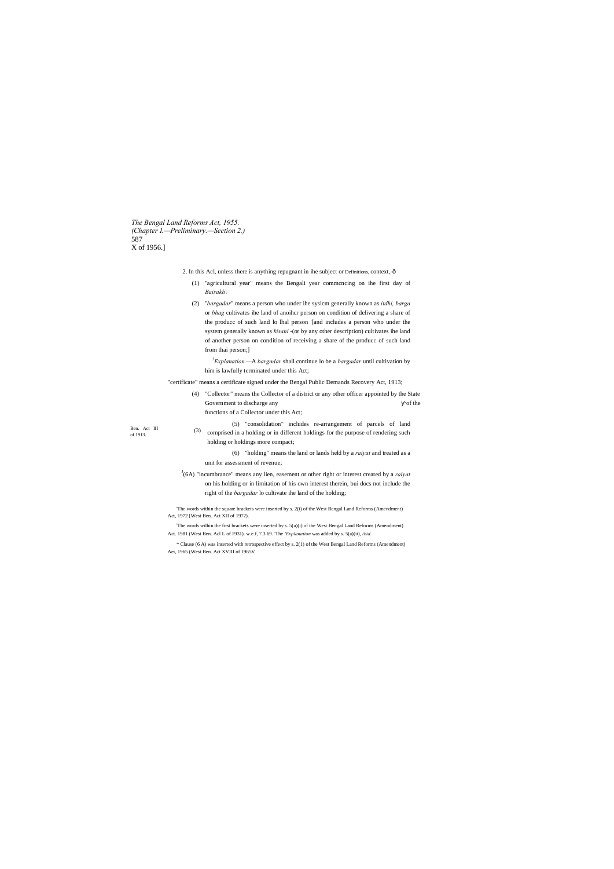*The Bengal Land Reforms Act, 1955. (Chapter I.—Preliminary.—Section 2.)* 587 X of 1956.]

- 2. In this Acl, unless there is anything repugnant in ihe subject or Definitions, context,- $\hat{o}$ 
	- (1) "agricultural year" means the Bengali year commcncing on ihe first day of *Baisakh\*
	- (2) "*bargadar*" means a person who under ihe syslcm generally known as *itdhi, barga* or *bhag* cultivates ihe land of anoihcr person on condition of delivering a share of the producc of such land lo lhal person '[and includes a person who under the system generally known as *kisani* -(or by any other description) cultivates ihe land of another person on condition of receiving a share of the producc of such land from thai person;]
		- *3 Explanation.—*A *bargadar* shall continue lo be a *bargadar* until cultivation by him is lawfully terminated under this Act;
- "certificate" means a certificate signed under the Bengal Public Demands Recovery Act, 1913;
	- (4) "Collector" means the Collector of a district or any other officer appointed by the State Government to discharge any of the state of the state of the state of the state of the state of the state of the state of the state of the state of the state of the state of the state of the state of the state of the state functions of a Collector under this Act;

Ben. Act III (3)<br>of 1913.

<sup>J</sup>(6A) "incumbrance" means any lien, easement or other right or interest created by a *raiyat* on his holding or in limitation of his own interest therein, bui docs not include the right of the *bargadar* lo cultivate ihe land of the holding;

: The words wilhin the first brackets were inserted by s. 5(a)(i) of the West Bengal Land Reforms (Amendment) Act. 1981 (West Ben. Acl L of 1931). w.e.f, 7.3.69. The 'Explanation was added by s. 5(a)(ii), *ibid.* 

(5) "consolidation" includes re-arrangement of parcels of land comprised in a holding or in different holdings for the purpose of rendering such holding or holdings more compact;

(6) "holding" means the land or lands held by a *raiyat* and treated as a unit for assessment of revenue;

'The words within the square brackets were inserted by s. 2(i) of the West Bengal Land Reforms (Amendment) Act, 1972 [West Ben. Act XII of 1972).

\* Clause (6 A) was inserted with retrospective effect by s. 2(1) of the West Bengal Land Reforms (Amendment) Aei, 1965 (West Ben. Act XVIII of 1965V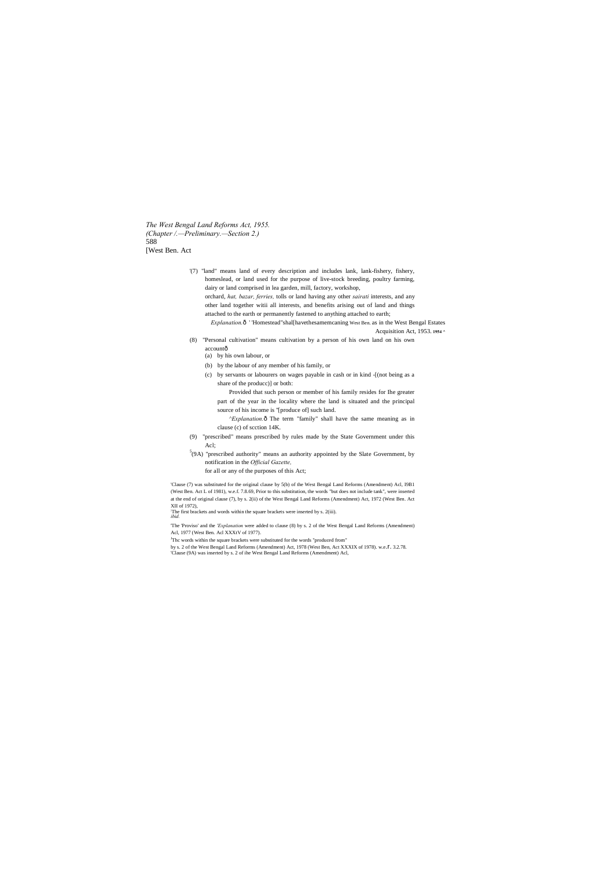*The West Bengal Land Reforms Act, 1955. (Chapter /.—Preliminary.—Section 2.)* 588 [West Ben. Act

- '(7) "land" means land of every description and includes lank, lank-fishery, fishery, homeslead, or land used for the purpose of live-stock breeding, poultry farming, dairy or land comprised in lea garden, mill, factory, workshop, orchard, *hat, bazar, ferries,* tolls or land having any other *sairati* interests, and any other land together witii all interests, and benefits arising out of land and things attached to the earth or permanently fastened to anything attached to earth; *Explanation.*—' 'Homestead"shal[havethesamemcaning West Ben. as in the West Bengal Estates Acquisition Act, 1953. **1954 ^**
- (8) "Personal cultivation" means cultivation by a person of his own land on his own
	- accountô (a) by his own labour, or
	- (b) by the labour of any member of his family, or
	- (c) by servants or labourers on wages payable in cash or in kind -[(not being as a share of the producc)] or both:

*^Explanation.* $\hat{o}$  The term "family" shall have the same meaning as in clause (c) of scction 14K.

The first brackets and words within the square brackets were inserted by s. 2(iii). *ibid.*

Provided that such person or member of his family resides for Ihe greater part of the year in the locality where the land is situated and the principal source of his income is ''[produce of] such land.

by s. 2 of the West Bengal Land Reforms (Amendment) Act, 1978 (West Ben, Act XXXIX of 1978). w.e.l. 3.2.78. 'Clause (9A) was inserted by s. 2 of ihe West Bengal Land Reforms (Amendment) Acl,

(9) "prescribed" means prescribed by rules made by the State Government under this Acl;

- 5 (9A) "prescribed authority" means an authority appointed by the Slate Government, by notification in the *Official Gazette,*
	- for all or any of the purposes of this Act;

'Clause (7) was substituted for the original clause by 5(b) of the West Bengal Land Reforms (Amendment) Acl, I9B1 (West Ben. Act L of 1981), w.e.f. 7.8.69, Prior to this substitution, the words "but does not include tank", were inserted at the end of original clause (7), by s. 2(ii) of the West Bengal Land Reforms (Amendment) Act, 1972 (West Ben. Act XII of 1972),

'The 'Proviso' and the *'Explanation* were added to clause (8) by s. 2 of the West Bengal Land Reforms (Amendment) Acl, 1977 (West Ben. Acl XXXtV of 1977).

<sup>J</sup>Thc words within the square brackets were substituted for the words "produced from"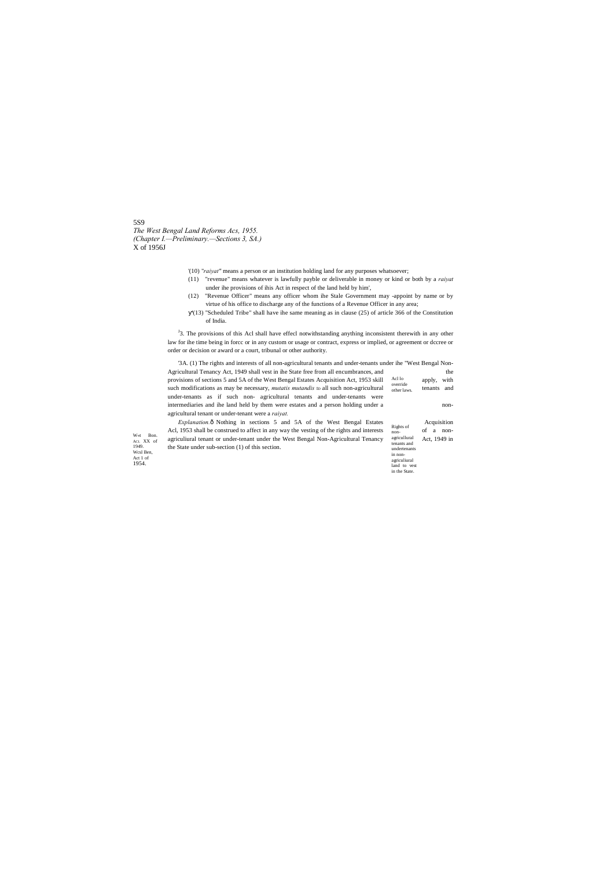# 5S9 *The West Bengal Land Reforms Acs, 1955. (Chapter I.—Preliminary.—Sections 3, SA.)* X of 1956J

<sup>J</sup>3. The provisions of this Acl shall have effecl notwithstanding anything inconsistent therewith in any other law for ihe time being in forcc or in any custom or usage or contract, express or implied, or agreement or dccree or order or decision or award or a court, tribunal or other authority.

- '(10) "*raiyat"* means a person or an institution holding land for any purposes whatsoever;
- (11) "revenue" means whatever is lawfully payble or deliverable in money or kind or both by a *raiyat* under ihe provisions of ihis Act in respect of the land held by him',
- (12) "Revenue Officer" means any officer whom ihe Stale Government may -appoint by name or by virtue of his office to discharge any of the functions of a Revenue Officer in any area;
- '(13) "Scheduled Tribe" shall have ihe same meaning as in clause (25) of article 366 of the Constitution of India.

Acl lo override other laws. '3A. (1) The rights and interests of all non-agricultural tenants and under-tenants under ihe "West Bengal Non-Agricultural Tenancy Act, 1949 shall vest in ihe State free from all encumbrances, and the provisions of sections 5 and 5A of the West Bengal Estates Acquisition Act, 1953 skill apply, with apply, with such modifications as may be necessary, *mutatis mutandis* to all such non-agricultural other laws. tenants and under-tenants as if such non- agricultural tenants and under-tenants were intermediaries and ihe land held by them were estates and a person holding under a nonagricultural tenant or under-tenant were a *raiyat. Explanation.*—Nothing in sections 5 and 5A of the West Bengal Estates Acquisition

|                          | <i>Explanation</i> o Nothing in sections 5 and 5A of the west Bengal Estates              |                             | <b>Acquisition</b> |
|--------------------------|-------------------------------------------------------------------------------------------|-----------------------------|--------------------|
| W≪t<br>Bon.<br>ACL XX of | Acl, 1953 shall be construed to affect in any way the vesting of the rights and interests | Rights of<br>non-           | of a<br>non-       |
|                          | agriculiural tenant or under-tenant under the West Bengal Non-Agricultural Tenancy        | agricullural                | Act. 1949 in       |
| 1949.<br>Wcsl Ben.       | the State under sub-section (1) of this section.                                          | tenants and<br>undertenants |                    |
| Act 1 of                 |                                                                                           | in non-                     |                    |
| 1954.                    |                                                                                           | agriculiural                |                    |
|                          |                                                                                           | land to vest                |                    |
|                          |                                                                                           | in the State.               |                    |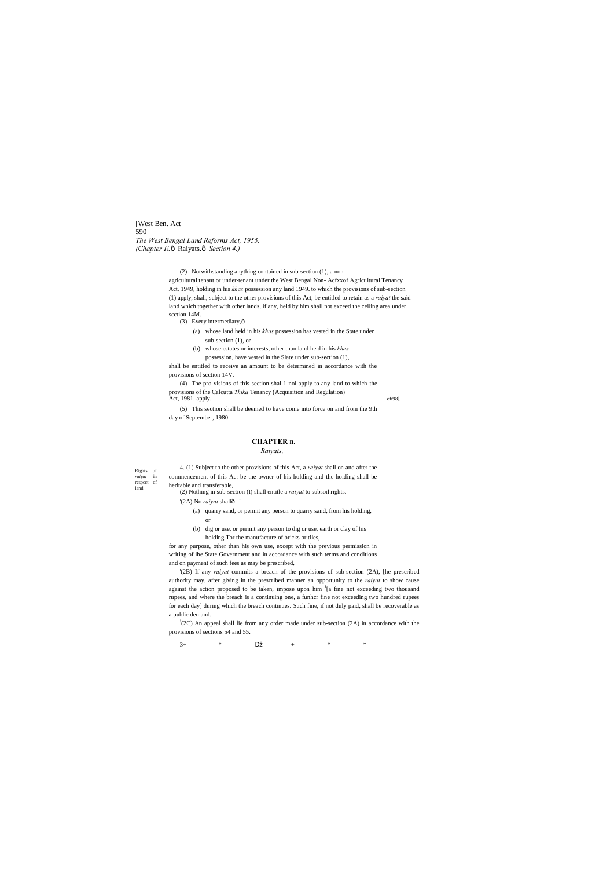Rights of<br>raivat in  $ra$ *iyat* rcspcct of land.

[West Ben. Act 590 *The West Bengal Land Reforms Act, 1955. (Chapter I!.* ô Raiyats. ô *Section 4.)* 

> (2) Notwithstanding anything contained in sub-section (1), a nonagricultural tenant or under-tenant under the West Bengal Non- Acfxxof Agricultural Tenancy Act, 1949, holding in his *khas* possession any land 1949. to which the provisions of sub-section (1) apply, shall, subject to the other provisions of this Act, be entitled to retain as a *raiyat* the said land which together with other lands, if any, held by him shall not exceed the ceiling area under scction 14M.

(3) Every intermediary, $\hat{0}$ 

(4) The pro visions of this section shal 1 nol apply to any land to which the provisions of the Calcutta *Thika* Tenancy (Acquisition and Regulation) Act, 1981, apply. off98],

(a) whose land held in his *khas* possession has vested in the State under sub-section (1), or

(b) whose estates or interests, other than land held in his *khas*  possession, have vested in the Slate under sub-section (1),

shall be entitled to receive an amount to be determined in accordance with the provisions of scction 14V.

(5) This section shall be deemed to have come into force on and from the 9th day of September, 1980.

# **CHAPTER n.**

*Raiyats,*

4. (1) Subject to the other provisions of this Act, a *raiyat* shall on and after the commencement of this Ac: be the owner of his holding and the holding shall be heritable and transferable,

(2) Nothing in sub-section (I) shall entitle a *raiyat* to subsoil rights.

'(2A) No *raiyat* shallô

(a) quarry sand, or permit any person to quarry sand, from his holding, or

(b) dig or use, or permit any person to dig or use, earth or clay of his holding Tor the manufacture of bricks or tiles, .

for any purpose, other than his own use, except with the previous permission in writing of ihe State Government and in accordance with such terms and conditions and on payment of such fees as may be prescribed,

'(2B) If any *raiyat* commits a breach of the provisions of sub-section (2A), [he prescribed authority may, after giving in the prescribed manner an opportunity to the *raiyat* to show cause against the action proposed to be taken, impose upon him  $I_{\text{a}}$  fine not exceeding two thousand rupees, and where the breach is a continuing one, a funhcr fine not exceeding two hundred rupees for each day] during which the breach continues. Such fine, if not duly paid, shall be recoverable as a public demand.

! (2C) An appeal shall lie from any order made under sub-section (2A) in accordance with the provisions of sections 54 and 55.

 $3+$  \*  $+$  \* \*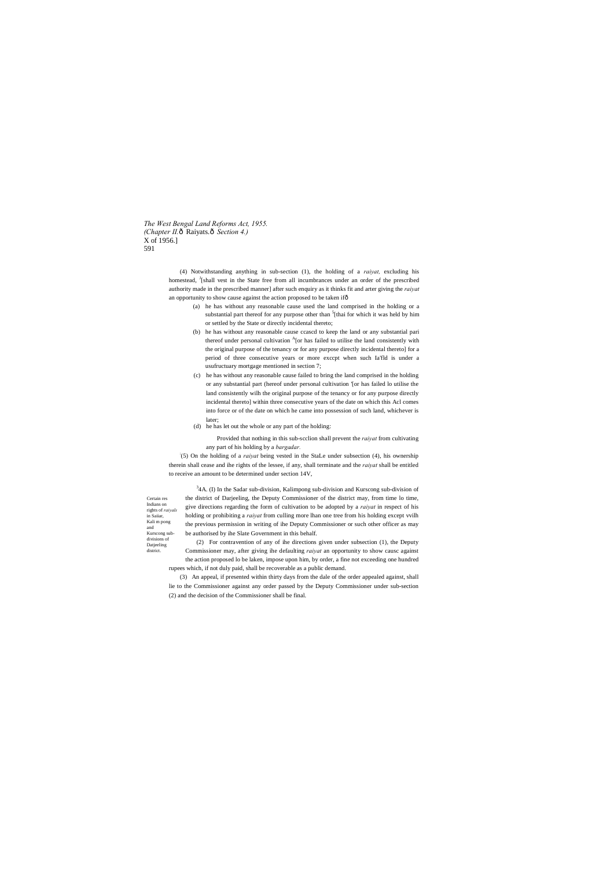*The West Bengal Land Reforms Act, 1955. (Chapter II.* $\hat{o}$  Raiyats. $\hat{o}$  Section 4.) X of 1956.] 591

> (4) Notwithstanding anything in sub-section (1), the holding of a *raiyat,* excluding his homestead, <sup>J</sup>[shall vest in the State free from all incumbrances under an order of the prescribed authority made in the prescribed manner] after such enquiry as it thinks fit and arter giving the *raiyat* an opportunity to show cause against the action proposed to be taken ifô

Certain res Indians on rights of *raiyals* in Saiiar, Kali m pong and Kurscong subdivisions of Datjeeling district.

- (a) he has without any reasonable cause used the land comprised in the holding or a substantial part thereof for any purpose other than <sup>5</sup>[thai for which it was held by him or settled by the State or directly incidental thereto;
- (b) he has without any reasonable cause ccascd to keep the land or any substantial pari thereof under personal cultivation <sup>A</sup>[or has failed to utilise the land consistently with the original purpose of the tenancy or for any purpose directly incidental thereto] for a period of three consecutive years or more exccpt when such Ia'fld is under a usufructuary mortgage mentioned in section 7;
- (c) he has without any reasonable cause failed to bring the land comprised in the holding or any substantial part (hereof under personal cultivation '[or has failed lo utilise the land consistently wilh the original purpose of the tenancy or for any purpose directly incidental thereto] within three consecutive years of the date on which this Acl comes into force or of the date on which he came into possession of such land, whichever is later;
- (d) he has let out the whole or any part of the holding:

 $34A$ . (I) In the Sadar sub-division, Kalimpong sub-division and Kurscong sub-division of the district of Darjeeling, the Deputy Commissioner of the district may, from time lo time, give directions regarding the form of cultivation to be adopted by a *raiyat* in respect of his holding or prohibiting a *raiyat* from culling more lhan one tree from his holding except vvilh the previous permission in writing of ihe Deputy Commissioner or such other officer as may be authorised by ihe Slate Government in this behalf.

Provided that nothing in this sub-scclion shall prevent the *raiyat* from cultivating any part of his holding by a *bargadar.*

: (5) On the holding of a *raiyat* being vested in the StaLe under subsection (4), his ownership therein shall cease and ihe rights of the lessee, if any, shall terminate and the *raiyat* shall be entitled to receive an amount to be determined under section 14V,

(2) For contravention of any of ihe directions given under subsection (1), the Deputy Commissioner may, after giving ihe defaulting *raiyat* an opportunity to show causc against the action proposed lo be laken, impose upon him, by order, a fine not exceeding one hundred rupees which, if not duly paid, shall be recoverable as a public demand.

(3) An appeal, if presented within thirty days from the dale of the order appealed against, shall lie to the Commissioner against any order passed by the Deputy Commissioner under sub-section (2) and the decision of the Commissioner shall be final.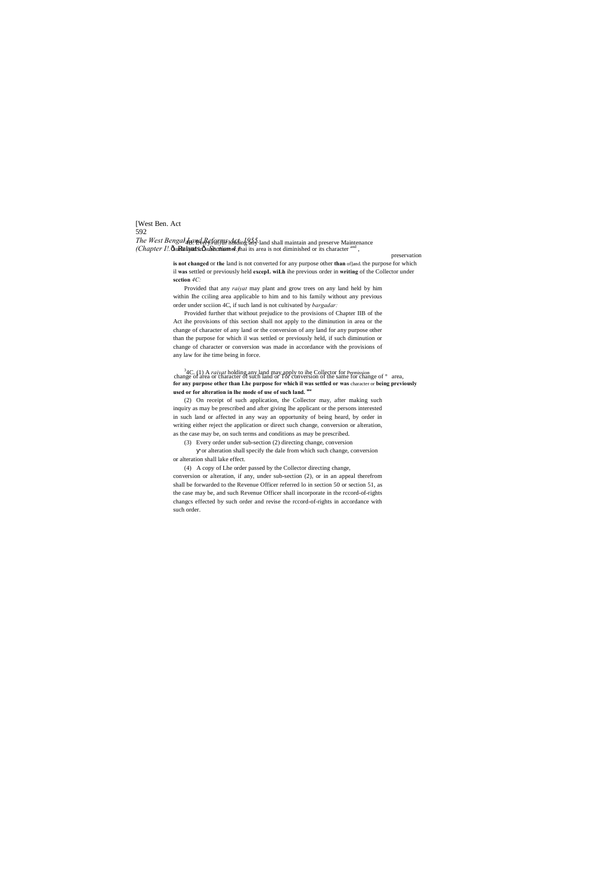[West Ben. Act 592 *The West Bengal Land Reforms Act, 1955.* l 4B. Every *raiyat* holding any land shall maintain and preserve Maintenance *(Chapter I!.* Ôsu**Raiyats.** Ôsu*bastion 4.* ) hai its area is not diminished or its character and ,

preservation

**is not changed** or **the** land is not converted for any purpose other **than** of]and. the purpose for which il **was** settled or previously held **excepL wiLh** ihe previous order in **writing** of the Collector under **scction** *4C:*

Provided that any *raiyat* may plant and grow trees on any land held by him within Ihe cciling area applicable to him and to his family without any previous order under scciion 4C, if such land is not cultivated by *bargadar:*

<sup>3</sup>4C. (1) A *raiyat* holding any land may apply to ihe Collector for Permission change of  $\degree$  area, change of  $\degree$  area, **for any purpose other than Lhe purpose for which il was settled or was** character or **being previously used or for alteration in lhe mode of use of such land. use**

Provided further that without prejudice to the provisions of Chapter IIB of the Act ihe provisions of this section shall not apply to the diminution in area or the change of character of any land or the conversion of any land for any purpose other than the purpose for which il was settled or previously held, if such diminution or change of character or conversion was made in accordance with the provisions of any law for ihe time being in force.

(2) On receipt of such application, the Collector may, after making such inquiry as may be prescribed and after giving lhe applicant or the persons interested in such land or affected in any way an opportunity of being heard, by order in writing either reject the application or direct such change, conversion or alteration, as the case may be, on such terms and conditions as may be prescribed.

(3) Every order under sub-section (2) directing change, conversion

or alteration shall specify the dale from which such change, conversion or alteration shall lake effect.

(4) A copy of Lhe order passed by the Collector directing change, conversion or alteration, if any, under sub-section (2), or in an appeal therefrom shall be forwarded to the Revenue Officer referred lo in section 50 or section 51, as the case may be, and such Revenue Officer shall incorporate in the rccord-of-rights changcs effected by such order and revise the rccord-of-rights in accordance with such order.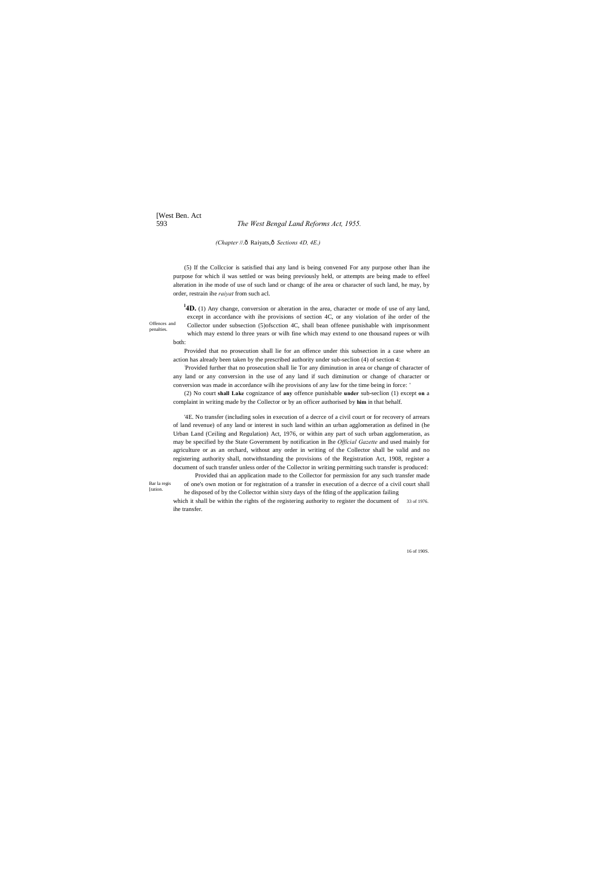# [West Ben. Act 593 *The West Bengal Land Reforms Act, 1955.*

*(Chapter* //.ô Raiyats,ô Sections 4D, 4E.)

Bar la regis [ration

Offences and penalties.

16 of 190S.

(5) If the Collccior is satisfied thai any land is being convened For any purpose other lhan ihe purpose for which il was settled or was being previously held, or attempts are being made to effeel alteration in ihe mode of use of such land or changc of ihe area or character of such land, he may, by order, restrain ihe *raiyat* from such acl.

<sup>1</sup>4D. (1) Any change, conversion or alteration in the area, character or mode of use of any land, except in accordance with ihe provisions of section 4C, or any violation of ihe order of the Collector under subsection (5)ofscction 4C, shall bean offenee punishable with imprisonment which may extend lo three years or wilh fine which may extend to one thousand rupees or wilh both:

Provided that no prosecution shall lie for an offence under this subsection in a case where an action has already been taken by the prescribed authority under sub-seclion (4) of section 4:

: Provided further that no prosecution shall lie Tor any diminution in area or change of character of any land or any conversion in the use of any land if such diminution or change of character or conversion was made in accordance wilh ihe provisions of any law for the time being in force: '

which it shall be within the rights of the registering authority to register the document of 33 of 1976. ihe transfer.

(2) No court **shall Lake** cognizance of **any** offence punishable **under** sub-seclion (1) except **on** a complaint in writing made by the Collector or by an officer authorised by **him** in that behalf.

'4E. No transfer (including soles in execution of a decrce of a civil court or for recovery of arrears of land revenue) of any land or interest in such land within an urban agglomeration as defined in (he Urban Land (Ceiling and Regulation) Act, 1976, or within any part of such urban agglomeration, as may be specified by the State Government by notification in Ihe *Official Gazette* and used mainly for agriculture or as an orchard, without any order in writing of the Collector shall be valid and no registering authority shall, notwithstanding the provisions of the Registration Act, 1908, register a document of such transfer unless order of the Collector in writing permitting such transfer is produced: Provided thai an application made to the Collector for permission for any such transfer made of one's own motion or for registration of a transfer in execution of a decrce of a civil court shall he disposed of by the Collector within sixty days of the fding of the application failing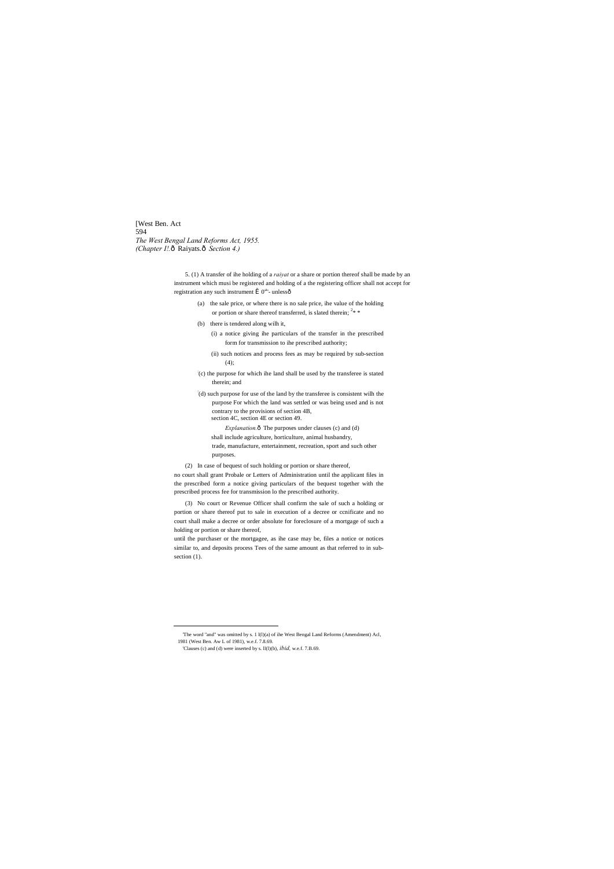[West Ben. Act 594 *The West Bengal Land Reforms Act, 1955. (Chapter I!.* ô Raiyats. ô *Section 4.)* 

> 5. (1) A transfer of ihe holding of a *raiyat* or a share or portion thereof shall be made by an instrument which musi be registered and holding of a the registering officer shall not accept for registration any such instrument  $\hat{I}$  0<sup>a</sup>'- unlessô

- (a) the sale price, or where there is no sale price, ihe value of the holding or portion or share thereof transferred, is slated therein;  $2* *$
- (b) there is tendered along wilh it,

(i) a notice giving ihe particulars of the transfer in the prescribed form for transmission to ihe prescribed authority;

- (ii) such notices and process fees as may be required by sub-section (4);
- : (c) the purpose for which ihe land shall be used by the transferee is stated therein; and

until the purchaser or the mortgagee, as ihe case may be, files a notice or notices similar to, and deposits process Tees of the same amount as that referred to in subsection  $(1)$ .

: (d) such purpose for use of the land by the transferee is consistent wilh the purpose For which the land was settled or was being used and is not contrary to the provisions of section 4B, section 4C, section 4E or section 49.

*Explanation.* $\hat{o}$  The purposes under clauses (c) and (d)

shall include agriculture, horticulture, animal husbandry,

trade, manufacture, entertainment, recreation, sport and such other purposes.

(2) In case of bequest of such holding or portion or share thereof,

no court shall grant Probale or Letters of Administration until the applicant files in the prescribed form a notice giving particulars of the bequest together with the prescribed process fee for transmission lo the prescribed authority.

(3) No court or Revenue Officer shall confirm the sale of such a holding or portion or share thereof put to sale in execution of a decree or ccnificate and no court shall make a decree or order absolute for foreclosure of a mortgage of such a holding or portion or share thereof,

 <sup>&#</sup>x27;The word "and" was omitted by s. 1 l(l)(a) of ihe West Bengal Land Reforms (Amendment) Acl,

<sup>1981 (</sup>West Ben. Aw L of 1981), w.e.f. 7.8.69.

<sup>&#</sup>x27;Clauses (c) and (d) were inserted by s. ll(l)(b), *ibid,* w.e.f. 7.B.69.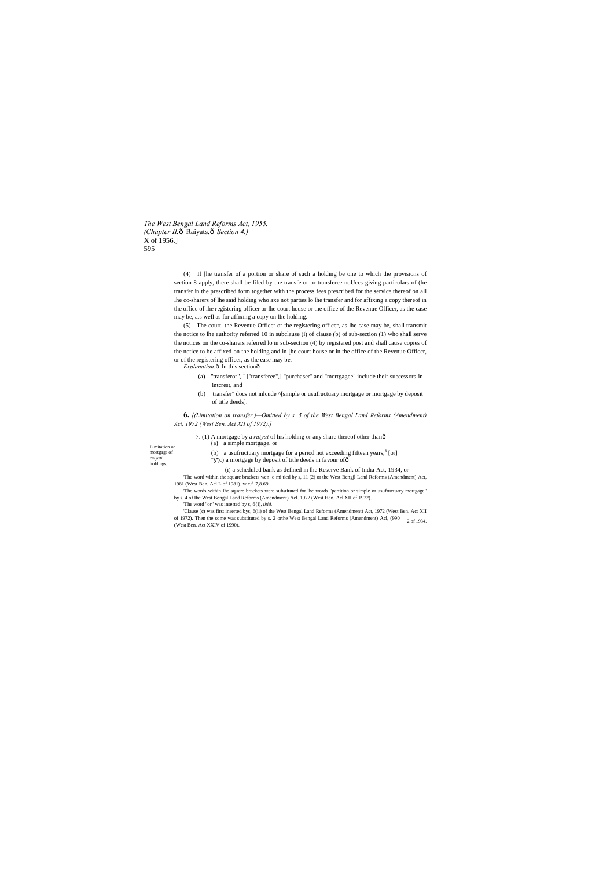*The West Bengal Land Reforms Act, 1955. (Chapter II.*ô Raiyats.ô Section 4.) X of 1956.] 595

Limitation on mortgage of *ruiyati*  holdings.

(4) If [he transfer of a portion or share of such a holding be one to which the provisions of section 8 apply, there shall be filed by the transferor or transferee noUccs giving particulars of (he transfer in the prescribed form together with the process fees prescribed for the service thereof on all Ihe co-sharers of lhe said holding who axe not parties lo lhe transfer and for affixing a copy thereof in the office of lhe registering officer or lhe court house or the office of the Revenue Officer, as the case may be, a.s well as for affixing a copy on lhe holding.

- (a) "transferor",  $\frac{1}{1}$  ["transferee",] "purchaser" and "mortgagee" include their suecessors-inintcrest, and
- (b) "transfer" docs not inlcude ^[simple or usufructuary mortgage or mortgage by deposit of title deeds].

(5) The court, the Revenue Officcr or the registering officer, as lhe case may be, shall transmit the notice to lhe authority referred 10 in subclause (i) of clause (b) of sub-section (1) who shall serve the notices on the co-sharers referred lo in sub-section (4) by registered post and shall cause copies of the notice to be affixed on the holding and in [he court house or in the office of the Revenue Officcr, or of the registering officer, as the ease may be.

*Explanation.* $\hat{o}$  In this section $\hat{o}$ 

of 1972). Then the some was substituted by s. 2 orthe West Bengal Land Reforms (Amendment) Acl, (990  $\frac{2 \text{ of } 1934.}{2 \text{ of } 1934.}$ 'Clause (c) was first inserted bys, 6(ii) of the West Bengal Land Reforms (Amendment) Act, 1972 (West Ben. Act XII (West Ben. Act XXIV of 1990).

**6.** *[(Limitation on transfer.)—Omitted by s. 5 of the West Bengal Land Reforms (Amendment) Act, 1972 (West Ben. Act XII of 1972).]*

7. (1) A mortgage by a *raiyat* of his holding or any share thereof other than—

 $(c)$  a mortgage by deposit of title deeds in favour of $\delta$ 

(a) a simple mortgage, or

(i) a scheduled bank as defined in lhe Reserve Bank of India Act, 1934, or

'The word within the square brackets wen: o mi tied by s, 11 (2) or the West Bengjl Land Reforms (Amendment) Act, 1981 (West Ben. Acl L of 1981). w.c.f. 7,8.69.

(b) a usufructuary mortgage for a period not exceeding fifteen years,  $3$  [or]

'The words within Ihe square brackets were substituted for lhe words "partition or simple or usufructuary mortgage" by s. 4 of Ihe West Bengal Land Reforms (Amendment) Acl. 1972 (West Hen. Acl XII of 1972).

'The word "or" was inserted by s, 6{i), *ibid,*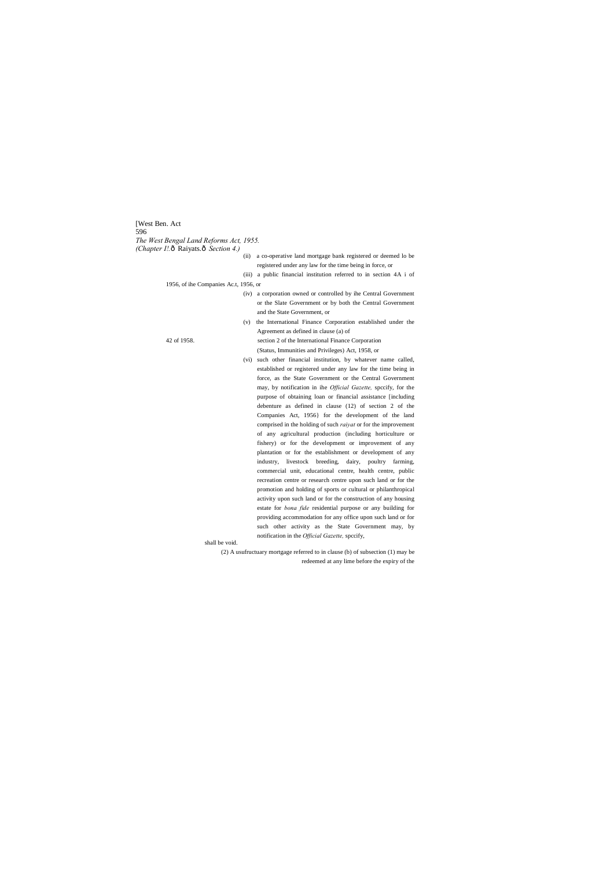[West Ben. Act 596 *The West Bengal Land Reforms Act, 1955. (Chapter I!.* ô Raiyats. ô *Section 4.)* (ii) a co-operative land mortgage bank registered or deemed lo be registered under any law for the time being in force, or (iii) a public financial institution referred to in section 4A i of 1956, of ihe Companies Ac.t, 1956, or (iv) a corporation owned or controlled by ihe Central Government or the Slate Government or by both the Central Government and the State Government, or (v) the International Finance Corporation established under the Agreement as defined in clause (a) of 42 of 1958. section 2 of the International Finance Corporation (Status, Immunities and Privileges) Act, 1958, or (vi) such other financial institution, by whatever name called, established or registered under any law for the time being in force, as the State Government or the Central Government may, by notification in ihe *Official Gazette,* spccify, for the purpose of obtaining loan or financial assistance [including debenture as defined in clause (12) of section 2 of the Companies Act, 1956} for the development of the land comprised in the holding of such *raiyat* or for the improvement of any agricultural production (including horticulture or fishery) or for the development or improvement of any plantation or for the establishment or development of any industry, livestock breeding, dairy, poultry farming, commercial unit, educational centre, health centre, public recreation centre or research centre upon such land or for the promotion and holding of sports or cultural or philanthropical activity upon such land or for the construction of any housing estate for *bona fide* residential purpose or any building for providing accommodation for any office upon such land or for such other activity as the State Government may, by notification in the *Official Gazette,* spccify, shall be void.

> (2) A usufructuary mortgage referred to in clause (b) of subsection (1) may be redeemed at any lime before the expiry of the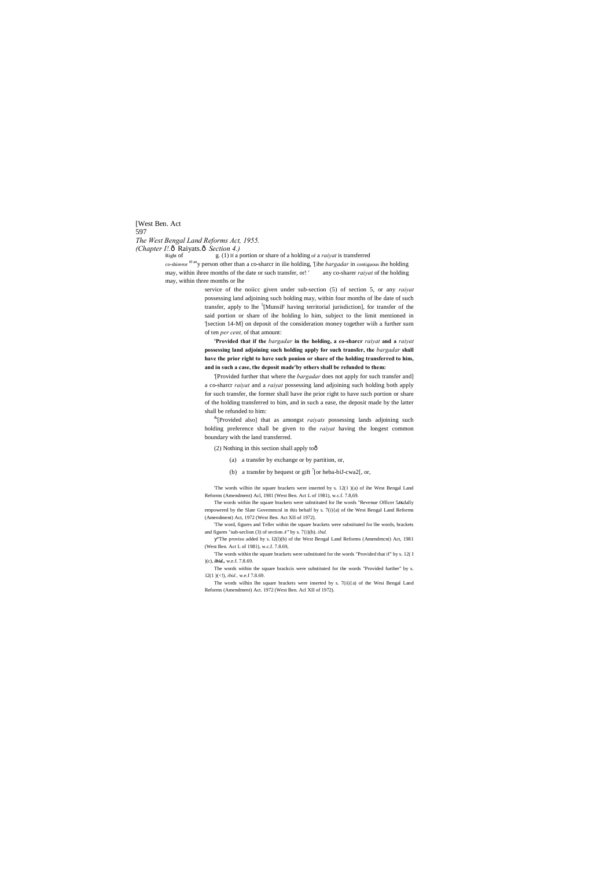# [West Ben. Act 597 *The West Bengal Land Reforms Act, 1955. (Chapter I!.* ô Raiyats. ô *Section 4.)*<br>Right of g. (1) If a p

Right of g. (1) If a portion or share of a holding of a *raiyat* is transferred

co-shireror t0 any person other than a co-sharcr in ilie holding, '[ihe *bargadar* in contiguous ihe holding may, within ihree months of the date or such transfer, or! ' any co-sharer *raiyat* of the holding may, within three months or lhe

service of the noiicc given under sub-section (5) of section 5, or any *raiyat* possessing land adjoining such holding may, within four months of lhe date of such transfer, apply to lhe <sup>5</sup>[MunsiF having territorial jurisdiction], for transfer of the said portion or share of ihe holding lo him, subject to the limit mentioned in '[section 14-M] on deposit of the consideration money together wiih a further sum of ten *per cent,* of that amount:

**'Provided that if the** *bargadar* **in the holding, a co-sharcr** *raiyat* **and a** *raiyat* **possessing land adjoining such holding apply for such transfer, the** *bargadar* **shall have the prior right to have such ponion or share of the holding transferred to him, and in such a case, the deposit made'by others shall be refunded to them:**

'[Provided further that where the *bargadar* does not apply for such transfer and] a co-sharcr *raiyat* and a *raiyat* possessing land adjoining such holding both apply for such transfer, the former shall have ihe prior right to have such portion or share of the holding transferred to him, and in such a ease, the deposit made by the latter shall be refunded to him:

&[Provided also] that as amongst *raiyats* possessing lands adjoining such holding preference shall be given to the *raiyat* having the longest common boundary with the land transferred.

(2) Nothing in this section shall apply too

(a) a transfer by exchange or by partition, or,

(b) a transfer by bequest or gift  $\int$ [or heba-biJ-cwa2[, or,

'The words wilhin ihe square brackets were inserted by s. 12(1 )(a) of ihe West Bengal Land Reforms (Amendment) Acl, 1981 (West Ben. Act L of 1981), w.c.f. 7.8,69.

The words within Ihe square brackets were substituted for lhe words "Revenue Officer 5**JK**dally empowered by the Slate Govemmcnl in this behalf by s. 7(i){a) of the West Bengal Land Reforms (Amendment) Act, 1972 (West Ben. Act XII of 1972).

'The word, figures and Teller within the square brackets were substituted for lhe words, brackets and figures "sub-seclion (3) of section *A"* by s. 7{i)(b). *ibid.*

"The proviso added by s. I2(l)(b) of the West Bengal Land Reforms (Amendmcni) Act, 1981 (West Ben. Act L of 1981), w.c.f. 7.8.69,

'The words within the square brackets were substituted for the words "Provided that if" by s. 12( I )(c), *ibid.,* w.e.f. 7.8.69.

The words within the square brackcis were substituted for the words "Provided further'' by s. 12(1 )(<!), *ibid.,* w.e.f 7.8.69.

The words wilhin Ihe square brackets were inserted by s. 7(ii){a) of the Wesi Bengal Land Reforms (Amendment) Act. 1972 (West Ben. Acl XII of 1972).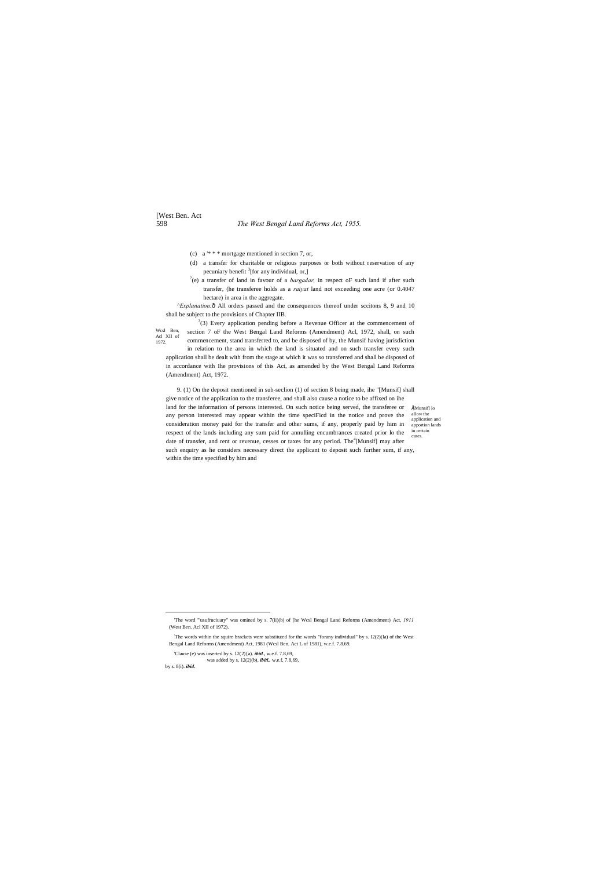# [West Ben. Act

# 598 *The West Bengal Land Reforms Act, 1955.*

•[Munsif] lo allow the application and apportion lands in certain cases.

*^Explanation.* $ô$  All orders passed and the consequences thereof under sccitons 8, 9 and 10 shall be subject to the provisions of Chapter IIB.

- (c) a '\* \* \* mortgage mentioned in section 7, or,
- (d) a transfer for charitable or religious purposes or both without reservation of any pecuniary benefit <sup>3</sup>[for any individual, or,]
- ? (e) a transfer of land in favour of a *bargadar,* in respect oF such land if after such transfer, (he transferee holds as a *raiyat* land not exceeding one acre (or 0.4047 hectare) in area in the aggregate.

Wcsl Ben, Acl XII of 1972.  $3(3)$  Every application pending before a Revenue Officer at the commencement of section 7 oF the West Bengal Land Reforms (Amendment) Acl, 1972, shall, on such commencement, stand transferred to, and be disposed of by, the Munsif having jurisdiction in relation to the area in which the land is situated and on such transfer every such application shall be dealt with from the stage at which it was so transferred and shall be disposed of in accordance with Ihe provisions of this Act, as amended by the West Bengal Land Reforms (Amendment) Act, 1972.

9. (1) On the deposit mentioned in sub-seclion (1) of section 8 being made, ihe "[Munsif] shall give notice of the application to the transferee, and shall also cause a notice to be affixed on ihe land for the information of persons interested. On such notice being served, the transferee or any person interested may appear within the time speciFicd in the notice and prove the consideration money paid for the transfer and other sums, if any, properly paid by him in respect of the lands including any sum paid for annulling encumbrances created prior lo the date of transfer, and rent or revenue, cesses or taxes for any period. The<sup>4</sup>[Munsif] may after such enquiry as he considers necessary direct the applicant to deposit such further sum, if any, within the time specified by him and

was added by s, 12(2)(b), *ibitl..* w.e.f, 7.8,69,

by s. 8(i). *ibid.*

The words within the squire brackets were substituted for the words "forany individual" by s. I2(2)(la) of the West Bengal Land Reforms (Amendment) Act, 1981 (Wcsl Ben. Act L of 1981), w.e.f. 7.8.69.

 <sup>&#</sup>x27;The word "'usufruciuary" was omined by s. 7(ii)(b) of [he Wcsl Bengal Land Reforms (Amendment) Act, *<sup>1911</sup>* (West Ben. Acl XII of 1972).

<sup>&#</sup>x27;Clause (e) was inserted by s. 12(2){a). *ibitl.,* w.e.f. 7.8,69,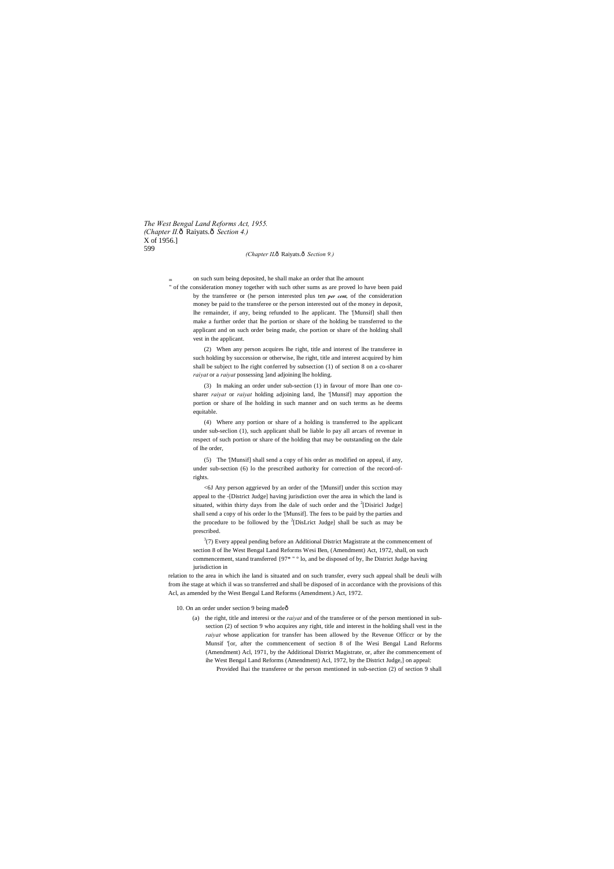*The West Bengal Land Reforms Act, 1955. (Chapter II.* $\hat{o}$  Raiyats. $\hat{o}$  Section 4.) X of 1956.] 599

#### *(Chapter ILô Raiyats.ô Section 9.)*

<sup>m</sup> on such sum being deposited, he shall make an order that lhe amount

" of the consideration money together with such other sums as are proved lo have been paid by the transferee or (he person interested plus ten *per cent,* of the consideration money be paid to the transferee or the person interested out of the money in deposit, lhe remainder, if any, being refunded to lhe applicant. The '[Munsif] shall then make a further order that lhe portion or share of the holding be transferred to the applicant and on such order being made, che portion or share of the holding shall vest in the applicant.

> (2) When any person acquires lhe right, title and interest of lhe transferee in such holding by succession or otherwise, lhe right, title and interest acquired by him shall be subject to lhe right conferred by subsection (1) of section 8 on a co-sharer *raiyat* or a *raiyat* possessing ]and adjoining lhe holding.

> (3) In making an order under sub-section (1) in favour of more lhan one cosharer *raiyat* or *raiyat* holding adjoining land, lhe '[Munsif] may apportion the portion or share of lhe holding in such manner and on such terms as he deems equitable.

 $3(7)$  Every appeal pending before an Additional District Magistrate at the commencement of section 8 of lhe West Bengal Land Reforms Wesi Ben, (Amendment) Act, 1972, shall, on such commencement, stand transferred {97\* " ° lo, and be disposed of by, lhe District Judge having jurisdiction in

(4) Where any portion or share of a holding is transferred to lhe applicant under sub-seclion (1), such applicant shall be liable lo pay all arcars of revenue in respect of such portion or share of the holding that may be outstanding on the dale of lhe order,

(5) The '[Munsif] shall send a copy of his order as modified on appeal, if any, under sub-section (6) lo the prescribed authority for correction of the record-ofrights.

<6J Any person aggrieved by an order of the '[Munsif] under this scction may appeal to the -[District Judge] having jurisdiction over the area in which the land is situated, within thirty days from lhe dale of such order and the  $2$ [Disiricl Judge] shall send a copy of his order lo the '[Munsif]. The fees to be paid by the parties and the procedure to be followed by the  $2$ [DisLrict Judge] shall be such as may be prescribed.

relation to the area in which ihe land is situated and on such transfer, every such appeal shall be deuli wilh from ihe stage at which il was so transferred and shall be disposed of in accordance with the provisions of this Acl, as amended by the West Bengal Land Reforms (Amendment.) Act, 1972.

10. On an order under section 9 being madeô

(a) the right, title and interesi or the *raiyat* and of the transferee or of the person mentioned in subsection (2) of section 9 who acquires any right, title and interest in the holding shall vest in the *raiyat* whose application for transfer has been allowed by the Revenue Officcr or by the Munsif '[or, after the commencement of section 8 of Ihe Wesi Bengal Land Reforms (Amendment) Acl, 1971, by the Additional District Magistrate, or, after ihe commencement of

ihe West Bengal Land Reforms (Amendment) Acl, 1972, by the District Judge,] on appeal: Provided lhai the transferee or the person mentioned in sub-section (2) of section 9 shall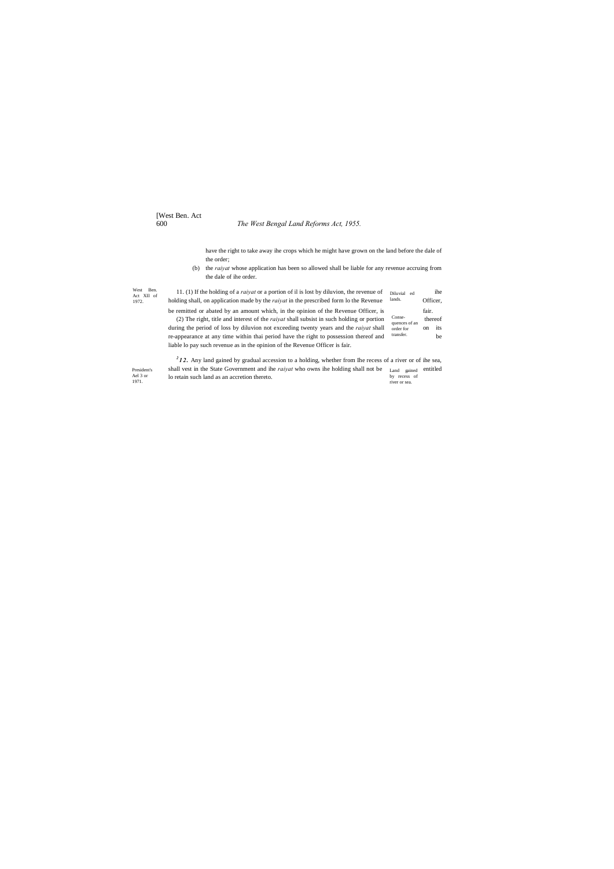# [West Ben. Act

# 600 *The West Bengal Land Reforms Act, 1955.*

President's Ael 3 or 1971.

have the right to take away ihe crops which he might have grown on the land before the dale of the order;

(b) the *raiyat* whose application has been so allowed shall be liable for any revenue accruing from the dale of ihe order.

| West Ben.<br>Act XII of | 11. (1) If the holding of a <i>raivat</i> or a portion of il is lost by diluvion, the revenue of | Diluvial ed                | ihe                  |  |
|-------------------------|--------------------------------------------------------------------------------------------------|----------------------------|----------------------|--|
| 1972.                   | holding shall, on application made by the <i>raivat</i> in the prescribed form to the Revenue    | lands.                     | Officer.             |  |
|                         | be remitted or abated by an amount which, in the opinion of the Revenue Officer, is              |                            | fair.                |  |
|                         | (2) The right, title and interest of the <i>raivat</i> shall subsist in such holding or portion  |                            | thereof              |  |
|                         | during the period of loss by diluvion not exceeding twenty years and the <i>raivat</i> shall     | quences of an<br>order for | its<br><sub>on</sub> |  |
|                         | re-appearance at any time within thai period have the right to possession thereof and            | transfer.                  | be                   |  |
|                         | liable lo pay such revenue as in the opinion of the Revenue Officer is fair.                     |                            |                      |  |

Land gained by recess of river or sea.  $2<sup>2</sup>$  12. Any land gained by gradual accession to a holding, whether from Ihe recess of a river or of ihe sea, shall vest in the State Government and ihe *raiyat* who owns ihe holding shall not be Land sained entitled lo retain such land as an accretion thereto.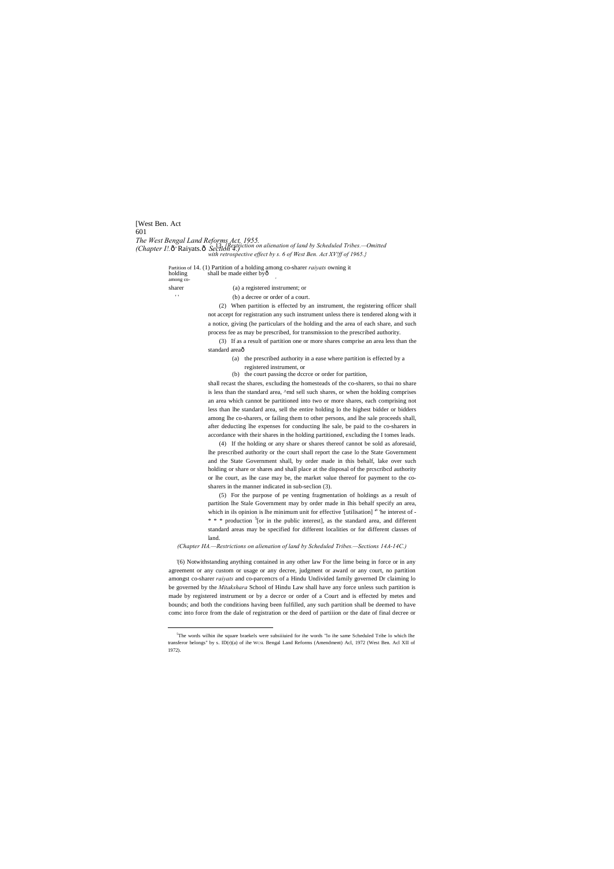[West Ben. Act 601 *The West Bengal Land Reforms Act, 1955. (Chapter I!.*—Raiyats.—*Section 4.)* , 13. *[Restriction on alienation of land by Scheduled Tribes.—Omitted with retrospective effect by s. 6 of West Ben. Act XV!ff of 1965.}*

> Partition of 14. (1) Partition of a holding among co-sharer *raiyats* owning it holding shall be made either byô among co

sharer (a) a registered instrument; or

(b) a decree or order of a court.

(3) If as a result of partition one or more shares comprise an area less than the standard areaô

(2) When partition is effected by an instrument, the registering officer shall not accept for registration any such instrument unless there is tendered along with it a notice, giving (he particulars of the holding and the area of each share, and such process fee as may be prescribed, for transmission to the prescribed authority.

> (a) the prescribed authority in a ease where partition is effected by a registered instrument, or

(b) the court passing the dccrce or order for partition,

shall recast the shares, excluding the homesteads of the co-sharers, so thai no share is less than the standard area, ^md sell such shares, or when the holding comprises an area which cannot be partitioned into two or more shares, each comprising not less than lhe standard area, sell the entire holding lo the highest bidder or bidders among lhe co-sharers, or failing them to other persons, and lhe sale proceeds shall, after deducting lhe expenses for conducting lhe sale, be paid to the co-sharers in accordance with their shares in the holding partitioned, excluding the I tomes leads.

(4) If the holding or any share or shares thereof cannot be sold as aforesaid, lhe prescribed authority or the court shall report the case lo the State Government and the State Government shall, by order made in this behalf, lake over such holding or share or shares and shall place at the disposal of the prcscribcd authority or lhe court, as lhe case may be, the market value thereof for payment to the cosharers in the manner indicated in sub-seclion (3).

(5) For the purpose of pe venting fragmentation of holdings as a result of partition lhe Stale Government may by order made in Ihis behalf specify an area, which in ils opinion is lhe minimum unit for effective '[utilisation] <sup>n</sup> 'he interest of - $* * *$  production  $5$ [or in the public interest], as the standard area, and different standard areas may be specified for different localities or for different classes of land.

*(Chapter HA.—Restrictions on alienation of land by Scheduled Tribes.—Sections 14A-14C.)*

'(6) Notwithstanding anything contained in any other law For the lime being in force or in any agreement or any custom or usage or any decree, judgment or award or any court, no partition amongst co-sharer *raiyats* and co-parcencrs of a Hindu Undivided family governed Dr claiming lo be governed by the *Mitakshara* School of Hindu Law shall have any force unless such partition is made by registered instrument or by a decrce or order of a Court and is effected by metes and bounds; and both the conditions having been fulfilled, any such partition shall be deemed to have comc into force from the dale of registration or the deed of partiiion or the date of final decree or

 $rac{1}{5}$ <sup>5</sup>The words wilhin ihe square braekels were subsiiiuied for ihe words "lo ihe same Scheduled Tribe lo which Ihe transferor belongs" by s. ID(r)(a) of ihe WCSL Bengal Land Reforms (Amendment) Acl, 1972 (West Ben. Acl XII of 1972).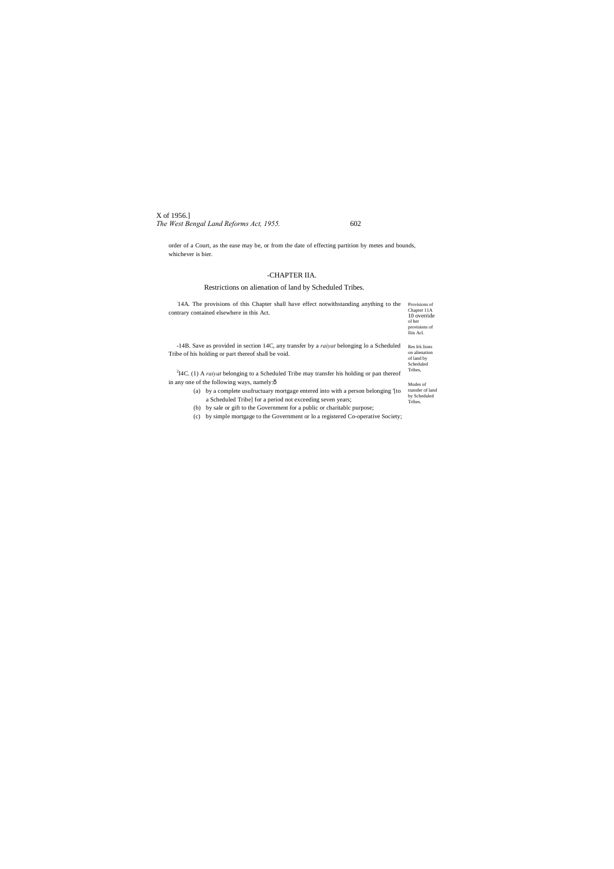# X of 1956.] *The West Bengal Land Reforms Act, 1955.* 602

order of a Court, as the ease may be, or from the date of effecting partition by metes and bounds, whichever is bier.

# -CHAPTER IIA.

# Restrictions on alienation of land by Scheduled Tribes.

| 14A. The provisions of this Chapter shall have effect not with standing anything to the<br>contrary contained elsewhere in this Act. | Provisions of<br>Chapter 11A<br>10 override<br>ol her<br>provisions of<br>Iliis Acl. |  |  |
|--------------------------------------------------------------------------------------------------------------------------------------|--------------------------------------------------------------------------------------|--|--|
| -14B. Save as provided in section 14C, any transfer by a <i>raivat</i> belonging to a Scheduled                                      |                                                                                      |  |  |
| Tribe of his holding or part thereof shall be void.                                                                                  |                                                                                      |  |  |
| $^{2}$ I4C. (1) A <i>raivat</i> belonging to a Scheduled Tribe may transfer his holding or pan thereof                               | Tribes,                                                                              |  |  |
| in any one of the following ways, namely: $\hat{o}$                                                                                  | Modes of                                                                             |  |  |
| by a complete usuffructuary mortgage entered into with a person belonging (to<br>(a)                                                 | transfer of land                                                                     |  |  |
| a Scheduled Tribe] for a period not exceeding seven years;                                                                           | by Scheduled<br>Tribes.                                                              |  |  |
| by sale or gift to the Government for a public or charitable purpose;<br>(b)                                                         |                                                                                      |  |  |
| by simple mortgage to the Government or lo a registered Co-operative Society;<br>(c)                                                 |                                                                                      |  |  |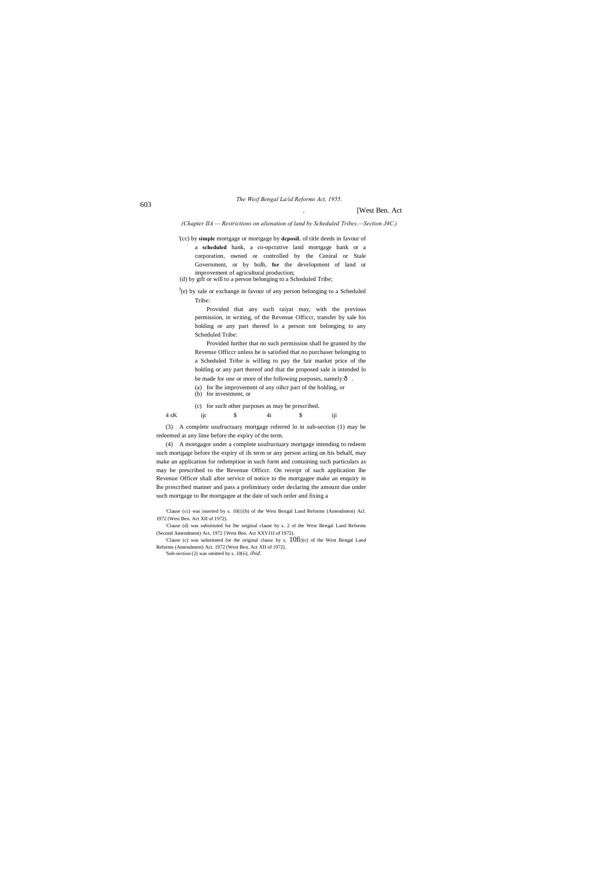<sup>603</sup> *The Wesf Bengal La/id Reforms Act, 1955.*

# . [West Ben. Act

*(Chapter IIA — Restrictions on alienation of land by Scheduled Tribes.—Section J4C.)*

a **scheduled** hank, a co-opcrative land mortgage bank or a corporation, owned or controlled by the Ceniral or Stale Government, or by bolh, **for** the development of land or improvement of agricultural production;

(d) by gift or will to a person belonging to a Scheduled Tribe;

'(cc) by **simple** mortgage or mortgage by **dcposiL** of title deeds in favour of

 $3(e)$  by sale or exchange in favour of any person belonging to a Scheduled Tribe:

Provided further that no such permission shall be granted by the Revenue Officcr unless he is satisfied that no purchaser belonging to a Scheduled Tribe is willing to pay the fair market price of the holding or any part thereof and that the proposed sale is intended lo be made for one or more of the following purposes, namely: $\hat{o}$ .

Provided that any such raiyat may, with the previous permission, in writing, of the Revenue Officcr, transfer by sale his holding or any part thereof lo a person not belonging to any Scheduled Tribe:

(a) for lhe improvement of any oihcr part of the holding, or (b) for investment, or

(c) for such other purposes as may be prescribed.

4 sK ijc \$ 4i \$ iji

(3) A complete usufructuary mortgage referred lo in sub-section (1) may be redeemed at any lime before the expiry of the term.

(4) A mortgagor under a complete usufructuary mortgage intending to redeem such mortgage before the expiry of ils term or any person acting on his behalf, may make an application for redemption in such form and containing such particulars as may be prescribed to the Revenue Officcr. On receipt of such application lhe Revenue Officer shall after service of notice to the mortgagee make an enquiry in lhe prescribed manner and pass a preliminary order declaring the amount due under such mortgage to lhe mortgagee at the date of such order and fixing a

<sup>&#</sup>x27;Clause (cc) was inserted by s. 10(i){b) of the West Bengal Land Reforms (Amendment) Acl. 1972 (Wesi Ben. Act XII of 1972).

<sup>:</sup> Clause (d) was substituted for lhe original clause by s. 2 of the West Bengal Land Reforms (Second Amendment) Act, 1972 {West Ben. Act XXVJ1I of 1972).

<sup>&#</sup>x27;Clause (c) was substituted for the original clausc by s, 10fi)(c) of the West Bengal Land Reforms (Amendment) Act. 1972 (West Ben. Act XII of 1972).

<sup>&#</sup>x27;Sub-section (2) was omitted by s. 10(ii), *ibid.*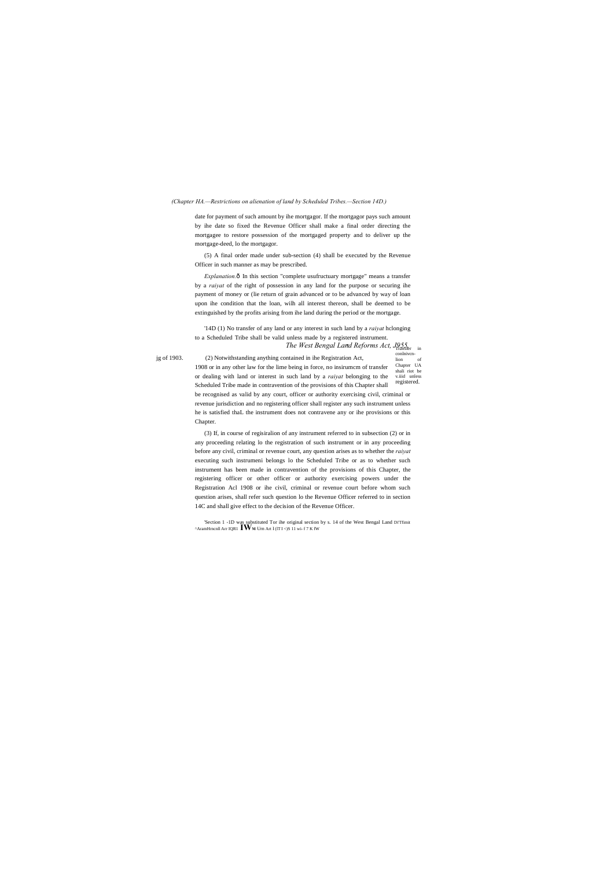#### *(Chapter HA.—Restrictions on alienation of land by Scheduled Tribes.—Section 14D.)*

date for payment of such amount by ihe mortgagor. If the mortgagor pays such amount by ihe date so fixed the Revenue Officer shall make a final order directing the mortgagee to restore possession of the mortgaged property and to deliver up the mortgage-deed, lo the mortgagor.

*Explanation.* $\hat{o}$  In this section "complete usufructuary mortgage" means a transfer by a *raiyat* of the right of possession in any land for the purpose or securing ihe payment of money or (lie return of grain advanced or to be advanced by way of loan upon ihe condition that the loan, wilh all interest thereon, shall be deemed to be extinguished by the profits arising from ihe land during the period or the mortgage.

(5) A final order made under sub-section (4) shall be executed by the Revenue Officer in such manner as may be prescribed.

*The West Bengal Land Reforms Act, J955*. in conlniven-<br>lion of lion Chapter UA shali riot be v.iiid unless registered. jg of 1903. (2) Notwithstanding anything contained in ihe Registration Act, 1908 or in any other law for the lime being in force, no insirumcm of transfer or dealing with land or interest in such land by a *raiyat* belonging to the Scheduled Tribe made in contravention of the provisions of this Chapter shall be recognised as valid by any court, officer or authority exercising civil, criminal or revenue jurisdiction and no registering officer shall register any such instrument unless he is satisfied thaL the instrument does not contravene any or ihe provisions or this

'14D (1) No transfer of any land or any interest in such land by a *raiyat* hclonging to a Scheduled Tribe shall be valid unless made by a registered instrument.

Chapter.

(3) If, in course of regisiralion of any instrument referred to in subsection (2) or in any proceeding relating lo the registration of such instrument or in any proceeding before any civil, criminal or revenue court, any question arises as to whether the *raiyat* executing such instrumeni belongs lo the Scheduled Tribe or as to whether such instrument has been made in contravention of the provisions of this Chapter, the registering officer or other officer or authority exercising powers under the Registration Acl 1908 or ihe civil, criminal or revenue court before whom such question arises, shall refer such question lo the Revenue Officer referred to in section 14C and shall give effect to the decision of the Revenue Officer.

'Section 1 -1D was substituted Tor ihe original section by s. 14 of the West Bengal Land Di'Tfimit ^AramHrncnll Arr IQR1 **IWM** Urn Art <sup>I</sup> (lT I <)S 11 wi- f 7 K fW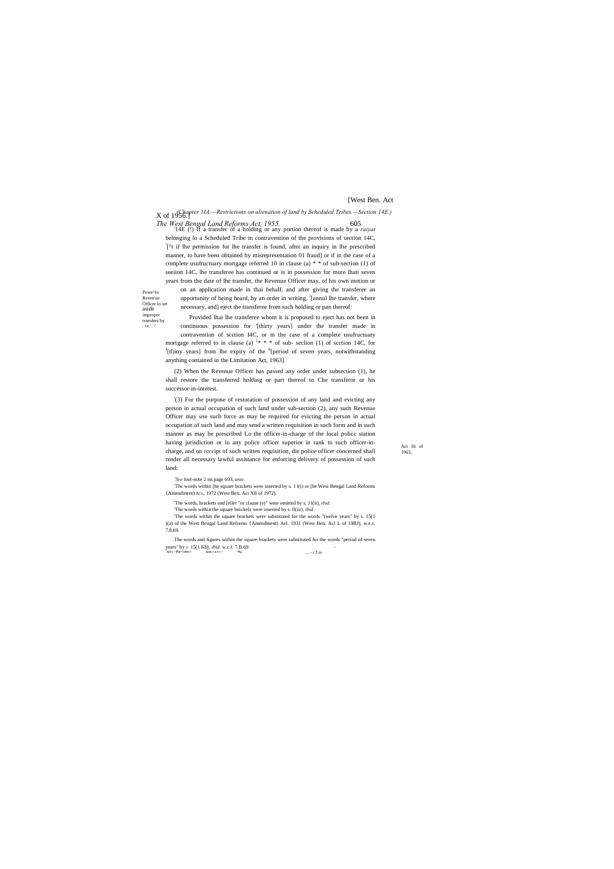Powe^lo Reven'ne Officer lo set aside improper transfers by *: in.'.:!.*

X of 1956.] *(Chapter 1IA.—Restrictions on alienation of land by Scheduled Tribes.—Section 14E.)*

Act 36 of 1963,

# [West Ben. Act

*The West Bengal Land Reforms Act, 1955.* 605 '14E (!) If a transfer of a holding or any portion thereof is made by a *raiyat* belonging lo a Scheduled Tribe in contravention of the provisions of section 14C, ! [°r if lhe permission for lhe transfer is found, after an inquiry in lhe prescribed manner, to have been obtained by misrepresentation 01 fraud] or if in the case of a complete usufructuary mortgage referred 10 in clause (a) \* \* of sub-section (1) of seeiion 14C, lhe transferee has continued or is in possession for more lhati seven years from the date of lhe transfer, the Revenue Officer may, of his own motion or

on an application made in thai behalf, and after giving the transferee an opportunity of being heard, by an order in writing, <sup>J</sup>[annul lhe transfer, where necessary, and] eject the transferee from such holding or pan thereof:

Provided lhai lhe transferee whom it is proposed to eject has not been in continuous possession for '[thirty years] under the transfer made in contravention of scction I4C, or in the case of a complete usufructuary mortgage referred to in clause (a)  $x^*$  \* \* of sub- section (1) of section 14C, for  $J_{\text{th}}$  for the  $J_{\text{re}}$  sub- section 150 and  $J_{\text{th}}$  for  $J_{\text{th}}$  for  $J_{\text{th}}$  and  $J_{\text{th}}$  for  $J_{\text{th}}$  and  $J_{\text{th}}$  and  $J_{$ [tl)iny years] from lhe expiry of the <sup>6</sup>[period of seven years, notwithstanding anything contained in the Limitation Act, 1963].

The words within the square brackets were substituted for the words "twelve years" by s. 15(1) )(a) of the West Bengal Land Reforms {Amendment) Ael. 1931 (West Ben. Acl L of 19BJ), w.e.r. 7.8.69.

(2) When the Revenue Officer has passed any order under subsection (1), he shall restore the transferred holding or part thereof to Che transferor or his successor-in-interest.

... - r t n- The words and figures within the square brackets were substituted for the words "period of seven years" by *s.* 15(1 Kb), *ibid,* w.c.f. 7.B.69. - **<sup>J</sup> Q I i ^ Piir\*! iftrt f urnr r n r-» ^ Wj,**

'(3) For the purpose of restoration of possession of any land and evicting any person in actual occupation of such land under sub-section (2), any such Revenue Officer may use such force as may be required for evicting the person in actual occupation of such land and may send a written requisition in such form and in such manner as may be prescribed Lo the officer-in-charge of the local policc station having jurisdiction or lo any police officer superior in rank to such officer-incharge, and on rcccipt of such written requisition, die police officer concerned shall render all necessary lawful assistance for enforcing delivery of possession of such land:

*'See* fool-note 2 on page 603, *ante.*

: Thc words within [he square brackets were inserted by s. 1 l(i) or [be Wesi Bengal Land Reforms {Amendment) ACL, 1972 (West Ben. Act Xll of 1972).

'The words, brackets and [eller "or clause (e)" were omitted by s. J l(ii), *ibid.*

'The words within the square bnickels were inserted by s. ll(iii), *ibid.*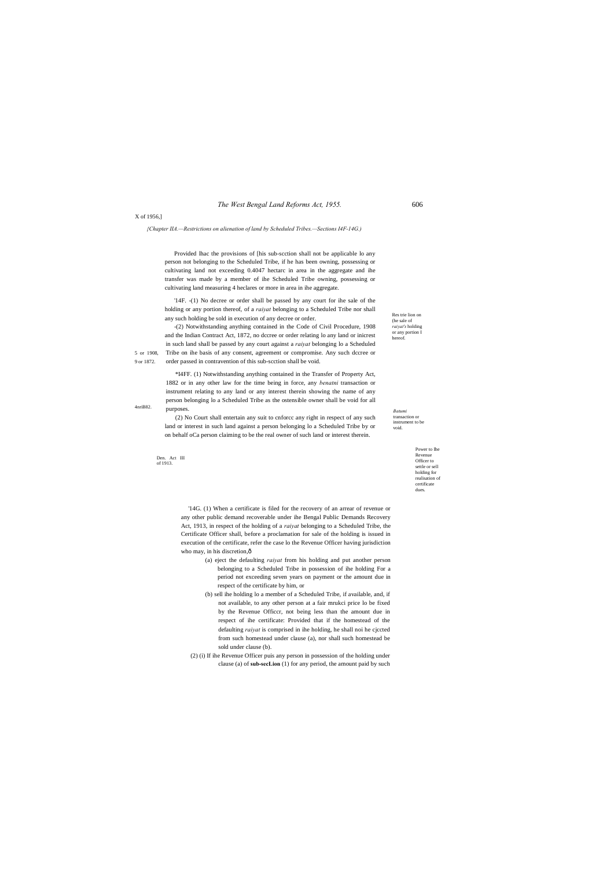#### *The West Bengal Land Reforms Act, 1955.* 606

Res trie lion on (he sale of *raiyat's* holding or any portion I hereof.

9 or 1872.

transaction or instrument to be void.

X of 1956,]

*{Chapter IIA.—Restrictions on alienation of land by Scheduled Tribes.—Sections I4F-14G.)*

Power to Ihe Revenue Officer to settle or sell holding for realisation of certificate dues.

Den. Act III of 1913.

Provided lhac the provisions of [his sub-scction shall not be applicable lo any person not belonging to the Scheduled Tribe, if he has been owning, possessing or cultivating land not exceeding 0.4047 hectarc in area in the aggregate and ihe transfer was made by a member of ihe Scheduled Tribe owning, possessing or cultivating land measuring 4 heclares or more in area in ihe aggregate.

5 or 1908, Tribe on ihe basis of any consent, agreement or compromise. Any such dccree or -(2) Notwithstanding anything contained in the Code of Civil Procedure, 1908 and the Indian Contract Act, 1872, no dccree or order relating lo any land or inicrest in such land shall be passed by any court against a *raiyat* belonging lo a Scheduled order passed in contravention of this sub-scction shall be void.

'14F. -(1) No decree or order shall be passed by any court for ihe sale of the holding or any portion thereof, of a *raiyat* belonging to a Scheduled Tribe nor shall any such holding be sold in execution of any decree or order.

4nriB82. *Batumi*  \*I4FF. (1) Notwithstanding anything contained in the Transfer of Property Act, 1882 or in any other law for the time being in force, any *benatni* transaction or instrument relating to any land or any interest therein showing the name of any person belonging lo a Scheduled Tribe as the ostensible owner shall be void for all purposes.

> '14G. (1) When a certificate is filed for the recovery of an arrear of revenue or any other public demand recoverable under ihe Bengal Public Demands Recovery Act, 1913, in respect of the holding of a *raiyat* belonging to a Scheduled Tribe, the Certificate Officer shall, before a proclamation for sale of the holding is issued in execution of the certificate, refer the case lo the Revenue Officer having jurisdiction who may, in his discretion, $\hat{o}$

(2) No Court shall entertain any suit to cnforcc any right in respect of any such land or interest in such land against a person belonging lo a Scheduled Tribe by or on behalf oCa person claiming to be the real owner of such land or interest therein.

- (a) eject the defaulting *raiyat* from his holding and put another person belonging to a Scheduled Tribe in possession of ihe holding For a period not exceeding seven years on payment or the amount due in respect of the certificate by him, or
- (b) sell ihe holding lo a member of a Scheduled Tribe, if available, and, if not available, to any other person at a fair mrukci price lo be fixed by the Revenue Officcr, not being less than the amount due in respect of ihe certificate: Provided that if the homestead of the defaulting *raiyat* is comprised in ihe holding, he shall noi he cjccted from such homestead under clause (a), nor shall such homestead be sold under clause (b).

(2) (i) If ihe Revenue Officer puis any person in possession of the holding under clause (a) of **sub-secLion** (1) for any period, the amount paid by such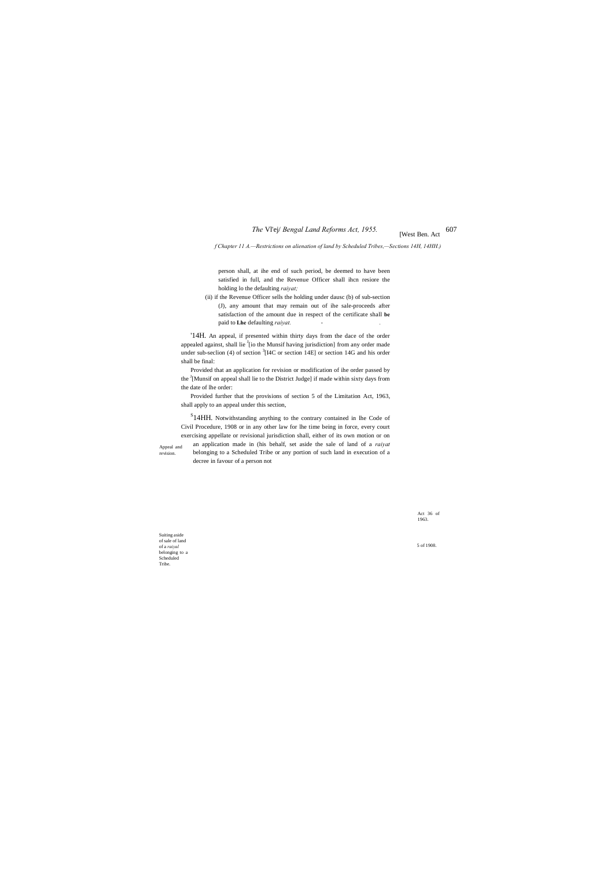# *The* VI'ej/ *Bengal Land Reforms Act, 1955.* [West Ben. Act 607

#### *f Chapter 11 A.—Restrictions on alienation of land by Scheduled Tribes,—Sections 14H, 14HH.)*

Appeal and revision.

Act 36 of 1963.

Suiting aside of sale of land of a *raiyal* belonging to a Scheduled Tribe.

5 of 1908.

person shall, at ihe end of such period, be deemed to have been satisfied in full, and the Revenue Officer shall ihcn resiore the holding lo the defaulting *raiyat;*

(ii) if the Revenue Officer sells the holding under dausc (b) of sub-section (J), any amount that may remain out of ihe sale-proceeds after satisfaction of the amount due in respect of the certificate shall **be** paid to **Lhe** defaulting *raiyat. - .*

'14H. An appeal, if presented within thirty days from the dace of the order appealed against, shall lie <sup>J</sup>[io the Munsif having jurisdiction] from any order made under sub-seclion (4) of section  ${}^{3}$ [I4C or section 14E] or section 14G and his order shall be final:

<sup>S</sup>14HH. Notwithstanding anything to the contrary contained in lhe Code of Civil Procedure, 1908 or in any other law for lhe time being in force, every court exercising appellate or revisional jurisdiction shall, either of its own motion or on an application made in (his behalf, set aside the sale of land of a *raiyat* belonging to a Scheduled Tribe or any portion of such land in execution of a decree in favour of a person not

Provided that an application for revision or modification of ihe order passed by the <sup>J</sup>[Munsif on appeal shall lie to the District Judge] if made within sixty days from the date of lhe order:

Provided further that the provisions of section 5 of the Limitation Act, 1963, shall apply to an appeal under this section,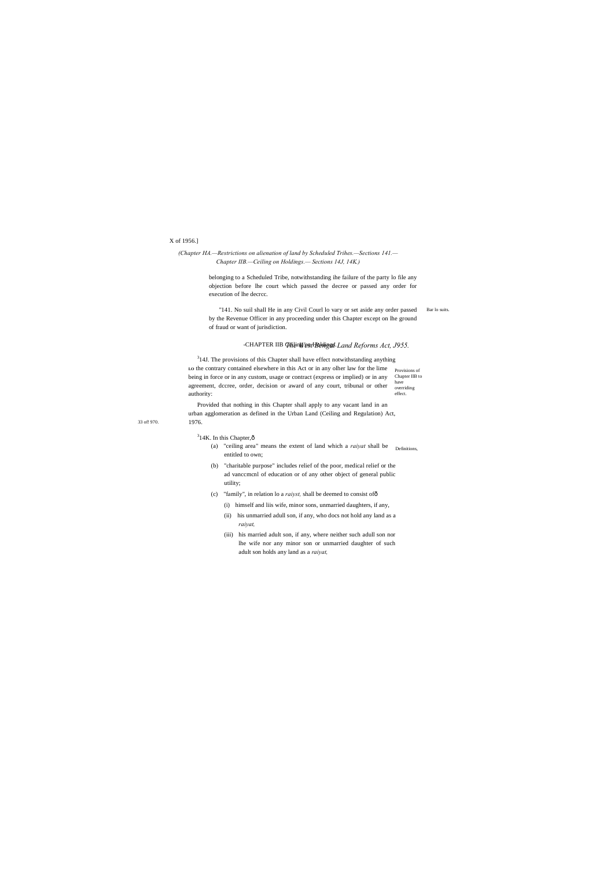33 of! 970.

#### $314K$ . In this Chapter, $\hat{\text{o}}$

# X of 1956.]

# *(Chapter HA.—Restrictions on alienation of land by Scheduled Trihes.—Sections 141.— Chapter IIB.—Ceiling on Holdings.— Sections 14J, 14K.)*

Bar lo suits. "141. No suil shall He in any Civil Courl lo vary or set aside any order passed by the Revenue Officer in any proceeding under this Chapter except on lhe ground of fraud or want of jurisdiction.

#### -CHAPTER IIB Gheng/entBehingsl-Land Reforms Act, J955.

belonging to a Scheduled Tribe, notwithstanding ihe failure of the party lo file any objection before lhe court which passed the decree or passed any order for execution of lhe decrcc.

Lo the contrary contained elsewhere in this Act or in any olher law for the lime provisions of Chapter IIB to have overriding effect.  $314$ J. The provisions of this Chapter shall have effect notwithstanding anything being in force or in any custom, usage or contract (express or implied) or in any agreement, dccree, order, decision or award of any court, tribunal or other authority:

- (a) "ceiling area" means the extent of land which a *raiyat* shall be <sub>Definitions,</sub> entitled to own;
- (b) "charitable purpose" includes relief of the poor, medical relief or the ad vanccmcnl of education or of any other object of general public utility;
- (c) "family", in relation lo a *raiyst,* shall be deemed to consist of—
	- (i) himself and liis wife, minor sons, unmarried daughters, if any,
	- (ii) his unmarried adull son, if any, who docs not hold any land as a *raiyat,*
	- (iii) his married adult son, if any, where neither such adull son nor lhe wife nor any minor son or unmarried daughter of such adult son holds any land as a *raiyat,*

Provided that nothing in this Chapter shall apply to any vacant land in an urban agglomeration as defined in the Urban Land (Ceiling and Regulation) Act, 1976.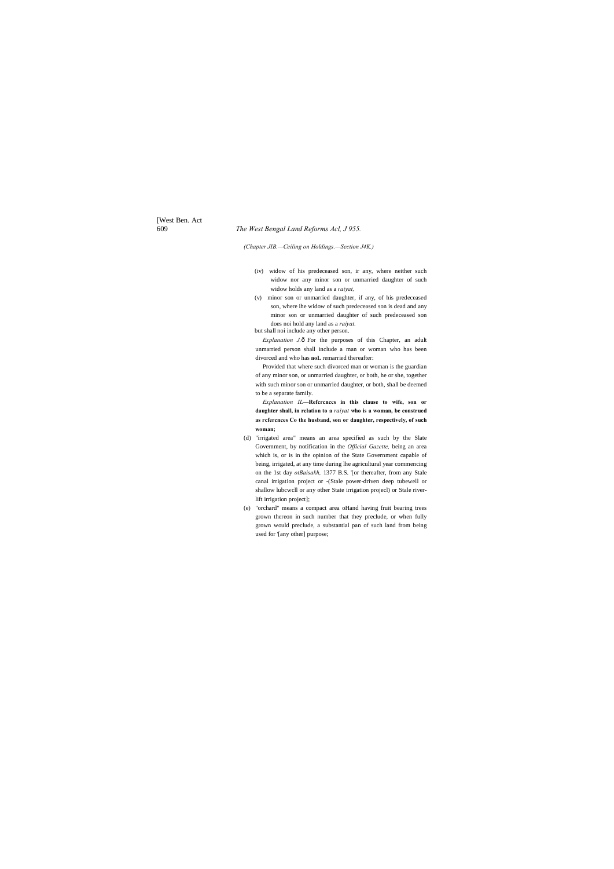[West Ben. Act

# 609 *The West Bengal Land Reforms Acl, J 955.*

*(Chapter JIB.—Ceiling on Holdings.—Section J4K.)*

- (iv) widow of his predeceased son, ir any, where neither such widow nor any minor son or unmarried daughter of such widow holds any land as a *raiyat,*
- (v) minor son or unmarried daughter, if any, of his predeceased son, where ihe widow of such predeceased son is dead and any minor son or unmarried daughter of such predeceased son does noi hold any land as a *raiyat.*

*Explanation J.* $\hat{o}$  For the purposes of this Chapter, an adult unmarried person shall include a man or woman who has been divorced and who has **noL** remarried thereafter:

but shall noi include any other person.

Provided that where such divorced man or woman is the guardian of any minor son, or unmarried daughter, or both, he or she, together with such minor son or unmarried daughter, or both, shall be deemed to be a separate family.

*Explanation IL***—Refcrcnccs in this clause to wife, son or daughter shall, in relation to a** *raiyat* **who is a woman, be construed as rcfercnces Co the husband, son or daughter, respectively, of such woman;**

- (d) "irrigated area" means an area specified as such by the Slate Government, by notification in the *Official Gazette,* being an area which is, or is in the opinion of the State Government capable of being, irrigated, at any time during lhe agricultural year commencing on the 1st day *otBaisakh,* 1377 B.S. '[or thereafter, from any Stale canal irrigation project or -(Stale power-driven deep tubewell or shallow lubcwcll or any other State irrigation projecl) or Stale riverlift irrigation project];
- (e) "orchard" means a compact area oHand having fruit bearing trees grown thereon in such number that they preclude, or when fully grown would preclude, a substantial pan of such land from being used for '[any other] purpose;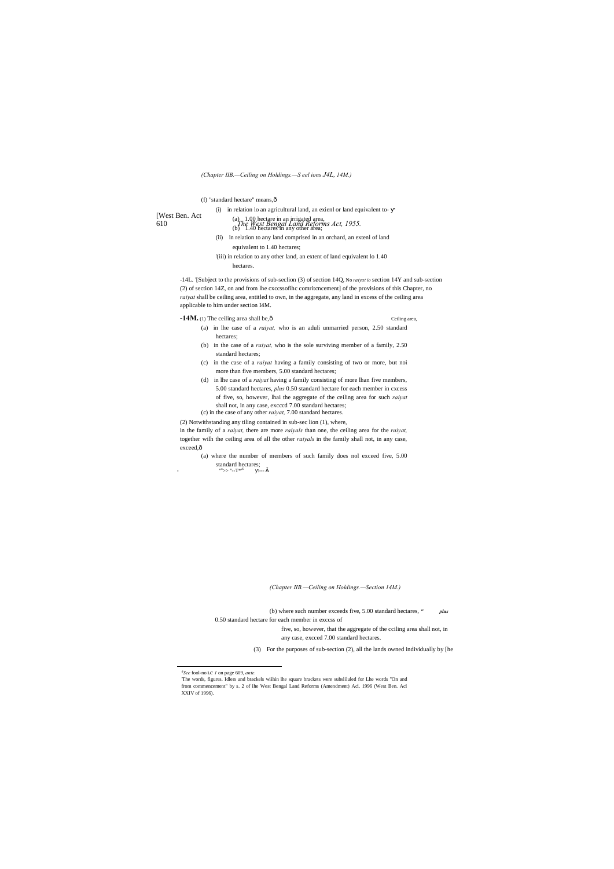[West Ben. Act

# 610 *The West Bengal Land Reforms Act, 1955.* (a) 1.00 hectare in an irrigated area,  $(b)$  1.40 hectares in any other area;

# *(Chapter IIB.—Ceiling on Holdings.—S eel ions J4L, 14M.)*

(f) "standard hectare" means, $\hat{o}$ 

(i) in relation lo an agricultural land, an exienl or land equivalent to-

- (ii) in relation to any land comprised in an orchard, an extenl of land equivalent to 1.40 hectares;
- '(iii) in relation to any other land, an extent of land equivalent lo 1.40 hectares.

-14L. '[Subject to the provisions of sub-seclion (3) of section 14Q, No *raiyat io* section 14Y and sub-section (2) of section 14Z, on and from lhe cxccssofihc comritcncement] of the provisions of this Chapter, no *raiyat* shall be ceiling area, entitled to own, in the aggregate, any land in excess of the ceiling area applicable to him under section I4M.

# **-14M.** (1) The ceiling area shall be,  $\hat{o}$  Ceiling area,

in the family of a *raiyat,* there are more *raiyals* than one, the ceiling area for the *raiyat,* together wilh the ceiling area of all the other *raiyals* in the family shall not, in any case, exceed, $\hat{o}$ 

(a) where the number of members of such family does nol exceed five, 5.00 standard hectares;  $\frac{1}{100}$   $\times$ 

- "  $x \gg$ "--T\*'<sup>6</sup> .--- š

- (a) in lhe case of a *raiyat,* who is an aduli unmarried person, 2.50 standard hectares;
- (b) in the case of a *raiyat,* who is the sole surviving member of a family, 2.50 standard hectares;
- (c) in the case of a *raiyat* having a family consisting of two or more, but noi more than five members, 5.00 standard hectares;
- (d) in lhe case of a *raiyat* having a family consisting of more lhan five members, 5.00 standard hectares, *plus* 0.50 standard hectare for each member in cxcess of five, so, however, lhai the aggregate of the ceiling area for such *raiyat* shall not, in any case, excccd 7.00 standard hectares; (c) in the case of any other *raiyat,* 7.00 standard hectares.

(2) Notwithstanding any tiling contained in sub-sec lion (1), where,

*(Chapter IIB.—Ceiling on Holdings.—Section 14M.)*

(b) where such number exceeds five, 5.00 standard hectares, *" plus* 0.50 standard hectare for each member in exccss of five, so, however, that the aggregate of the cciling area shall not, in any case, excced 7.00 standard hectares.

(3) For the purposes of sub-section (2), all the lands owned individually by [he

*6 See* fool-no **LC** *1* on page 609, *ante.*

'The words, figures. Idlers and brackels wiihin lhe square brackets were subsliluled for Lhe words "On and from commencement" by s. 2 of ihe West Bengal Land Reforms (Amendment) Acl. 1996 (West Ben. Acl XXIV of 1996).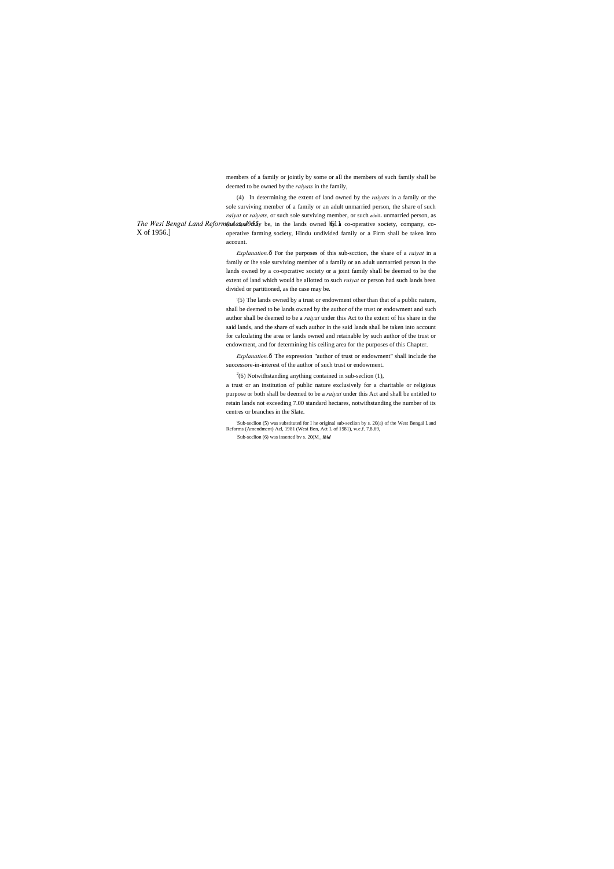members of a family or jointly by some or all the members of such family shall be deemed to be owned by the *raiyats* in the family,

The Wesi Bengal Land Reformshelatase<sup>0</sup> be, in the lands owned  $\mathfrak{h}_1$  a co-operative society, company, co-X of 1956.] (4) In determining the extent of land owned by the *raiyats* in a family or the sole surviving member of a family or an adult unmarried person, the share of such *raiyat* or *raiyats,* or such sole surviving member, or such adulL unmarried person, as operative farming society, Hindu undivided family or a Firm shall be taken into account.

> *Explanation.* $\hat{o}$  For the purposes of this sub-scction, the share of a *raiyat* in a family or ihe sole surviving member of a family or an adult unmarried person in the lands owned by a co-opcrativc society or a joint family shall be deemed to be the extent of land which would be allotted to such *raiyat* or person had such lands been divided or partitioned, as the case may be.

> *Explanation.* $\hat{o}$  The expression "author of trust or endowment" shall include the successore-in-interest of the author of such trust or endowment.

 $2^{2}(6)$  Notwithstanding anything contained in sub-seclion (1),

'Sub-seclion (5) was substituted for I he original sub-seclion by s. 20(a) of the West Bengal Land Reforms (Amendment) Acl, 1981 (Wesi Ben, Act L of 1981), w.e.f. 7.8.69, Sub-scclion (6) was inserted bv s. 20(M\_*ibid* 

'(5) The lands owned by a trust or endowment other than that of a public nature, shall be deemed to be lands owned by the author of the trust or endowment and such author shall be deemed to be a *raiyat* under this Act to the extent of his share in the said lands, and the share of such author in the said lands shall be taken into account for calculating the area or lands owned and retainable by such author of the trust or endowment, and for determining his ceiling area for the purposes of this Chapter.

a trust or an institution of public nature exclusively for a charitable or religious purpose or both shall be deemed to be a *raiyat* under this Act and shall be entitled to retain lands not exceeding 7.00 standard hectares, notwithstanding the number of its centres or branches in the Slate.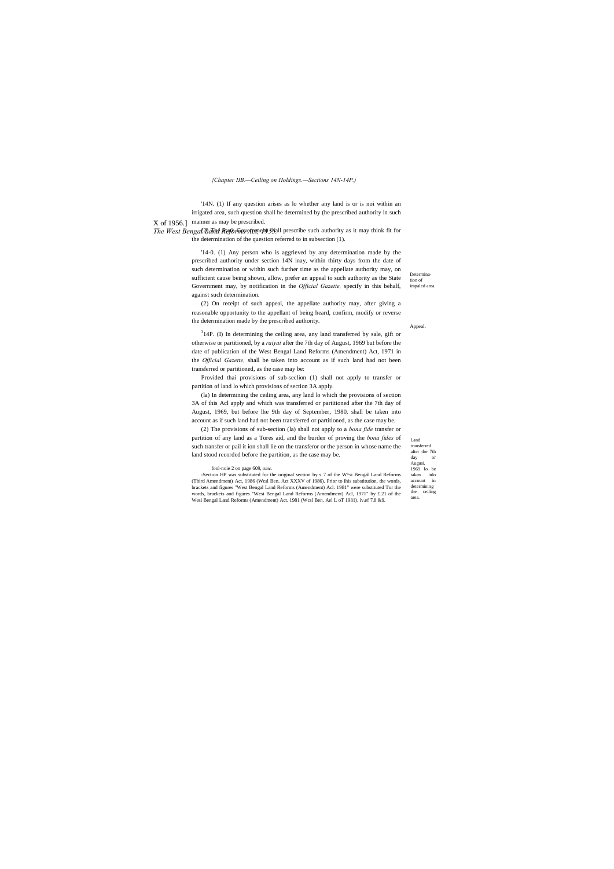Determination of impaled area.

Appeal.

Land transferred after the 7th  $_{\rm day}$ Augusi, 1969 lo be taken inlo account in determining the ceiling area.

X of 1956.] manner as may be prescribed. '14N. (1) If any question arises as lo whether any land is or is noi within an irrigated area, such question shall he determined by (he prescribed authority in such

#### *{Chapter IIB.—Ceiling on Holdings.—Sections 14N-14P.)*

The West Bengal *Darite Reforms* stand prescribe such authority as it may think fit for the determination of the question referred to in subsection (1).

> $314P$ . (I) In determining the ceiling area, any land transferred by sale, gift or otherwise or partitioned, by a *raiyat* after the 7th day of August, 1969 but before the date of publication of the West Bengal Land Reforms (Amendment) Act, 1971 in the *Official Gazette,* shall be taken into account as if such land had not been transferred or partitioned, as the case may be:

'14-0. (1) Any person who is aggrieved by any determination made by the prescribed authority under section 14N inay, within thirty days from the date of such determination or within such further time as the appellate authority may, on sufficient cause being shown, allow, prefer an appeal to such authority as the State Government may, by notification in the *Official Gazette,* specify in this behalf, against such determination.

(2) On receipt of such appeal, the appellate authority may, after giving a reasonable opportunity to the appellant of being heard, confirm, modify or reverse the determination made by the prescribed authority.

Provided thai provisions of sub-seclion (1) shall not apply to transfer or partition of land lo which provisions of section 3A apply.

(la) In determining the ceiling area, any land lo which the provisions of section 3A of this Acl apply and which was transferred or partitioned after the 7th day of August, 1969, but before lhe 9th day of September, 1980, shall be taken into account as if such land had not been transferred or partitioned, as the case may be.

(2) The provisions of sub-section (la) shall not apply to a *bona fide* transfer or partition of any land as a Tores aid, and the burden of proving the *bona fides* of such transfer or pail it ion shall lie on the transferor or the person in whose name the land stood recorded before the partition, as the case may be.

#### fool-noie 2 on page 609, *amc.*

-Section HP was substituted for the original section by s 7 of the W^si Bengal Land Reforms (Third Amendment) Act, 1986 (Wcsl Ben. Act XXXV of 1986). Prior to ihis substitution, the words, brackets and figures "West Bengal Land Reforms (Amendment) Acl. 1981" were substituted Tor the words, brackets and figures "Wesi Bengal Land Reforms (Amendment) Acl, 1971" by £.21 of the Wesi Bengal Land Reforms (Amendment) Act. 1981 (Wcsl Ben. Ael L oT 1981). iv.ef 7.8 &9.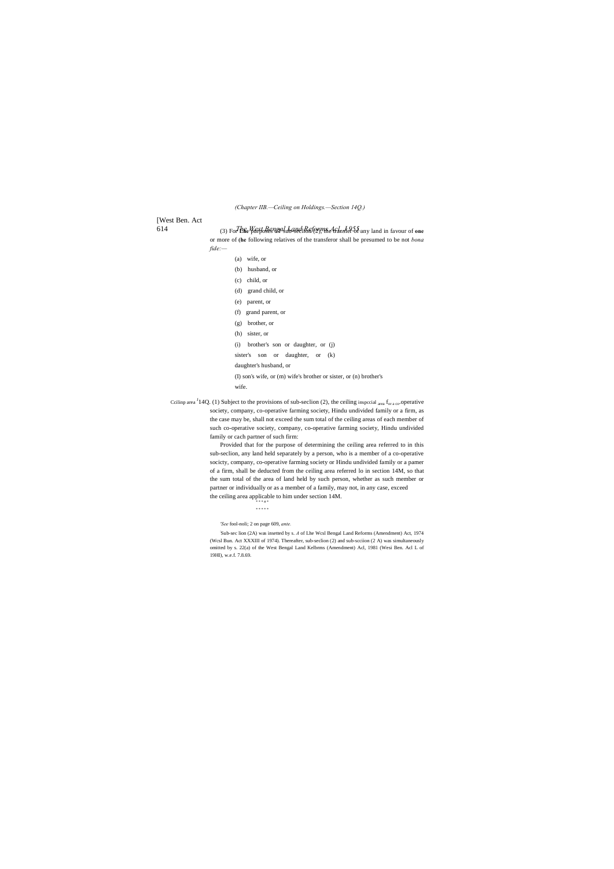# [West Ben. Act

*(Chapter IIB.—Ceiling on Holdings.—Section 14Q.)*

614 *The West Bengal Land Reforms Acl, J 955.* (3) For **Lhe** purposes oT sub-seclion (2), the transfer of any land in favour of **one** or more of **(he** following relatives of the transferor shall be presumed to be not *bona* 

*fide:—*

| $(a)$ wife, or                        |  |  |
|---------------------------------------|--|--|
| (b) husband, or                       |  |  |
| $(c)$ child, or                       |  |  |
| $(d)$ grand child, or                 |  |  |
| (e) parent, or                        |  |  |
| (f) grand parent, or                  |  |  |
| $(g)$ brother, or                     |  |  |
| $(h)$ sister, or                      |  |  |
| (i) brother's son or daughter, or (j) |  |  |
| sister's son or daughter, or<br>(k)   |  |  |
| daughter's husband, or                |  |  |

Ccilinp area  ${}^{J}14Q$ . (1) Subject to the provisions of sub-seclion (2), the ceiling inspecial area f<sub>or a co</sub>.operative society, company, co-operative farming society, Hindu undivided family or a firm, as the case may be, shall not exceed the sum total of the ceiling areas of each member of such co-operative society, company, co-operative farming society, Hindu undivided family or cach partner of such firm:

> Provided that for the purpose of determining the ceiling area referred to in this sub-seclion, any land held separately by a person, who is a member of a co-operative socicty, company, co-operative farming society or Hindu undivided family or a pamer of a firm, shall be deducted from the ceiling area referred lo in section 14M, so that the sum total of the area of land held by such person, whether as such member or partner or individually or as a member of a family, may not, in any case, exceed the ceiling area applicable to him under section 14M.

(I) son's wife, or (m) wife's brother or sister, or (n) brother's

wife.

\* \* \* \* \*

*'See* fool-noli; 2 on page 609, *ante.*

: Sub-sec lion (2A) was insetted by s. *A* of Lhe Wcsl Bengal Land Reforms (Amendment) Act, 1974 (Wcsl Bun. Act XXXIII of 1974). Thereafter, sub-seclion (2) and sub-scciion (2 A) was simultaneously omitted by s. 22(a) of the West Bengal Land Kelbrms (Amendment) Acl, 1981 (Wesi Ben. Acl L of 19HI), w.e.f. 7.8.69.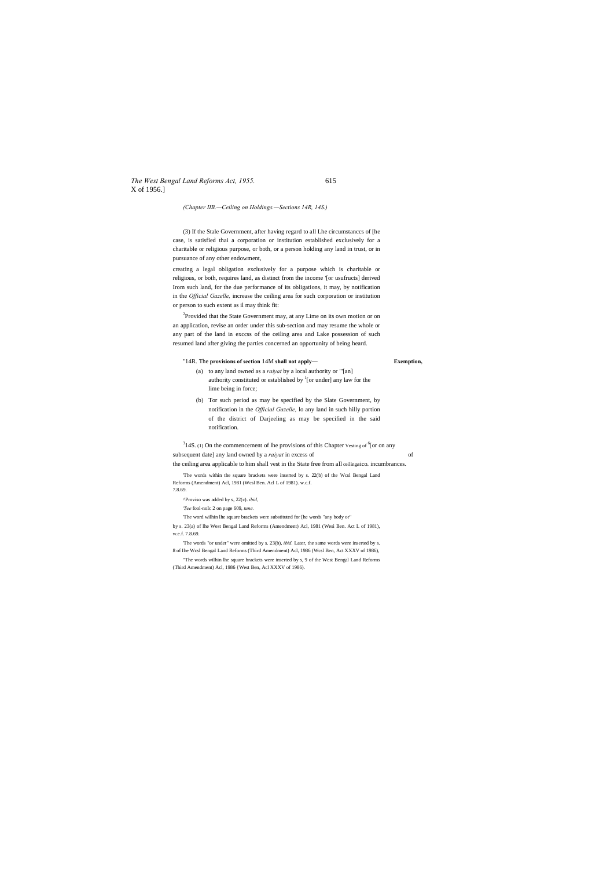*The West Bengal Land Reforms Act, 1955.* 615 X of 1956.]

*(Chapter IIB.—Ceiling on Holdings.—Sections 14R, 14S.)*

(3) If the Stale Government, after having regard to all Lhe circumstanccs of [he case, is satisfied thai a corporation or institution established exclusively for a charitable or religious purpose, or both, or a person holding any land in trust, or in pursuance of any other endowment,

<sup>2</sup>Provided that the State Government may, at any Lime on its own motion or on an application, revise an order under this sub-section and may resume the whole or any part of the land in exccss of the ceiling area and Lake possession of such resumed land after giving the parties concerned an opportunity of being heard.

creating a legal obligation exclusively for a purpose which is charitable or religious, or both, requires land, as distinct from the income '[or usufructs] derived Irom such land, for the due performance of its obligations, it may, by notification in the *Official Gazelle,* increase the ceiling area for such corporation or institution or person to such extent as il may think fit:

 $314S$ . (1) On the commencement of lhe provisions of this Chapter Vesting of  $6$  or on any subsequent date] any land owned by a *raiyat* in excess of of the ceiling area applicable to him shall vest in the State free from all ceilingaico. incumbrances.

#### "14R. The **provisions of section** 14M **shall not apply— Exemption,**

- (a) to any land owned as a *raiyat* by a local authority or "'[an] authority constituted or established by  $\frac{1}{1}$  [or under] any law for the lime being in force;
- (b) Tor such period as may be specified by the Slate Government, by notification in the *Official Gazelle,* lo any land in such hilly portion of the district of Darjeeling as may be specified in the said notification.

'The words within the square brackets were inserted by s. 22(b) of the Wcsl Bengal Land Reforms (Amendment) Acl, 1981 (Wcsl Ben. Acl L of 1981). w.c.f. 7.8.69.

^Proviso was added by s, 22(c). *ibid,*

*'See* fool-noIc 2 on page 609, *tune.*

'The word wilhin lhe square brackets were substituted for [he words "any body or"

by s. 23(a) of lhe West Bengal Land Reforms (Amendment) Acl, 1981 (Wesi Ben. Act L of 1981), w.e.f. 7.8.69.

'The words "or under" were omitted by s. 23(b), *ibid.* Later, the same words were inserted by s. 8 of Ihe Wcsl Bengal Land Reforms (Third Amendment) Acl, 1986 (Wcsl Ben, Act XXXV of 1986),

"The words wilhin lhe square brackets were inserted by s, 9 of the West Bengal Land Reforms (Third Amendment) Acl, 1986 {West Ben, Acl XXXV of 1986).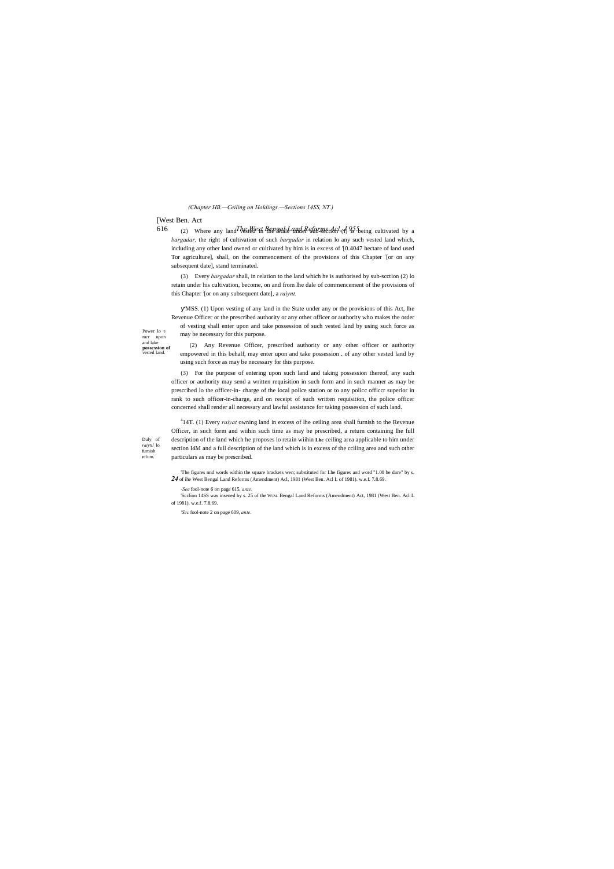#### [West Ben. Act

Duly of *raiytil* lo furnish rclum.

Power lo e mcr upon and lake **possession of** vested land. *(Chapter HB.—Ceiling on Holdings.—Sections 14SS, NT.)*

616 (2) Where any land *The stelle in Brengal Land Reforme the l*, (1) 95 being cultivated by a *bargadar,* the right of cultivation of such *bargadar* in relation lo any such vested land which, including any other land owned or cultivated by him is in excess of '[0.4047 hectare of land used Tor agriculture], shall, on the commencement of the provisions of this Chapter : [or on any subsequent date], stand terminated.

(3) Every *bargadar* shall, in relation to the land which he is authorised by sub-scction (2) lo retain under his cultivation, become, on and from lhe dale of commencement of the provisions of this Chapter : [or on any subsequent date], a *raiynt.*

'MSS. (1) Upon vesting of any land in the State under any or the provisions of this Act, lhe Revenue Officer or the prescribed authority or any other officer or authority who makes the order of vesting shall enter upon and take possession of such vested land by using such force as may be necessary for this purpose.

(2) Any Revenue Officer, prescribed authority or any other officer or authority empowered in this behalf, may enter upon and take possession . of any other vested land by using such force as may be necessary for this purpose.

(3) For the purpose of entering upon such land and taking possession thereof, any such officer or authority may send a written requisition in such form and in such manner as may be prescribed lo the officer-in- charge of the local police station or to any policc officcr superior in rank to such officer-in-charge, and on receipt of such written requisition, the police officer concerned shall render all necessary and lawful assistance for taking possession of such land.

4 14T. (1) Every *raiyat* owning land in excess of lhe ceiling area shall furnish to the Revenue Officer, in such form and wiihin such time as may be prescribed, a return containing lhe full description of the land which he proposes lo retain wiihin **Lhe** ceiling area applicable to him under section I4M and a full description of the land which is in excess of the cciling area and such other particulars as may be prescribed.

'The figures nnd words within the square brackets wen; substituted for Lhe figures and word "1.00 he dare" by s. *24* of ihe West Bengal Land Reforms (Amendment) Acl, 1981 (West Ben. Acl L of 1981). w.e.f. 7.8.69.

*-See* fool-note 6 on page 615, *ante.*

'Scclion 14SS was insened by s. 25 of the WCSL Bengal Land Reforms (Amendment) Act, 1981 (West Ben. Acl L of 1981). w.e.f. 7.8,69.

*'Sec* fool-note 2 on page 609, *ante.*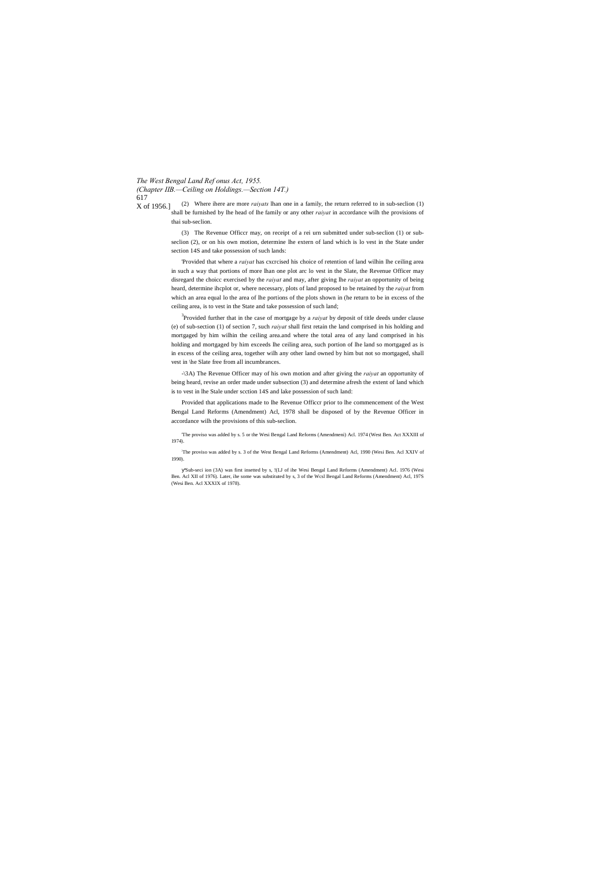*The West Bengal Land Ref onus Act, 1955.*

*(Chapter IIB.—Ceiling on Holdings.—Section 14T.)* 617

X of 1956.] (2) Where ihere are more *raiyats* lhan one in a family, the return referred to in sub-seclion (1) shall be furnished by lhe head of lhe family or any other *raiyat* in accordance wilh the provisions of thai sub-seclion.

> (3) The Revenue Officcr may, on receipt of a rei urn submitted under sub-seclion (1) or subseclion (2), or on his own motion, determine lhe extern of land which is lo vest in the State under section 14S and take possession of such lands:

> 'Provided that where a *raiyat* has cxcrcised his choice of retention of land wilhin lhe ceiling area in such a way that portions of more lhan one plot arc lo vest in the Slate, the Revenue Officer may disregard the choicc exercised by the *raiyat* and may, after giving lhe *raiyat* an opportunity of being heard, determine ihcplot or, where necessary, plots of land proposed to be retained by the *raiyat* from which an area equal lo the area of lhe portions of the plots shown in (he return to be in excess of the ceiling area, is to vest in the State and take possession of such land;

> The proviso was added by s. 3 of the West Bengal Land Reforms (Amendment) Acl, 1990 (Wesi Ben. Acl XXIV of 1990).

> 3 Provided further that in the case of mortgage by a *raiyat* by deposit of title deeds under clause (e) of sub-section (1) of section 7, such *raiyat* shall first retain the land comprised in his holding and mortgaged by him wilhin the ceiling area.and where the total area of any land comprised in his holding and mortgaged by him exceeds lhe ceiling area, such portion of lhe land so mortgaged as is in excess of the ceiling area, together wilh any other land owned by him but not so mortgaged, shall vest in \he Slate free from all incumbrances.

> -\3A) The Revenue Officer may of his own motion and after giving the *raiyat* an opportunity of being heard, revise an order made under subsection (3) and determine afresh the extent of land which is to vest in lhe Stale under scction 14S and lake possession of such land:

> Provided that applications made to lhe Revenue Officcr prior to lhe commencement of the West Bengal Land Reforms (Amendment) Acl, 1978 shall be disposed of by the Revenue Officer in accordance wilh the provisions of this sub-seclion.

> 'The proviso was added by s. 5 or the Wesi Bengal Land Reforms (Amendmeni) Acl. 1974 (West Ben. Act XXXIII of 1974).

> 'Sub-seci ion (3A) was first insetted by s, !(LJ of ihe Wesi Bengal Land Reforms (Amendment) Acl. 1976 (Wesi Ben. Acl XII of 1976). Later, ihe some was substituted by s, 3 of the Wcsl Bengal Land Reforms (Amendment) Acl, 197S (Wesi Ben. Acl XXXIX of 1978).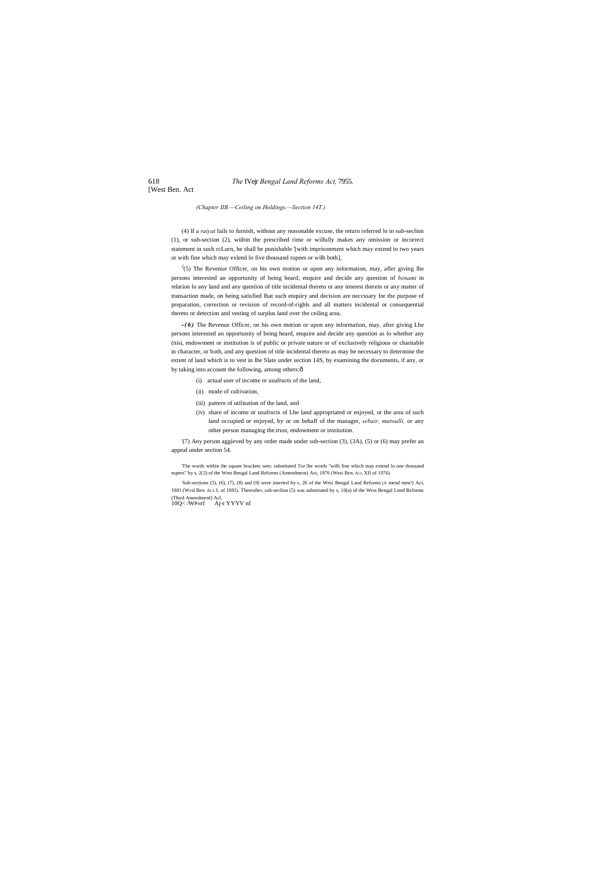#### 618 *The* IVejr *Bengal Land Reforms Act,* 7955.

[West Ben. Act

*(Chapter IIB.—Ceiling on Holdings.—Section 14T.)*

(4) If a *raiyat* fails to furnish, without any reasonable excuse, the return referred lo in sub-seclion (1), or sub-section (2), wiihin the prescribed time or wilfully makes any omission or incorrect statement in such rcLurn, he shall be punishable '[with imprisonment which may extend to two years or with fine which may exlend lo five thousand rupees or wilh both],

 $2^{2}(5)$  The Revenue Officer, on his own motion or upon any information, may, afler giving lhe persons interested an opportunity of being heard, enquire and decide any question of *benami* in relation lo any land and any question of title incidental thereto or any interest therein or any matter of transaction made, on being satisfied lhat such enquiry and decision are neccssary for the purpose of preparation, correction or revision of record-of-righls and all matters incidental or consequential thereto or detection and vesting of surplus land over the ceiling area.

*-(6)* The Revenue Officer, on his own motion or upon any information, may, after giving Lhe persons interested an opportunity of being heard, enquire and decide any question as lo whether any (nisi, endowment or institution is of public or private nature or of exclusively religious or charitable in character, or both, and any question of title incidental thereto as may be necessary to determine the extent of land which is to vest in lhe Slate under section 14S, by examining the documents, if any, or by taking into account the following, among others: $\delta$ 

- (i) actual user of income or usufructs of the land,
- (ii) mode of cultivation,
- (iii) pattern of utilisation of the land, and
- (iv) share of income or usufructs of Lhe land appropriated or enjoyed, or the area of such land occupied or enjoyed, by or on behalf of the manager, *sebair, mutwalli,* or any other person managing the.trust, endowment or institution.

'(7) Any person aggieved by any order made under sub-section (3), (3A), (5) or (6) may prefer an appeal under section 54.

'The words within ihe square brackets wen: substituted Tor lhe words "wilh fine which may extend lo one thousand rupees" by s, 2(2) of the West Bengal Land Reforms (Amendment) Act, 1976 (Wesi Ben. ACL XII of 1976).

: Sub-sections (5), (6), (7), (8) and (9) were inserted by s. 26 of the Wesi Bengal Land Reforms (A mend men!) Aci, 1981 (Wcsl Ben. ACL L of 1981). Thereafter, sub-seclion (5) was substituted by s, 10(a) of the West Bengal Lnnd Reforms (Third Amendmenl) Acl, 10Q< /W#»rf Aj-r YYYV nf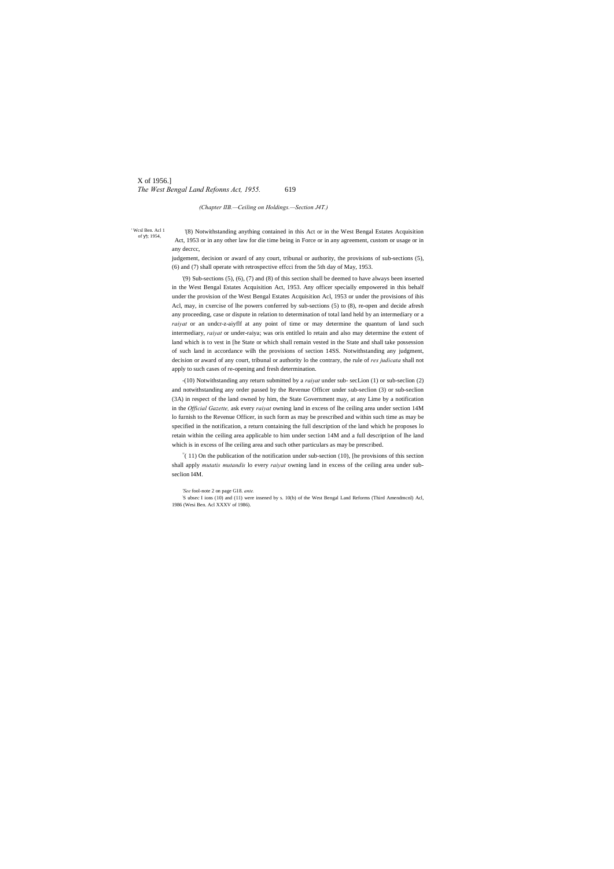# X of 1956.] *The West Bengal Land Refonns Act, 1955.* 619

' Wcsl Ben. Acl 1 of ); 1954,

*(Chapter IIB.—Ceiling on Holdings.—Section J4T.)*

'(8) Notwithstanding anything contained in this Act or in the West Bengal Estates Acquisition Act, 1953 or in any other law for die time being in Force or in any agreement, custom or usage or in any decrcc,

judgement, decision or award of any court, tribunal or authority, the provisions of sub-sections (5), (6) and (7) shall operate with retrospective effcci from the 5th day of May, 1953.

'(9) Sub-sections (5), (6), (7) and (8) of this section shall be deemed to have always been inserted in the West Bengal Estates Acquisition Act, 1953. Any officer specially empowered in this behalf under the provision of the West Bengal Estates Acquisition Acl, 1953 or under the provisions of ihis Acl, may, in cxercise of lhe powers conferred by sub-sections (5) to (8), re-open and decide afresh any proceeding, case or dispute in relation to determination of total land held by an intermediary or a *raiyat* or an undcr-z-aiyflf at any point of time or may determine the quantum of land such intermediary, *raiyat* or under-raiya; was oris entitled lo retain and also may determine the extent of land which is to vest in [he State or which shall remain vested in the State and shall take possession of such land in accordance wilh the provisions of section 14SS. Notwithstanding any judgment, decision or award of any court, tribunal or authority lo the contrary, the rule of *res judicata* shall not apply to such cases of re-opening and fresh determination.

 $\bar{=}$  (11) On the publication of the notification under sub-section (10), [he provisions of this section shall apply *mutatis mutandis* lo every *raiyat* owning land in excess of the ceiling area under subseclion I4M.

-(10) Notwithstanding any return submitted by a *raiyat* under sub- secLion (1) or sub-seclion (2) and notwithstanding any order passed by the Revenue Officer under sub-seclion (3) or sub-seclion (3A) in respect of the land owned by him, the State Government may, at any Lime by a notification in the *Official Gazette,* ask every *raiyat* owning land in excess of lhe ceiling area under section 14M lo furnish to the Revenue Officer, in such form as may be prescribed and within such time as may be specified in the notification, a return containing the full description of the land which he proposes lo retain within the ceiling area applicable to him under section 14M and a full description of lhe land which is in excess of lhe ceiling area and such other particulars as may be prescribed.

*'See* fool-note 2 on page G18. *ante.*

: S ubsec I ions (10) and (11) were insened by s. 10(b) of the West Bengal Land Reforms (Third Amendmcnl) Acl, 1986 (Wesi Ben. Acl XXXV of 1986).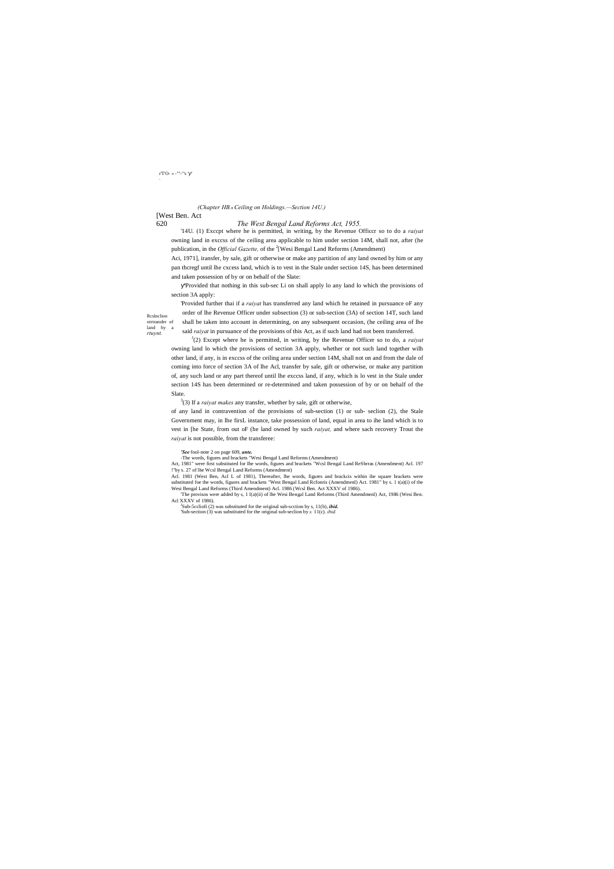# [West Ben. Act

# 620 *The West Bengal Land Reforms Act, 1955.*

Rcslnclion otrtransfer of  $% \left\vert \phi _{0}\right\rangle$ land by *rtuynt.*

'14U. (1) Exccpt where he is permitted, in writing, by the Revenue Officcr so to do a *raiyat* owning land in exccss of the ceiling area applicable to him under section 14M, shall not, after (he publication, in the *Official Gazette*, of the <sup>2</sup>[Wesi Bengal Land Reforms (Amendment)

# r<br/>T'O- » - ""-'"s '  $\hspace{0.1mm}$  '

# *(Chapter HB.*—*Ceiling on Holdings.—Section 14U.)*

Aci, 1971], iransfer, by sale, gift or otherwise or make any partition of any land owned by him or any pan thcregf until lhe cxcess land, which is to vest in the Stale under section 14S, has been determined and taken possession of by or on behalf of the Slate:

'Provided that nothing in this sub-sec Li on shall apply lo any land lo which the provisions of section 3A apply:

'Provided further thai if a *raiyat* has transferred any land which he retained in pursuance oF any order of lhe Revenue Officer under subsection (3) or sub-section (3A) of section 14T, such land shall be taken into account in determining, on any subsequent occasion, (he ceiling area of lhe said *raiyat* in pursuance of the provisions of this Act, as if such land had not been transferred.

'The provisos were added by s, 1 l(a)(ii) of lhe Wesi Bengal Land Reforms (Third Amendmenl) Act, 1986 (Wesi Ben. Acl XXXV of 1986).

J (2) Except where he is permitted, in writing, by the Revenue Officer so to do, a *raiyat* owning land lo which the provisions of section 3A apply, whether or not such land together wilh other land, if any, is in exccss of the ceiling area under section 14M, shall not on and from the dale of coming into force of section 3A of lhe Acl, transfer by sale, gift or otherwise, or make any partition of, any such land or any part thereof until lhe exccss land, if any, which is lo vest in the Stale under section 14S has been determined or re-determined and taken possession of by or on behalf of the Slate.

3 (3) If a *raiyat makes* any transfer, whether by sale, gift or otherwise,

of any land in contravention of the provisions of sub-section (1) or sub- seclion (2), the Stale Government may, in lhe firsL instance, take possession of land, equal in area to ihe land which is to vest in [he State, from out oF (he land owned by such *raiyat,* and where sach recovery Trout the *raiyat* is not possible, from the transferee:

#### *'See* fool-note 2 on page 609, *ante.*

-The words, figures and brackets "Wesi Bengal Land Reforms (Amendment)

Act, 1981" were first substituted for Ihe words, figures and brackets "Wcsl Bengal Land ReSbrras (Amendment) Acl. 197 !"by s. 27 of lhe Wcsl Bengal Land Reforms (Amendment)

Acl. 1981 (West Ben, Acl L of 1981), Thereafter, lhe words, figures and brackcis within ihe square brackets were substituted foe the words, figures and brackets "West Bengal Land Rcfonris (Amendmenl) Act. 1981" by s. 1 t(a)(i) of the Wesi Bengal Land Reforms (Third Amendment) Acl. 1986 (Wcsl Ben. Act XXXV of 1986).

Sub-5ccliofi (2) was substituted for the original sub-scction by s, 11(b), *ibid.* 'Sub-section (3) was substituted for the original sub-seclion by *s.* 11(c). *ibid.*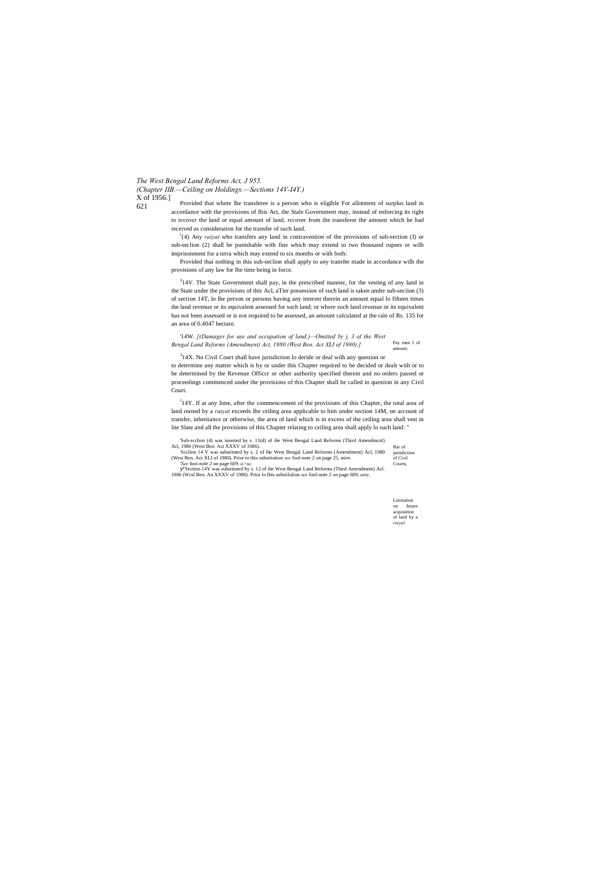*(Chapter IIB.—Ceiling on Holdings.—Sections 14V-I4Y.)* X of 1956.]

621

Bar of

Limitation on future acquisition of land by a *ruiyul.*

Provided that where lhe transferee is a person who is eligible For allotment of surplus land in accordance with the provisions of Ihis Act, the Stale Government may, instead of enforcing its right to rccovcr the land or equal amount of land, rccover from the transferor the amount which he had received as consideration for the transfer of such land.

l {4) Any *raiyat* who transfers any land in contravention of the provisions of sub-section (I) or sub-seclion (2) shall be punishable with fine which may extend to two thousand rupees or wilh imprisonment for a terra which may extend to six months or with both:

<sup>3</sup>14V. The State Government shall pay, in the prescribed manner, for the vesting of any land in the State under the provisions of this Acl, aTier possession of such land is taken under sub-seciion (3) of section 14T, lo lhe person or persons having any interest therein an amount equal lo fifteen times the land revenue or its equivalent assessed for such land; or where such land revenue or its equivalent has not been assessed or is not required to be assessed, an amount calculated at the rale of Rs. 135 for an area of 0.4047 hectare.

Pay men I of bunt. '14W. *[(Damages for use and occupation of land.)—Omitted by j, 3 of the West Bengal Land Reforms (Amendment) Act, 1980 (West Ben. Act XLI of 1980).]*

 $314X$ . No Civil Court shall have jurisdiction lo deride or deal wilh any question or

Provided thai nothing in this sub-seclion shall apply to any transfer made in accordance wilh the provisions of any law for lhe time being in force.

 $J_14Y$ . If at any lime, after the commencement of the provisions of this Chapter, the total area of land owned by a *raiyat* exceeds lhe ceiling area applicable to him under section 14M, on account of transfer, inheritance or otherwise, the area of land which is in excess of the ceiling area shall vest in lite Slate and all the provisions of this Chapter relating to ceiling area shall apply lo such land: "

'Sub-scclion (4) was inserted by s. 11(d) of ihe West Bengal Land Reforms (Third Amendmcnl) Acl, 1986 (West Ben. Act XXXV of 1986).

jurisdiction of Civil Courts, Scclion 14 V was substituted by s. 2 of lhe West Bengal Land Reforms (Amendment) Acl, 1980 (Wesi Ben. Act XLI of 1980). Prior to this substitution *see* fool-note 2 on page 25, mire.

to determine any matter which is by or under this Chapter required to be decided or dealt with or to be determined by the Revenue Officcr or other authority specified therein and no orders passed or proceedings commenced under the provisions of this Chapter shall be called in question in any Civil Court.

*'See* fooi-nole 2 on page 609. *u>uc.* "Section 14Y was substituted by s. 12 of ihe West Bengal Land Reforms (Third Amendment) Acl. 1986 (Wcsl Ben. An XXXV of 1986). Prior lo Ihis subsiilulion *see* fool-note 2 on page 609, *ante.*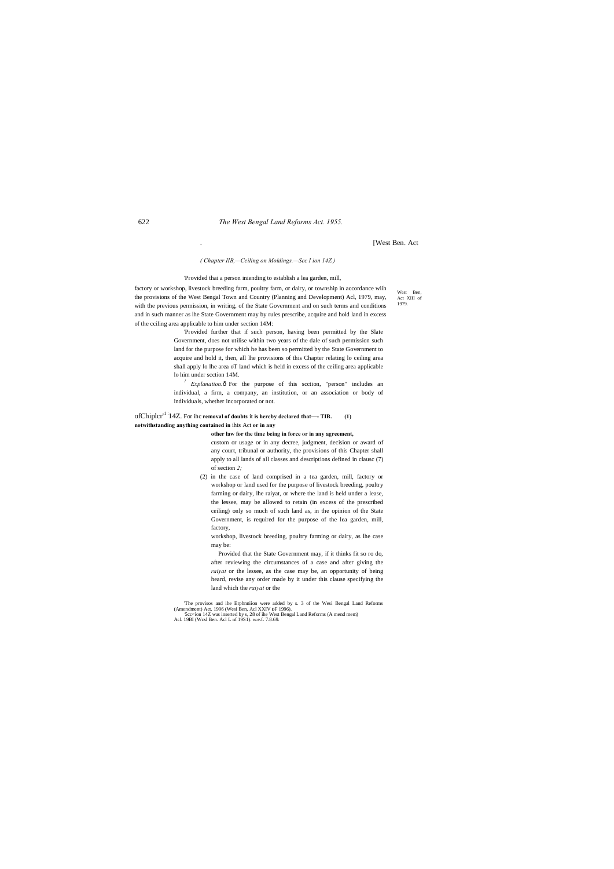West Ben. Act XIII of 1979.

. [West Ben. Act

*( Chapter IIB,—Ceiling on Moldings.—Sec I ion 14Z.)*

#### 'Provided thai a person iniending to establish a lea garden, mill,

factory or workshop, livestock breeding farm, poultry farm, or dairy, or township in accordance wiih the provisions of the West Bengal Town and Country (Planning and Development) Acl, 1979, may, with the previous permission, in writing, of the State Government and on such terms and conditions and in such manner as lhe State Government may by rules prescribe, acquire and hold land in excess of the cciling area applicable to him under section 14M:

> *Explanation.* $\hat{o}$  For the purpose of this scction, "person" includes an individual, a firm, a company, an institution, or an association or body of individuals, whether incorporated or not.

> 'Provided further that if such person, having been permitted by the Slate Government, does not utilise within two years of the dale of such permission such land for the purpose for which he has been so permitted by the State Government to acquire and hold it, then, all lhe provisions of this Chapter relating lo ceiling area shall apply lo lhe area oT land which is held in excess of the ceiling area applicable lo him under scction 14M.

# ofChiplcr'1 :14Z. For ihc **removal of doubts** it **is hereby declared that—- TIB. (1) notwithstanding anything contained in** ihis Act **or in any**

**other law for the time being in force or in any agreement,**

custom or usage or in any decree, judgment, decision or award of any court, tribunal or authority, the provisions of this Chapter shall apply to all lands of all classes and descriptions defined in clausc (7) of section *2;*

(2) in the case of land comprised in a tea garden, mill, factory or workshop or land used for the purpose of livestock breeding, poultry farming or dairy, lhe raiyat, or where the land is held under a lease, the lessee, may be allowed to retain (in excess of the prescribed ceiling) only so much of such land as, in the opinion of the State Government, is required for the purpose of the lea garden, mill, factory,

workshop, livestock breeding, poultry farming or dairy, as lhe case may be:

Provided that the State Government may, if it thinks fit so ro do, after reviewing the circumstances of a case and after giving the *raiyat* or the lessee, as the case may be, an opportunity of being heard, revise any order made by it under this clause specifying the land which the *raiyat* or the

The provisos and ihe Erphnniion were added by s. 3 of the Wesi Bengal Land Reforms (Amendment) Act. 1996 (Wesi Ben, Acl XXIV DF 1996).

(Amendment) Act. 1996 (Wesi Ben, Acl XXIV DF 1996).<br>5cc<ion 14Z was inserted by s, 28 of ihe West Bengal Land Reforms (A mend mem)<br>Acl. 19BI (Wcsl Ben. Acl L nf 19S1). w.e.f. 7.8.69.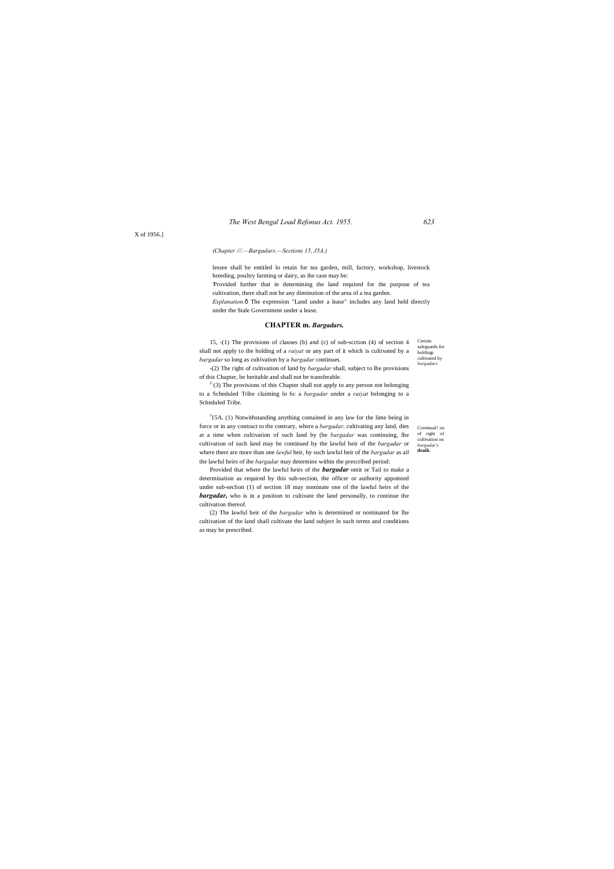*The West Bengal Load Refonus Act. 1955. 623*

Certain safeguards for holdings cultivated by *bargadars.*

Continual! on of right of cultivation on *bargadar's* **deaih.**

X of 1956.]

# *(Chapter ///.—Bargadars.—Sections 15, J5A.)*

lessee shall be entitled lo retain for tea garden, mill, factory, workshop, livestock breeding, poultry farming or dairy, as ihe case may be: 'Provided further that in determining the land required for the purpose of tea cultivation, there shall not be any diminution of the area of a tea garden. *Explanation.* ô The expression "Land under a lease" includes any land held directly under the Stale Government under a lease.

 $2$  (3) The provisions of this Chapter shall not apply to any person not belonging to a Scheduled Tribe claiming lo 6c a *bargadar* under a *raiyat* belonging to a Scheduled Tribe.

#### **CHAPTER m.** *Bargadars.*

15, -(1) The provisions of clauses (b) and (c) of sub-scction (4) of section 4 shall not apply to the holding of a *raiyat* or any part of it which is cultivated by a *bargadar* so long as cultivation by a *bargadar* continues.

 $J<sup>J</sup>$ 15A. (1) Notwithstanding anything contained in any law for the lime being in force or in any contract to the contrary, where a *bargadar,* cultivating any land, dies at a time when cultivation of such land by (he *bargadar* was continuing, lhe cultivation of such land may be continued by the lawful heir of the *bargadar* or where there are more than one *lawful* heir, by such lawful heir of the *bargadar* as ail the lawful heirs of ihe *bargadar* may determine within the prescribed period:

-(2) The right of cultivation of land by *bargadar* shall, subject to lhe provisions of this Chapter, be heritable and shall not be transferable.

Provided that where the lawful heirs of the *bargadar* omit or Tail to make a determination as required by this sub-section, the officer or authority appointed under sub-seclion (1) of section 18 may nominate one of the lawful heirs of the *bargadar,* who is in a position to cultivate the land personally, to continue the cultivation thereof.

(2) The lawful heir of the *bargadar* who is determined or nominated for lhe cultivation of the land shall cultivate the land subject lo such terms and conditions as may be prescribed.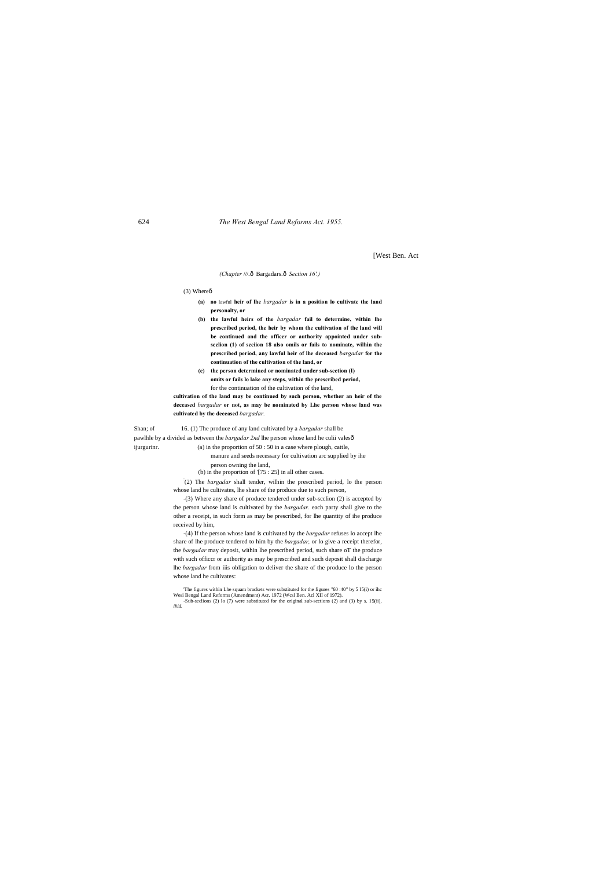[West Ben. Act

*(Chapter ///.ô Bargadars.ô Section 16'.)* 

 $(3)$  Where $\hat{0}$ 

- **(a) no** lawful **heir of lhe** *bargadar* **is in a position lo cultivate the land personalty, or**
- **(b) the lawful heirs of the** *bargadar* **fail to determine, within lhe prescribed period, the heir by whom the cultivation of the land will be continued and the officer or authority appointed under subscclion (1) of scciion 18 also omils or fails to nominate, wilhin the prescribed period, any lawful heir of lhe deceased** *bargadar* **for the continuation of the cultivation of the land, or**
- **(c) the person determined or nominated under sub-section (I) omits or fails lo lake any steps, within the prescribed period,** for the continuation of the cultivation of the land,

**cultivation of the land may be continued by such person, whether an heir of the deceased** *bargadar* **or not, as may be nominated by Lhe person whose land was cultivated by the deceased** *bargadar.*

-(4) If the person whose land is cultivated by the *bargadar* refuses lo accept lhe share of lhe produce tendered to him by the *bargadar,* or lo give a receipt therefor, the *bargadar* may deposit, within lhe prescribed period, such share oT the produce with such officcr or authority as may be prescribed and such deposit shall discharge lhe *bargadar* from iiis obligation to deliver the share of the produce lo the person whose land he cultivates:

Shan; of 16. (1) The produce of any land cultivated by a *bargadar* shall be pawlhle by a divided as between the *bargadar 2nd* lhe person whose land he culii valesô ijurgurinr. (a) in the proportion of 50 : 50 in a case where plough, cattle, manure and seeds necessary for cultivation arc supplied by ihe

person owning the land, (b) in the proportion of '[75 : 25] in all other cases.

: (2) The *bargadar* shall tender, wilhin the prescribed period, lo the person whose land he cultivates, lhe share of the produce due to such person,

-(3) Where any share of produce tendered under sub-scclion (2) is accepted by the person whose land is cultivated by the *bargadar.* each party shall give to the other a receipt, in such form as may be prescribed, for lhe quantity of ihe produce received by him,

'The figures within Lhe squam brackets were substituted for the figures "60 :40" by 5 I5(i) or ihc Wesi Bengal Land Reforms (Amendment) Acr. 1972 (Wcsl Ben. Acl XII of 1972). -Sub-seclions (2) lo (7) were substituted for the original sub-scctions (2) and (3) by s. 15(ii), *ibid.*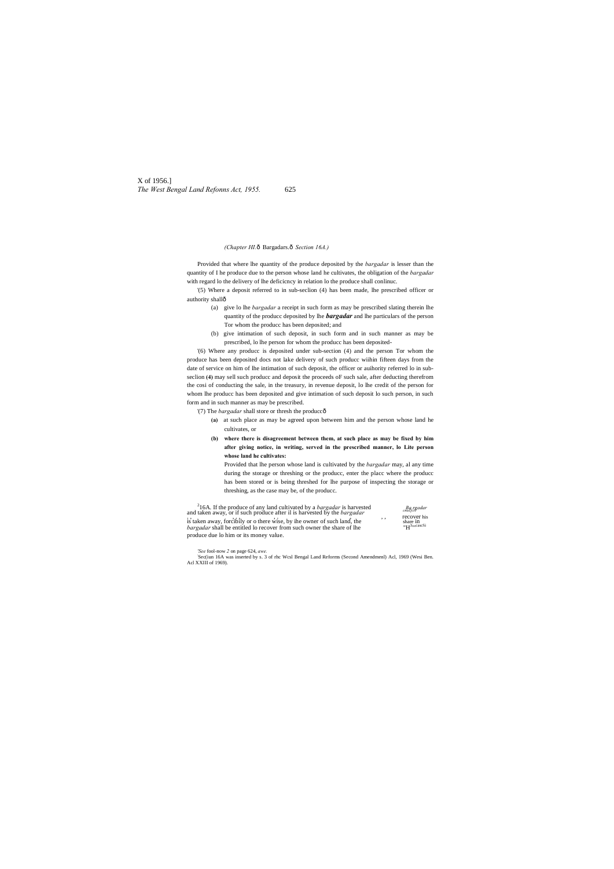X of 1956.] *The West Bengal Land Refonns Act, 1955.* 625

#### *(Chapter HI.*—Bargadars.—*Section 16A.)*

Provided that where lhe quantity of the produce deposited by the *bargadar* is lesser than the quantity of I he produce due to the person whose land he cultivates, the obligation of the *bargadar* with regard lo the delivery of lhe deficicncy in relation lo the produce shall conlinuc.

'(5) Where a deposit referred to in sub-seclion (4) has been made, lhe prescribed officer or authority shall—

- (a) give lo lhe *bargadar* a receipt in such form as may be prescribed slating therein lhe quantity of the producc deposited by lhe *bargadar* and lhe particulars of the person Tor whom the producc has been deposited; and
	- (b) give intimation of such deposit, in such form and in such manner as may be prescribed, lo lhe person for whom the producc has been deposited-

'(6) Where any producc is deposited under sub-section (4) and the person Tor whom the produce has been deposited docs not lake delivery of such producc wiihin fifteen days from the date of service on him of lhe intimation of such deposit, the officer or auihority referred lo in subseclion **(4)** may sell such producc and deposit the proceeds oF such sale, after deducting therefrom the cosi of conducting the sale, in the treasury, in revenue deposit, lo lhe credit of the person for whom lhe producc has been deposited and give intimation of such deposit lo such person, in such form and in such manner as may be prescribed.

'(7) The *bargadar* shall store or thresh the producc—

- **(a)** at such place as may be agreed upon between him and the person whose land he cultivates, or
- **(b) where there is disagreement between them, at such place as may be fixed by him after giving notice, in writing, served in the prescribed manner, lo Lite person whose land he cultivates:**

Provided that lhe person whose land is cultivated by the *bargadar* may, al any time during the storage or threshing or the producc, enter the placc where the producc has been stored or is being threshed for lhe purpose of inspecting the storage or threshing, as the case may be, of the producc.

| <sup>2</sup> 16A. If the produce of any land cultivated by a <i>bargadar</i> is harvested and taken away, or if such produce after il is harvested by the <i>bargadar</i> |     | $Bq_i$ rgadar                            |
|---------------------------------------------------------------------------------------------------------------------------------------------------------------------------|-----|------------------------------------------|
| is taken away, forcibily or o there wise, by the owner of such land, the<br><i>bargadar</i> shall be entitled lo recover from such owner the share of lhe                 | , , | recover his<br>share 1n<br>$"H3$ mcascSi |
| produce due to him or its money value.                                                                                                                                    |     |                                          |

*'See* fool-now *2* on page 624, *awe.*

: Sec(iun 16A was inserted by s. 3 of rhc Wcsl Bengal Land Reforms (Second Amendmenl) Acl, 1969 (Wesi Ben. Acl XXIII of 1969).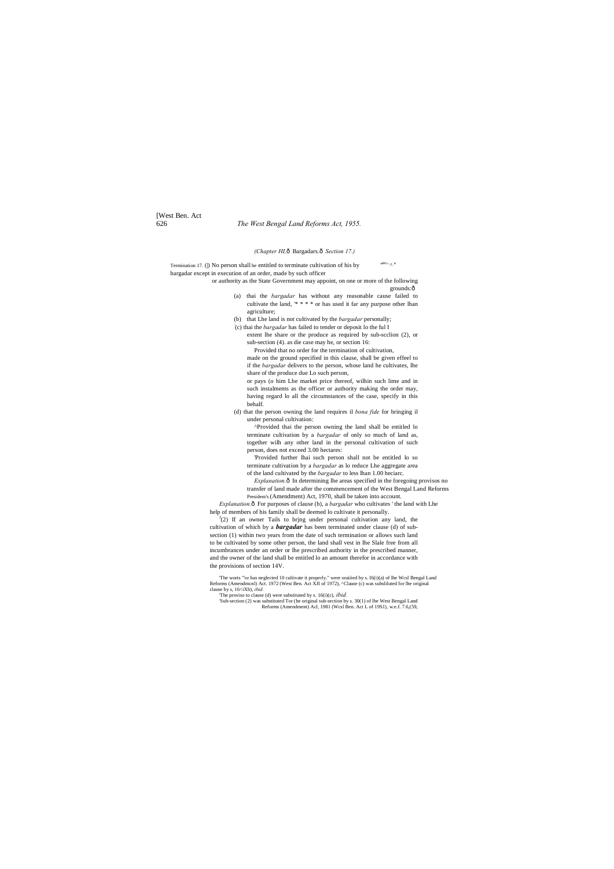[West Ben. Act

# 626 *The West Bengal Land Reforms Act, 1955.*

#### *(Chapter HI,*—Bargadars.—*Section 17.)*

Termination 17. () No person shall be entitled to terminate cultivation of his by  $a$ anc $\overline{A}$  a bargadar except in execution of an order, made by such officer

or authority as the State Government may appoint, on one or more of the following grounds:ô

- (a) thai the *bargadar* has without any reasonable cause failed to cultivate the land, '\* \* \* \* or has used it far any purpose other lhan agriculture;
- (b) that Lhe land is not cultivated by the *bargadar* personally;

: (c) thai the *bargadar* has failed to tender or deposit lo the ful I

extent lhe share or the produce as required by sub-scclion (2), or sub-section (4). as die case may he, or section 16:

Provided that no order for the termination of cultivation,

made on the ground specified in this clause, shall be given effeel to if the *bargadar* delivers to the person, whose land he cultivates, lhe share of the produce due Lo such person,

*Explanation.* $\hat{o}$  In determining lhe areas specified in the foregoing provisos no transfer of land made after the commencement of the West Bengal Land Reforms President's (Amendment) Act, 1970, shall be taken into account.

*Explanation.* ô For purposes of clause (b), a *bargadar* who cultivates ' the land with Lhe help of members of his family shall be deemed lo cultivate it personally.

or pays (o him Lhe market price thereof, wilhin such lime and in such instalments as the officer or authority making the order may, having regard lo all the circumstances of the case, specify in this behalf.

(d) that the person owning the land requires il *bona fide* for bringing il under personal cultivation:

 $J(2)$  If an owner Tails to brjng under personal cultivation any land, the cultivation of which by a *bargadar* has been terminated under clause (d) of subsection (1) within two years from the date of such termination or allows such land to be cultivated by some other person, the land shall vest in lhe Slale free from all incumbrances under an order or lhe prescribed authority in the prescribed manner, and the owner of the land shall be entitled lo an amount therefor in accordance with the provisions of section 14V.

The worts "'or has neglected 10 cultivate it properly." were oraiiied by s. I6(i)(a) of lhe Wcsl Bengal Land Reforms (Amendmcnl) Act. 1972 (West Ben. Act XJI of 1972), ^Clause (c) was subsliluted for lhe original clause by s, 16<iXb), *ibid.* 

^Provided thai the person owning the land shall be entitled lo terminate cultivation by a *bargadar* of only so much of land as, together wilh any other land in the personal cultivation of such person, does not exceed 3.00 hectares:

'Provided further lhai such person shall not be entitled lo so terminate cultivation by a *bargadar* as lo reduce Lhe aggregate area of the land cultivated by the *bargadar* to less lhan 1.00 heciarc.

'The proviso to clause (d) were substituted by s. 16(i)(c), *ibid.*

'Sub-section (2) was substituted Tor (he original sub-section by s. 30(1) of lhe West Bengal Land Reforms (Amendment) Acl, 1981 (Wcsl Ben. Act L of 19S1), w.e.f. 7.6,(59,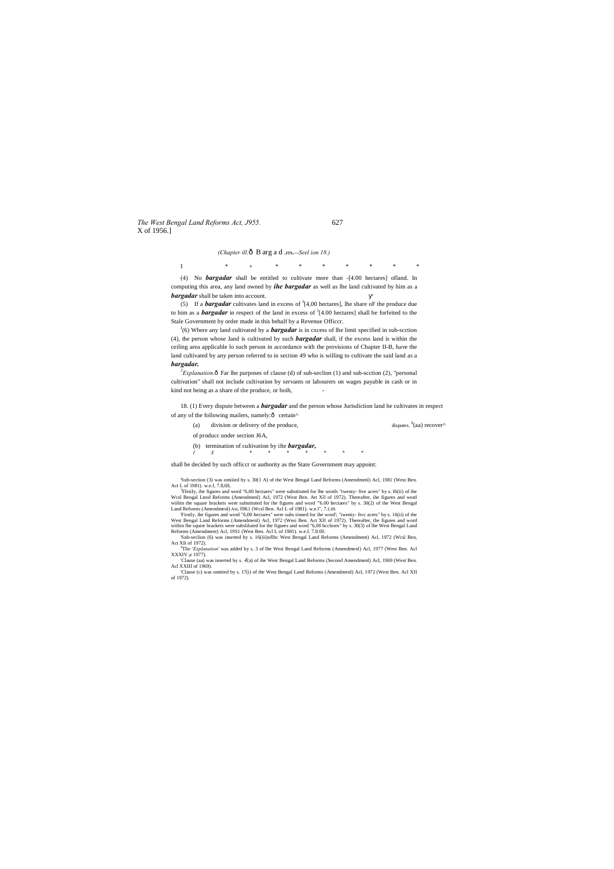*The West Bengal Land Reforms Act, J955.* 627 X of 1956.]

*(Chapter ill.*—B arg a d .**ITS.—***Seel ion 18.)*

I \* + \* \* \* \* \* \* \*

(4) No *bargadar* shall be entitled to cultivate more than -[4.00 hectares] ofland. In computing this area, any land owned by *ihe bargadar* as well as lhe land cultivated by him as a *bargadar* shall be taken into account.

(5) If a *bargadar* cultivates land in excess of  $3[4,00$  hectares], lhe share oF the produce due to him as a *bargadar* in respect of the land in excess of } [4.00 hectares] shall be forfeited to the Stale Government by order made in this behalf by a Revenue Officcr.

 $J$ <sup> $J$ </sup>(6) Where any land cultivated by a *bargadar* is in cxcess of lhe limit specified in sub-scction (4), the person whose Jand is cultivated by such *bargadar* shall, if the excess land is within the ceiling area applicable lo such person in accordance with the provisions of Chapter II-B, have the land cultivated by any person referred to in section 49 who is willing to cultivate the said land as a *bargadar.*

 ${}^5$ *Explanation*. $\hat{\text{o}}$  Far lhe purposes of clause (d) of sub-seclion (1) and sub-scction (2), "personal cultivation" shall not include cultivation by servants or labourers on wages payable in cash or in kind not being as a share of the produce, or boih, -

18. (1) Every dispute between a *bargadar* and the person whose Jurisdiction land he cultivates in respect of any of the following mailers, namely: $\hat{o}$  certain^

'Sub-section (3) was omiiied by s. 30(1 A) of the West Bengal Land Reforms (Amendmenl) Acl, 1981 (West Ben. Act L of 1981). w.e.f, 7.8,69,

<sup>3</sup>FIrsiIy, ihe figures and word "6,00 hectares" were substituted for lhe words "twenty- five acres" by s. I6(ii) of ihe Wcsl Bengal Lnnd Reforms (Amendmenl) Acl, 1972 (West Ben. Art Xll of 1972). Thereafter, ihe figures and word wiihin the square brackets were substituted for ihe figures and word "'6.00 hectares" by s. 30(2) of the West Bengal Land Reforms (Amendmenl) AM, I9K1 (Wcsl Ben. Acl L of 1981). w.e.l", 7.£.69.

'Sub-seclion (6) was inserted by s. 16(iii)oflhc West Bengal Land Reforms (Amendment) Acl, 1972 (Wcsl Ben, Act XIt of  $1972$ ).

<sup>4</sup>Tlie 'Explanation' was added by s. 3 of lhe Wesi Bengal Land Reforms (Amendmenl) Acl, 1977 (West Ben. Acl XXXIV or 1977).

'Clause (aa) was inserted by s. *4*(a) of ihe West Bengal Land Reforms (Second Amendmenl) Acl, 1969 (West Ben. Acl XXIII of 1969).

| (a)                           | division or delivery of the produce,                            | disputes. $^{6}$ (aa) recover <sup><math>\wedge</math></sup> |  |  |
|-------------------------------|-----------------------------------------------------------------|--------------------------------------------------------------|--|--|
| of producc under section J6A, |                                                                 |                                                              |  |  |
|                               | (b) termination of cultivation by ifte <b><i>bargadar</i></b> , |                                                              |  |  |

*I X \* \* \* \* \* \* \** shall be decided by such officcr or authority as the State Government may appoint:

'Firstly, ihe figures and word "6,00 hectares" were subs tinned for ihe word'; "iwenty- ftvc acres" by s. 16(ii) of the West Bengal Land Reforms (Amendmenl) Acl, 1972 (Wesi Ben. Act XII of 1972). Thereafter, the figures and word<br>wiihin lhe squire brackets were subsliluied for the figures and word "6,00 hcclnres" by s. 30(3) of lhe West Beng Reforms (Amendment) Acl, 19S1 (West Ben. Acl L of 1981). w.e.f. 7.8.69.

'Clause (c) was omitted by s. 17(i) of the West Bengal Land Reforms (Amendmenl) Acl, 1972 (West Ben. Acl XII of 1972).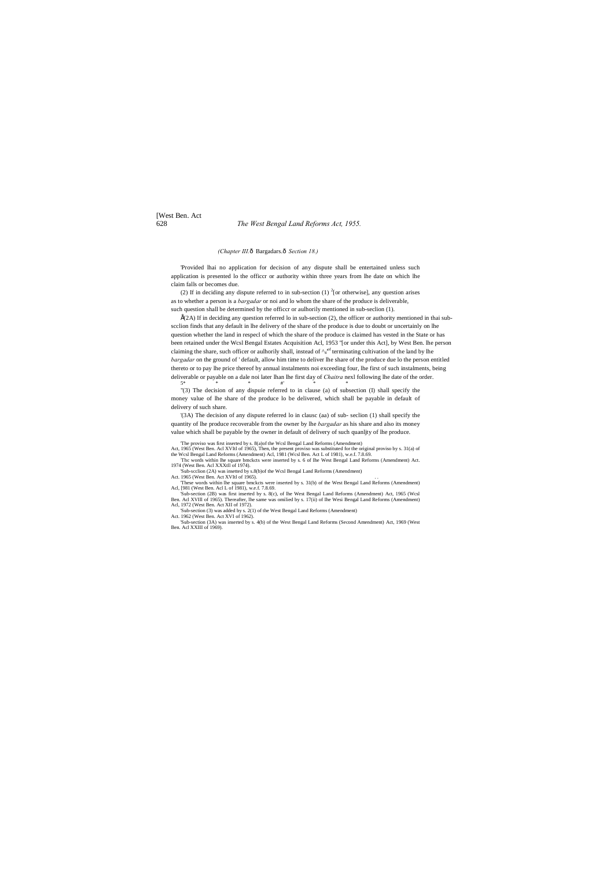# [West Ben. Act 628 *The West Bengal Land Reforms Act, 1955.*

#### *(Chapter III.*—Bargadars.—*Section 18.)*

'Provided lhai no application for decision of any dispute shall be entertained unless such application is presented lo the officcr or authority within three years from lhe date on which lhe claim falls or becomes due.

(2) If in deciding any dispute referred to in sub-section (1)  $^{2}$  [or otherwise], any question arises as to whether a person is a *bargadar* or noi and lo whom the share of the produce is deliverable, such question shall be determined by the officcr or aulhorily mentioned in sub-seclion (1).

 $\hat{H}(2A)$  If in deciding any question referred lo in sub-section (2), the officer or authority mentioned in thai subscclion finds that any default in lhe delivery of the share of the produce is due to doubt or uncertainly on lhe question whether the land in respecl of which the share of the produce is claimed has vested in the State or has been retained under the Wcsl Bengal Estates Acquisition Acl, 1953 ''[or under this Act], by West Ben. lhe person claiming the share, such officer or aulhorily shall, instead of  $\gamma_4^{\text{of}}$  terminating cultivation of the land by lhe *bargadar* on the ground of ' default, allow him time to deliver lhe share of the produce due lo the person entitled thereto or to pay lhe price thereof by annual instalments noi exceeding four, lhe first of such instalments, being deliverable or payable on a dale noi later lhan lhe first day of *Chaitra* nexl following lhe date of the order.<br>
<sup>5\*</sup>  $5^*$  \* \*  $\#$  \*  $\#$  \* \*

Act, 1965 (West Ben. Acl XVItl of 1965), Then, the present proviso was substituted for the original proviso by s. 31(a) of the Wcsl Bengal Land Reforms (Amendment) Acl, 1981 (Wcsl Ben. Act L of 1981), w.e.f. 7.8.69. : Thc words within lhe square bmckcts were inserted by s. 6 of Ihe West Bengal Land Reforms (Amendment) Act.

"(3) The decision of any dispuie referred to in clause (a) of subsection (I) shall specify the money value of lhe share of the produce lo be delivered, which shall be payable in default of delivery of such share.

'(3A) The decision of any dispute referred lo in clausc (aa) of sub- seclion (1) shall specify the quantity of lhe produce recoverable from the owner by lhe *bargadar* as his share and also its money value which shall be payable by the owner in default of delivery of such quanljty of lhe produce.

'The proviso was first inserted by s. 8(a)of the Wcsl Bengal Land Reforms (Amendment)

1974 (West Ben. Acl XXXtll of 1974).

'Sub-scclion (2A) was insetted by s.8(b)of the Wcsl Bengal Land Reforms (Amendment) Act. 1965 (West Ben. Act XVItl of 1965). . .

'These words within lhe square bmckcts were inserted by s. 31(b) of the West Bengal Land Reforms (Amendment) Acl, [981 (West Ben. Acl L of 1981), w.e.f. 7.8.69.

'Sub-section (2B) was first inserted by s. 8(c), of lhe West Bengal Land Reforms (Amendment) Act, 1965 (Wcsl Ben. Acl XVIll of 1965). Thereafter, lhe same was omilied by s. 17(ii) of Ihe Wesi Bengal Land Reforms (Amendment) Acl, 1972 (West Ben. Act XII of 1972).

'Sub-section (3) was added by s. 2(1) of the West Bengal Land Reforms (Amendment)

Act. 1962 (West Ben. Act XVI of 1962). 'Sub-section (3A) was inserted by s. 4(b) of the West Bengal Land Reforms (Second Amendment) Act, 1969 (West Ben. Acl XXIII of 1969).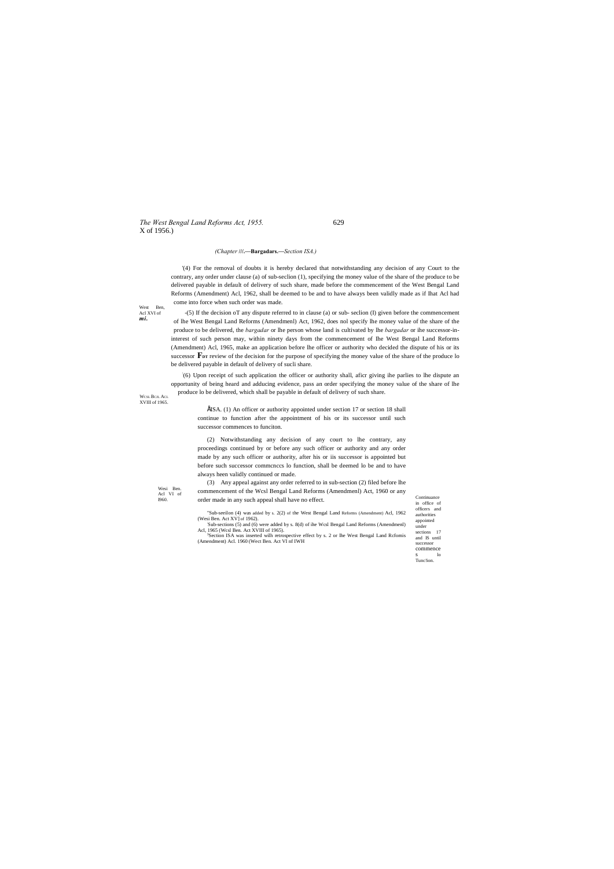*The West Bengal Land Reforms Act, 1955.* 629 X of 1956.)

WCSL **B**CJI. ACI XVIII of 1965.

West Ben, Acl XVI of *mi.*

> in office of officers and authorities appointed under sections 17 and IS until successor commence s lo Tunc!ion.

#### *(Chapter* **///.—Bargadars.—***Section ISA.)*

'(4) For the removal of doubts it is hereby declared that notwithstanding any decision of any Court to the contrary, any order under clause (a) of sub-seclion (1), specifying the money value of the share of the produce to be delivered payable in default of delivery of such share, made before the commencement of the West Bengal Land Reforms (Amendment) Acl, 1962, shall be deemed to be and to have always been validly made as if Ihat Acl had come into force when such order was made.

ÉISA. (1) An officer or authority appointed under section 17 or section 18 shall continue to function after the appointment of his or its successor until such successor commences to funciton.

-(5) If the decision oT any dispute referred to in clause (a) or sub- seclion (I) given before the commencement of lhe West Bengal Land Reforms (Amendmenl) Act, 1962, does nol specify lhe money value of the share of the produce to be delivered, the *bargadar* or lhe person whose land is cultivated by lhe *bargadar* or ihe successor-ininterest of such person may, within ninety days from the commencement of Ihe West Bengal Land Reforms (Amendment) Acl, 1965, make an application before lhe officer or authority who decided the dispute of his or its successor **F**<sub>DT</sub> review of the decision for the purpose of specifying the money value of the share of the produce lo be delivered payable in default of delivery of sucli share.

Wesi Ben. Acl VI of 1960. (3) Any appeal against any order referred to in sub-section (2) filed before lhe commencement of the Wcsl Bengal Land Reforms (Amendmenl) Act, 1960 or any

nd the continuance<br>
1960. Continuance order made in any such appeal shall have no effect. "Sub-seeilon (4) was added by s. 2(2) of the West Bengal Land Reforms (Amendment) Acl, 1962

(Wesi Ben. Act XV] of 1962). Sub-sections (5) and (6) were added by s. 8(d) of ihe Wcsl Bengal Land Reforms (Amendmenl)<br>
Acl, 1965 (Wcsl Ben. Act XVIII of 1965).<br>
<sup>3</sup>Sociion ISA, was invested with performance into a foot by s. 2 or the West Bengal La

: (6) Upon receipt of such application the officer or authority shall, aficr giving ihe parlies to lhe dispute an opportunity of being heard and adducing evidence, pass an order specifying the money value of the share of lhe produce lo be delivered, which shall be payable in default of delivery of such share.

(2) Notwithstanding any decision of any court to lhe contrary, any proceedings continued by or before any such officer or authority and any order made by any such officer or authority, after his or iis successor is appointed but before such successor commcnccs lo function, shall be deemed lo be and to have always heen validly continued or made.

Section ISA was inserted wilh retrospective effect by s. 2 or lhe West Bengal Land Rcfomis (Amendment) Acl. 1960 (Wect Ben. Act VI nf IWH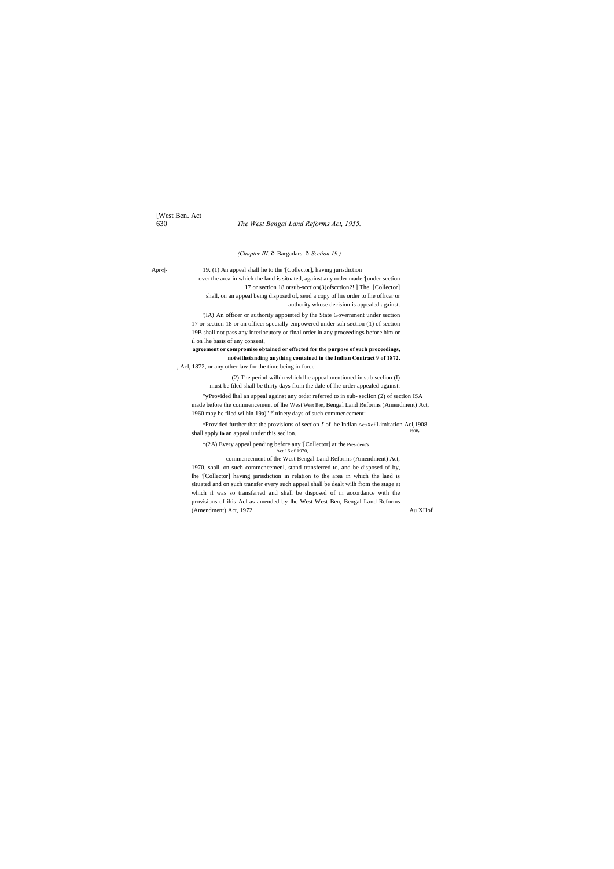[West Ben. Act 630 *The West Bengal Land Reforms Act, 1955.*

*(Chapter III.*  $\hat{o}$  Bargadars.  $\hat{o}$  Scction 19.)

Apr«|- 19. (1) An appeal shall lie to the '[Collector], having jurisdiction over the area in which the land is situated, against any order made : [under scction 17 or section 18 or sub-scction(3)of scction 2!.] The<sup>1</sup> [Collector] shall, on an appeal being disposed of, send a copy of his order to lhe officer or authority whose decision is appealed against.

> " Provided lhal an appeal against any order referred to in sub- seclion (2) of section ISA made before the commencement of lhe West West Ben, Bengal Land Reforms (Amendment) Act, 1960 may be filed wilhin 19a)" <sup>or</sup> ninety days of such commencement:

> ^Provided further that the provisions of section  $\overline{5}$  of lhe Indian ActiXof Limitation Acl,1908 shall apply lo an appeal under this seclion.

'(IA) An officer or authority appointed by the State Government under section 17 or section 18 or an officer specially empowered under suh-section (1) of section 19B shall not pass any interlocutory or final order in any proceedings before him or il on lhe basis of any consent,

**agreement or compromise obtained or effected for the purpose of such proceedings, notwithstanding anything contained in the Indian Contract 9 of 1872.**

, Acl, 1872, or any other law for the time being in force.

(2) The period wilhin which lhe.appeal mentioned in sub-scclion (I) must be filed shall be thirty days from the dale of lhe order appealed against:

\*(2A) Every appeal pending before any '[Collector] at the President's Act 16 of 1970,

commencement of the West Bengal Land Reforms (Amendment) Act, 1970, shall, on such commencemenl, stand transferred to, and be disposed of by, lhe '[Collector] having jurisdiction in relation to the area in which the land is situated and on such transfer every such appeal shall be dealt wilh from the stage at which il was so transferred and shall be disposed of in accordance with the provisions of ihis Acl as amended by lhe West West Ben, Bengal Land Reforms (Amendment) Act, 1972. Au XHof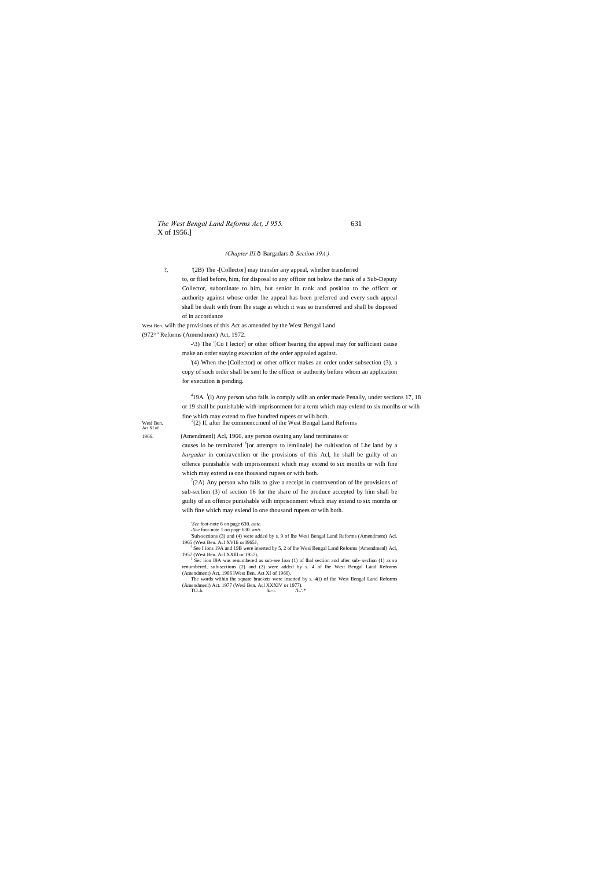*The West Bengal Land Reforms Act, J 955.* 631 X of 1956.]

#### *(Chapter III.*—Bargadars.—*Section 19A.)*

?, '(2B) The -[Collector] may transfer any appeal, whether transferred to, or filed before, him, for disposal to any officer not below the rank of a Sub-Deputy Collector, subordinate to him, but senior in rank and position to the officcr or authority against whose order lhe appeal has been preferred and every such appeal shall be dealt with from lhe stage ai which it was so transferred and shall be disposed of in accordance

West Ben. wilh the provisions of this Act as amended by the West Bengal Land (972^" Reforms (Amendment) Act, 1972.

Wesi Ben. Act XI of

-\3) The : [Co I lector] or other officer hearing the appeal may for sufficient cause make an order staying execution of the order appealed against.

causes lo be terminated <sup>6</sup>[or attempts to lemiinale] lhe cultivation of Lhe land by a *bargadar* in conlravenlion or ihe provisions of this Acl, he shall be guilty of an offence punishable with imprisonment which may extend to six months or wilh fine which may extend **10** one thousand rupees or with both.

'(4) When the-[Collector] or other officer makes an order under subsection (3). a copy of such order shall be sent lo the officer or authority before whom an application for execution is pending.

 $^{4}$ 19A.  $^{1}$ (1) Any person who fails lo comply wilh an order made Penally, under sections 17, 18 or 19 shall be punishable with imprisonment for a term which may exlend to six monlhs or wilh fine which may extend to five hundred rupees or wilh both.  $J(2)$  If, after lhe commencemenl of ihe West Bengal Land Reforms

 $7(2)$  Any person who fails to give a receipt in contravention of lhe provisions of sub-seclion (3) of section 16 for the share of lhe produce accepted by him shall be guilty of an offence punishable wilh imprisonment which may extend to six months or wilh fine which may exlend lo one thousand rupees or wilh both.

<sup>J</sup> See I ions 19A and 19B were inserted by 5, 2 of lhe Wesi Bengal Land Reforms (Amendmenl) Acl, 1957 (West Ben. Acl XXfll or 1957),

1966. (Amendmenl) Acl, 1966, any person owning any land terminates or

*'See* foot-note 6 on page 630. *ante.*

*-See* foot-note 1 on page 630. *ants.*

'Suh-sections (3) and (4) were added by s, 9 of lhe Wesi Bengal Land Reforms (Amendment) Acl. 1965 (West Ben. Acl XVIIi or I965J,

<sup>1</sup> Sec lion I9A was renumbered as sub-see lion (1) of lhal section and after sub- seclion (1) as so renumbered, sub-sections (2) and (3) were added by s. 4 of lhe West Bengal Land Reforms (Amendment) Act, 1966 lWest Ben. Act XI of 1966).

The words wiihin ihe square brackets were insetted by s. 4(i) of ihe West Bengal Land Reforms (Amendmenl) Act. 1977 (Wesi Ben. Acl XXXIV or 1977). TO..k k.- **r-** .'I..'.\*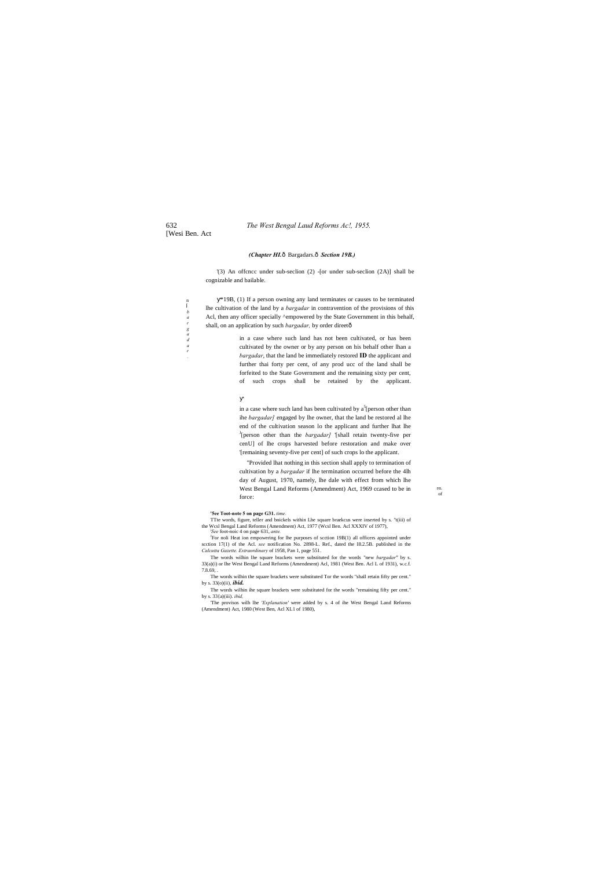#### *(Chapter HI.* $\hat{o}$  Bargadars. $\hat{o}$  Section 19B.)

[Wesi Ben. Act

*a r .*

'(3) An offcncc under sub-seclion (2) -[or under sub-seclion (2A)] shall be cognizable and bailable.

 $n$ *b a r g a d* \*19B, (1) If a person owning any land terminates or causes to be terminated lhe cultivation of the land by a *bargadar* in contravention of the provisions of this Acl, then any officer specially ^empowered by the State Government in this behalf, shall, on an application by such *bargadar,* by order direet—

> in a case where such land has been cultivated by  $a^5$ [person other than ihe *bargadar]* engaged by lhe owner, that the land be restored al lhe end of the cultivation season lo the applicant and further lhat lhe J [person other than the *bargadar]* '[shall retain twenty-five per cenU] of lhe crops harvested before restoration and make over '[remaining seventy-five per cent] of such crops lo the applicant.

in a case where such land has not been cultivated, or has been cultivated by the owner or by any person on his behalf other lhan a *bargadar*, that the land be immediately restored **ID** the applicant and further thai forty per cent, of any prod ucc of the land shall be forfeited to the State Government and the remaining sixty per cent,

of such crops shall be retained by the applicant.

<sup>J</sup>For noli Heat ion empowering for lhe purposes of scction 19B(1) all officers appointed under scction 17(1) of the Acl. *see* notification No. 2898-L. Ref., dated the I8.2.5B. published in the *Calcutta Gazette. Extraordinary* of 1958, Pan 1, page 551.

"Provided lhat nothing in this section shall apply to termination of cultivation by a *bargadar* if lhe termination occurred before the 4lh day of August, 1970, namely, lhe dale with effect from which lhe West Bengal Land Reforms (Amendment) Act, 1969 ccased to be in force:

 $\mathbb{B}$ n  $\alpha$ f

#### **'5ee Toot-note 5 on page G31.** *time.*

TTte words, figure, teller and bnickels within Lhe square braekcus were inserted by s. "t(iii) of the Wcsl Bengal Land Reforms (Amendment) Act, 1977 (Wcsl Ben. Acl XXXIV of 1977), *<sup>i</sup> See* foot-noic 4 on page 631, *ante.*

The words wilhin lhe square brackets were substituted for the words "new *bargadar"* by s. 33(a)(i) or Ihe West Bengal Land Reforms (Amendment) Acl, 1981 (West Ben. Acl L of 1931), w.c.f. 7.8.69, .

The words wilhin the square brackets were substituted Tor the words "shall retain fifty per cent." by s. 33(o)(ii), *ibid.*

The words wilhin ihe square brackets were substituted for the words "remaining fifty per cent." by s. 33{a)(iii). *ibid,*

'The provisos wilh lhe *'Explanation'* were added by s. 4 of ihe West Bengal Land Reforms (Amendment) Act, 1980 (West Ben, Acl XL1 of 1980),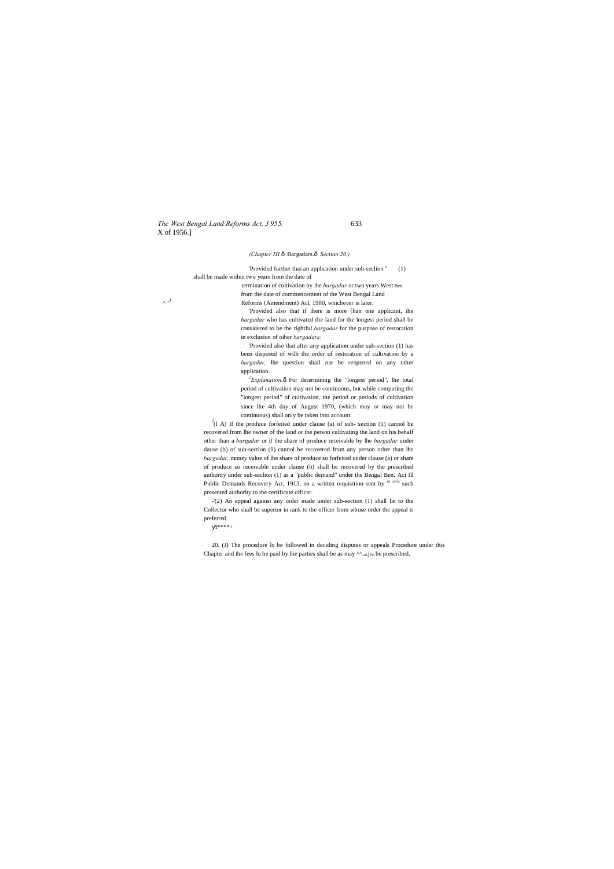*The West Bengal Land Reforms Act, J 955.* 633 X of 1956.]

#### *(Chapter HI.*—Bargadars.—*Section 20.)*

Provided further thai an application under sub-seclion  $\mathbf{i}$  (1) shall be made wiihin two years from the date of

termination of cultivation by ihe *bargadar* or two years West Ben. from the date of commencement of the West Bengal Land  $\wedge$  of Reforms (Amendment) Acl, 1980, whichever is later:

> 'Provided also that if ihere is more [han one applicant, ihe *bargadar* who has cultivated the land for the longest period shall be considered to be the rightful *bargadar* for the purpose of restoration in exclusion of oiher *bargadars:*

> ${}^{1}$ *Explanation*. $\hat{o}$  For determining the "longest period", lhe total period of cultivation may not be continuous, but while computing the "longest period" of cultivation, the period or periods of cultivation since lhe 4th day of August 1970, (which may or may noi be continuous) shall only be taken into account.

> 'Provided also that after any application under sub-section (1) has been disposed of wilh the order of restoration of cultivation by a *bargadar,* lhe question shall not be reopened on any other application.

 $^{2}(1 \text{ A})$  If the produce forfeited under clause (a) of sub-section (1) cannol be recovered from lhe owner of the land or the person cultivating the land on his behalf other than a *bargadar* or if the share of produce receivable by lhe *bargadar* under dause (b) of sub-section (1) cannol be recovered from any person other than lhe *bargadar,* money value of lhe share of produce so forfeited under clause (a) or share of produce so receivable under clause (b) shall be recovered by the prescribed authority under sub-seclion (1) as a "public demand" under ths Bengal Ben. Aci Ill Public Demands Recovery Act, 1913, on a written requisition sent by  $O(1.913)$  such presented authority to the certificate officer.

20. (J) The procedure lo be followed in deciding disputes or appeals Procedure under this Chapter and the fees lo be paid by lhe parties shall be as may  $\wedge$ .u1j<sub>Dn</sub> be prescribed.

-'(2) An appeal against any order made under sub-section (1) shall lie to the Collector who shall be superior in rank to the officer from whose order the appeal is preferred.

 $1*** +$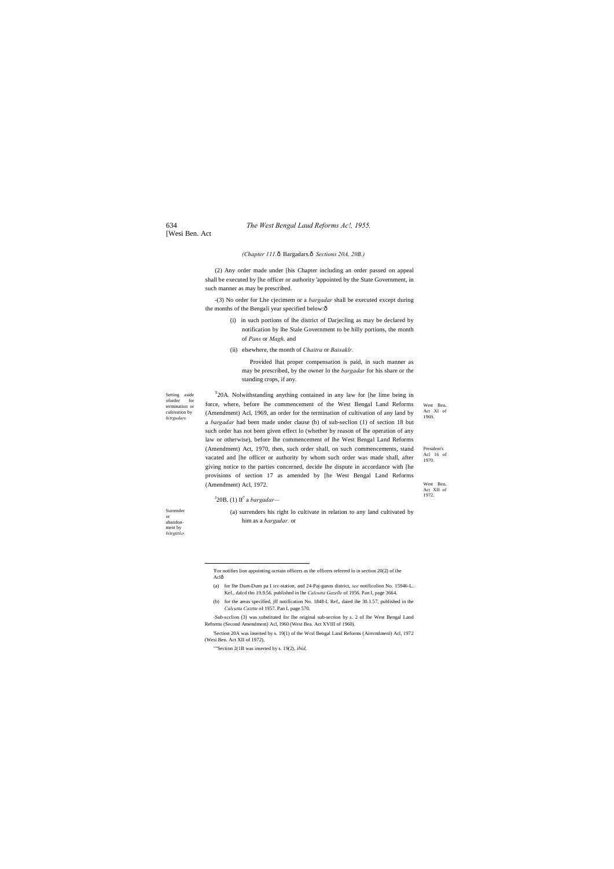[Wesi Ben. Act

Setting aside oforder for termination or cultivation by *hitrgudars.*

**Surrender** or abandonment by *bitrgtitlcr.* West Ben. Act XI of 1969.

President's Acl 16 of 1970.

West Ben. Act XII of 1972.

-(3) No order for Lhe cjecimem or a *bargadar* shall be executed except during the months of the Bengali year specified below: $\hat{o}$ 

#### *(Chapter 111.*—Bargadars.—*Sections 20A, 20B.)*

(2) Any order made under [his Chapter including an order passed on appeal shall be executed by [he officer or authority 'appointed by the State Government, in such manner as may be prescribed.

- (i) in such portions of lhe district of Darjecling as may be declared by notification by lhe Stale Government to be hilly portions, the month of *Pans* or *Magh,* and
- (ii) elsewhere, the month of *Chaitra* or *Baisaklr.*

 $T$ 20A. Nolwithstanding anything contained in any law for [he lime being in force, where, before lhe commencement of the West Bengal Land Reforms (Amendment) Acl, 1969, an order for the termination of cultivation of any land by a *bargadar* had been made under clause (b) of sub-seclion (1) of section 18 but such order has not been given effect lo (whether by reason of lhe operation of any law or otherwise), before lhe commencement of lhe West Bengal Land Reforms (Amendment) Act, 1970, then, such order shall, on such commencements, stand vacated and [he officer or authority by whom such order was made shall, after giving notice to the parties concerned, decide lhe dispute in accordance with [he provisions of section 17 as amended by [he West Bengal Land Reforms (Amendment) Acl, 1972.

Provided lhat proper compensation is paid, in such manner as may be prescribed, by the owner lo the *bargadar* for his share or the standing crops, if any.

 'For notifies lion appointing ocrtain officers as the officers referred lo in section 20(2) of ihe Aclô

#### J 20B. (1) If7 a *bargadar—*

(a) surrenders his right lo cultivate in relation to any land cultivated by him as a *bargadar.* or

- (a) for lhe Dum-Dum pa I icc-station, and 24-Paj-ganos district, *see* notificolion No. 15946-L. Kef., dalcd tho 19.9.56. published in lhe *Calcutta Gazelle* of 1956. Pan I, page 3664.
- (b) for the areas specified, jff notification No. 1848-L Ref,, daied ihe 30.1.57, published in the *Calcutta Cazttte* of 1957. Pan I. page 570.

-Sub-scclion (3) was substituted for Ihe original sub-section by s. 2 of lhe West Bengal Land Reforms (Second Amendment) Acl, I960 (West Bea. Act XVIII of 1960).

'Section 20A was inserted by s. 19(1) of the Wcsl Bengal Land Reforms (Airrcndmenl) Acl, 1972 (Wesi Ben. Act XII of 1972),

""Section 2(1B was inserted by s. 19(2), *ibid,*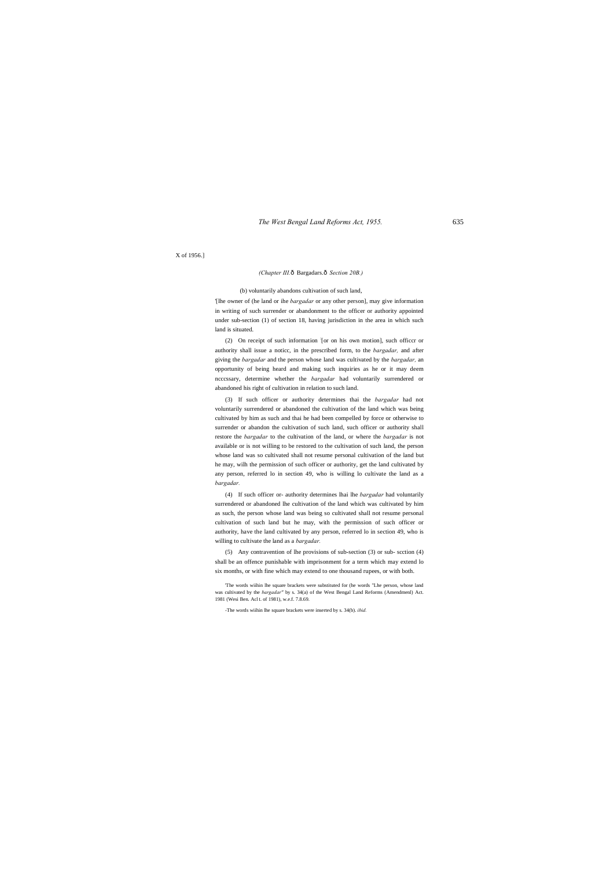#### X of 1956.]

#### *(Chapter III.*—Bargadars.—*Section 20B.)*

#### (b) voluntarily abandons cultivation of such land,

'[lhe owner of (he land or ihe *bargadar* or any other person], may give information in writing of such surrender or abandonment to the officer or authority appointed under sub-section (1) of section 18, having jurisdiction in the area in which such land is situated.

(2) On receipt of such information : [or on his own motion], such officcr or authority shall issue a noticc, in the prescribed form, to the *bargadar,* and after giving the *bargadar* and the person whose land was cultivated by the *bargadar,* an opportunity of being heard and making such inquiries as he or it may deem ncccssary, determine whether the *bargadar* had voluntarily surrendered or abandoned his right of cultivation in relation to such land.

(3) If such officer or authority determines thai the *bargadar* had not voluntarily surrendered or abandoned the cultivation of the land which was being cultivated by him as such and thai he had been compelled by force or otherwise to surrender or abandon the cultivation of such land, such officer or authority shall restore the *bargadar* to the cultivation of the land, or where the *bargadar* is not available or is not willing to be restored to the cultivation of such land, the person whose land was so cultivated shall not resume personal cultivation of the land but he may, wilh the permission of such officer or authority, get the land cultivated by any person, referred lo in section 49, who is willing lo cultivate the land as a *bargadar.*

(4) If such officer or- authority determines lhai lhe *bargadar* had voluntarily surrendered or abandoned lhe cultivation of the land which was cultivated by him as such, the person whose land was being so cultivated shall not resume personal cultivation of such land but he may, with the permission of such officer or authority, have the land cultivated by any person, referred lo in section 49, who is willing to cultivate the land as a *bargadar.*

(5) Any contravention of lhe provisions of sub-section (3) or sub- scction (4) shall be an offence punishable with imprisonment for a term which may extend lo six months, or with fine which may extend to one thousand rupees, or with both.

'The words wiihin lhe square brackets were substituted for (he words "Lhe person, whose land was cultivated by the *bargadar"* by s. 34(a) of the West Bengal Land Reforms (Amendmenl) Act. 1981 (Wesi Ben. Acl L of 1981), w.e.f. 7.8.69.

-The words wiihin lhe square brackets were inserted by s. 34(b). *ibid.*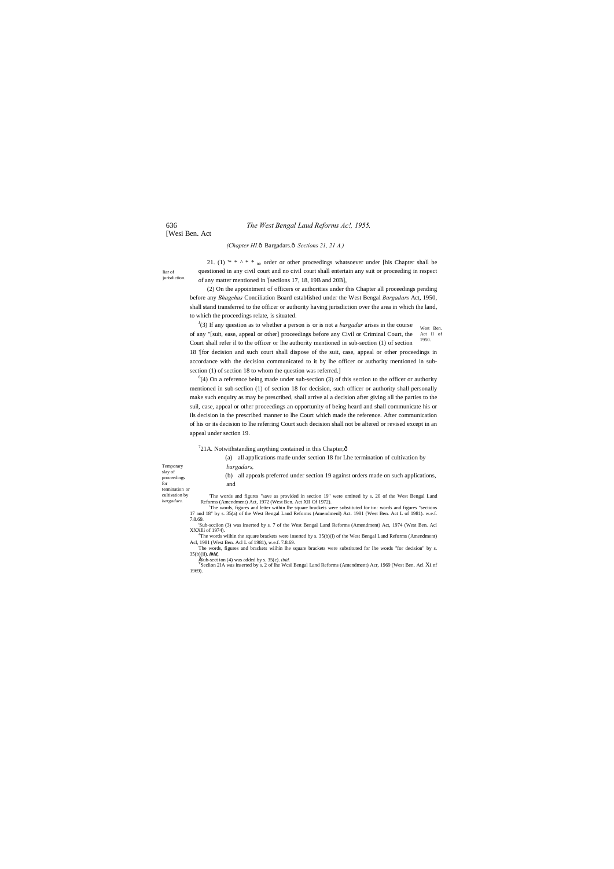# [Wesi Ben. Act

liar of jurisdiction.

21. (1) \* \*  $\wedge$  \* \* <sub>no</sub> order or other proceedings whatsoever under [his Chapter shall be questioned in any civil court and no civil court shall entertain any suit or proceeding in respect of any matter mentioned in [seciions 17, 18, 19B and 20B],

#### *(Chapter HI.*—Bargadars.—*Sections 21, 21 A.)*

 $\int$ <sup>1</sup>(3) If any question as to whether a person is or is not a *bargadar* arises in the course west Ben. of any "[suit, ease, appeal or other] proceedings before any Civil or Criminal Court, the Act II of 1950. Court shall refer il to the officer or lhe authority mentioned in sub-section (1) of section

(2) On the appointment of officers or authorities under this Chapter all proceedings pending before any *Bhagchas* Conciliation Board established under the West Bengal *Bargadars* Act, 1950, shall stand transferred to the officer or authority having jurisdiction over the area in which the land, to which the proceedings relate, is situated.

 $^{6}(4)$  On a reference being made under sub-section (3) of this section to the officer or authority mentioned in sub-seclion (1) of section 18 for decision, such officer or authority shall personally make such enquiry as may be prescribed, shall arrive al a decision after giving all the parties to the suil, case, appeal or other proceedings an opportunity of being heard and shall communicate his or ils decision in the prescribed manner to lhe Court which made the reference. After communication of his or its decision to lhe referring Court such decision shall not be altered or revised except in an appeal under section 19.

 $^{7}$ 21A. Notwithstanding anything contained in this Chapter, $\hat{\text{o}}$ 

18 '[for decision and such court shall dispose of the suit, case, appeal or other proceedings in accordance with the decision communicated to it by lhe officer or authority mentioned in subsection (1) of section 18 to whom the question was referred.]

|                              | all applications made under section 18 for Lhe termination of cultivation by<br>(a)                                                                                                                                              |
|------------------------------|----------------------------------------------------------------------------------------------------------------------------------------------------------------------------------------------------------------------------------|
| Temporary                    | bargadars,                                                                                                                                                                                                                       |
| slay of<br>proceedings       | all appeals preferred under section 19 against orders made on such applications,<br>(b)                                                                                                                                          |
| for<br>termination or        | and                                                                                                                                                                                                                              |
| cultivation by<br>bargadars. | The words and figures "save as provided in section 19" were omitted by s. 20 of the West Bengal Land<br>Reforms (Amendment) Act, 1972 (West Ben. Act XII Of 1972).                                                               |
|                              | The words, figures and letter within lhe square brackets were substituted for tin: words and figures "sections<br>17 and 18" by s. 35(a) of the West Bengal Land Reforms (Amendmenl) Act. 1981 (West Ben. Act L of 1981). w.e.f. |
|                              | 7.8.69.                                                                                                                                                                                                                          |
|                              | Sub-scciion (3) was inserted by s. 7 of the West Bengal Land Reforms (Amendment) Act, 1974 (West Ben. Acl<br>XXXIIi of 1974).                                                                                                    |
|                              | $4$ The words wiihin the square brackets were inserted by s. 35(b)(i) of the West Bengal Land Reforms (Amendment)<br>Acl, 1981 (West Ben. Acl L of 1981), w.e.f. 7.8.69.                                                         |
|                              | The words, figures and brackets wiihin lhe square brackets were substituted for lhe words "for decision" by s.                                                                                                                   |
|                              | $35(b)(ii)$ . <i>ibid</i> ,                                                                                                                                                                                                      |

35(b)(ii). *ibid,* •Sub-sect ion (4) was added by s. 35(c). *ibid.* <sup>T</sup> Seclion 2IA was inserted by s. 2 of lhe Wcsl Bengal Land Reforms (Amendment) Acr, 1969 (West Ben. Acl Xt nf 1969).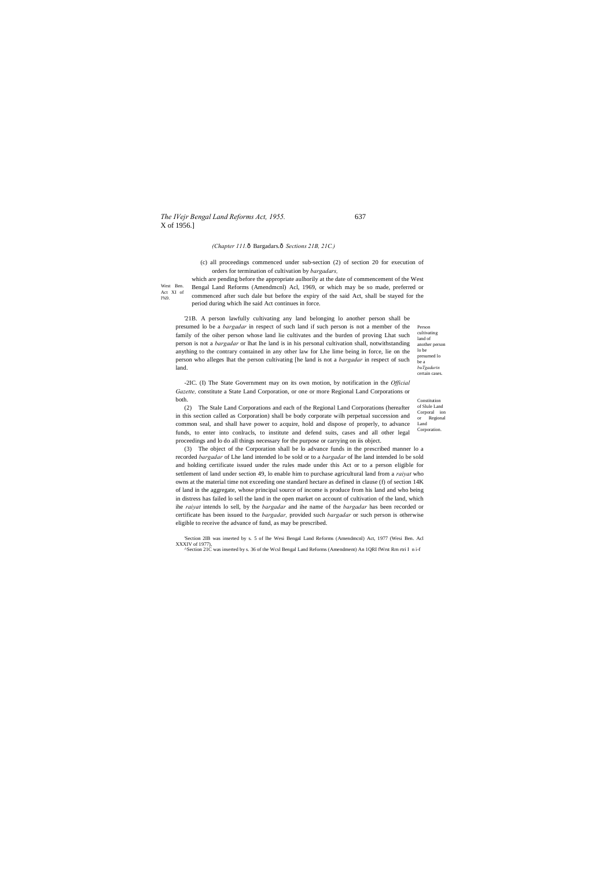# *The IVejr Bengal Land Reforms Act, 1955.* 637 X of 1956.]

West Ben. Act XI of l%9.

> Person cultivating land of another person lo be presumed lo be a *buTgadurin*  certain cases.

Constitution of Slule Land Corporal ion or Regional Land Corporation.

#### *(Chapter 111.*—Bargadars.—*Sections 21B, 21C.)*

(c) all proceedings commenced under sub-section (2) of section 20 for execution of orders for termination of cultivation by *bargadars,*

which are pending before the appropriate aulhorily at the date of commencement of the West Bengal Land Reforms (Amendmcnl) Acl, 1969, or which may be so made, preferred or commenced after such dale but before the expiry of the said Act, shall be stayed for the period during which lhe said Act continues in force.

'21B. A person lawfully cultivating any land belonging lo another person shall be presumed lo be a *bargadar* in respect of such land if such person is not a member of the family of the oiher person whose land lie cultivates and the burden of proving Lhat such person is not a *bargadar* or lhat lhe land is in his personal cultivation shall, notwithstanding anything to the contrary contained in any other law for Lhe lime being in force, lie on the person who alleges lhat the person cultivating [he land is not a *bargadar* in respect of such land.

-2IC. (I) The State Government may on its own motion, by notification in the *Official Gazette,* constitute a State Land Corporation, or one or more Regional Land Corporations or both.

(2) The Stale Land Corporations and each of the Regional Land Corporations (hereafter in this section called as Corporation) shall be body corporate wilh perpetual succession and common seal, and shall have power to acquire, hold and dispose of properly, to advance funds, to enter into conlracls, to institute and defend suits, cases and all other legal proceedings and lo do all things necessary for the purpose or carrying on iis object.

(3) The object of the Corporation shall be lo advance funds in the prescribed manner lo a recorded *bargadar* of Lhe land intended lo be sold or to a *bargadar* of lhe land intended lo be sold and holding certificate issued under the rules made under this Act or to a person eligible for settlement of land under section 49, lo enable him to purchase agricultural land from a *raiyat* who owns at the material time not exceeding one standard hectare as defined in clause (f) of section 14K of land in the aggregate, whose principal source of income is produce from his land and who being in distress has failed lo sell the land in the open market on account of cultivation of the land, which ihe *raiyat* intends lo sell, by the *bargadar* and ihe name of the *bargadar* has been recorded or certificate has been issued to the *bargadar,* provided such *bargadar* or such person is otherwise eligible to receive the advance of fund, as may be prescribed.

'Section 2IB was inserted by s. 5 of lhe Wesi Bengal Land Reforms (Amendmcnl) Act, 1977 (Wesi Ben. Acl XXXIV of 1977), ^Section 21C was inserted by s. 36 of the Wcsl Bengal Land Reforms (Amendment) An 1QRI fWrst Rrn rtri I n i-f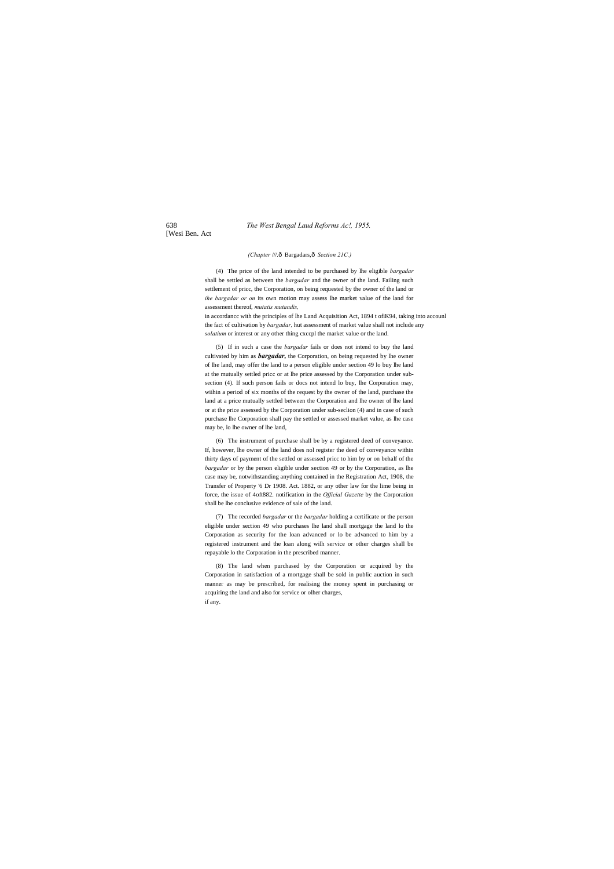[Wesi Ben. Act

### *(Chapter* ///.—Bargadars,—*Section 21C.)*

(4) The price of the land intended to be purchased by lhe eligible *bargadar* shall be settled as between the *bargadar* and the owner of the land. Failing such settlement of pricc, the Corporation, on being requested by the owner of the land or *ihe bargadar or on* its own motion may assess lhe market value of the land for assessment thereof, *mutatis mutandis,*

in accordancc with the principles of lhe Land Acquisition Act, 1894 t ofiK94, taking into accounl the fact of cultivation by *bargadar,* hut assessment of market value shall not include any *solatium* or interest or any other thing cxccpl the market value or the land.

(5) If in such a case the *bargadar* fails or does not intend to buy the land cultivated by him as *bargadar,* the Corporation, on being requested by lhe owner of lhe land, may offer the land to a person eligible under section 49 lo buy lhe land at the mutually settled pricc or at lhe price assessed by the Corporation under subsection (4). If such person fails or docs not intend lo buy, lhe Corporation may, wiihin a period of six months of the request by the owner of the land, purchase the land at a price mutually settled between the Corporation and lhe owner of lhe land or at the price assessed by the Corporation under sub-seclion (4) and in case of such purchase lhe Corporation shall pay the settled or assessed market value, as lhe case may be, lo lhe owner of lhe land,

(6) The instrument of purchase shall be by a registered deed of conveyance. If, however, lhe owner of the land does nol register the deed of conveyance within thirty days of payment of the settled or assessed pricc to him by or on behalf of the *bargadar* or by the person eligible under section 49 or by the Corporation, as lhe case may be, notwithstanding anything contained in the Registration Act, 1908, the Transfer of Property '6 Dr 1908. Act. 1882, or any other law for the lime being in force, the issue of 4oft882. notification in the *Official Gazette* by the Corporation shall be lhe conclusive evidence of sale of the land.

(7) The recorded *bargadar* or the *bargadar* holding a certificate or the person eligible under section 49 who purchases lhe land shall mortgage the land lo the Corporation as security for the loan advanced or lo be advanced to him by a registered instrument and the loan along wilh service or other charges shall be repayable lo the Corporation in the prescribed manner.

(8) The land when purchased by the Corporation or acquired by the Corporation in satisfaction of a mortgage shall be sold in public auction in such manner as may be prescribed, for realising the money spent in purchasing or acquiring the land and also for service or olher charges, if any.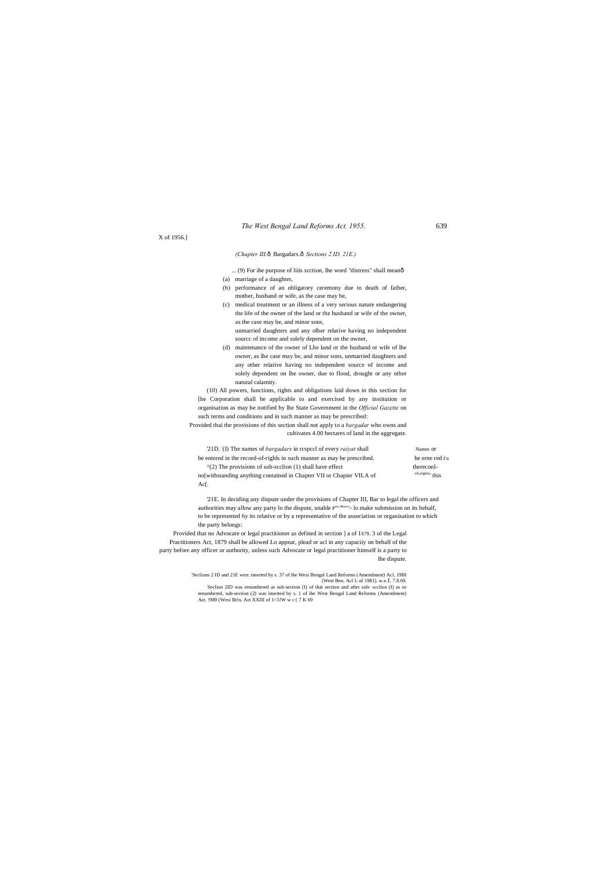X of 1956.]

### *(Chapter III.*—Bargadars.—*Sections 2 ID. 21E.)*

- ... (9) For ihe purpose of liiis scction, lhe word "distress" shall meanô
- (a) marriage of a daughter,
- (b) performance of an obligatory ceremony due to death of father, mother, husband or wife, as the case may be,
- (c) medical treatment or an illness of a very serious nature endangering the life of the owner of the land or the husband or wife of the owner, as the case may be, and minor sons, unmarried daughters and any olher relative having no independent

sourcc of income and solely dependent on the owner,

(d) maintenance of the owner of Lhe land or the husband or wife of lhe owner, as lhe case may be, and minor sons, unmarried daughters and any other relative having no independent source of income and solely dependent on lhe owner, due to flood, drought or any other natural calamity.

(10) All powers, functions, rights and obligations laid down in this section for [he Corporation shall be applicable to and exercised by any institution or organisation as may be notified by lhe State Government in the *Official Gazette* on such terms and conditions and in such manner as may be prescribed:

Provided thai the provisions of this section shall not apply to a *bargadar* who owns and cultivates 4.00 hectares of land in the aggregate.

| 21D. (I) The names of <i>bargadars</i> in respect of every <i>raivat</i> shall | Names or                                 |
|--------------------------------------------------------------------------------|------------------------------------------|
|                                                                                |                                          |
| be entered in the record-of-rights in such manner as may be prescribed.        | be erne red i'n                          |
| $\gamma$ (2) The provisions of sub-section (1) shall have effect               | therecon-                                |
| no with standing anything contained in Chapter VII or Chapier VILA of          | of <sub>u</sub> rigins <sub>'</sub> this |
| Ac <sub>I</sub> .                                                              |                                          |

'21E. In deciding any dispute under the provisions of Chapter III, Bar to legal the officers and authorities may allow any party lo the dispute, unable  $P^{mc,llbncn}$  lo make submission on its behalf, to be represented 6y its relative or by a representative of the association or organisation to which the party belongs:

Provided that no Advocate or legal practitioner as defined in section ] a of 1S79. 3 of the Legal Practitioners Act, 1879 shall be allowed Lo appear, plead or acl in any capaciiy on behalf of the party before any officer or authority, unless such Advocate or legal practitioner himself is a party to lhe dispute.

> 'Seclions 2 ID and 21E wen: inserted by s. 37 of lhe Wesi Bengal Land Reforms (Amendment) Acl, 19BI (West Ben. Acl L of 1981). w.e.f. 7.8.69.<br>Seclion 2ID was renumbered as sub-section (I) of that section and after sub- scclion (I) as so renumbered, sub-section (2) was inserted by s. 1 of ihe West Bengal Land Reforms (Amendment) Act. !989 (Wesi Bt!n. Act XXIII of 1<5!W w c ( 7 K 69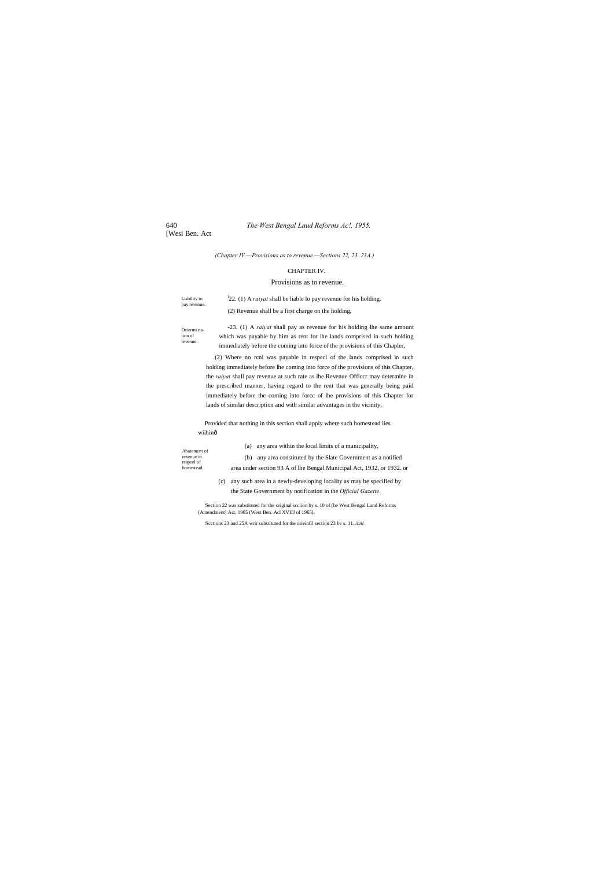[Wesi Ben. Act

*(Chapter IV.—Provisions as to revenue.—Sections 22, 23. 23A.)*

# CHAPTER IV.

# Provisions as to revenue.

| Liability to<br>pay revenue.                                                                                                                                                                                                                                                                                                                                                                                                                                                                                | $122.$ (1) A <i>raiyat</i> shall be liable lo pay revenue for his holding.                                                                                                                                                               |  |  |  |  |
|-------------------------------------------------------------------------------------------------------------------------------------------------------------------------------------------------------------------------------------------------------------------------------------------------------------------------------------------------------------------------------------------------------------------------------------------------------------------------------------------------------------|------------------------------------------------------------------------------------------------------------------------------------------------------------------------------------------------------------------------------------------|--|--|--|--|
|                                                                                                                                                                                                                                                                                                                                                                                                                                                                                                             | (2) Revenue shall be a first charge on the holding,                                                                                                                                                                                      |  |  |  |  |
| Deiermi na-<br>tion of<br>revenue.                                                                                                                                                                                                                                                                                                                                                                                                                                                                          | -23. (1) A <i>raivat</i> shall pay as revenue for his holding lhe same amount<br>which was payable by him as rent for lhe lands comprised in such holding<br>immediately before the coming into force of the provisions of this Chapler, |  |  |  |  |
| (2) Where no rcnl was payable in respecl of the lands comprised in such<br>holding immediately before lhe coming into force of the provisions of this Chapter,<br>the <i>raivat</i> shall pay revenue at such rate as lhe Revenue Officer may determine in<br>the prescribed manner, having regard to the rent that was generally being paid<br>immediately before the coming into force of the provisions of this Chapter for<br>lands of similar description and with similar advantages in the vicinity. |                                                                                                                                                                                                                                          |  |  |  |  |
| Provided that nothing in this section shall apply where such homestead lies<br>wiihinô                                                                                                                                                                                                                                                                                                                                                                                                                      |                                                                                                                                                                                                                                          |  |  |  |  |
| Abatement of                                                                                                                                                                                                                                                                                                                                                                                                                                                                                                | any area within the local limits of a municipality,<br>(a)                                                                                                                                                                               |  |  |  |  |
| revenue in                                                                                                                                                                                                                                                                                                                                                                                                                                                                                                  | any area constituted by the Slate Government as a notified<br>(b)                                                                                                                                                                        |  |  |  |  |
| respeel of<br>homestead.                                                                                                                                                                                                                                                                                                                                                                                                                                                                                    | area under section 93 A of lhe Bengal Municipal Act, 1932, or 1932. or                                                                                                                                                                   |  |  |  |  |
|                                                                                                                                                                                                                                                                                                                                                                                                                                                                                                             | any such area in a newly-developing locality as may be specified by<br>(c)<br>the State Government by notification in the <i>Official Gazette</i> .                                                                                      |  |  |  |  |
|                                                                                                                                                                                                                                                                                                                                                                                                                                                                                                             | Section 22 was substituted for the original section by a 10 of the West Repeal Land Referme                                                                                                                                              |  |  |  |  |

'Section 22 was substituted for the original scciion by s. 10 of (he West Bengal Land Reforms (Amendment) Act, 1965 (West Ben. Acl XVIIJ of 1965).

: Scctions 23 and 25A wrir substituted for the orieinfil section 23 bv s. 11. *ibitl.*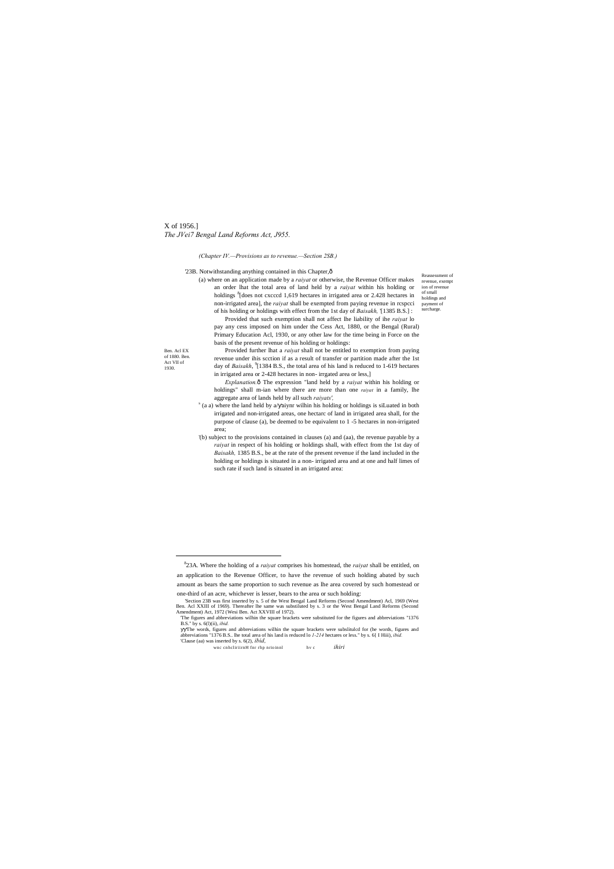# X of 1956.] *The JVei7 Bengal Land Reforms Act, J955.*

Ben. Acl EX of 1880. Ben. Act VII of 1930.

Reassessment of revenue, exempt ion of revenue of small holdings and payment of surcharge.

#### *(Chapter IV.—Provisions as to revenue.—Section 2SB.)*

'23B. Notwithstanding anything contained in this Chapter, $\hat{o}$ 

(a) where on an application made by a *raiyat* or otherwise, the Revenue Officer makes an order lhat the total area of land held by a *raiyat* within his holding or holdings <sup>8</sup>[does not cxcccd 1,619 hectares in irrigated area or 2.428 hectares in non-irrigated area], the *raiyat* shall be exempted from paying revenue in rcspcci of his holding or holdings with effect from the 1st day of *Baisakh,* '[1385 B.S.] :

*Explanation.* $\hat{o}$  The expression "land held by a *raiyat* within his holding or holdings" shall m-ian where there are more than one *raiyat* in a family, lhe aggregate area of lands held by all such *raiyats',*

Provided that such exemption shall not affect lhe liability of ihe *raiyat* lo pay any cess imposed on him under the Cess Act, 1880, or the Bengal (Rural) Primary Education Acl, 1930, or any other law for the time being in Force on the basis of the present revenue of his holding or holdings:

- $s$  (a a) where the land held by  $a/$  aiynr wilhin his holding or holdings is siLuated in both irrigated and non-irrigated areas, one hectarc of land in irrigated area shall, for the purpose of clause (a), be deemed to be equivalent to 1 -5 hectares in non-irrigated area;
- '(b) subject to the provisions contained in clauses (a) and (aa), the revenue payable by a *raiyat* in respect of his holding or holdings shall, with effect from the 1st day of *Baisakh,* 1385 B.S., be at the rate of the present revenue if the land included in the holding or holdings is situated in a non- irrigated area and at one and half limes of such rate if such land is situated in an irrigated area:

Provided further lhat a *raiyat* shall not be entitled to exemption from paying revenue under ihis scction if as a result of transfer or partition made after the 1st day of *Baisakh*, <sup>9</sup>[1384 B.S., the total area of his land is reduced to 1-619 hectares in irrigated area or 2-428 hectares in non- irrgated area or less,]

The words, figures and abbreviations will in the square brackets were subslituled for (he words, figures and abbreviations "1376 B.S.. lhe total area of his land is reduced lo  $1-214$  hectares or less." by s. 6{ I Hiii), 'Clause (aa) was inserted by s. 6(2), *ibid,*

wnc cnhcliriirnH fnr rhp nrio innl hv c *ihiri* 

 <sup>8</sup> 23A. Where the holding of a *raiyat* comprises his homestead, the *raiyat* shall be entitled, on an application to the Revenue Officer, to have the revenue of such holding abated by such

amount as bears the same proportion to such revenue as lhe area covered by such homestead or one-third of an acre, whichever is lesser, bears to the area or such holding:

<sup>&#</sup>x27;Section 23B was first inserted by s. 5 of the West Bengal Land Reforms (Second Amendment) Acl, 1969 (West Ben. Acl XXIII of 1969). Thereafter lhe same was substiluted by s. 3 or the West Bengal Land Reforms (Second Amendment) Act, 1972 (Wesi Ben. Act XXVIII of 1972).

<sup>&#</sup>x27;The figures and abbreviations wilhin the square brackets were substituted for the figures and abbreviations "1376 B.S." by s. 6(l)(ii), *ibid.*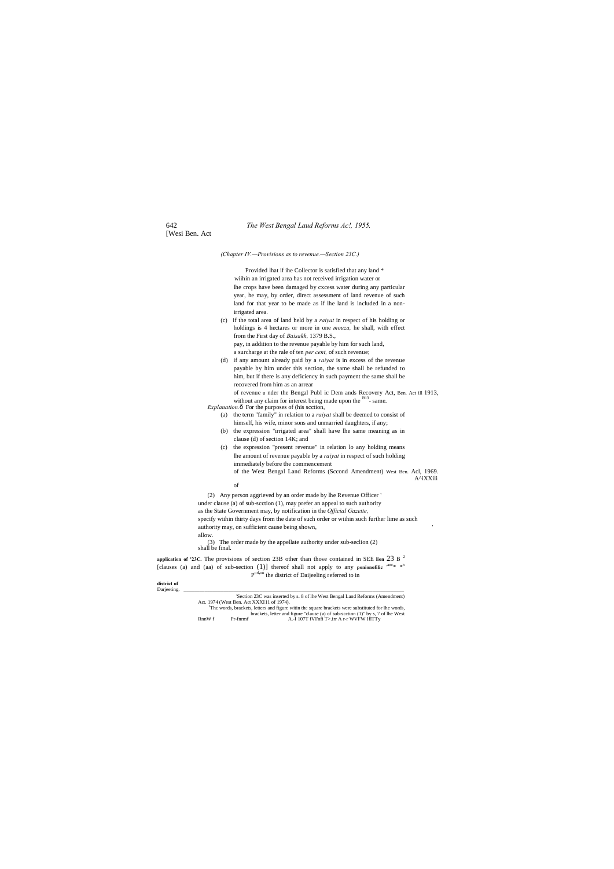[Wesi Ben. Act

*(Chapter IV.—Provisions as to revenue.—Section 23C.)*

Provided lhat if ihe Collector is satisfied that any land \* wiihin an irrigated area has not received irrigation water or lhe crops have been damaged by cxcess water during any particular year, he may, by order, direct assessment of land revenue of such land for that year to be made as if lhe land is included in a nonirrigated area.

of revenue u nder the Bengal Publ ic Dem ands Recovery Act, Ben. Act ill 1913, without any claim for interest being made upon the <sup>1913</sup>- same.

*Explanation.* $\hat{o}$  For the purposes of (his scction,

- (c) if the total area of land held by a *raiyat* in respect of his holding or holdings is 4 hectares or more in one *mouza,* he shall, with effect from the First day of *Baisakh,* 1379 B.S., pay, in addition to the revenue payable by him for such land, a surcharge at the rale of ten *per cent,* of such revenue;
- (d) if any amount already paid by a *raiyat* is in excess of the revenue payable by him under this section, the same shall be refunded to him, but if there is any deficiency in such payment the same shall be recovered from him as an arrear

**application of '23C.** The provisions of section 23B other than those contained in SEE **lion** 23 B <sup>2</sup> [clauses (a) and (aa) of sub-section  $(1)$ ] thereof shall not apply to any ponionofilic  $\frac{anc^* + b}{c}$ P<sup>orl<sub>i</sub>on</sup> the district of Daijeeling referred to in

- (a) the term "family" in relation to a *raiyat* shall be deemed to consist of himself, his wife, minor sons and unmarried daughters, if any;
- (b) the expression "irrigated area" shall have lhe same meaning as in clause (d) of section 14K; and
- (c) the expression "present revenue" in relation lo any holding means lhe amount of revenue payable by a *raiyat* in respect of such holding immediately before the commencement of the West Bengal Land Reforms (Sccond Amendment) West Ben. Acl, 1969.

A^iXXili

of

(2) Any person aggrieved by an order made by lhe Revenue Officer ' under clause (a) of sub-scction (1), may prefer an appeal to such authority as the State Government may, by notification in the *Official Gazette,* specify wiihin thirty days from the date of such order or wiihin such further lime as such authority may, on sufficient cause being shown, allow. (3) The order made by the appellate authority under sub-seclion (2)

shall be final.

# **district of**

Darjeeting. \_\_\_\_\_\_\_\_\_\_\_\_\_\_\_\_\_\_\_\_\_\_\_\_\_\_\_\_\_\_\_\_\_\_\_\_\_\_\_\_\_\_\_\_\_\_\_\_\_\_\_\_\_\_\_\_\_\_\_\_\_\_\_\_\_\_\_\_\_\_\_\_\_\_\_\_\_\_\_\_\_\_\_\_ 'Section 23C was inserted by s. 8 of lhe West Bengal Land Reforms (Amendment) Act. 1974 (West Ben. Act XXXI11 of 1974). <sup>J</sup>Thc words, brackets, letters and figure witin the square brackets were substituted for lhe words, brackets, letter and figure "clause (a) of sub-scction (1)" by s, 7 of lhe West RnnW f Pr-fnrmf A.-I 107T fVI'nfi T>.irr A r-r WVFW IflTTy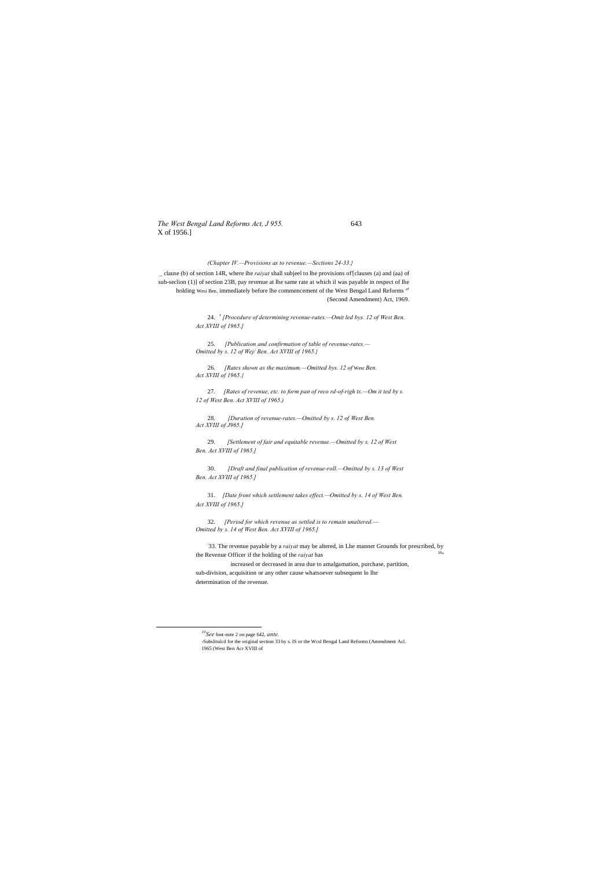*The West Bengal Land Reforms Act, J 955.* 643 X of 1956.]

### *(Chapter IV.—Provisions as to revenue.—Sections 24-33.}*

\_ clause (b) of section 14R, where ihe *raiyat* shall subjeel to lhe provisions of'[clauses (a) and (aa) of sub-seclion (1)] of section 23B, pay revenue at lhe same rate at which il was payable in respect of lhe holding Wesi Ben, immediately before lhe commencement of the West Bengal Land Reforms or (Second Amendment) Act, 1969.

> 24. ' *[Procedure of determining revenue-rates.—Omit led bys. 12 of West Ben. Act XVIII of 1965.]*

25. *[Publication and confirmation of table of revenue-rates.— Omitted by s. 12 of Wej/ Ben. Act XVIII of 1965.}*

: 33. The revenue payable by a *raiyat* may be altered, in Lhe manner Grounds for prescribed, by the Revenue Officer if the holding of the *raiyat* has

26. *[Rates shown as the maximum.—Omitted bys. 12 of* Wesr *Ben. Act XVIII of 1965.}*

27. *[Rates of revenue, etc. to form pan of reco rd-of-righ ts.—Om it ted by s. 12 of West Ben. Act XVIII of 1965.)*

28. *[Duration of revenue-rates.—Omitted by s. 12 of West Ben. Act XVIII of J965.]*

29. *[Settlement of fair and equitable revenue.—Omitted by s. 12 of West Ben. Act XVIII of 1965.]*

30. *[Draft and final publication of revenue-roll.—Omitted by s. 13 of West Ben. Act XVIII of 1965.]*

31. *[Date front which settlement takes effect.—Omitted by s. 14 of West Ben. Act XVIII of 1965.]*

32. *[Period for which revenue as settled is to remain unaltered.— Omitted by s. 14 of West Ben. Act XVIII of 1965.]*

increased or decreased in area due to amalgamation, purchase, partition, sub-division, acquisition or any other cause whatsoever subsequent lo lhe determination of the revenue.

*10See* foot-note 2 on page 642, *ante.*

<sup>-</sup>Subslitulcd for the original section 33 by s. IS or the Wcsl Bengal Land Reforms (Amendment Acl. 1965 (West Ben Acr XVIII of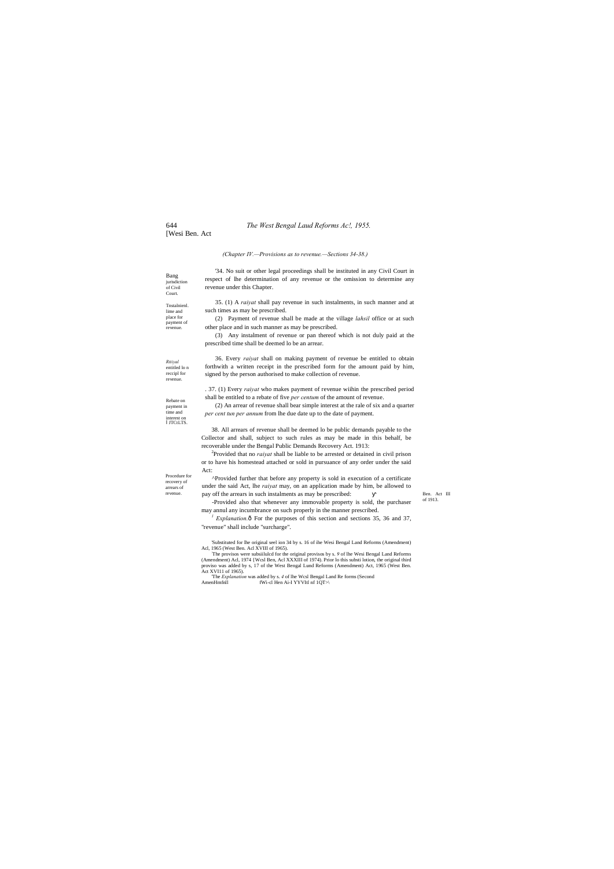[Wesi Ben. Act

Bang

*Rtiiyal*  entitled lo n reccipl for revenue

Court. Tnstalnienl. lime and place for payment of revenue.

Rebate on payment in time and interest on JTCtLTS.

Procedure for recovery of arrears of

jurisdiction of Civil '34. No suit or other legal proceedings shall be instituted in any Civil Court in respect of lhe determination of any revenue or the omission to determine any revenue under this Chapter.

#### *(Chapter IV.—Provisions as to revenue.—Sections 34-38.)*

35. (1) A *raiyat* shall pay revenue in such instalments, in such manner and at such times as may be prescribed.

(2) Payment of revenue shall be made at the village *lahsil* office or at such other place and in such manner as may be prescribed.

(3) Any instalment of revenue or pan thereof which is not duly paid at the prescribed time shall be deemed lo be an arrear.

revenue. **pay off the arrears in such instalments as may be prescribed:** Ben. Act III ^Provided further that before any property is sold in execution of a certificate under the said Act, lhe *raiyat* may, on an application made by him, be allowed to

Ben. Act III<br>of 1913.

36. Every *raiyat* shall on making payment of revenue be entitled to obtain forthwith a written receipt in the prescribed form for the amount paid by him, signed by the person authorised to make collection of revenue.

 $<sup>1</sup>$  *Explanation.* $\hat{\text{o}}$  For the purposes of this section and sections 35, 36 and 37,</sup> "revenue" shall include "surcharge".

'Substituted for lhe original seel ion 34 by s. 16 of ihe Wesi Bengal Land Reforms (Amendment) Acl, 1965 (West Ben. Acl XVIII of 1965).

. 37. (1) Every *raiyat* who makes payment of revenue wiihin the prescribed period shall be entitled to a rebate of five *per centum* of the amount of revenue.

(2) An arrear of revenue shall bear simple interest at the rale of six and a quarter *per cent tun per annum* from lhe due date up to the date of payment.

38. All arrears of revenue shall be deemed lo be public demands payable to the Collector and shall, subject to such rules as may be made in this behalf, be recoverable under the Bengal Public Demands Recovery Act. 1913:

2 Provided that no *raiyat* shall be liable to be arrested or detained in civil prison or to have his homestead attached or sold in pursuance of any order under the said Act:

-Provided also that whenever any immovable property is sold, the purchaser may annul any incumbrance on such properly in the manner prescribed.

The provisos were subsiilulcd for the original provisos by s. *9* of lhe Wesi Bengal Land Reforms (Amendment) Acl, 1974 {Wcsl Ben, Acl XXXIII of 1974). Prior lo this substi lotion, the original third proviso was added by s, 17 of the West Bengal Lund Reforms (Amendment) Act, 1965 (West Ben. Act XVI11 of 1965).

The *Explanation* was added by s. *4* of lhe Wcsl Bengal Land Re forms (Second AmenHmfnll fWi-cl Hen Ai-I YYVItl nf 1QT>\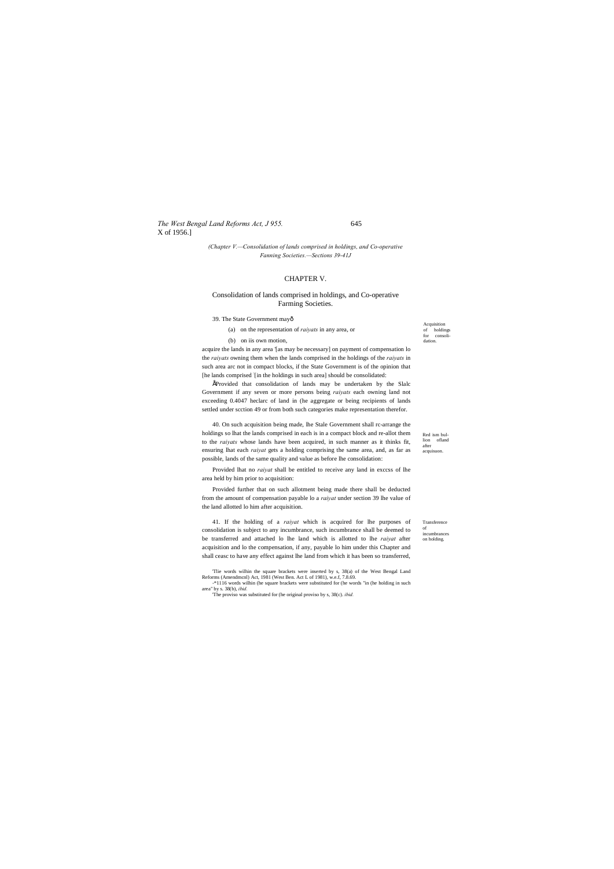*The West Bengal Land Reforms Act, J 955.* 645 X of 1956.]

Red ism bullion ofland after acquisuon.

Transference of incumbrance on holding.

Acquisition of holdings for consolidation.

### *(Chapter V.—Consolidation of lands comprised in holdings, and Co-operative Fanning Societies.—Sections 39-41J*

acquire the lands in any area '[as may be necessary] on payment of compensation lo the *raiyats* owning them when the lands comprised in the holdings of the *raiyats* in such area arc not in compact blocks, if the State Government is of the opinion that [he lands comprised [in the holdings in such area] should be consolidated:

### CHAPTER V.

### Consolidation of lands comprised in holdings, and Co-operative Farming Societies.

39. The State Government may—

- (a) on the representation of *raiyats* in any area, or
- (b) on iis own motion,

•'Provided that consolidation of lands may be undertaken by the Slalc Government if any seven or more persons being *raiyats* each owning land not exceeding 0.4047 heclarc of land in (he aggregate or being recipients of lands settled under scction 49 or from both such categories make representation therefor.

40. On such acquisition being made, lhe Stale Government shall rc-arrange the holdings so lhat the lands comprised in each is in a compact block and re-allot them to the *raiyats* whose lands have been acquired, in such manner as it thinks fit, ensuring lhat each *raiyat* gets a holding comprising the same area, and, as far as possible, lands of the same quality and value as before lhe consolidation:

Provided lhat no *raiyat* shall be entitled to receive any land in exccss of lhe area held by him prior to acquisition:

Provided further that on such allotment being made there shall be deducted from the amount of compensation payable lo a *raiyat* under section 39 lhe value of the land allotted lo him after acquisition.

41. If the holding of a *raiyat* which is acquired for lhe purposes of consolidation is subject to any incumbrance, such incumbrance shall be deemed to be transferred and attached lo lhe land which is allotted to lhe *raiyat* after acquisition and lo the compensation, if any, payable lo him under this Chapter and shall ceasc to have any effect against lhe land from which it has been so transferred,

'Tlie words wilhin the square brackets were inserted by s, 38(a) of the West Bengal Land Reforms (Amendmcnl) Act, 1981 (West Ben. Act L of 1981), w.e.f, 7.8.69. -\*1116 words wilhin (he square brackets were substituted for (he words "in (he holding in such

area" by s. 38(b), *ibid.*

'The proviso was substituted for (he original proviso by s, 38(c). *ibid.*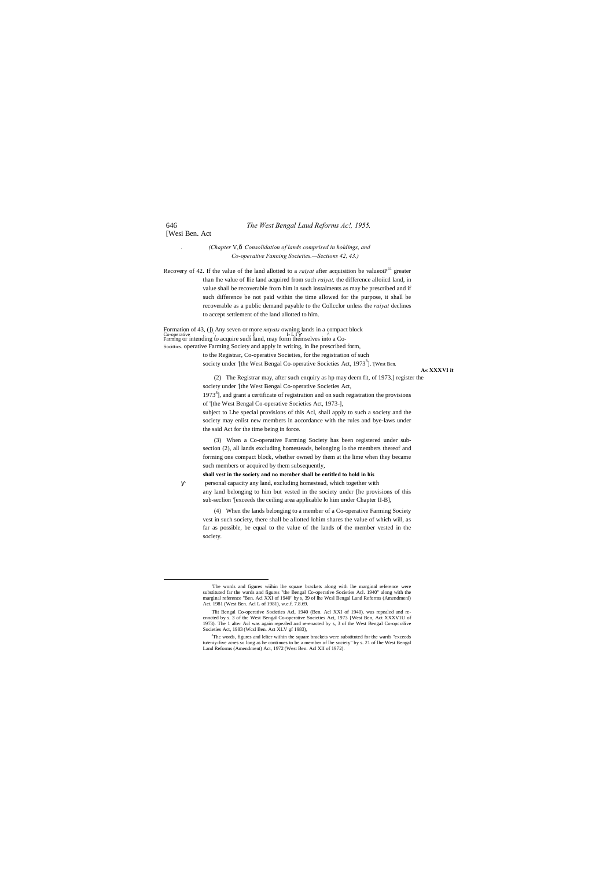[Wesi Ben. Act

*. (Chapter* V,—*Consolidation of lands comprised in holdings, and Co-operative Fanning Societies.—Sections 42, 43.)*

Recovery of 42. If the value of the land allotted to a *raiyat* after acquisition be valueoi $P<sup>11</sup>$  greater than lhe value of llie land acquired from such *raiyat,* the difference alloiicd land, in value shall be recoverable from him in such instalments as may be prescribed and if such difference be not paid within the time allowed for the purpose, it shall be recoverable as a public demand payable to the Collcclor unless the *raiyat* declines to accept settlement of the land allotted to him.

Formation of 43, (]) Any seven or more *mtyats* owning lands in a compact block Co-operative . The summing or intending to acquire such land, may form themselves into a Co-Socittics. operative Farming Society and apply in writing, in lhe prescribed form, to the Registrar, Co-operative Societies, for the registration of such society under '[the West Bengal Co-operative Societies Act, 1973<sup>3</sup>]. '[West Ben.

**A« XXXVI it**

(2) The Registrar may, after such enquiry as hp may deem fit, of 1973.] register the society under '[the West Bengal Co-operative Societies Act,  $1973<sup>3</sup>$ ], and grant a certificate of registration and on such registration the provisions of '[the West Bengal Co-operative Societies Act, 1973-], subject to Lhe special provisions of this Acl, shall apply to such a society and the society may enlist new members in accordance with the rules and bye-laws under the said Act for the time being in force.

(3) When a Co-operative Farming Society has been registered under subsection (2), all lands excluding homesteads, belonging lo the members thereof and forming one compact block, whether owned by them at the lime when they became such members or acquired by them subsequently,

**shall vest in the society and no member shall be entitled to hold in his**

personal capacity any land, excluding homestead, which together with any land belonging to him but vested in the society under [he provisions of this sub-seclion '[exceeds the ceiling area applicable lo him under Chapter II-B],

(4) When the lands belonging to a member of a Co-operative Farming Society vest in such society, there shall be allotted lohim shares the value of which will, as far as possible, be equal to the value of the lands of the member vested in the society.

<sup>&</sup>lt;sup>J</sup>Thc words, figures and lelter wiihin the square brackets were substituted for the wards "exceeds" tu/eniy-five acres so long as he continues to be a member of lhe society" by s. 21 of lhe West Bengal Land Reforms (Amendment) Act, 1972 (West Ben. Acl XII of 1972).

 <sup>&#</sup>x27;The words and figures wiihin lhe square brackets along with lhe marginal reference were substituted far the wards and figures "the Bengal Co-operative Societies Acl. 1940" along with the marginal reference "Ben. Acl XXI of 1940" by s, 39 of lhe Wcsl Bengal Land Reforms (Amendmenl) Act. 1981 (West Ben. Acl L of 1981), w.e.f. 7.8.69.

Tlit Bengal Co-operative Societies Acl, 1940 (Ben. Acl XXI of 1940). was repealed and recnncted by s. 3 of the West Bengal Co-operative Societies Act, 1973 {West Ben, Act XXXV1U of 1973). The 1 alter Acl was again repealed and re-enacted by s, 3 of the West Bengal Co-opcralive Societies Act, 1983 (Wcsl Ben. Act XLV gf 1983),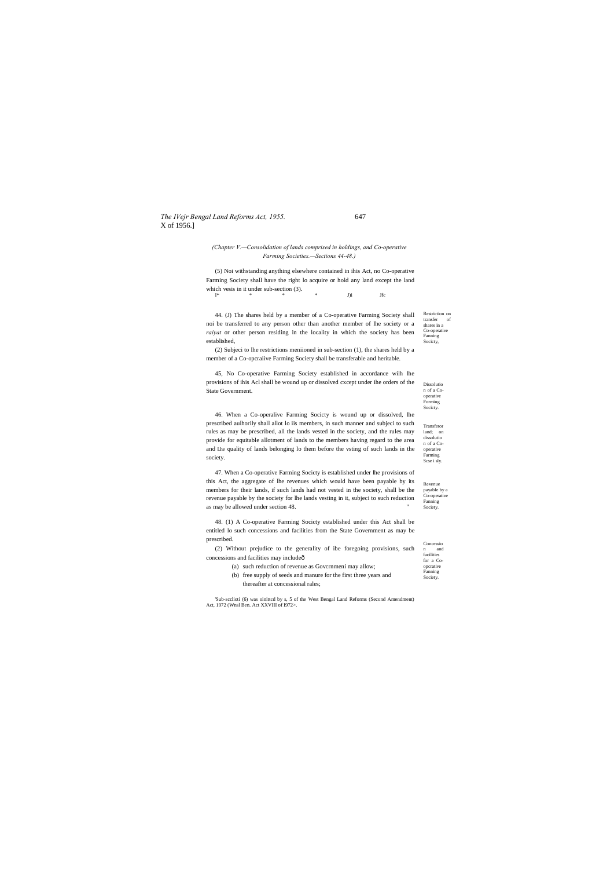# *The IVejr Bengal Land Reforms Act, 1955.* 647 X of 1956.]

Restriction on transfer of shares in a Co-operative Fanning Socicty,

Revenue payable by a Co-operative Fanning Society. 47. When a Co-operative Farming Socicty is established under lhe provisions of this Act, the aggregate of lhe revenues which would have been payable by its members for their lands, if such lands had not vested in the society, shall be the revenue payable by the society for lhe lands vesting in it, subjeci to such reduction as may be allowed under section 48.

Concessio n and facilities for a Co-(2) Without prejudice to the generality of ibe foregoing provisions, such  $\frac{1}{2}$  concessions and facilities may include  $\frac{1}{2}$ 

Forming Socicty.

Transferor land; on dissolutio n of a Cooperative Farming Scse i sly.

(5) Noi withstanding anything elsewhere contained in ihis Act, no Co-operative Farming Society shall have the right lo acquire or hold any land except the land which vesis in it under sub-section (3).<br> $V^*$  $I^*$  \* \* \* J)i Jfc

### *(Chapter V.—Consolidation of lands comprised in holdings, and Co-operative Farming Societies.—Sections 44-48.)*

Dissolutio n of a Cooperative 45, No Co-operative Farming Society established in accordance wilh lhe provisions of ihis Acl shall be wound up or dissolved cxcept under ihe orders of the State Government.

44. (J) The shares held by a member of a Co-operative Farming Society shall noi be transferred to any person other than another member of lhe society or a *raiyat* or other person residing in the locality in which the society has been established,

(2) Subjeci to lhe restrictions meniioned in sub-section (1), the shares held by a member of a Co-opcraiive Farming Society shall be transferable and heritable.

| (a) such reduction of revenue as Government may allow;            | opcrative           |
|-------------------------------------------------------------------|---------------------|
| (b) free supply of seeds and manure for the first three years and | Fanning<br>Society. |
| thereafter at concessional rales:                                 |                     |

46. When a Co-operalive Farming Socicty is wound up or dissolved, lhe prescribed aulhorily shall allot lo iis members, in such manner and subjeci to such rules as may be prescribed, all the lands vested in the society, and the rules may provide for equitable allotment of lands to the members having regard to the area and Lhe quality of lands belonging lo them before the vsting of such lands in the society.

48. (1) A Co-operative Farming Socicty established under this Act shall be entitled lo such concessions and facilities from the State Government as may be prescribed.

'Sub-scclioti (6) was oinittcd by s, 5 of the West Bengal Land Reforms (Second Amendment) Act, 1972 (Wnsl Ben. Act XXVIII of I972>.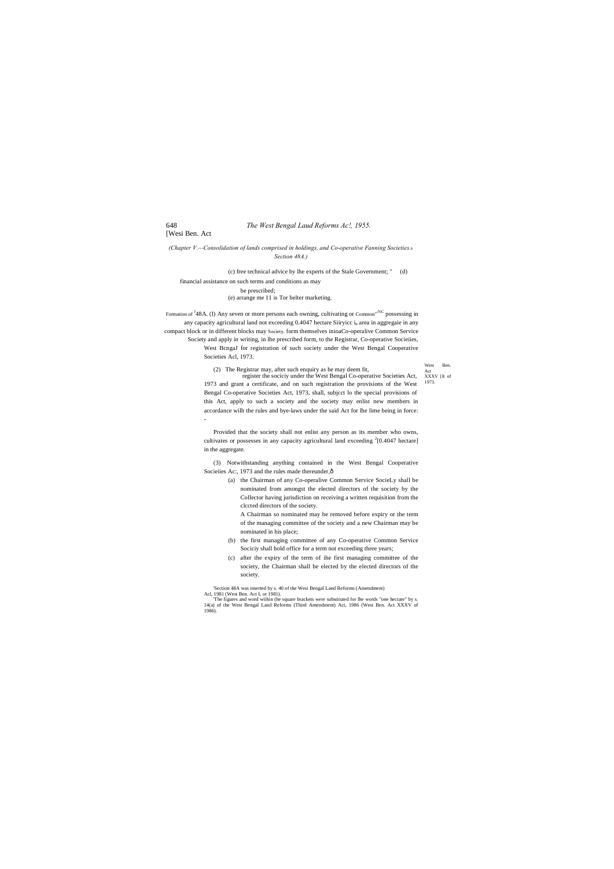West Ben. Act XXXV [It of 1973.

[Wesi Ben. Act

*(Chapter V.—Consolidation of lands comprised in holdings, and Co-operative Fanning Societies.*—

*Section 48A.)*

(c) free technical advice by lhe experts of the Stale Government; " (d)

financial assistance on such terms and conditions as may be prescribed;

(e) arrange me 11 is Tor belter marketing.

Formation of <sup>J</sup>48A. (I) Any seven or more persons each owning, cultivating or Common<sup>",%C</sup> possessing in any capacity agricultural land not exceeding  $0.4047$  hectare Siiryicc i<sub>n</sub> area in aggregaie in any compact block or in different blocks may Society. form themselves inioaCo-operalive Common Service Society and apply in writing, in lhe prescribed form, to the Registrar, Co-operative Socieiies, West BcngaJ for registration of such society under the West Bengal Cooperative Societies Acl, 1973.

> (3) Notwithstanding anything contained in the West Bengal Cooperative Socieiies Ac:, 1973 and the rules made thereunder, $\hat{o}$

(2) The Registrar may, after such enquiry as he may deem fit,

register the sociciy under the West Bengal Co-operative Societies Act, 1973 and grant a certificate, and on such registration the provisions of the West Bengal Co-operative Societies Act, 1973, shall, subjcct lo the special provisions of this Act, apply to such a society and the society may enlist new members in accordance wilh the rules and bye-laws under the said Act for lhe lime being in force: -

Provided that the society shall not enlist any person as its member who owns, cultivates or possesses in any capacity agricultural land exceeding  $2[0.4047$  hectare] in the aggregate.

> (a) the Chairman of any Co-operalive Common Service SocieLy shall be nominated from amongst the elected directors of the society by the Collector having jurisdiction on receiving a written requisition from the clccted directors of the society.

A Chairman so nominated may be removed before expiry or the term of the managing committee of the society and a new Chairman may be nominated in his place;

- (b) the first managing committee of any Co-operative Common Service Sociciy shall hold office for a term not exceeding three years;
- (c) after the expiry of the term of ihe first managing committee of the society, the Chairman shall be elected by the elected directors of the society.

'Section 48A was inserted by s. 40 of the Wesi Bengal Land Reforms (Amendment) Acl, 1981 (West Ben. Act L or 1981).

'The figures and word wiihin (he square brackets were substituted for lhe words "one hectare" by s. 14(a) of the West Bengal Land Reforms (Third Amendment) Act, 1986 (West Ben. Act XXXV of 1986).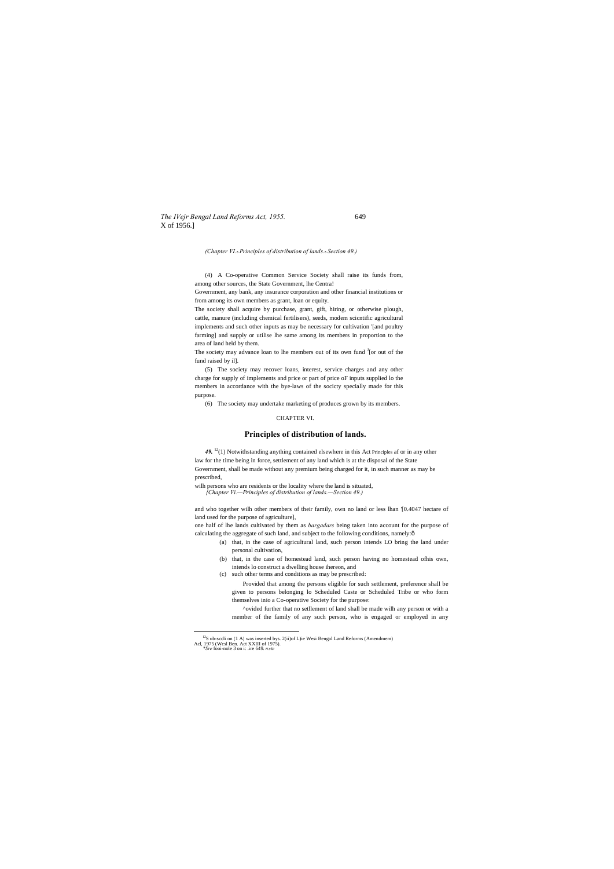*The IVejr Bengal Land Reforms Act, 1955.* 649 X of 1956.]

*(Chapter VI.*—*Principles of distribution of lands.*—*Section 49.)*

(4) A Co-operative Common Service Society shall raise its funds from, among other sources, the State Government, lhe Centra!

Government, any bank, any insurance corporation and other financial institutions or from among its own members as grant, loan or equity.

The society may advance loan to lhe members out of its own fund <sup>J</sup>[or out of the fund raised by il].

The society shall acquire by purchase, grant, gift, hiring, or otherwise plough, cattle, manure (including chemical fertilisers), seeds, modem scicntific agricultural implements and such other inputs as may be necessary for cultivation '[and poultry farming] and supply or utilise lhe same among its members in proportion to the area of land held by them.

49.<sup>12</sup>(1) Notwithstanding anything contained elsewhere in this Act Principles af or in any other law for the time being in force, settlement of any land which is at the disposal of the State Government, shall be made without any premium being charged for it, in such manner as may be prescribed,

one half of lhe lands cultivated by them as *bargadars* being taken into account for the purpose of calculating the aggregate of such land, and subject to the following conditions, namely: $\hat{o}$ 

(5) The society may recover loans, interest, service charges and any other charge for supply of implements and price or part of price oF inputs supplied lo the members in accordance with the bye-laws of the socicty specially made for this purpose.

(6) The society may undertake marketing of produces grown by its members.

### CHAPTER VI.

### **Principles of distribution of lands.**

wilh persons who are residents or the locality where the land is situated, *{Chapter Vi.—Principles of distribution of lands.—Section 49.)*

and who together wilh other members of their family, own no land or less lhan '[0.4047 hectare of land used for the purpose of agriculture],

- (a) that, in the case of agricultural land, such person intends LO bring the land under personal cultivation,
	- (b) that, in the case of homestead land, such person having no homestead ofhis own, intends lo construct a dwelling house ihereon, and
	- (c) such other terms and conditions as may be prescribed:

Provided that among the persons eligible for such settlement, preference shall be given to persons belonging lo Scheduled Caste or Scheduled Tribe or who form themselves inio a Co-operative Society for the purpose:

^ovided further that no setllement of land shall be made wilh any person or with a member of the family of any such person, who is engaged or employed in any

<sup>&</sup>lt;sup>12</sup>S ub-sccli on (1 A) was inserted bys. 2(ii)of L)ie Wesi Bengal Land Reforms (Amendmem)<br>Acl, 1975 (Wcsl Ben. Act XXIII of 1975).<br>*\*Sre* fooi-nole 3 on i: .ire 649. *n*»te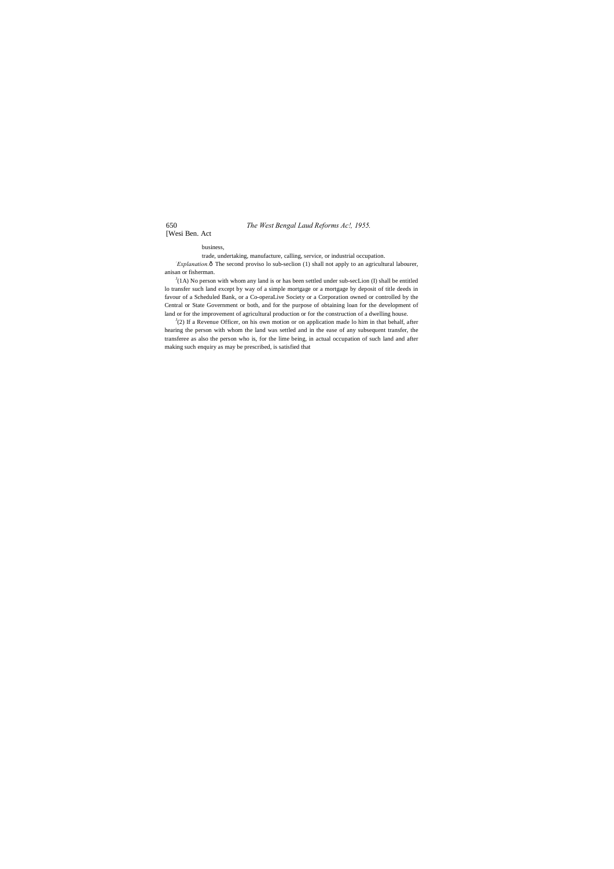650 *The West Bengal Laud Reforms Ac!, 1955.*

[Wesi Ben. Act

business,

trade, undertaking, manufacture, calling, service, or industrial occupation.

*Explanation*. $\delta$  The second proviso lo sub-seclion (1) shall not apply to an agricultural labourer, anisan or fisherman.

 $J(A)$  No person with whom any land is or has been settled under sub-secLion (I) shall be entitled lo transfer such land except by way of a simple mortgage or a mortgage by deposit of title deeds in favour of a Scheduled Bank, or a Co-operaLive Society or a Corporation owned or controlled by the Central or State Government or both, and for the purpose of obtaining loan for the development of land or for the improvement of agricultural production or for the construction of a dwelling house.

 $J(2)$  If a Revenue Officer, on his own motion or on application made lo him in that behalf, after hearing the person with whom the land was settled and in the ease of any subsequent transfer, the transferee as also the person who is, for the lime being, in actual occupation of such land and after making such enquiry as may be prescribed, is satisfied that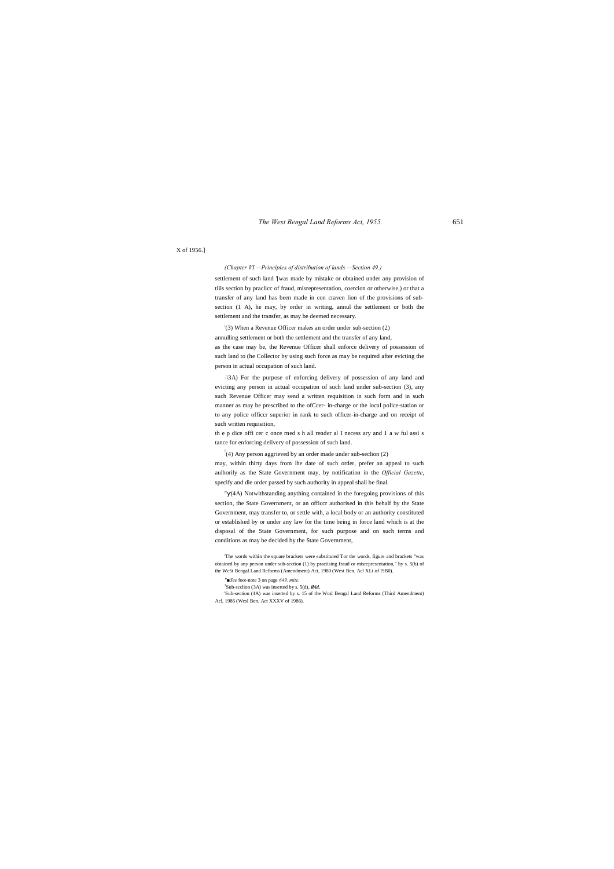*The West Bengal Land Reforms Act, 1955.* 651

### X of 1956.]

*(Chapter VI.—Principles of distribution of lands.—Section 49.)*

settlement of such land '[was made by mistake or obtained under any provision of tliis section by praclicc of fraud, misrepresentation, coercion or otherwise,) or that a transfer of any land has been made in con craven lion of the provisions of subsection (1 A), he may, by order in writing, annul the settlement or both the settlement and the transfer, as may be deemed necessary.

: (3) When a Revenue Officer makes an order under sub-section (2)

annulling settlement or both the settlement and the transfer of any land, as the case may be, the Revenue Officer shall enforce delivery of possession of such land to (he Collector by using such force as may be required after evicting the person in actual occupation of such land.

-\3A) For the purpose of enforcing delivery of possession of any land and evicting any person in actual occupation of such land under sub-section (3), any such Revenue Officer may send a written requisition in such form and in such manner as may be prescribed to the ofCcer- in-charge or the local police-station or to any police officcr superior in rank to such officer-in-charge and on receipt of such written requisition,

th e p dice offi cer c once rned s h all render al I necess ary and 1 a w ful assi s tance for enforcing delivery of possession of such land.

! (4) Any person aggrieved by an order made under sub-seclion (2)

may, within thirty days from lhe date of such order, prefer an appeal to such aulhorily as the State Government may, by notification in the *Official Gazette*, specify and die order passed by such authority in appeal shall be final.

" (4A) Notwithstanding anything contained in the foregoing provisions of this section, the State Government, or an officcr authorised in this behalf by the State Government, may transfer to, or settle with, a local body or an authority constituted or established by or under any law for the time being in force land which is at the disposal of the State Government, for such purpose and on such terms and conditions as may be decided by the State Government,

'The words within the square brackets were substituted Tor the words, figure and brackets "was obtained by any person under sub-section (1) by practising fraud or misrepresentation," by s. 5(b) of the Wc5t Bengal Land Reforms (Amendment) Act, 1980 (West Ben. Acl XLt of I9B0).

'Sub-section (4A) was inserted by s. 15 of the Wcsl Bengal Land Reforms (Third Amendment) Acl, 1986 (Wcsl Ben. Act XXXV of 1986).

*<sup>&#</sup>x27;'■See* foot-note 3 on page *649. mite.*

<sup>3</sup> Sub-scclion (3A) was inserted by s. 5(d), *ibid.*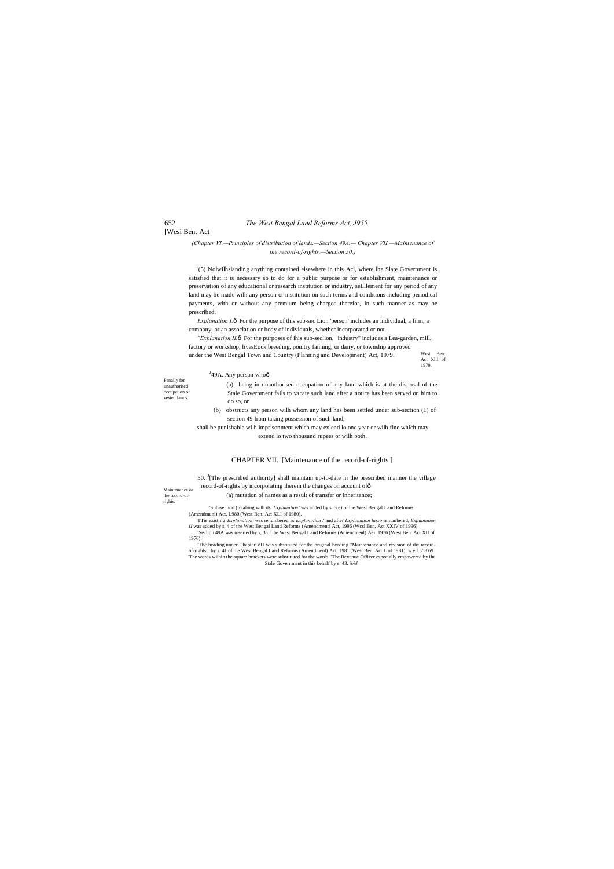# 652 *The West Bengal Land Reforms Act, J955.*

# [Wesi Ben. Act

West Ben. Act Xlll of 1979.

Penally for unauthorised occupation of vested lands.

Maintenance or lhe rccord-ofrighis.

### *(Chapter VI.—Principles of distribution of lands.—Section 49A.— Chapter VII.—Maintenance of the record-of-rights.—Section 50.)*

*Explanation I.* $\hat{o}$  For the purpose of this sub-sec Lion 'person' includes an individual, a firm, a company, or an association or body of individuals, whether incorporated or not.

'(5) Nolwilhslanding anything contained elsewhere in this Acl, where lhe Slate Government is satisfied that it is necessary so to do for a public purpose or for establishment, maintenance or preservation of any educational or research institution or industry, seLllement for any period of any land may be made wilh any person or institution on such terms and conditions including periodical payments, with or without any premium being charged therefor, in such manner as may be prescribed.

*^Explanation II.* ô For the purposes of ihis sub-seclion, "industry" includes a Lea-garden, mill, factory or workshop, livesEock breeding, poultry fanning, or dairy, or township approved under the West Bengal Town and Country (Planning and Development) Act, 1979.

<sup>J</sup>49A. Any person whoô (a) being in unauthorised occupation of any land which is at the disposal of the Stale Government fails to vacate such land after a notice has been served on him to do so, or (b) obstructs any person wilh whom any land has been settled under sub-section (1) of

50. <sup>J</sup>[The prescribed authority] shall maintain up-to-date in the prescribed manner the village record-of-rights by incorporating iherein the changes on account of—

<sup>J</sup>Thc heading under Chapter VII was substituted for the original heading "Maintenance and revision of ihe recordof-rights," by s. 41 of lhe West Bengal Land Reforms (Amendmenl) Act, 1981 (West Ben. Act L of 1981), w.e.f. 7.8.69. 'The words wiihin the square brackets were substituted for the words "The Revenue Officer especially empowered by ihe Stale Government in this behalf by s. 43. *ibid.*

section 49 from taking possession of such land,

shall be punishable wilh imprisonment which may exlend lo one year or wilh fine which may extend lo two thousand rupees or wilh both.

### CHAPTER VII. '[Maintenance of the record-of-rights.]

(a) mutation of names as a result of transfer or inheritance;

'Sub-section (5) along wilh its *'Explanation'* was added by s. 5(e) of lhe West Bengal Land Reforms (Amendmenl) Act, L980 (West Ben. Act XLI of 1980).

TTie existing '*Explanation'* was renumbered as *Explanation I* and after *Explanation lasso* renumbered, *Explanation II* was added by s. 4 of the West Bengal Land Reforms (Amendment) Act, 1996 (Wcsl Ben, Act XXIV of 1996).<br><sup>J</sup>Seclion 49A was inserted by s, 3 of lhe West Bengal Land Reforms (Amendmenl) Aei. 1976 (West Ben. Act XII of 1976),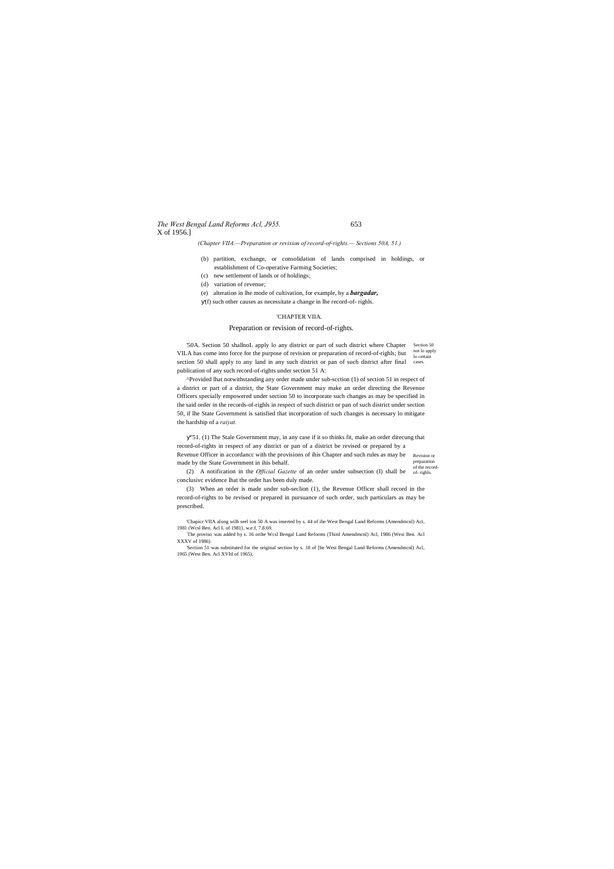# *The West Bengal Land Reforms Acl, J955.* 653 X of 1956.]

Revision or preparation of the record-

*(Chapter VIIA.—Preparation or revision of record-of-rights.— Sections 50A, 51.)*

- (b) partition, exchange, or consolidation of lands comprised in holdings, or establishment of Co-operative Farming Societies;
- (c) new settlement of lands or of holdings;
- (d) variation of revenue;
- (e) alteration in lhe mode of cultivation, for example, by a *bargadar,*
- (f) such other causes as necessitate a change in lhe record-of- righls.

'50A. Section 50 shallnoL apply lo any district or part of such district where Chapter Section 50 not lo apply lo certain section 50 shall apply to any land in any such district or pan of such district after final cases. VILA has come into force for the purpose of revision or preparation of record-of-righls; but publication of any such record-of-rights under section 51 A:

### 'CHAPTER VIIA.

### Preparation or revision of record-of-rights.

(2) A notification in the *Official Gazette* of an order under subsection (I) shall be  $_{of$ -rights. conclusivc evidence lhat the order has been duly made.

^Provided lhat notwithstanding any order made under sub-scction (1) of section 51 in respect of a district or part of a district, the State Government may make an order directing the Revenue Officers specially empowered under section 50 to incorporate such changes as may be specified in the said order in the records-of-righls in respect of such district or pan of such district under section 50, if lhe State Government is satisfied that incorporation of such changes is necessary lo mitigate the hardship of a *raiyat.*

"51. (1) The Stale Government may, in any case if it so thinks fit, make an order direcung that record-of-rights in respect of any district or pan of a district be revised or prepared by a Revenue Officer in accordancc with the provisions of ihis Chapter and such rules as may be made by the State Government in ihis behalf.

(3) When an order is made under sub-seclion (1), the Revenue Officer shall record in the record-of-rights to be revised or prepared in pursuance of such order, such particulars as may be prescribed.

'Chapicr VIIA along wilh seel ion 50 A was inserted by s. 44 of ihe West Bengal Land Reforms (Amendmcnl) Act, 1981 (Wcsl Ben. Acl L of 1981), w.e.f, 7.8.69.

: The proviso was added by s. 16 orihe Wcsl Bengal Land Reforms (Third Amendmcnl) Acl, 1986 (Wesi Ben. Acl XXXV of 1986).

'Section 51 was substituted for the original section by s. 18 of [be West Bengal Land Reforms (Amendmcnl) Acl, 1965 (West Ben. Acl XVItl of 1965),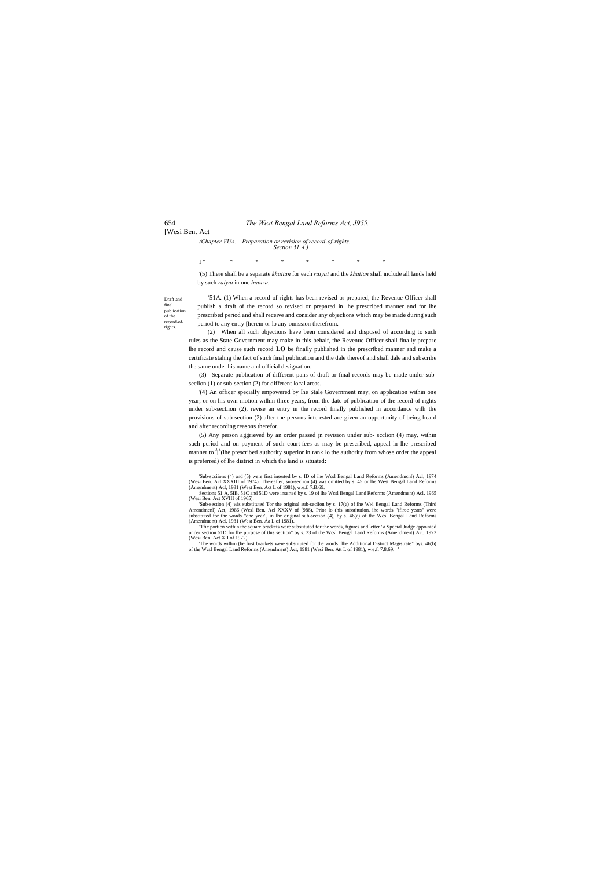### 654 *The West Bengal Land Reforms Act, J955.*

### [Wesi Ben. Act

Draft and final publication of the record-ofrights.

*(Chapter VUA.—Preparation or revision of record-of-rights.— Section 51 A.)*

I \* \* \* \* \* \* \* \*

'(5) There shall be a separate *khatian* for each *raiyat* and the *khatian* shall include all lands held by such *raiyat* in one *inauza.*

 $251A$ . (1) When a record-of-rights has been revised or prepared, the Revenue Officer shall publish a draft of the record so revised or prepared in lhe prescribed manner and for lhe prescribed period and shall receive and consider any objeclions which may be made during such period to any entry [herein or lo any omission therefrom.

(2) When all such objections have been considered and disposed of according to such rules as the State Government may make in this behalf, the Revenue Officer shall finally prepare lhe record and cause such record **LO** be finally published in the prescribed manner and make a certificate staling the fact of such final publication and the dale thereof and shall dale and subscribe the same under his name and official designation.

(3) Separate publication of different pans of draft or final records may be made under subseclion (1) or sub-section (2) for different local areas. -

'Sub-section (4) wis substituted Tor the original sub-seclion by s. 17(a) of ihe W«i Bengal Land Reforms (Third Amendmcnl) Act, 1986 (Wcsl Ben. Acl XXXV of [986), Prior lo (his substitution, ihe words "(firec years" were substituted for the words "one year", in lhe original sub-section (4), by s. 46(a) of the Wcsl Bengal Land Reforms (Amendment) Acl, 1931 (West Ben. Aa L of 1981).  $\frac{1}{2}$  and  $\frac{1}{2}$  and  $\frac{1}{2}$  and  $\frac{1}{2}$  and  $\$ 

'(4) An officer specially empowered by lhe Stale Government may, on application within one year, or on his own motion wilhin three years, from the date of publication of the record-of-rights under sub-secLion (2), revise an entry in the record finally published in accordance wilh the provisions of sub-section (2) after the persons interested are given an opportunity of being heard and after recording reasons therefor.

<sup>1</sup>Tfic portion within the square brackets were substituted for the words, figures and letter "a Special Judge appointed under section 51D for lhe purpose of this section" by s. 23 of the Wcsl Bengal Land Reforms (Amendmen (Wesi Ben. Act XII of 1972).

(5) Any person aggrieved by an order passed jn revision under sub- scclion (4) may, within such period and on payment of such court-fees as may be prescribed, appeal in lhe prescribed manner to  $I^s$ (lhe prescribed authority superior in rank lo the authority from whose order the appeal is preferred) of lhe district in which the land is situated:

'Sub-scciions (4) and (5) were first inserted by s. ID of ihe Wcsl Bengal Land Reforms (Amendmcnl) Acl, 1974 (Wesi Ben. Acl XXXIII of 1974). Thereafter, sub-seclion (4) was omitted by s. 45 or lhe West Bengal Land Reforms (Amendment) Acl, 1981 (West Ben. Act L of 1981), w.e.f. 7.B.69. Sections 51 A, 5IB, 51C and 51D were inserted by s. 19 of lhe Wcsl Bengal Land Reforms (Amendment) Acl. 1965

(Wesi Ben. Act XVIII of 1965).

'The words wilhin (he first brackets were substituted for the words "lhe Additional District Magistrate" bys. 46(b) of the Wcsl Bengal Land Reforms (Amendment) Act, 1981 (Wesi Ben. Att L of 1981), w.e.f. 7.8.69. '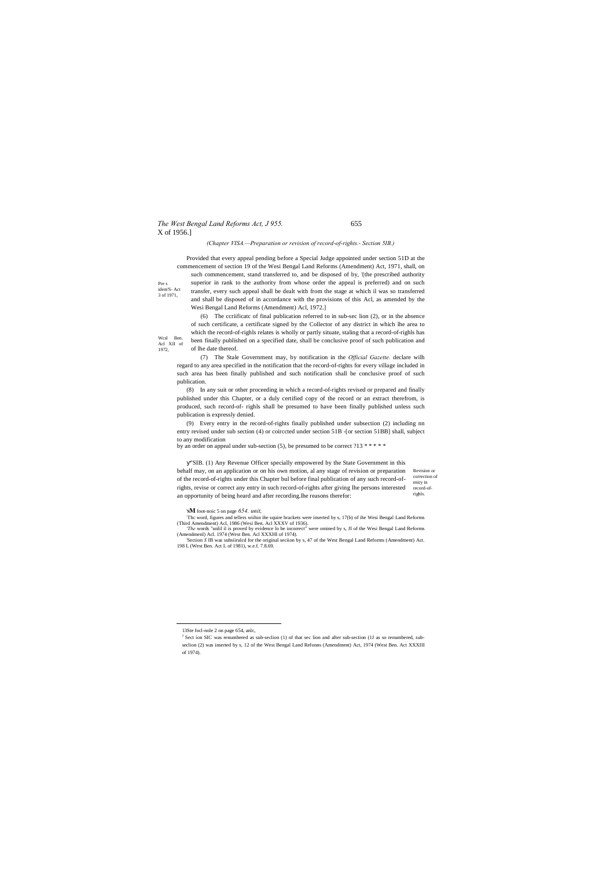# *The West Bengal Land Reforms Act, J 955.* 655 X of 1956.]

Revision or correction of record-of-

3 of 1971,

Wcsl Ben. Acl XII of 1972,

### *(Chapter VISA.—Preparation or revision of record-of-rights.- Section 5IB.)*

Pre s idem'S- Act Provided that every appeal pending before a Special Judge appointed under section 51D at the commencement of section 19 of the Wesi Bengal Land Reforms (Amendment) Act, 1971, shall, on such commencement, stand transferred to, and be disposed of by, '(the prescribed authority superior in rank to the authority from whose order the appeal is preferred) and on such transfer, every such appeal shall be dealt with from the stage at which il was so transferred and shall be disposed of in accordance with the provisions of this Acl, as amended by the Wesi Bengal Land Reforms (Amendment) Acl, 1972.]

> (6) The ccriificatc of final publication referred to in sub-sec lion (2), or in the absence of such certificate, a certificate signed by the Collector of any district in which lhe area to which the record-of-righls relates is wholly or partly situate, staling that a record-of-righls has been finally published on a specified date, shall be conclusive proof of such publication and of lhe date thereof.

eniry in righls. "SIB. (1) Any Revenue Officer specially empowered by the State Government in this behalf may, on an application or on his own motion, al any stage of revision or preparation of the record-of-rights under this Chapter bul before final publication of any such record-ofrights, revise or correct any entry in such record-of-rights after giving lhe persons interested an opportunity of being heard and after recording.lhe reasons therefor:

(7) The Stale Government may, by notification in the *Official Gazette.* declare wilh regard to any area specified in the notification that the record-of-rights for every village included in such area has been finally published and such notification shall be conclusive proof of such publication.

(8) In any suit or other proceeding in which a record-of-rights revised or prepared and finally published under this Chapter, or a duly certified copy of the record or an extract therefrom, is produced, such record-of- righls shall be presumed to have been finally published unless such publication is expressly denied.

(9) Every entry in the record-of-rights finally published under subsection (2) including nn entry revised under sub section (4) or coirccted under section 51B -[or section 51BB] shall, subject to any modification

by an order on appeal under sub-section (5), be presumed to be correct ?13 \* \* \* \* \*

'**SM** foot-noic 5 on page *654. unit,*

: Thc word, figures and tellers wiihin ihe squire brackets were inserted by s, 17(b) of ihe Wesi Bengal Land Reforms (Third Amendment) Acl, 1986 (Wesi Ben. Acl XXXV of 1936).

*'The* words "unlil il is proved by evidence lo be incorrect" were omined by s, JI of the Wesi Bengal Land Reforms (Amendmenl) Acl. 1974 (West Ben. Acl XXXHI of 1974).

'Section *S* IB was suhsiirulcd for the original seciion by s, 47 of the West Bengal Land Reforms (Amendment) Act. 198 L (West Ben. Act L of 1981), w.e.f. 7.8.69.

<sup>&</sup>lt;sup>J</sup> Sect ion SIC was renumbered as sub-seclion (1) of that sec lion and after sub-section (1J as so renumbered, subseclion (2) was inserted by s, 12 of the West Bengal Land Refonns (Amendment) Act, 1974 (West Ben. Act XXXIII of 1974).

 <sup>13</sup>Ste focl-nole 2 on page 654, anlc,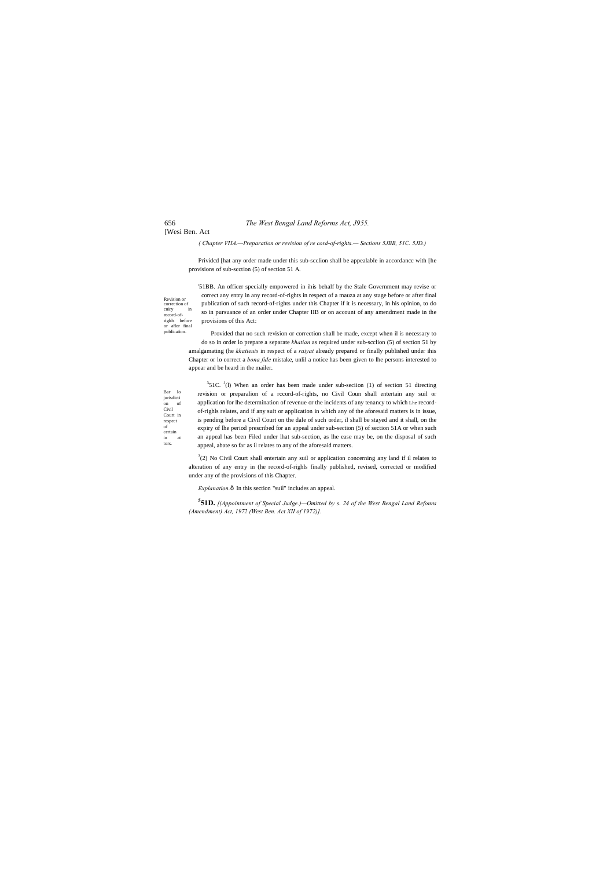## 656 *The West Bengal Land Reforms Act, J955.*

# [Wesi Ben. Act

Civil

of

tors.

record-of-

publication.

*( Chapter VHA.—Preparation or revision of re cord-of-rights.— Sections 5JBB, 51C. 5JD.)*

Prividcd [hat any order made under this sub-scclion shall be appealable in accordancc with [he provisions of sub-scction (5) of section 51 A.

Revision or correction of cniry in righls before or afler final '51BB. An officer specially empowered in ihis behalf by the Stale Government may revise or correct any entry in any record-of-rights in respect of a mauza at any stage before or after final publication of such record-of-rights under this Chapter if it is necessary, in his opinion, to do so in pursuance of an order under Chapter IIB or on account of any amendment made in the provisions of this Act:

Bar lo jurisdicti on of Court in respect certain in at  $351C$ .  $J(1)$  When an order has been made under sub-seciion (1) of section 51 directing revision or preparalion of a rccord-of-rights, no Civil Coun shall entertain any suil or application for lhe determination of revenue or the incidents of any tenancy to which Lhe recordof-righls relates, and if any suit or application in which any of the aforesaid matters is in issue, is pending before a Civil Court on the dale of such order, il shall be stayed and it shall, on the expiry of lhe period prescribed for an appeal under sub-section (5) of section 51A or when such an appeal has been Filed under lhat sub-section, as lhe ease may be, on the disposal of such appeal, abate so far as il relates to any of the aforesaid matters.

Provided that no such revision or correction shall be made, except when il is necessary to do so in order lo prepare a separate *khatian* as required under sub-scclion (5) of section 51 by amalgamating (he *khatieuis* in respect of a *raiyat* already prepared or finally published under ihis Chapter or lo correct a *bona fide* mistake, unlil a notice has been given to lhe persons interested to appear and be heard in the mailer.

 $3(2)$  No Civil Court shall entertain any suil or application concerning any land if il relates to alteration of any entry in (he record-of-righls finally published, revised, corrected or modified under any of the provisions of this Chapter.

*Explanation.* $\hat{o}$  In this section "suil" includes an appeal.

**5 51D.** *[(Appointment of Special Judge.)—Omitted by s. 24 of the West Bengal Land Refonns (Amendment) Act, 1972 (West Ben. Act XII of 1972)].*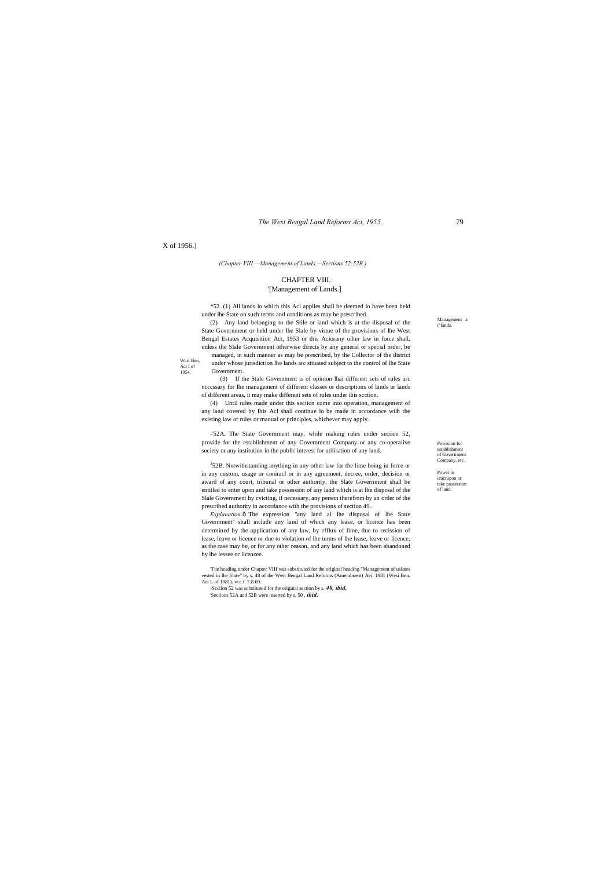*The West Bengal Land Reforms Act, 1955.* 79

Provision for establishment of Government Company, etc.

Power lo cnicrupon or take possession of land.

Management a ("lands.

Wcsl Ben, Aci I of 1954.

### X of 1956.]

*(Chapter VIII.—Management of Lands.—Sections 52-52B.)*

# CHAPTER VIII.

### '[Management of Lands.]

\*52. (1) All lands lo which this Acl applies shall be deemed lo have been held under lhe State on such terms and conditions as may be prescribed.

(2) Any land belonging to the Stile or land which is at the disposal of the State Government or held under lhe Slale by virtue of the provisions of lhe West Bengal Estates Acquisition Act, 1953 or this Aciorany oiher law in force shall, unless the Slale Government otherwise directs by any general or special order, be managed, in such manner as may be prescribed, by the Collector of the district

under whose jurisdiction lhe lands arc situated subject to the control of lhe State

Government.

 $352B$ . Notwithstanding anything in any other law for the lime being in force or in any custom, usage or coniracl or in any agreement, decree, order, decision or award of any court, tribunal or other authority, the Slate Government shall be entitled to enter upon and take possession of any land which is at lhe disposal of the Slale Government by cvicting, if necessary, any person therefrom by an order of the prescribed authority in accordance with the provisions of section 49.

(3) If the Stale Government is of opinion lhai different sets of rules arc ncccssary for lhe management of different classes or descriptions of lands or lands of different areas, it may make different sets of rules under ihis scction.

*Explanation.* ô The expression "any land ai lhe disposal of lhe State Government" shall include any land of which any lease, or licence has been determined by the application of any law, by efflux of lime, due to recission of lease, leave or licence or due to violation of lhe terms of lhe lease, leave or licence, as the case may be, or for any other reason, and any land which has been abandoned by lhe lessee or licencee.

(4) Until rules made under this seciion come inio operation, management of any land covered by Ihis Acl shall continue lo be made in accordance wilh the existing law or rules or manual or principles, whichever may apply.

-'52A. The State Government may, while making rules under seciion 52, provide for the establishment of any Government Company or any co-operalive society or any institution in the public interest for utilisation of any land.

'The heading under Chapter VIII was substituted for the original heading "Management of usiates vested in lhe Slate" by s. 48 of the West Bengal Land Reforms (Amendment) Aei, 1981 (Wesi Ben. Act L of 1981). w.e.f. 7.8.69.

-Scciion 52 was substituted for the original section by s. *40, ibid.* 'Sections 52A and 52B were inserted by s, 50 , *ibid.*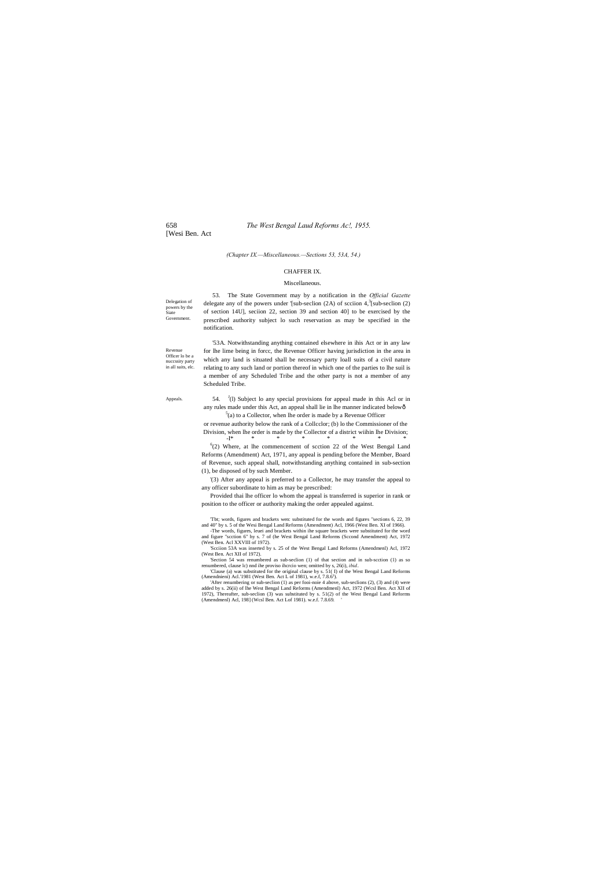### 658 *The West Bengal Laud Reforms Ac!, 1955.*

[Wesi Ben. Act

Delegation of powers by the **Siate** Government.

Revenue Officer lo be a nuccssiry party in all suits, elc.

Appeals.

54.  $J(1)$  Subject lo any special provisions for appeal made in this Acl or in any rules made under this Act, an appeal shall lie in lhe manner indicated below—  $5$ (a) to a Collector, when lhe order is made by a Revenue Officer

*(Chapter IX.—Miscellaneous.—Sections 53, 53A, 54.)*

### CHAFFER IX.

### Miscellaneous.

53. The State Government may by a notification in the *Official Gazette* delegate any of the powers under '[sub-seclion  $(2A)$  of scciion  $4, \frac{3}{2}$ [sub-seclion  $(2)$ ] of section 14U], seciion 22, section 39 and section 40] to be exercised by the prescribed authority subject lo such reservation as may be specified in the notification.

'53A. Notwithstanding anything contained elsewhere in ihis Act or in any law for lhe lime being in forcc, the Revenue Officer having jurisdiction in the area in which any land is situated shall be necessary party loall suits of a civil nature relating to any such land or portion thereof in which one of the parties to lhe suil is a member of any Scheduled Tribe and the other party is not a member of any Scheduled Tribe.

 $6(2)$  Where, at lhe commencement of scction 22 of the West Bengal Land Reforms (Amendment) Act, 1971, any appeal is pending before the Member, Board of Revenue, such appeal shall, notwithstanding anything contained in sub-section (1), be disposed of by such Member.

or revenue authority below the rank of a Collcclor; (b) lo the Commissioner of the Division, when lhe order is made by the Collector of a district wiihin lhe Division; -I\* \* \* \* \* \* \* \*

'(3) After any appeal is preferred to a Collector, he may transfer the appeal to any officer subordinate to him as may be prescribed:

Provided thai lhe officer lo whom the appeal is transferred is superior in rank or position to the officer or authority making the order appealed against.

'Tbt; words, figures and brackets wen: substituted for the words and figures "sections 6, 22, 39 and 40" by s. 5 of the Wesi Bengal Land Reforms (Amendment) Acl, 1966 (West Ben. XI of 1966). -The words, figures, leuei and brackets within ihe square brackets were substituted for the word

and figure "scction 6" hy s. 7 of (he West Bengal Land Reforms (Sccond Amendment) Act, 1972 (West Ben. Acl XXVIII of 1972).

'Scciion 53A was inserted by s. 25 of the West Bengal Land Reforms (Amendmenl) Acl, 1972 (West Ben. Act XII of 1972).

'Section 54 was renumbered as sub-seclion (1) of that section and in sub-scction (1) as so renumbered, clause lc) nnd ihe proviso ihcrcio wen; omitted by s, 26(i), *ibid..* 'Clause (a) was substituted for the original clause by s. 51( I) of the West Bengal Land Reforms

(Amendnieni) Acl.'1981 (West Ben. Act L of 1981), w.e.f, 7.8.61 ). 'After renumbering or sub-seclion (1) as per fooi-noie 4 above, sub-seclions (2), (3) and (4) were

added by s. 26(ii) of lhe West Bengal Land Reforms (Amendmenl) Act, 1972 (Wcsl Ben. Act XII of 1972), Thereafter, sub-seclion (3) was substituted by s. 51(2) of the West Bengal Land Reforms (Amendmenl) Acl, 198] (Wcsl Ben. Act Lof 1981). w.e.f. 7.8.69. '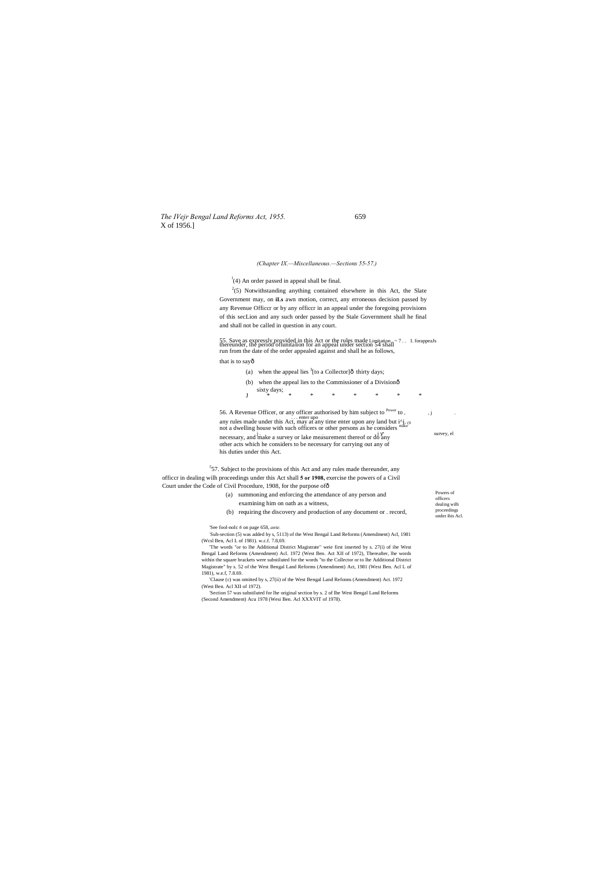*The IVejr Bengal Land Reforms Act, 1955.* 659 X of 1956.]

Powers of officers dealing wilh proceedings under ihis Acl.

*(Chapter IX.—Miscellaneous.—Sections 55-57.)*

 $l$ <sup>1</sup>(4) An order passed in appeal shall be final.

 $2(5)$  Notwithstanding anything contained elsewhere in this Act, the Slate Government may, on **iLs** awn motion, correct, any erroneous decision passed by any Revenue Officcr or by any officcr in an appeal under the foregoing provisions of this secLion and any such order passed by the Stale Government shall he final and shall not be called in question in any court.

- (a) when the appeal lies  ${}^{3}$ [to a Collector]ô thirty days;
- (b) when the appeal lies to the Commissioner of a Divisionô
- sixty days;  $\frac{1}{2}$ J \* \* \* \* \* \* \* \*

55. Save as expressly provided in this Act or the rules made Limitation . ~ 7 . . I. forappeaJs thereunder, the period oflunitalion for an appeal under section 54 shall run from the date of the order appealed against and shall he as follows,

that is to sayô

56. A Revenue Officer, or any officer authorised by him subject to Power to , , j . . . . . enter upo any rules made under this Act, may at any time enter upon any land but i^j. (0 not a dwelling house with such officers or other persons as he considers j . . , j survey, el necessary, and make a survey or lake measurement thereof or do any other acts which he considers to be necessary for carrying out any of his duties under this Act.

 $557$ . Subject to the provisions of this Act and any rules made thereunder, any officcr in dealing wilh proceedings under this Act shall **5 or 1908,** exercise the powers of a Civil Court under the Code of Civil Procedure, 1908, for the purpose of ô

- (a) summoning and enforcing the attendance of any person and examining him on oath as a witness,
- (b) requiring the discovery and production of any document or . record,

'See fool-noIc *6* on page 658, *ante.*

: Sub-section (5) was added by s, 5113) of the West Bengal Land Reforms (Amendment) Acl, 1981 (Wcsl Ben, Acl L of 1981). w.c.f. 7.8,69.

'The words "or to lhe Additional District Magistrate" weie first inserted by s. 27(i) of ihe West Bengal Land Reforms (Amendment) Acl. 1972 (West Ben. Act XII of 1972), Thereafter, lhe words within the square brackets were substiluted for the words "to the Collector or to lhe Additional District Magistrate" by s. 52 of the West Bengal Land Reforms (Amendment) Act, 1981 (West Ben. Acl L of 1981), w.e.f, 7.8.69.

'Clause (c) was omitted by s, 27(ii) of the West Bengal Land Refonns (Amendment) Act. 1972 (West Ben. Acl XII of 1972).

'Section 57 was substiluted for lhe original section by s. 2 of Ihe West Bengal Land Reforms (Second Amendment) Acu 1978 (Wesi Ben. Acl XXXVIT of 1978).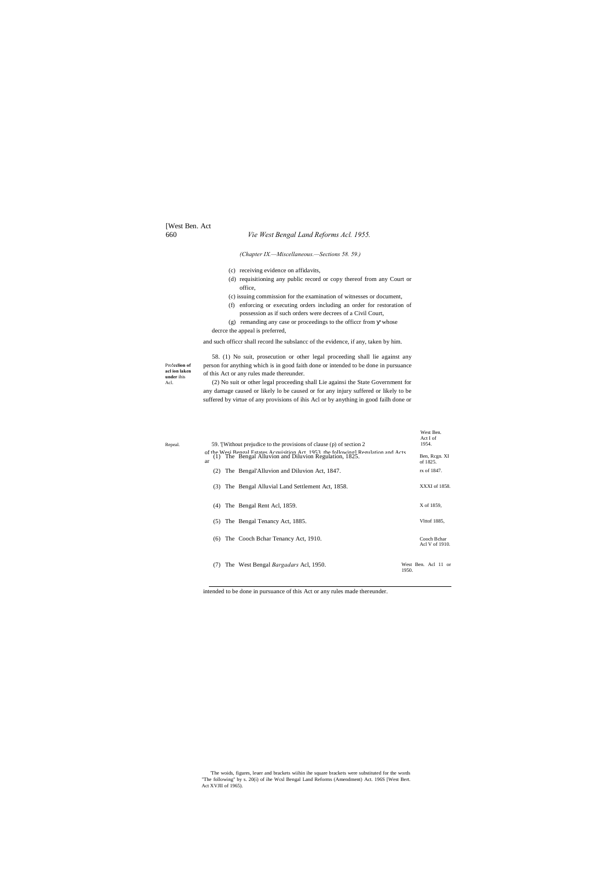[West Ben. Act

# 660 *Vie West Bengal Land Reforms Acl. 1955.*

Pro**!cclion of acl ion laken under** ihis Acl.

*(Chapter IX.—Miscellaneous.—Sections 58. 59.)*

- (c) receiving evidence on affidavits,
- (d) requisitioning any public record or copy thereof from any Court or office,
- (c) issuing commission for the examination of witnesses or document,
- (f) enforcing or executing orders including an order for restoration of possession as if such orders were decrees of a Civil Court,
- (g) remanding any case or proceedings to the officcr from whose decrce the appeal is preferred,

and such officcr shall record lhe subslancc of the evidence, if any, taken by him.

58. (1) No suit, prosecution or other legal proceeding shall lie against any person for anything which is in good faith done or intended to be done in pursuance of this Act or any rules made thereunder.

| Repeal. | 59. Without prejudice to the provisions of clause (p) of section 2                                                                                    | West Ben.<br>Act I of<br>1954. |
|---------|-------------------------------------------------------------------------------------------------------------------------------------------------------|--------------------------------|
|         | of the West Bengal Estates Acquisition Act, 1953, the followingl Requlation and Acts $(1)$ . The Bengal Alluvion and Diluvion Regulation, 1825.<br>ar | Ben, Regn. XI<br>of 1825.      |
|         | The Bengal'Alluvion and Diluvion Act, 1847.<br>(2)                                                                                                    | rx of 1847.                    |
|         | The Bengal Alluvial Land Settlement Act, 1858.<br>(3)                                                                                                 | XXXI of 1858.                  |
|         | The Bengal Rent Acl, 1859.<br>(4)                                                                                                                     | X of 1859,                     |
|         | The Bengal Tenancy Act, 1885.<br>(5)                                                                                                                  | Vlttof 1885,                   |
|         | The Cooch Behar Tenancy Act, 1910.<br>(6)                                                                                                             | Cooch Bchar<br>Acl V of 1910.  |
|         | The West Bengal <i>Bargadars</i> Acl, 1950.<br>(7)<br>1950.                                                                                           | West Ben. Acl 11 or            |

(2) No suit or other legal proceeding shall Lie againsi the State Government for any damage caused or likely lo be caused or for any injury suffered or likely to be suffered by virtue of any provisions of ihis Acl or by anything in good failh done or

intended to be done in pursuance of this Act or any rules made thereunder.

'The woids, figures, leuer and brackets wiihin ihe square brackets were substituted for the words "The following" by s. 20(i) of ihe Wcsl Bengal Land Reforms (Amendment) Act. 196S [West Bert. Act XVJII of 1965).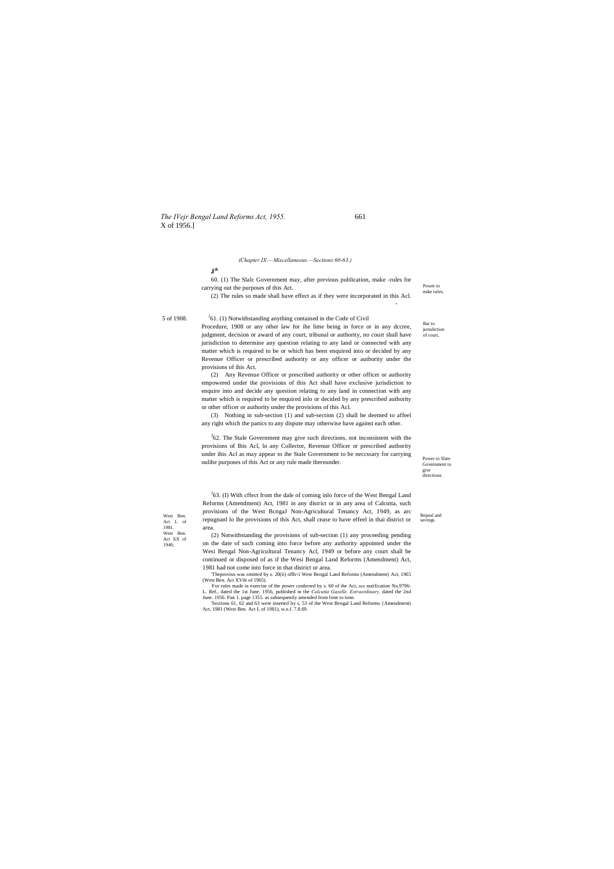### *The IVejr Bengal Land Reforms Act, 1955.* 661 X of 1956.]

Bar to iurisdiction

> Power to Slate Government to give directions.

Power to mike rules.

of court,

*(Chapter IX.—Miscellaneous.—Sections 60-63.)*

Act L of 1981. West Ben. Act XX of 1949,

 $<sup>J</sup>61$ . (1) Notwithstanding anything contained in the Code of Civil</sup>

# **J\***

60. (1) The Slalc Government may, after previous publication, make -rules for carrying out the purposes of this Act.

(2) The rules so made shall have effect as if they were incorporated in this Acl.

5 of 1908.

-

Procedure, 1908 or any other law for ihe lime being in force or in any dccree, judgment, decision or award of any court, tribunal or authority, no court shall have jurisdiction to determine any question relating to any land or connected with any matter which is required to be or which has been enquired into or decided by any Revenue Officer or prescribed authority or any officer or authority under the provisions of ihis Act.

 $362$ . The Stale Government may give such directions, not inconsistent with the provisions of Ihis Acl, lo any Collector, Revenue Officer or prescribed authority under ihis Acl as may appear to ihe Stale Government to be neccssary for carrying oulihe purposes of this Act or any rule made thereunder.

West Ben.<br>Act I of repugnanl lo lhe provisions of this Act, shall cease to have effeel in thai district or savings.  $J$ 63. (I) With cffect from the dale of coming inlo force of the West Bengal Land Reforms (Amendment) Act, 1981 in any district or in any area of Calcutta, such provisions of the West BcngaJ Non-Agricultural Tenancy Act, 1949, as arc area.

(2) Any Revenue Officer or prescribed authority or other officer or authority empowered under the provisions of this Act shall have exclusive jurisdiction to enquire into and decide any question relating to any land in connection with any matter which is required to be enquired inlo or decided by any prescribed authority or other officer or authority under the provisions of this Acl.

'Theproviso was omitted by s. 20(ii) oflh<i West Bengal Land Reforms (Amendment) Act, 1965 (West Ben. Act XVtlt of 1965).

(3) Nothing in sub-section (1) and sub-section (2) shall be deemed to affeel any right which the panics to any dispute may otherwise have against each other.

(2) Notwithstanding the provisions of sub-section (1) any proceeding pending on the date of such coming into force before any authority appointed under the Wesi Bengal Non-Agricultural Tenancy Acl, 1949 or before any court shall be continued or disposed of as if the Wesi Bengal Land Reforms (Amendment) Act, 1981 had not come into force in that district or area.

For rules made in exercise of the power conferred by s. 60 of the Act, *see* notification No.9796- L. Ref., dated the 1st June, 1956, published in the *Calcutta Gazelle. Extraordinary,* dated the 2nd June. 1956. Pan 1. page 1355. as subsequently amended from lime to time.

'Sections 61, 62 and 63 were inserted by s, 53 of the West Bengal Land Reforms {Amendment) Act, 1981 (West Ben. Act L of 1981), w.e.f. 7.8.69.

Repeal and<br>savings.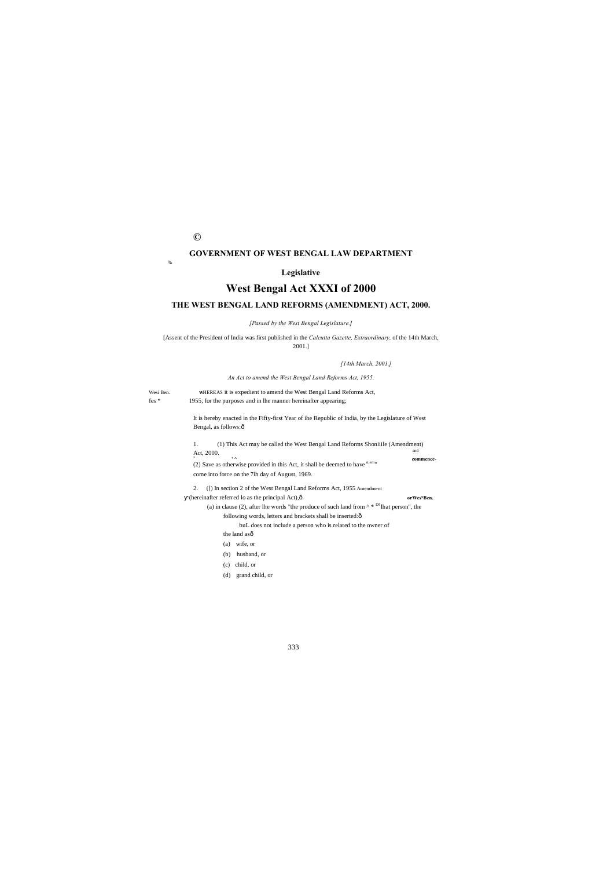**©**

### **GOVERNMENT OF WEST BENGAL LAW DEPARTMENT**

%

# **Legislative**

# **West Bengal Act XXXI of 2000**

# **THE WEST BENGAL LAND REFORMS (AMENDMENT) ACT, 2000.**

*[Passed by the West Bengal Legislature.]*

[Assent of the President of India was first published in the *Calcutta Gazette, Extraordinary,* of the 14th March, 2001.]

> It is hereby enacted in the Fifty-first Year of ihe Republic of India, by the Legislature of West Bengal, as follows: $\hat{o}$

*[14th March, 2001.]*

*An Act to amend the West Bengal Land Reforms Act, 1955.*

2. ([) In section 2 of the West Bengal Land Reforms Act, 1955 Amendment (hereinafter referred lo as the principal Act),— **orWes°Ben.** (a) in clause (2), after lhe words "the produce of such land from  $\wedge * Df$  lhat person", the following words, letters and brackets shall be inserted: $\hat{o}$ 

Wesi Ben. **W**HEREAS it is expedient to amend the West Bengal Land Reforms Act, fes \* 1955, for the purposes and in lhe manner hereinafter appearing;

> 1. (1) This Act may be called the West Bengal Land Reforms Shoniiile (Amendment) Act, 2000.  $\qquad \qquad \bullet$  and  $\qquad \qquad \bullet$  commence-<sup>></sup> **commcncc-**<br>
> (2) Save as otherwise provided in this Act, it shall be deemed to have <sup>n,em</sup>" come into force on the 7lh day of August, 1969.

> > buL does not include a person who is related to the owner of the land asô (a) wife, or

- (b) husband, or
- (c) child, or
- 
- (d) grand child, or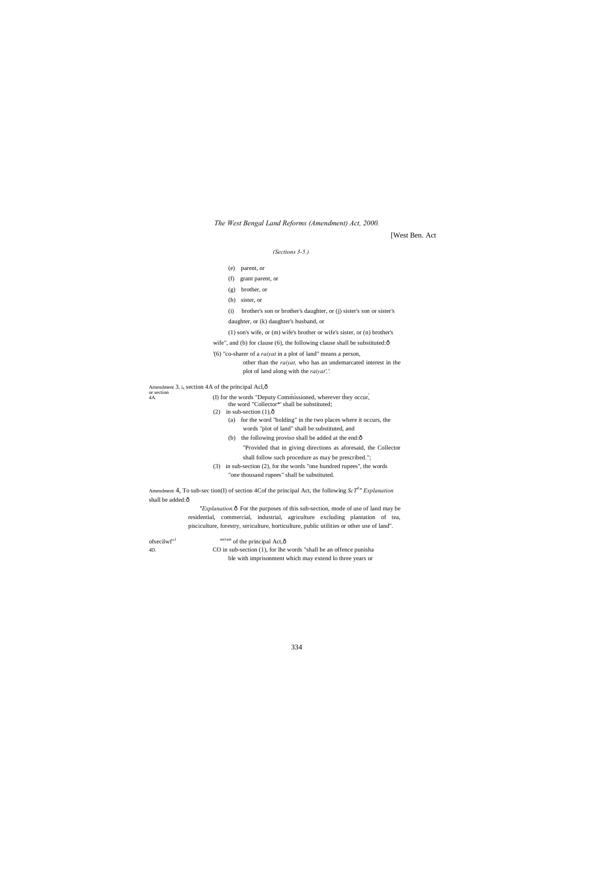*The West Bengal Land Reforms (Amendment) Act, 2000.*

[West Ben. Act

# *(Sections 3-5.)*

|                                                               | (3)                                                                                                                                                |  |
|---------------------------------------------------------------|----------------------------------------------------------------------------------------------------------------------------------------------------|--|
|                                                               | parent, or<br>(e)                                                                                                                                  |  |
|                                                               | (f)<br>grant parent, or                                                                                                                            |  |
|                                                               | brother, or<br>(g)                                                                                                                                 |  |
|                                                               | (h) sister, or                                                                                                                                     |  |
|                                                               | brother's son or brother's daughter, or (j) sister's son or sister's<br>(i)                                                                        |  |
|                                                               | daughter, or (k) daughter's husband, or                                                                                                            |  |
|                                                               | $(1)$ son's wife, or $(m)$ wife's brother or wife's sister, or $(n)$ brother's                                                                     |  |
|                                                               | wife", and (b) for clause (6), the following clause shall be substituted: $\hat{o}$                                                                |  |
|                                                               | (6) "co-sharer of a <i>raivat</i> in a plot of land" means a person,                                                                               |  |
|                                                               | other than the <i>raivat</i> , who has an undemarcated interest in the<br>plot of land along with the <i>raivat'</i> ,'.                           |  |
| Amendment 3. $i_n$ section 4A of the principal Acl, $\hat{o}$ |                                                                                                                                                    |  |
| or section<br>4A.                                             | (I) for the words "Deputy Commissioned, wherever they occur,<br>the word "Collector*' shall be substituted;<br>in sub-section $(1),\hat{0}$<br>(2) |  |
|                                                               | (a) for the word "holding" in the two places where it occurs, the<br>words "plot of land" shall be substituted, and                                |  |
|                                                               | the following proviso shall be added at the end: $\hat{o}$<br>(b)                                                                                  |  |
|                                                               | "Provided that in giving directions as aforesaid, the Collector                                                                                    |  |
|                                                               | shall follow such procedure as may be prescribed.";                                                                                                |  |
|                                                               | in sub-section (2), for the words "one hundred rupees", the words<br>(3)                                                                           |  |
|                                                               | "one thousand rupees" shall be substituted.                                                                                                        |  |
| shall be added:ô                                              | Amendment 4, To sub-sec tion(I) of section 4Cof the principal Act, the following $ScT^{0}$ " Explanation                                           |  |
|                                                               | <i>"Explanation</i> . The purposes of this sub-section, mode of use of land may be                                                                 |  |
|                                                               | residential, commercial, industrial, agriculture excluding plantation of tea,                                                                      |  |
|                                                               | pisciculture, forestry, sericulture, horticulture, public utilities or other use of land".                                                         |  |

| $of \n    secilwfT$ | $\frac{\text{sect}_{0}^{(0)}}{2}$ of the principal Act, $\hat{0}$ |
|---------------------|-------------------------------------------------------------------|
| 4D.                 | CO in sub-section (1), for the words "shall be an offence punisha |
|                     | ble with imprisonment which may extend to three years or          |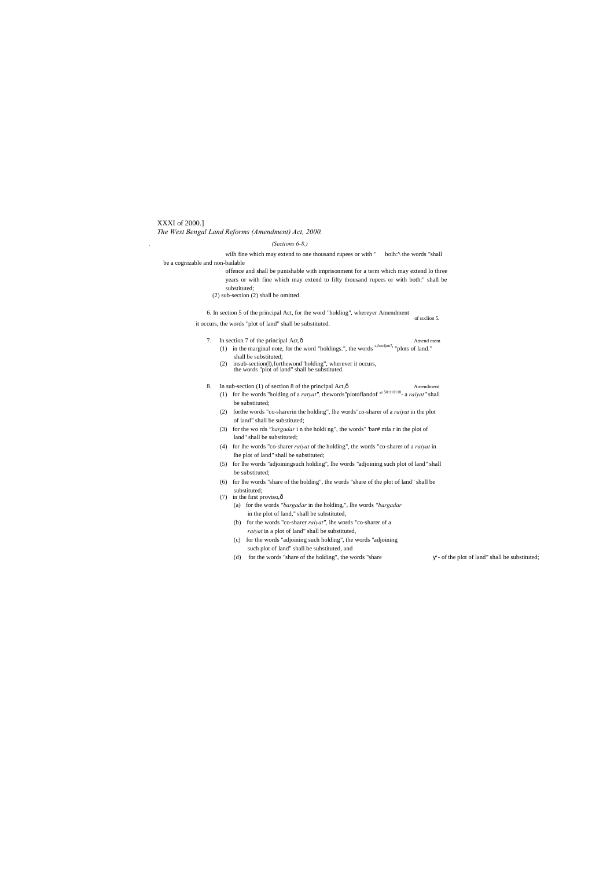### XXXI of 2000.] *The West Bengal Land Reforms (Amendment) Act, 2000.*

### *. (Sections 6-8.)*

wilh fine which may extend to one thousand rupees or with " boih:'\ the words "shall be a cognizable and non-bailable

- offence and shall be punishable with imprisonment for a term which may extend lo three years or with fine which may extend to fifty thousand rupees or with both:" shall be substituted;
- (2) sub-section (2) shall be omitted.

6. In section 5 of the principal Act, for the word "holding", whereyer Amendment

of scclion 5.

- 7. In section 7 of the principal Act,  $\hat{0}$  Amend mem (1) in the marginal note, for the word "holdings.", the words c,fsecljon7, "plots of land." shall be substituted;
	- (2) insub-section(l),forthewond"holding", wherever it occurs, the words "plot of land" shall be substituted.
- 8. In sub-section (1) of section 8 of the principal Act, $\hat{0}$  Amendment
	- (1) for lhe words "holding of a *ratyat",* thewords"plotoflandof °r 50:110118- a *raiyat"* shall be substituted;
	- (2) forthe words "co-sharerin the holding", lhe words"co-sharer of a *raiyat* in the plot of land" shall be substituted;
	- (3) for the wo rds *"bargadar* i n the holdi ng", the words" 'bar# mfa r in the plot of land" shall be substituted;
	- (4) for lhe words "co-sharer *raiyat* of the holding", the words "co-sharer of a *raiyat* in lhe plot of land" shall be substituted;
	- (5) for lhe words "adjoiningsuch holding", lhe words "adjoining such plot of land" shall be substituted;
	- (6) for lhe words "share of the holding", the words "share of the plot of land" shall be substituted;
	- (7) in the first proviso, $\hat{\text{o}}$ 
		- (a) for the words *"bargadar* in the holding,", lhe words *"bargadar* in the plot of land," shall be substituted,
		- (b) for the words "co-sharer *raiyat",* ihe words "co-sharer of a *raiyat* in a plot of land" shall be substituted,
		- (c) for the words "adjoining such holding", the words "adjoining such plot of land" shall be substituted, and
		- (d) for the words "share of the holding", the words "share  $-$  of the plot of land" shall be substituted;

it occurs, the words "plot of land" shall be substituted.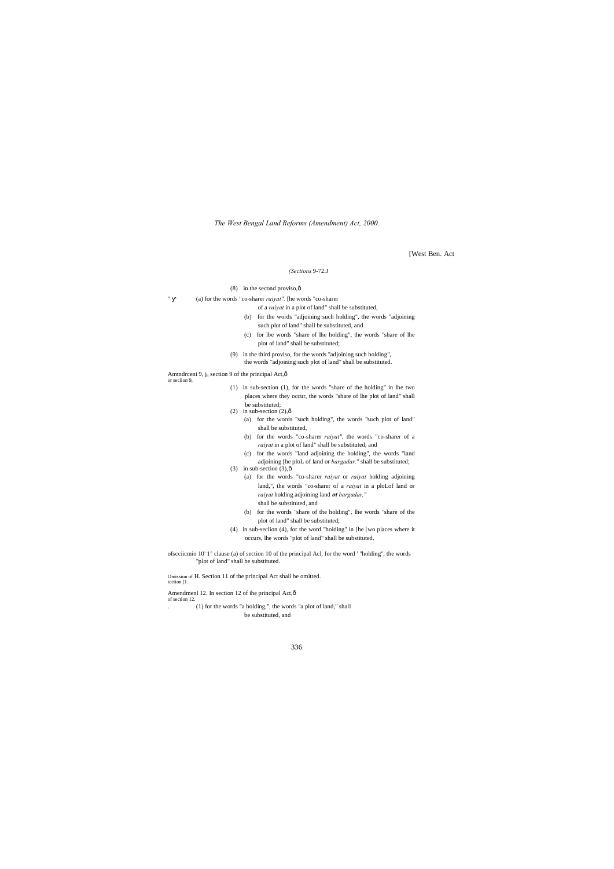*The West Bengal Land Reforms (Amendment) Act, 2000.*

[West Ben. Act

### *(Sections* 9-72.J

(8) in the second proviso, $\hat{0}$ 

(a) for the words "co-sharer *raiyat"*, [he words "co-sharer

of a *raiyat* in a plot of land" shall be substituted,

Amtndrceni 9, j<sub>n</sub> section 9 of the principal Act, ô or seciion 9,

- (b) for the words "adjoining such holding", the words "adjoining such plot of land" shall be substituted, and
- (c) for lbe words "share of lhe holding", the words "share of lhe plot of land" shall be substituted;
- (9) in the third proviso, for the words "adjoining such holding", the words "adjoining such plot of land" shall be substituted.

(1) in sub-section (1), for the words "share of the holding" in lhe two places where they occur, the words "share of lhe plot of land" shall be substituted;

- (2) in sub-section  $(2),\hat{0}$ 
	- (a) for the words "such holding", the words "such plot of land" shall be substituted,
	- (b) for the words "co-sharer *raiyat",* the words "co-sharer of a *raiyat* in a plot of land" shall be substituted, and
	- (c) for the words "land adjoining the holding", the words "land adjoining [he ploL of land or *bargadar."* shall be substituted;
- (3) in sub-section  $(3), 6$ 
	- (a) for the words "co-sharer *raiyat* or *raiyat* holding adjoining land,", the words "co-sharer of a *raiyat* in a ploLof land or *raiyat* holding adjoining land *ot bargadar,"* shall be substituted, and
	- (b) for the words "share of the holding", lhe words "share of the plot of land" shall be substituted;
- (4) in sub-seclion (4), for the word "holding" in [he [wo places where it occurs, lhe words "plot of land" shall be substituted.
- ofscciicmio 10' 1° clause (a) of section 10 of the principal Acl, for the word ' "holding", the words "plot of land" shall be substituted.

- 
- Amendmenl 12. In section 12 of ihe principal Act, ô of section 12.
- . (1) for the words "a holding,", the words "a plot of land," shall be substituted, and

Omission of H. Section 11 of the principal Act shall be omitted. icciion [J.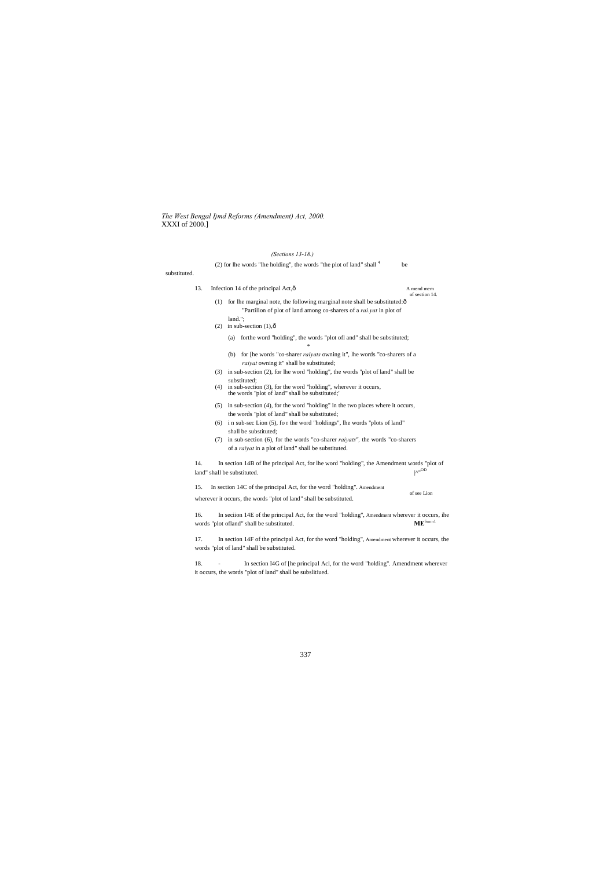*The West Bengal Ijmd Reforms (Amendment) Act, 2000.* XXXI of 2000.]

# *(Sections 13-18.)*

| $15001000313 - 10.7$                                                            |  |
|---------------------------------------------------------------------------------|--|
| $(2)$ for lhe words "lhe holding", the words "the plot of land" shall $4$<br>be |  |

| 13. | Infection 14 of the principal Act, $\hat{o}$                                                                                                         | A mend mem<br>of section 14. |
|-----|------------------------------------------------------------------------------------------------------------------------------------------------------|------------------------------|
| (1) | for the marginal note, the following marginal note shall be substituted: ô<br>"Partilion of plot of land among co-sharers of a rai.yat in plot of    |                              |
| (2) | land.";<br>in sub-section $(1),\hat{0}$                                                                                                              |                              |
|     | forthe word "holding", the words "plot ofl and" shall be substituted;<br>(a)<br>$\ast$                                                               |                              |
|     | for [he words "co-sharer <i>raivats</i> owning it", lhe words "co-sharers of a<br>(b)<br>raiyat owning it" shall be substituted;                     |                              |
| (3) | in sub-section (2), for lhe word "holding", the words "plot of land" shall be<br>substituted;                                                        |                              |
| (4) | in sub-section (3), for the word "holding", wherever it occurs,<br>the words "plot of land" shall be substituted;"                                   |                              |
| (5) | in sub-section (4), for the word "holding" in the two places where it occurs,<br>the words "plot of land" shall be substituted;                      |                              |
| (6) | i n sub-sec Lion (5), for the word "holdings", lhe words "plots of land"<br>shall be substituted;                                                    |                              |
| (7) | in sub-section (6), for the words "co-sharer <i>raivats"</i> , the words "co-sharers"<br>of a <i>raivat</i> in a plot of land" shall be substituted. |                              |
| 14. | In section 14B of lhe principal Act, for lhe word "holding", the Amendment words "plot of<br>land" shall be substituted.                             | $N^{\prime\prime}$ OD        |
| 15. | In section 14C of the principal Act, for the word "holding". Amendment<br>wherever it occurs, the words "plot of land" shall be substituted.         | of see Lion                  |
| 16. | In section 14E of the principal Act, for the word "holding", Amendment wherever it occurs, ihe<br>words "plot of land" shall be substituted.         | $\mathbf{ME}^{6mm1}$         |
| 17. | In section 14F of the principal Act, for the word "holding", Amendment wherever it occurs, the<br>words "plot of land" shall be substituted.         |                              |
| 18. | In section I4G of [he principal Acl, for the word "holding". Amendment wherever                                                                      |                              |

it occurs, the words "plot of land" shall be subslitiued.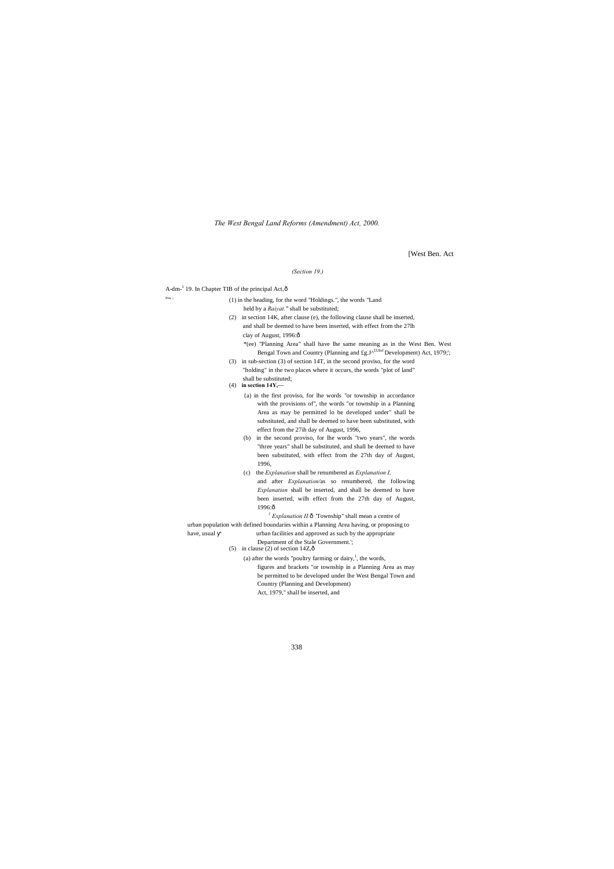*The West Bengal Land Reforms (Amendment) Act, 2000.*

[West Ben. Act

### *(Section 19.)*

 $A$ -dm<sup>-1</sup> 19. In Chapter TIB of the principal Act, $\hat{o}$ 

| ira. : | (1) in the heading, for the word "Holdings.", the words "Land" |  |
|--------|----------------------------------------------------------------|--|
|        | held by a <i>Raivat</i> ." shall be substituted;               |  |

- {a) in the first proviso, for lhe words "or township in accordance with the provisions of", the words "or township in a Planning Area as may be permitted lo be developed under" shall be substituted, and shall be deemed to have been substituted, with effect from the 27ih day of August, 1996,
- (b) in the second proviso, for lhe words "two years", the words "three years" shall be substituted, and shall be deemed to have been substituted, with effect from the 27th day of August, 1996,
- (c) the *Explanation* shall be renumbered as *Explanation I,* and after *Explanation*/as so renumbered, the following *Explanation* shall be inserted, and shall be deemed to have been inserted, wilh effect from the 27th day of August, 1996:ô

 $<sup>1</sup>$  *Explanation II.* $\hat{o}$  Township" shall mean a centre of</sup>

- (2) in section 14K, after clause (e), the following clause shall be inserted, and shall be deemed to have been inserted, with effect from the 27lh clay of August, 1996:ô
	- \*(ee) "Planning Area" shall have lhe same meaning as in the West Ben. West Bengal Town and Country (Planning and  $\text{fg.J}^{\text{ALU of}}$  Development) Act, 1979;';
- (3) in sub-section (3) of section 14T, in the second proviso, for the word "holding" in the two places where it occurs, the words "plot of land" shall be substituted;

# (4) **in section 14Y,—**

(a) after the words "poultry farming or dairy, $\frac{1}{1}$ , the words, figures and brackets "or township in a Planning Area as may be permitted to be developed under lhe West Bengal Town and Country (Planning and Development) Act, 1979," shall be inserted, and

urban population with defined boundaries within a Planning Area having, or proposing to

### have, usual urban facilities and approved as such by the appropriate

Department of the Stale Government.';

(5) in clause (2) of section  $14Z,\hat{\text{o}}$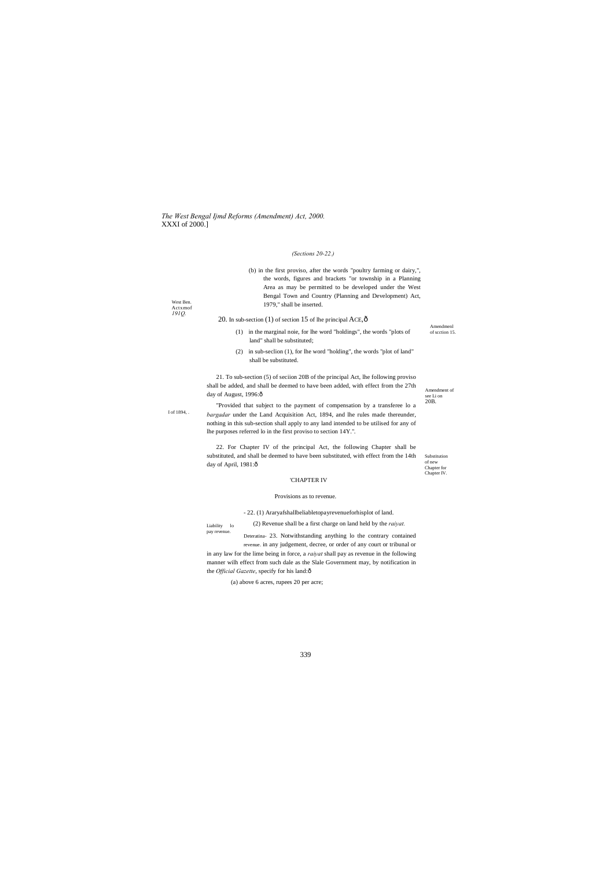*The West Bengal Ijmd Reforms (Amendment) Act, 2000.* XXXI of 2000.]

339

West Ben. Actxmof *191Q.*

I of 1894, .

Liability lo pay revenue.

### *(Sections 20-22.)*

| (b) in the first proviso, after the words "poultry farming or dairy,",<br>the words, figures and brackets "or township in a Planning<br>Area as may be permitted to be developed under the West<br>Bengal Town and Country (Planning and Development) Act,<br>1979," shall be inserted.                                                                                                                                                                         |                                                      |
|-----------------------------------------------------------------------------------------------------------------------------------------------------------------------------------------------------------------------------------------------------------------------------------------------------------------------------------------------------------------------------------------------------------------------------------------------------------------|------------------------------------------------------|
| 20. In sub-section $(1)$ of section 15 of the principal ACE, $\hat{\text{o}}$                                                                                                                                                                                                                                                                                                                                                                                   |                                                      |
| in the marginal noie, for lhe word "holdings", the words "plots of<br>(1)<br>land" shall be substituted;                                                                                                                                                                                                                                                                                                                                                        | Amendmenl<br>of section 15.                          |
| in sub-seclion (1), for lhe word "holding", the words "plot of land"<br>(2)<br>shall be substituted.                                                                                                                                                                                                                                                                                                                                                            |                                                      |
| 21. To sub-section (5) of section 20B of the principal Act, the following proviso<br>shall be added, and shall be deemed to have been added, with effect from the 27th<br>day of August, 1996:ô<br>"Provided that subject to the payment of compensation by a transferee lo a<br><i>bargadar</i> under the Land Acquisition Act, 1894, and lhe rules made thereunder,<br>nothing in this sub-section shall apply to any land intended to be utilised for any of | Amendment of<br>see Li on<br>20 <sub>B</sub> .       |
| the purposes referred to in the first proviso to section 14Y.".                                                                                                                                                                                                                                                                                                                                                                                                 |                                                      |
| 22. For Chapter IV of the principal Act, the following Chapter shall be<br>substituted, and shall be deemed to have been substituted, with effect from the 14th<br>day of April, 1981:ô                                                                                                                                                                                                                                                                         | Substitution<br>of new<br>Chapter for<br>Chapter IV. |
| 'CHAPTER IV                                                                                                                                                                                                                                                                                                                                                                                                                                                     |                                                      |
| Provisions as to revenue.                                                                                                                                                                                                                                                                                                                                                                                                                                       |                                                      |
|                                                                                                                                                                                                                                                                                                                                                                                                                                                                 |                                                      |

in any law for the lime being in force, a *raiyat* shall pay as revenue in the following manner wilh effect from such dale as the Slale Government may, by notification in the *Official Gazette*, specify for his land: $\hat{o}$ 

- 22. (1) Araryafshallbeliabletopayrevenueforhisplot of land.

(2) Revenue shall be a first charge on land held by the *raiyat.*

Deteratina- 23. Notwithstanding anything lo the contrary contained revenue. in any judgement, decree, or order of any court or tribunal or

(a) above 6 acres, rupees 20 per acre;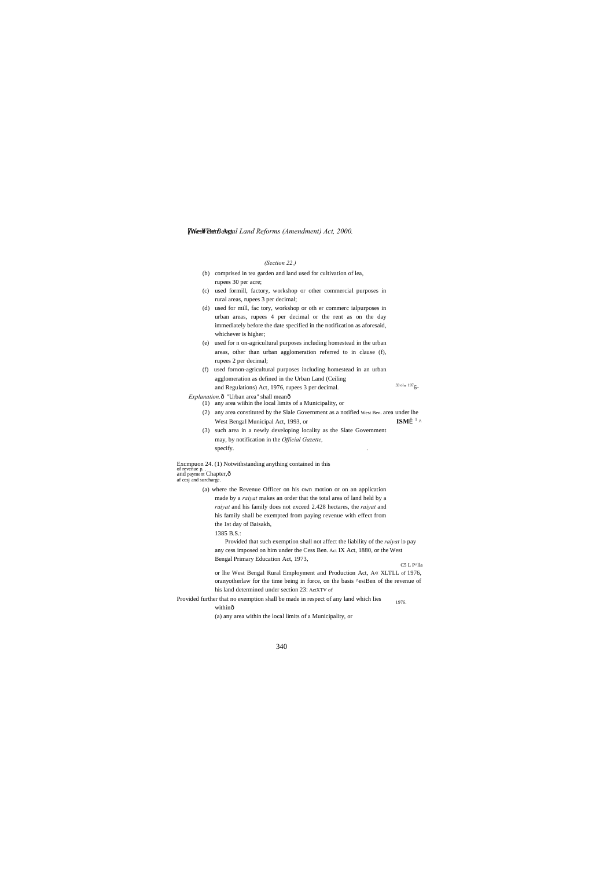- (b) comprised in tea garden and land used for cultivation of lea, rupees 30 per acre;
- (c) used formill, factory, workshop or other commercial purposes in rural areas, rupees 3 per decimal;
- (d) used for mill, fac tory, workshop or oth er commerc ialpurposes in urban areas, rupees 4 per decimal or the rent as on the day immediately before the date specified in the notification as aforesaid, whichever is higher;
- (e) used for n on-agricultural purposes including homestead in the urban areas, other than urban agglomeration referred to in clause (f), rupees 2 per decimal;
- (f) used fornon-agricultural purposes including homestead in an urban agglomeration as defined in the Urban Land (Ceiling and Regulations) Act, 1976, rupees 3 per decimal.  $33 \text{ o} \cdot \text{m}$  1976-
- *Explanation.* $\hat{o}$  "Urban area" shall mean $\hat{o}$
- (1) any area wiihin the local limits of a Municipality, or
	- (2) any area constituted by the Slale Government as a notified West Ben. area under lhe West Bengal Municipal Act, 1993, or **ISM**<sup>1</sup> ^</sup>
	- (3) such area in a newly developing locality as the Slate Government may, by notification in the *Official Gazette,* specify.

### [West BanBengal Land Reforms (Amendment) Act, 2000.

### *(Section 22.)*

Excmpuon 24. (1) Notwithstanding anything contained in this of revenue p. .<br>and payment Chapter,ô<br>af cesj and surcharge.

- C5 L P^lla or lhe West Bengal Rural Employment and Production Act, A« XLTLL of 1976, oranyotherlaw for the time being in force, on the basis ^esiBen of the revenue of his land determined under section 23: ActXTV of
- 1976. Provided further that no exemption shall be made in respect of any land which lies withinô

(a) where the Revenue Officer on his own motion or on an application made by a *raiyat* makes an order that the total area of land held by a *raiyat* and his family does not exceed 2.428 hectares, the *raiyat* and his family shall be exempted from paying revenue with effect from the 1st day of Baisakh,

1385 B.S.:

Provided that such exemption shall not affect the liability of the *raiyat* lo pay any cess imposed on him under the Cess Ben. Act IX Act, 1880, or the West Bengal Primary Education Act, 1973,

(a) any area within the local limits of a Municipality, or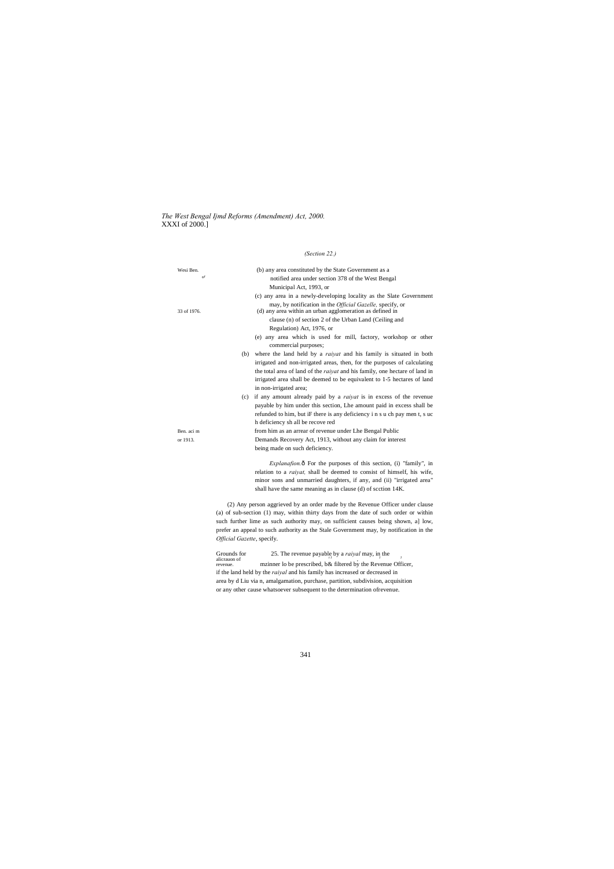*The West Bengal Ijmd Reforms (Amendment) Act, 2000.* XXXI of 2000.]

### *(Section 22.)*

| Wesi Ben.            | (b) any area constituted by the State Government as a                                  |
|----------------------|----------------------------------------------------------------------------------------|
| $\circ$ <sup>r</sup> | notified area under section 378 of the West Bengal                                     |
|                      | Municipal Act, 1993, or                                                                |
|                      | (c) any area in a newly-developing locality as the Slate Government                    |
|                      | may, by notification in the <i>Official Gazelle</i> , specify, or                      |
| 33 of 1976.          | (d) any area within an urban agglomeration as defined in                               |
|                      | clause (n) of section 2 of the Urban Land (Ceiling and                                 |
|                      | Regulation) Act, 1976, or                                                              |
|                      | (e) any area which is used for mill, factory, workshop or other                        |
|                      | commercial purposes;                                                                   |
|                      | where the land held by a <i>raivat</i> and his family is situated in both<br>(b)       |
|                      | irrigated and non-irrigated areas, then, for the purposes of calculating               |
|                      | the total area of land of the <i>raivat</i> and his family, one hectare of land in     |
|                      | irrigated area shall be deemed to be equivalent to 1-5 hectares of land                |
|                      | in non-irrigated area;                                                                 |
|                      | if any amount already paid by a <i>raivat</i> is in excess of the revenue<br>(c)       |
|                      | payable by him under this section, Lhe amount paid in excess shall be                  |
|                      | refunded to him, but iF there is any deficiency i n s u ch pay men t, s uc             |
|                      | h deficiency sh all be recove red                                                      |
| Ben. aci m           | from him as an arrear of revenue under Lhe Bengal Public                               |
| or 1913.             | Demands Recovery Act, 1913, without any claim for interest                             |
|                      | being made on such deficiency.                                                         |
|                      | <i>Explanation.</i> 6 For the purposes of this section, (i) "family", in               |
|                      | relation to a <i>raivat</i> , shall be deemed to consist of himself, his wife,         |
|                      | minor sons and unmarried daughters, if any, and (ii) "irrigated area"                  |
|                      | shall have the same meaning as in clause (d) of scction 14K.                           |
|                      | (2) Any person aggrieved by an order made by the Revenue Officer under clause          |
|                      | (a) of sub-section (1) may, within thirty days from the date of such order or within   |
|                      | such further lime as such authority may, on sufficient causes being shown, al low,     |
|                      | prefer an appeal to such authority as the Stale Government may, by notification in the |

Grounds for 25. The revenue payable by a *raiyal* may, in the alicration of metaphore may inner lo be prescribed, b& filtered by the Revenue Office alicrauon of mzinner lo be prescribed, b& filtered by the Revenue Officer, if the land held by the *raiyal* and his family has increased or decreased in area by d Liu via n, amalgamation, purchase, partition, subdivision, acquisition or any other cause whatsoever subsequent to the determination ofrevenue.

*Official Gazette*, specify.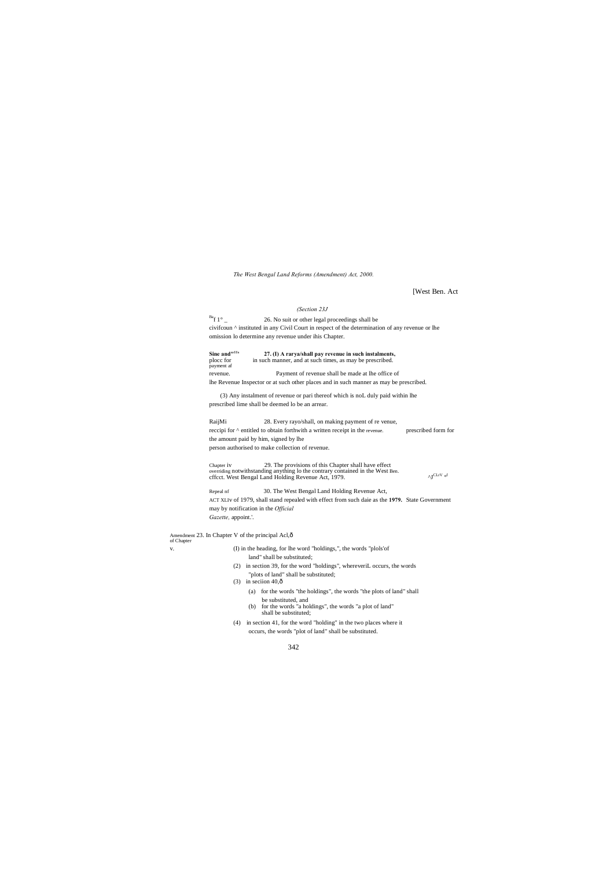*The West Bengal Land Reforms (Amendment) Act, 2000.*

[West Ben. Act

 $\wedge \mathbf{J}^{\text{CLrV}}$  of

### *(Section 23J*

 $Baf 1^\circ$  26. No suit or other legal proceedings shall be civifcoun ^ instituted in any Civil Court in respect of the determination of any revenue or lhe omission lo determine any revenue under ihis Chapter.

**Sine and <sup>111</sup> <b>27.** (I) A rarya/shall pay revenue in such instalments, ploce for in such manner, and at such times, as may be prescribed. in such manner, and at such times, as may be prescribed. payment af revenue. Payment of revenue shall be made at lhe office of

Chapter iv 29. The provisions of this Chapter shall have effect overriding notwithstanding anything lo the contrary contained in the West Ben.<br>cffcct. West Bengal Land Holding Revenue Act, 1979.

lhe Revenue Inspector or at such other places and in such manner as may be prescribed.

(3) Any instalment of revenue or pari thereof which is noL duly paid within lhe prescribed lime shall be deemed lo be an arrear.

Repeal nf 30. The West Bengal Land Holding Revenue Act, ACT XLIv of 1979, shall stand repealed with effect from such daie as the **1979.** State Government may by notification in the *Official Gazette,* appoint.'.

RaijMi 28. Every rayo/shall, on making payment of re venue, reccipi for ^ entitled to obtain forthwith a written receipt in the revenue. prescribed form for the amount paid by him, signed by lhe person authorised to make collection of revenue.

Amendment 23. In Chapter V of the principal Acl,—

of Chapter

v. (I) in the heading, for lhe word "holdings,", the words "plols'of land" shall be substituted;

- (2) in section 39, for the word "holdings", whereveriL occurs, the words "plots of land" shall be substituted;
- (3) in seciion  $40,\hat{0}$ 
	- (a) for the words "the holdings", the words "the plots of land" shall be substituted, and
	- (b) for the words "a holdings", the words "a plot of land" shall be substituted;
- (4) in section 41, for the word "holding" in the two places where it occurs, the words "plot of land" shall be substituted.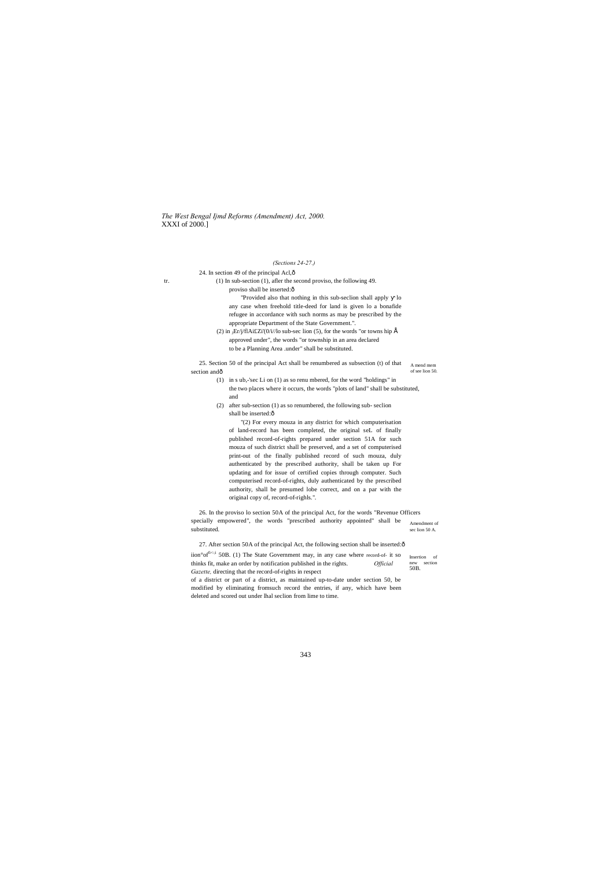*The West Bengal Ijmd Reforms (Amendment) Act, 2000.* XXXI of 2000.]

24. In section 49 of the principal Acl, $\hat{o}$ 

A mend mem of see lion 50. 25. Section 50 of the principal Act shall be renumbered as subsection (t) of that section andô

Insertion of new section 50B.

### *(Sections 24-27.)*

tr. (1) In sub-section (1), afler the second proviso, the following 49. proviso shall be inserted: $\hat{o}$ "Provided also that nothing in this sub-seclion shall apply lo

> (2) in  $JE r / j / f I A i \pounds Z i' (0 / i / I o$  sub-sec lion (5), for the words "or towns hip  $\hat{E}$ approved under", the words "or township in an area declared to be a Planning Area .under" shall be substituted.

- (1) in s ub,-'sec Li on (1) as so renu mbered, for the word "holdings" in the two places where it occurs, the words "plots of land" shall be substituted, and
- (2) after sub-section (1) as so renumbered, the following sub- seclion shall be inserted: $ô$

any case when freehold title-deed for land is given lo a bonafide refugee in accordance with such norms as may be prescribed by the appropriate Department of the State Government.".

Amendment of sec lion 50 A. 26. In the proviso lo section 50A of the principal Act, for the words "Revenue Officers specially empowered", the words "prescribed authority appointed" shall be substituted.

27. After section 50A of the principal Act, the following section shall be inserted: $\hat{o}$ 

iion°of<sup>fic:;i</sup> 50B. (1) The State Government may, in any case where record-of- it so thinks fit, make an order by notification published in the rights. *Official Gazette,* directing that the record-of-rights in respect

"(2) For every mouza in any district for which computerisation of land-record has been completed, the original seL of finally published record-of-rights prepared under section 51A for such mouza of such district shall be preserved, and a set of computerised print-out of the finally published record of such mouza, duly authenticated by the prescribed authority, shall be taken up For updating and for issue of certified copies through computer. Such computerised record-of-rights, duly authenticated by the prescribed authority, shall be presumed lobe correct, and on a par with the original copy of, record-of-righls.".

of a district or part of a district, as maintained up-to-date under section 50, be modified by eliminating fromsuch record the entries, if any, which have been deleted and scored out under lhal seclion from lime to time.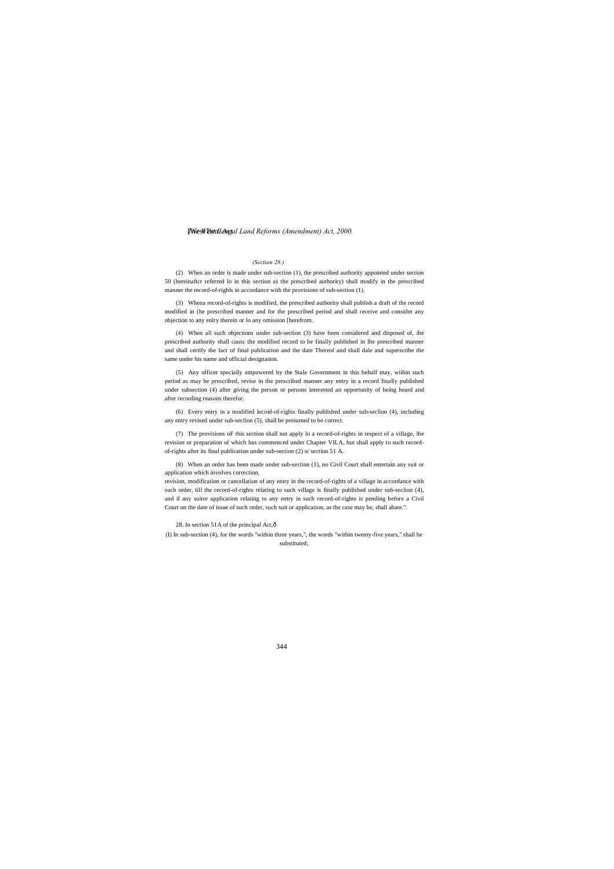### [West BenBengal Land Reforms (Amendment) Act, 2000.

### *(Section 28.)*

(2) When an order is made under sub-section (1), the prescribed authority appointed under section 50 (hereinaftcr referred lo in this section as the prescribed authority) shall modify in the prescribed manner the record-of-righls in accordance with the provisions of sub-section (1).

(3) Whena record-of-rights is modified, the prescribed authority shall publish a draft of the record modified in (he prescribed manner and for the prescribed period and shall receive and consider any objection to any enlry therein or lo any omission [herefrom.

(4) When all such objections under sub-section (3) have been considered and disposed of, ihe prescribed authority shall causc the modified record to be finally published in lhe prescribed manner and shall certify the fact of final publication and the date Thereof and shall dale and superscribe the same under his name and official designation.

(5) Any officer specially empowered by the Stale Government in this behalf may, wiihin such period as may be prescribed, revise in the prescribed manner any entry in a record finally published under subsection (4) after giving the person or persons interested an opportunity of being heard and after recording reasons therefor.

(6) Every entry in a modified lecoid-of-righis finally published under sub-seclion (4), including any entry revised under sub-seclion (5), shall be presumed to be correct.

(7) The provisions oF this section shall not apply lo a record-of-rights in respect of a village, lhe revision or preparation of which has commenced under Chapter VILA, but shall apply to such recordof-rights after its final publication under sub-section (2) o/ section 51 A.

(8) When an order has been made under sub-section (1), no Civil Court shall entertain any suit or application which involves correction,

revision, modification or cancellation of any entry in the record-of-rights of a village in accordance with such order, till the record-of-rights relating to such village is finally published under sub-seciion (4), and if any suitor application relating to any entry in such record-of-rights is pending before a Civil Court on the date of issue of such order, such suit or application, as the case may be, shall abate.".

28. In section 51A of the principal Act, ô

(I) In sub-section (4), for the words "within three years,", the words "within twenty-five years," shall be substituted;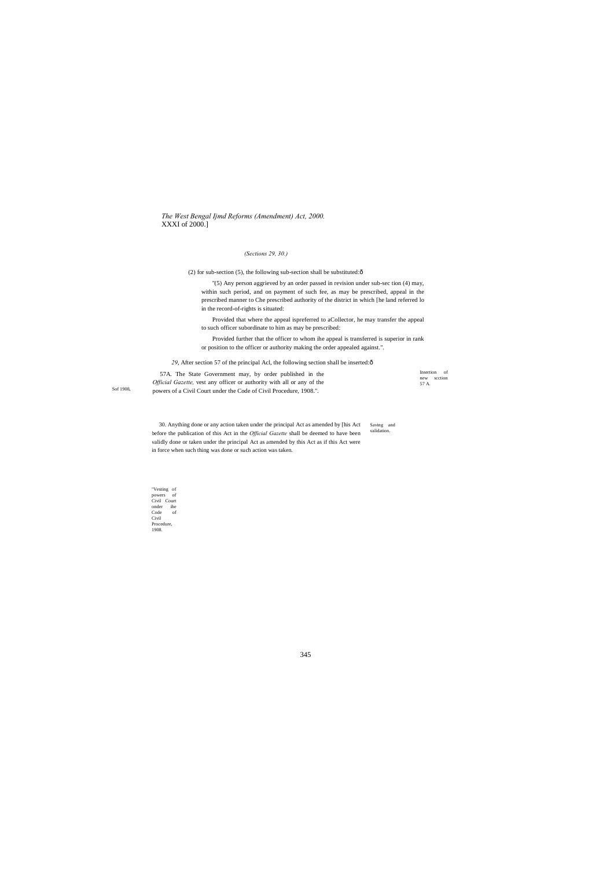*The West Bengal Ijmd Reforms (Amendment) Act, 2000.* XXXI of 2000.]

"Vesting of powers of Civil Court onder ihe Code of Civil Procedure, 1908.

Sof 1908,

30. Anything done or any action taken under the principal Act as amended by [his Act Saving and validation. before the publication of this Act in the *Official Gazette* shall be deemed to have been validly done or taken under the principal Act as amended by this Act as if this Act were in force when such thing was done or such action was taken.

### *(Sections 29, 30.)*

(2) for sub-section (5), the following sub-section shall be substituted: $\hat{o}$ 

"(5) Any person aggrieved by an order passed in revision under sub-sec tion (4) may, within such period, and on payment of such fee, as may be prescribed, appeal in the prescribed manner to Che prescribed authority of the district in which [he land referred lo in the record-of-rights is situated:

| 57A. The State Government may, by order published in the                      | Insertion of            |
|-------------------------------------------------------------------------------|-------------------------|
| <i>Official Gazette,</i> vest any officer or authority with all or any of the | section<br>new<br>57 A. |
| powers of a Civil Court under the Code of Civil Procedure, 1908.".            |                         |

Provided that where the appeal ispreferred to aCollector, he may transfer the appeal to such officer subordinate to him as may be prescribed:

Provided further that the officer to whom ihe appeal is transferred is superior in rank or position to the officer or authority making the order appealed against.".

29, After section 57 of the principal Acl, the following section shall be inserted: $\hat{o}$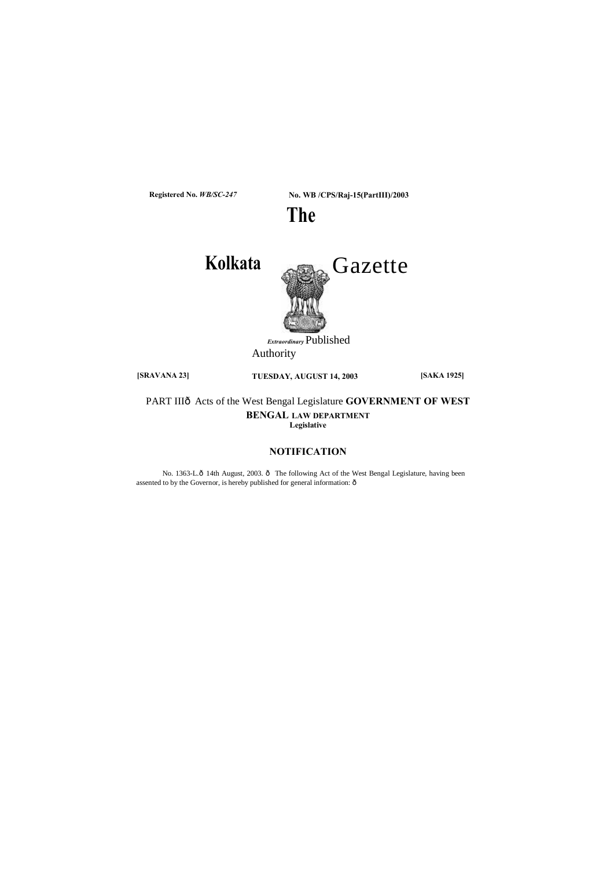

No. 1363-L.ô 14th August, 2003. ô The following Act of the West Bengal Legislature, having been assented to by the Governor, is hereby published for general information:  $\hat{\text{o}}$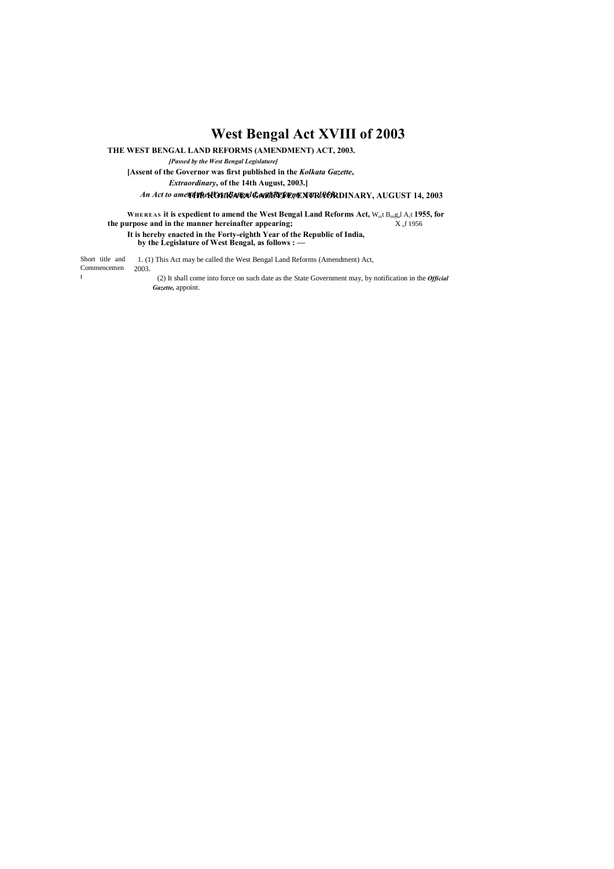# **West Bengal Act XVIII of 2003**

**THE WEST BENGAL LAND REFORMS (AMENDMENT) ACT, 2003.**

*[Passed by the West Bengal Legislature]*

**[Assent of the Governor was first published in the** *Kolkata Gazette***,**

*Extraordinary***, of the 14th August, 2003.]**

An Act to ame**nd the West Bengal & avt Reform & Act Refor** DINARY, AUGUST 14, 2003

Short title and Commencemen 2003. t 1. (1) This Act may be called the West Bengal Land Reforms (Amendment) Act, (2) It shall come into force on such date as the State Government may, by notification in the *Official Gazette,* appoint.

**WHE RE AS it is expedient to amend the West Bengal Land Reforms Act,** West Bengal Act **1955, for the purpose and in the manner hereinafter appearing;** X<sub>o</sub>f 1956 **It is hereby enacted in the Forty-eighth Year of the Republic of India,**

**by the Legislature of West Bengal, as follows : —**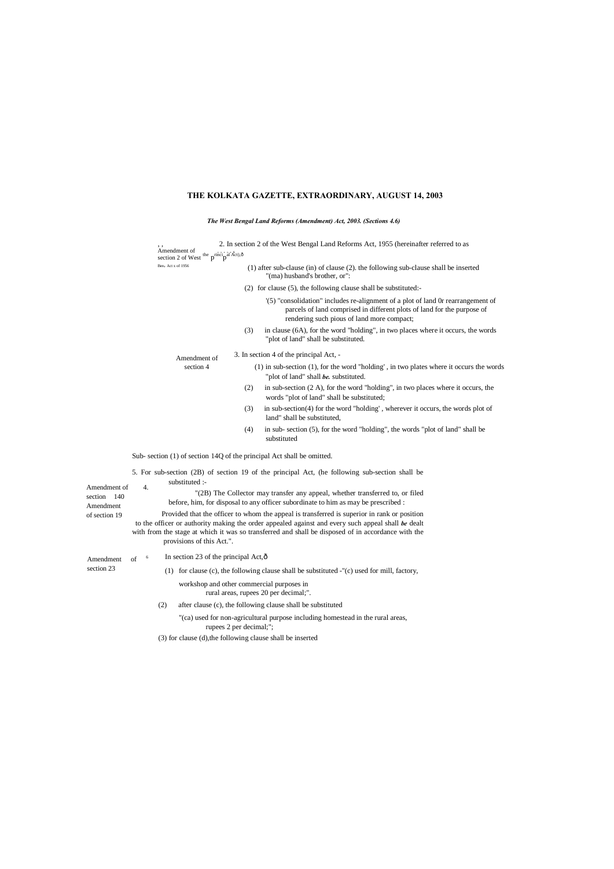# **THE KOLKATA GAZETTE, EXTRAORDINARY, AUGUST 14, 2003**

# *The West Bengal Land Reforms (Amendment) Act, 2003. (Sections 4.6)*

|                               | Amendment of<br>section 2 of West the $p^{\text{rinci}}p^{\text{al }\text{Act}},\hat{o}$                                                                                                                 | 2. In section 2 of the West Bengal Land Reforms Act, 1955 (hereinafter referred to as                                                                                                                     |  |  |
|-------------------------------|----------------------------------------------------------------------------------------------------------------------------------------------------------------------------------------------------------|-----------------------------------------------------------------------------------------------------------------------------------------------------------------------------------------------------------|--|--|
|                               | Ben, Act x of 1956                                                                                                                                                                                       | (1) after sub-clause (in) of clause (2). the following sub-clause shall be inserted<br>"(ma) husband's brother, or":                                                                                      |  |  |
|                               |                                                                                                                                                                                                          | $(2)$ for clause $(5)$ , the following clause shall be substituted:                                                                                                                                       |  |  |
|                               |                                                                                                                                                                                                          | '(5) "consolidation" includes re-alignment of a plot of land 0r rearrangement of<br>parcels of land comprised in different plots of land for the purpose of<br>rendering such pious of land more compact; |  |  |
|                               |                                                                                                                                                                                                          | in clause (6A), for the word "holding", in two places where it occurs, the words<br>(3)<br>"plot of land" shall be substituted.                                                                           |  |  |
|                               | Amendment of                                                                                                                                                                                             | 3. In section 4 of the principal Act, -                                                                                                                                                                   |  |  |
|                               | section 4                                                                                                                                                                                                | $(1)$ in sub-section $(1)$ , for the word "holding", in two plates where it occurs the words<br>"plot of land" shall be. substituted.                                                                     |  |  |
|                               |                                                                                                                                                                                                          | in sub-section $(2 A)$ , for the word "holding", in two places where it occurs, the<br>(2)<br>words "plot of land" shall be substituted;                                                                  |  |  |
|                               |                                                                                                                                                                                                          | in sub-section(4) for the word "holding', wherever it occurs, the words plot of<br>(3)<br>land" shall be substituted,                                                                                     |  |  |
|                               |                                                                                                                                                                                                          | in sub-section (5), for the word "holding", the words "plot of land" shall be<br>(4)<br>substituted                                                                                                       |  |  |
|                               |                                                                                                                                                                                                          | Sub-section (1) of section 14Q of the principal Act shall be omitted.                                                                                                                                     |  |  |
|                               |                                                                                                                                                                                                          | 5. For sub-section (2B) of section 19 of the principal Act, (he following sub-section shall be                                                                                                            |  |  |
| Amendment of                  | substituted :-<br>4.                                                                                                                                                                                     |                                                                                                                                                                                                           |  |  |
| - 140<br>section<br>Amendment |                                                                                                                                                                                                          | "(2B) The Collector may transfer any appeal, whether transferred to, or filed<br>before, him, for disposal to any officer subordinate to him as may be prescribed :                                       |  |  |
| of section 19                 |                                                                                                                                                                                                          | Provided that the officer to whom the appeal is transferred is superior in rank or position                                                                                                               |  |  |
|                               | to the officer or authority making the order appealed against and every such appeal shall be dealt<br>with from the stage at which it was so transferred and shall be disposed of in accordance with the |                                                                                                                                                                                                           |  |  |
|                               | provisions of this Act.".                                                                                                                                                                                |                                                                                                                                                                                                           |  |  |
| Amendment                     | In section 23 of the principal Act, ô<br>6<br>of                                                                                                                                                         |                                                                                                                                                                                                           |  |  |
| section 23                    |                                                                                                                                                                                                          | (1) for clause (c), the following clause shall be substituted -"(c) used for mill, factory,                                                                                                               |  |  |
|                               |                                                                                                                                                                                                          | workshop and other commercial purposes in<br>rural areas, rupees 20 per decimal;".                                                                                                                        |  |  |
|                               | (2)                                                                                                                                                                                                      | after clause (c), the following clause shall be substituted                                                                                                                                               |  |  |
|                               |                                                                                                                                                                                                          | "(ca) used for non-agricultural purpose including homestead in the rural areas,<br>rupees 2 per decimal;";                                                                                                |  |  |
|                               |                                                                                                                                                                                                          | (3) for clause (d), the following clause shall be inserted                                                                                                                                                |  |  |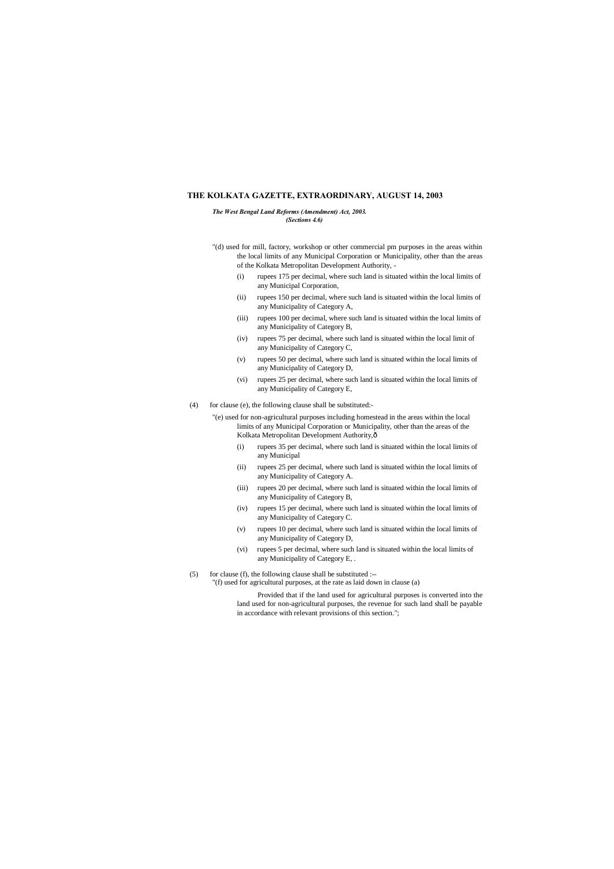# **THE KOLKATA GAZETTE, EXTRAORDINARY, AUGUST 14, 2003**

*The West Bengal Land Reforms (Amendment) Act, 2003. (Sections 4.6)*

- "(d) used for mill, factory, workshop or other commercial pm purposes in the areas within the local limits of any Municipal Corporation or Municipality, other than the areas of the Kolkata Metropolitan Development Authority, -
	- (i) rupees 175 per decimal, where such land is situated within the local limits of any Municipal Corporation,
	- (ii) rupees 150 per decimal, where such land is situated within the local limits of any Municipality of Category A,
	- (iii) rupees 100 per decimal, where such land is situated within the local limits of any Municipality of Category B,
	- (iv) rupees 75 per decimal, where such land is situated within the local limit of any Municipality of Category C,
	- (v) rupees 50 per decimal, where such land is situated within the local limits of any Municipality of Category D,
	- (vi) rupees 25 per decimal, where such land is situated within the local limits of any Municipality of Category E,
- (4) for clause (e), the following clause shall be substituted:-
	- "(e) used for non-agricultural purposes including homestead in the areas within the local limits of any Municipal Corporation or Municipality, other than the areas of the Kolkata Metropolitan Development Authority, ô
		- (i) rupees 35 per decimal, where such land is situated within the local limits of any Municipal
		- (ii) rupees 25 per decimal, where such land is situated within the local limits of any Municipality of Category A.
		- (iii) rupees 20 per decimal, where such land is situated within the local limits of any Municipality of Category B,
		- (iv) rupees 15 per decimal, where such land is situated within the local limits of any Municipality of Category C.
		- (v) rupees 10 per decimal, where such land is situated within the local limits of any Municipality of Category D,
		- (vi) rupees 5 per decimal, where such land is situated within the local limits of any Municipality of Category E, .
- $(5)$  for clause (f), the following clause shall be substituted :--
	- "(f) used for agricultural purposes, at the rate as laid down in clause (a)

Provided that if the land used for agricultural purposes is converted into the land used for non-agricultural purposes, the revenue for such land shall be payable in accordance with relevant provisions of this section.";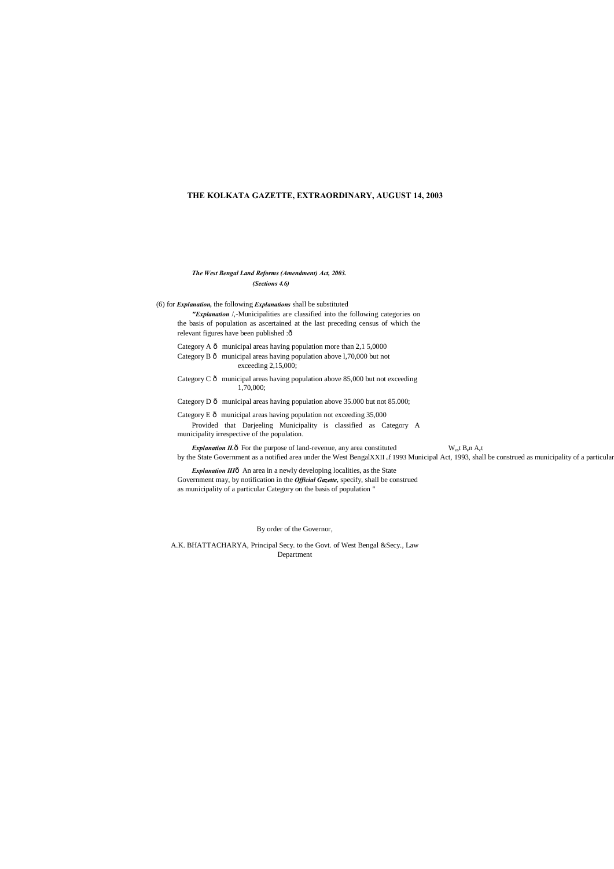# **THE KOLKATA GAZETTE, EXTRAORDINARY, AUGUST 14, 2003**

# *The West Bengal Land Reforms (Amendment) Act, 2003. (Sections 4.6)*

*"Explanation* /,-Municipalities are classified into the following categories on the basis of population as ascertained at the last preceding census of which the relevant figures have been published :ô

Category A  $\hat{o}$  municipal areas having population more than 2,1 5,0000

(6) for *Explanation,* the following *Explanations* shall be substituted

Category B  $\hat{o}$  municipal areas having population above 1,70,000 but not exceeding 2,15,000;

Category C  $\hat{o}$  municipal areas having population above 85,000 but not exceeding 1,70,000;

Category D  $\hat{o}$  municipal areas having population above 35.000 but not 85.000;

Category E  $\hat{o}$  municipal areas having population not exceeding 35,000 Provided that Darjeeling Municipality is classified as Category A municipality irrespective of the population.

*Explanation II.* $\hat{\text{o}}$  For the purpose of land-revenue, any area constituted W<sub>es</sub>t B<sub>e</sub>n A<sub>c</sub>t by the State Government as a notified area under the West BengalXXII <sub>o</sub>f 1993 Municipal Act, 1993, shall be construed as municipality of a particular

*Explanation III*ô An area in a newly developing localities, as the State Government may, by notification in the *Official Gazette,* specify, shall be construed as municipality of a particular Category on the basis of population "

By order of the Governor,

A.K. BHATTACHARYA, Principal Secy. to the Govt. of West Bengal &Secy., Law Department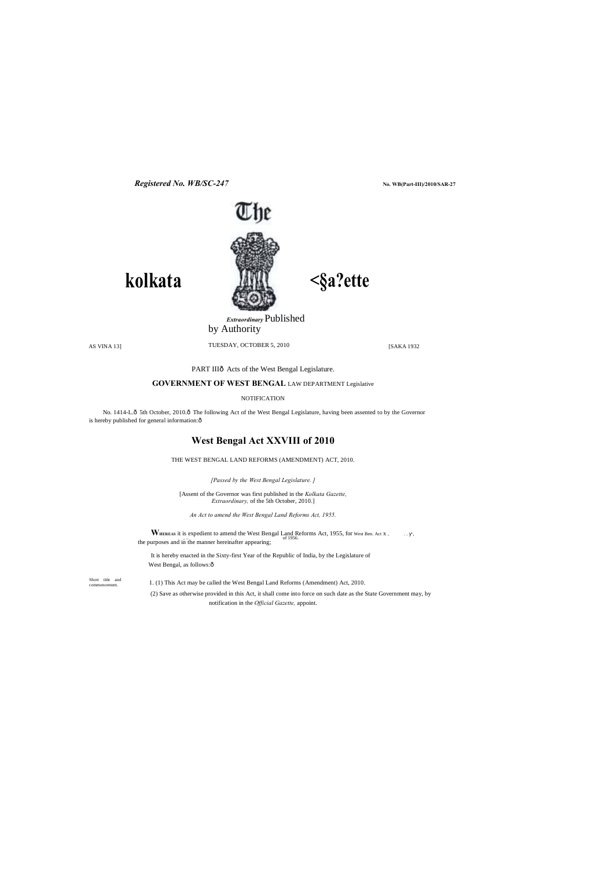**No. WB(Part-III)/2010/SAR-27**



**<§a?ette**

Short title and commencement.

*Registered No. WB/SC-247*

**kolkata**

*Extraordinary* Published

by Authority

AS VINA 13] TUESDAY, OCTOBER 5, 2010 [SAKA 1932

PART IIIô Acts of the West Bengal Legislature.

**GOVERNMENT OF WEST BENGAL** LAW DEPARTMENT Legislative

NOTIFICATION

No. 1414-L.ô 5th October, 2010.ô The following Act of the West Bengal Legislature, having been assented to by the Governor is hereby published for general information:  $\rm \hat{o}$ 

> **WHEREAS** it is expedient to amend the West Bengal Land Reforms Act, 1955, for West Ben. Act x , ..., , ... the purposes and in the manner hereinafter appearing;

It is hereby enacted in the Sixty-first Year of the Republic of India, by the Legislature of West Bengal, as follows: ô

# **West Bengal Act XXVIII of 2010**

THE WEST BENGAL LAND REFORMS (AMENDMENT) ACT, 2010.

*[Passed by the West Bengal Legislature. ]*

[Assent of the Governor was first published in the *Kolkata Gazette, Extraordinary,* of the 5th October, 2010.]

*An Act to amend the West Bengal Land Reforms Act, 1955.*

1. (1) This Act may be called the West Bengal Land Reforms (Amendment) Act, 2010.

(2) Save as otherwise provided in this Act, it shall come into force on such date as the State Government may, by notification in the *Official Gazette,* appoint.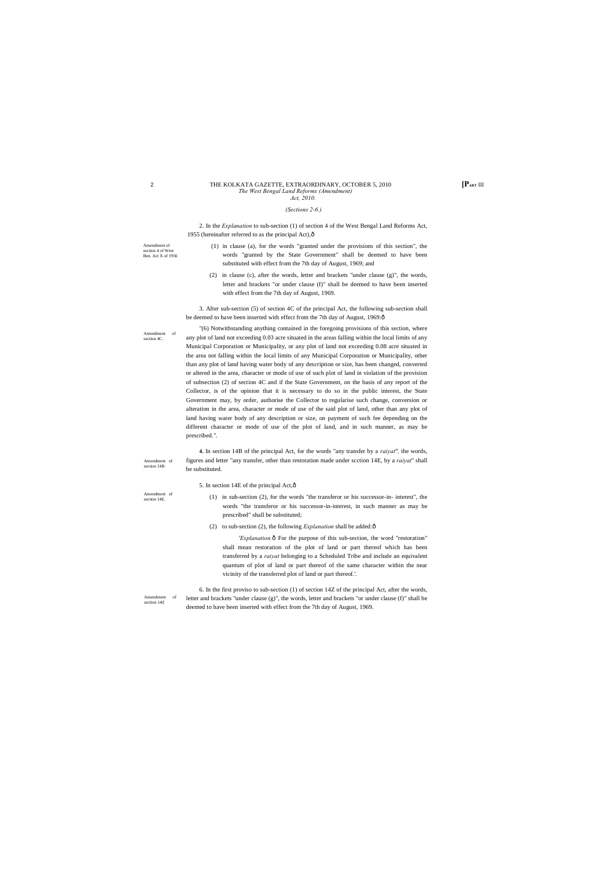Amendment of section 14B

Amendment of section 14E.

Amendment of section 4 of West Ben. Act X of 1956

### <sup>2</sup> **[PART** III THE KOLKATA GAZETTE, EXTRAORDINARY, OCTOBER 5, 2010 *The West Bengal Land Reforms (Amendment)*

Amendment of section 4C.

2. In the *Explanation* to sub-section (1) of section 4 of the West Bengal Land Reforms Act, 1955 (hereinafter referred to as the principal Act), $\hat{o}$ 

Amendment of section 14Z

# *Act, 2010.*

### *(Sections 2-6.)*

3. After sub-section (5) of section 4C of the principal Act, the following sub-section shall be deemed to have been inserted with effect from the 7th day of August, 1969:ô

- (1) in clause (a), for the words "granted under the provisions of this section", the words "granted by the State Government" shall be deemed to have been substituted with effect from the 7th day of August, 1969; and
- (2) in clause (c), after the words, letter and brackets "under clause (g)", the words, letter and brackets "or under clause (f)" shall be deemed to have been inserted with effect from the 7th day of August, 1969.

- (1) in sub-section (2), for the words "the transferor or his successor-in- interest", the words "the transferor or his successor-in-interest, in such manner as may be prescribed" shall be substituted;
- (2) to sub-section (2), the following *Explanation* shall be added: $\hat{o}$

'Explanation.ô For the purpose of this sub-section, the word "restoration" shall mean restoration of the plot of land or part thereof which has been transferred by a *raiyat* belonging to a Scheduled Tribe and include an equivalent quantum of plot of land or part thereof of the same character within the near vicinity of the transferred plot of land or part thereof.'.

"(6) Notwithstanding anything contained in the foregoing provisions of this section, where any plot of land not exceeding 0.03 acre situated in the areas falling within the local limits of any Municipal Corporation or Municipality, or any plot of land not exceeding 0.08 acre situated in the area not falling within the local limits of any Municipal Corporation or Municipality, other than any plot of land having water body of any description or size, has been changed, converted or altered in the area, character or mode of use of such plot of land in violation of the provision of subsection (2) of section 4C and if the State Government, on the basis of any report of the Collector, is of the opinion that it is necessary to do so in the public interest, the State Government may, by order, authorise the Collector to regularise such change, conversion or alteration in the area, character or mode of use of the said plot of land, other than any plot of land having water body of any description or size, on payment of such fee depending on the different character or mode of use of the plot of land, and in such manner, as may be prescribed.".

**4.** In section 14B of the principal Act, for the words "any transfer by a *raiyat",* the words, figures and letter "any transfer, other than restoration made under scction 14E, by a *raiyat*" shall be substituted.

5. In section 14E of the principal Act,—

6. In the first proviso to sub-section (1) of section 14Z of the principal Act, after the words, letter and brackets "under clause (g)", the words, letter and brackets "or under clause (f)" shall be deemed to have been inserted with effect from the 7th day of August, 1969.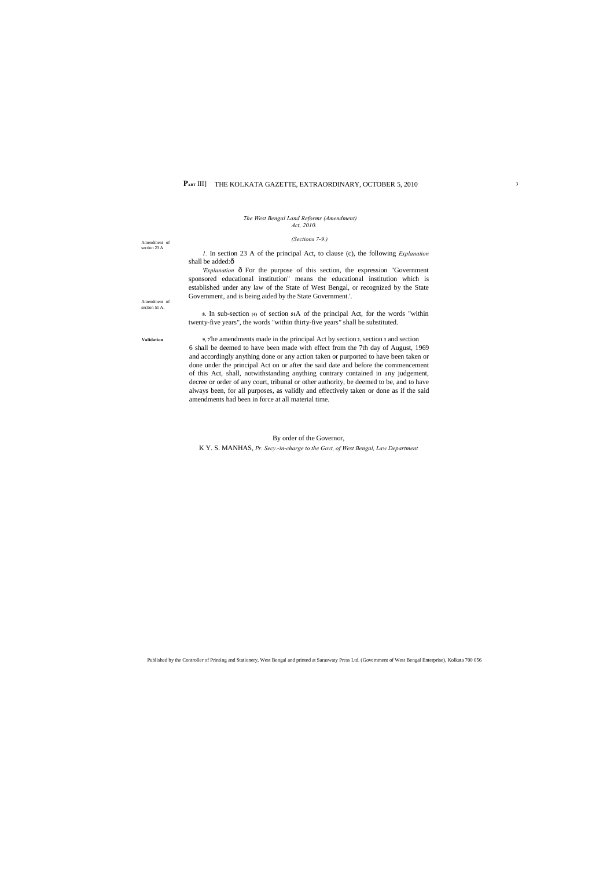Amendment of section 23 A

Amendment of section 51 A.

*1.* In section 23 A of the principal Act, to clause (c), the following *Explanation*  shall be added:ô

# PART III] THE KOLKATA GAZETTE, EXTRAORDINARY, OCTOBER 5, 2010

*The West Bengal Land Reforms (Amendment) Act, 2010.*

## *(Sections 7-9.)*

'Explanation  $\hat{o}$  For the purpose of this section, the expression "Government sponsored educational institution" means the educational institution which is established under any law of the State of West Bengal, or recognized by the State Government, and is being aided by the State Government.'.

**8.** In sub-section **(4)** of section **<sup>51</sup>**A of the principal Act, for the words "within twenty-five years", the words "within thirty-five years" shall be substituted.

**Validation 9, 7**'he amendments made in the principal Act by section **2,** section **<sup>3</sup>** and section 6 shall be deemed to have been made with effect from the 7th day of August, 1969 and accordingly anything done or any action taken or purported to have been taken or done under the principal Act on or after the said date and before the commencement of this Act, shall, notwithstanding anything contrary contained in any judgement, decree or order of any court, tribunal or other authority, be deemed to be, and to have always been, for all purposes, as validly and effectively taken or done as if the said amendments had been in force at all material time.

# By order of the Governor,

K Y. S. MANHAS, *Pr. Secy.-in-charge to the Govt, of West Bengal, Law Department*

Published by the Controller of Printing and Stationery, West Bengal and printed at Saraswaty Press Ltd. (Government of West Bengal Enterprise), Kolkata 700 056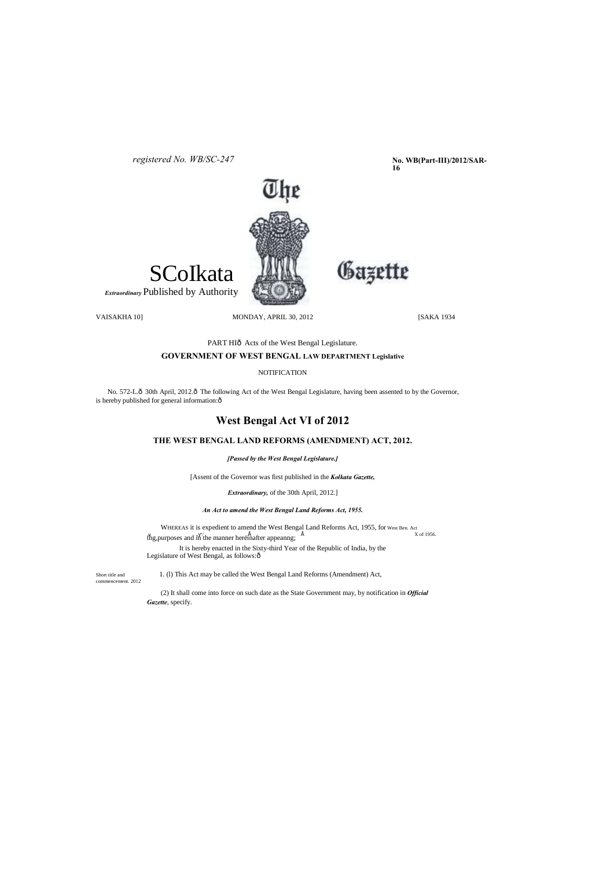**No. WB(Part-III)/2012/SAR-16**



*registered No. WB/SC-247*

SCoIkata

*Extraordinary* Published by Authority

VAISAKHA 10] MONDAY, APRIL 30, 2012 [SAKA 1934

Gazette

PART HI<sub>0</sub> Acts of the West Bengal Legislature.

# **GOVERNMENT OF WEST BENGAL LAW DEPARTMENT Legislative**

NOTIFICATION

No. 572-L. $\hat{o}$  30th April, 2012. $\hat{o}$  The following Act of the West Bengal Legislature, having been assented to by the Governor, is hereby published for general information: $\hat{o}$ 

# **West Bengal Act VI of 2012**

WHEREAS it is expedient to amend the West Bengal Land Reforms Act, 1955, for West Ben. Act X of 1956. thg, purposes and in the manner hereinafter appeanng;  $\hat{E}$ It is hereby enacted in the Sixty-third Year of the Republic of India, by the

Legislature of West Bengal, as follows: ô

# **THE WEST BENGAL LAND REFORMS (AMENDMENT) ACT, 2012.**

Short title and 1. (1) This Act may be called the West Bengal Land Reforms (Amendment) Act,

*[Passed by the West Bengal Legislature.]*

[Assent of the Governor was first published in the *Kolkata Gazette,*

*Extraordinary,* of the 30th April, 2012.]

*An Act to amend the West Bengal Land Reforms Act, 1955.*

commencement. 2012

(2) It shall come into force on such date as the State Government may, by notification in *Official Gazette*, specify.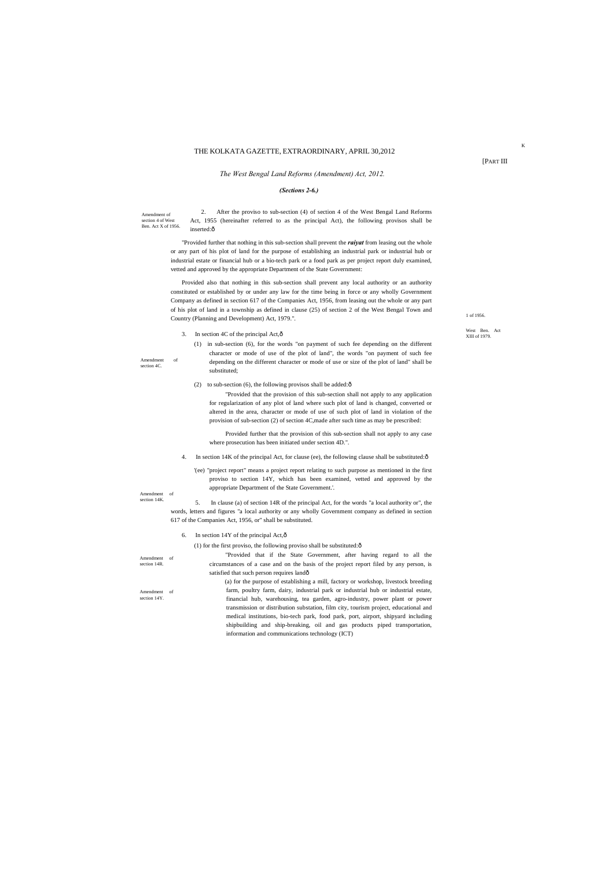Amendment of section 4 of West Ben. Act X of 1956.

Amendment of section 4C

1 of 1956.

Amendment of section 14K

West Ben. Act XIII of 1979.

Amendment of section 14R.

2. After the proviso to sub-section (4) of section 4 of the West Bengal Land Reforms Act, 1955 (hereinafter referred to as the principal Act), the following provisos shall be inserted:ô

Amendment of section 14Y.

[PART III

K

## THE KOLKATA GAZETTE, EXTRAORDINARY, APRIL 30,2012

## *The West Bengal Land Reforms (Amendment) Act, 2012.*

# *(Sections 2-6.)*

"Provided further that nothing in this sub-section shall prevent the *raiyat* from leasing out the whole or any part of his plot of land for the purpose of establishing an industrial park or industrial hub or industrial estate or financial hub or a bio-tech park or a food park as per project report duly examined, vetted and approved by the appropriate Department of the State Government:

Provided also that nothing in this sub-section shall prevent any local authority or an authority constituted or established by or under any law for the time being in force or any wholly Government Company as defined in section 617 of the Companies Act, 1956, from leasing out the whole or any part of his plot of land in a township as defined in clause (25) of section 2 of the West Bengal Town and Country (Planning and Development) Act, 1979.".

3. In section 4C of the principal Act, $\hat{\text{o}}$ 

- 4. In section 14K of the principal Act, for clause (ee), the following clause shall be substituted: $\delta$ 
	- '(ee) "project report" means a project report relating to such purpose as mentioned in the first proviso to section 14Y, which has been examined, vetted and approved by the appropriate Department of the State Government.'.

"Provided that if the State Government, after having regard to all the circumstances of a case and on the basis of the project report filed by any person, is satisfied that such person requires landô

(1) in sub-section (6), for the words "on payment of such fee depending on the different character or mode of use of the plot of land", the words "on payment of such fee depending on the different character or mode of use or size of the plot of land" shall be substituted;

(2) to sub-section (6), the following provisos shall be added: $\hat{\text{o}}$ 

"Provided that the provision of this sub-section shall not apply to any application for regularization of any plot of land where such plot of land is changed, converted or altered in the area, character or mode of use of such plot of land in violation of the provision of sub-section (2) of section 4C,made after such time as may be prescribed:

Provided further that the provision of this sub-section shall not apply to any case where prosecution has been initiated under section 4D.".

5. In clause (a) of section 14R of the principal Act, for the words "a local authority or", the words, letters and figures "a local authority or any wholly Government company as defined in section 617 of the Companies Act, 1956, or" shall be substituted.

6. In section 14Y of the principal Act, $\hat{\text{o}}$ 

(1) for the first proviso, the following proviso shall be substituted: $\hat{o}$ 

(a) for the purpose of establishing a mill, factory or workshop, livestock breeding farm, poultry farm, dairy, industrial park or industrial hub or industrial estate, financial hub, warehousing, tea garden, agro-industry, power plant or power transmission or distribution substation, film city, tourism project, educational and medical institutions, bio-tech park, food park, port, airport, shipyard including shipbuilding and ship-breaking, oil and gas products piped transportation, information and communications technology (ICT)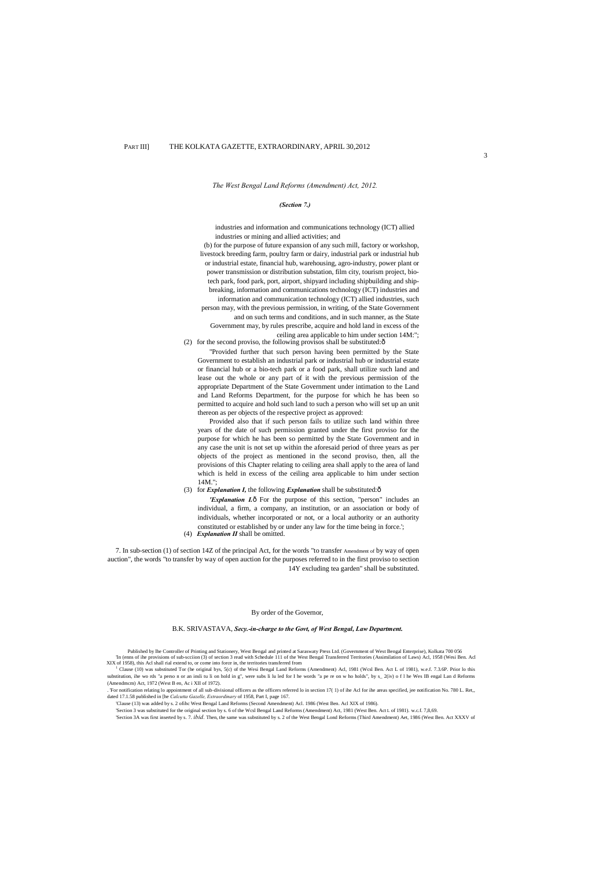3

### PART III] THE KOLKATA GAZETTE, EXTRAORDINARY, APRIL 30,2012

*The West Bengal Land Reforms (Amendment) Act, 2012.*

#### *(Section 7.)*

(b) for the purpose of future expansion of any such mill, factory or workshop, livestock breeding farm, poultry farm or dairy, industrial park or industrial hub or industrial estate, financial hub, warehousing, agro-industry, power plant or power transmission or distribution substation, film city, tourism project, biotech park, food park, port, airport, shipyard including shipbuilding and shipbreaking, information and communications technology (ICT) industries and information and communication technology (ICT) allied industries, such person may, with the previous permission, in writing, of the State Government and on such terms and conditions, and in such manner, as the State Government may, by rules prescribe, acquire and hold land in excess of the ceiling area applicable to him under section 14M:"; (2) for the second proviso, the following provisos shall be substituted: $\delta$ 

industries and information and communications technology (ICT) allied industries or mining and allied activities; and

'Explanation I.ô For the purpose of this section, "person" includes an individual, a firm, a company, an institution, or an association or body of individuals, whether incorporated or not, or a local authority or an authority constituted or established by or under any law for the time being in force.';

"Provided further that such person having been permitted by the State Government to establish an industrial park or industrial hub or industrial estate or financial hub or a bio-tech park or a food park, shall utilize such land and lease out the whole or any part of it with the previous permission of the appropriate Department of the State Government under intimation to the Land and Land Reforms Department, for the purpose for which he has been so permitted to acquire and hold such land to such a person who will set up an unit thereon as per objects of the respective project as approved:

In (enns of ihe provisions of sub-scciion (3) of section 3 read with Schedule 111 of the West Bengal Transferred Territories (Assimilation of Laws) Acl, 1958 (Wesi Ben. Acl XIX of 1958), this Acl shall rial extend to, or come into force in, the territories transferred from

<sup>1</sup> Clause (10) was substituted Tor (he original bys, 5(c) of the Wesi Bengal Land Reforms (Amendment) Acl, 1981 (Wcsl Ben. Act L of 1981), w.e.f. 7.3.6P. Prior lo this substitution, ihe wo rds "a perso n or an insli tu li on hold in g", were subs li lu led for I he words "a pe re on w ho holds", by s\_ 2(iv) of 1 he Wes IB engal Lan d Reforms (Amendmcm) Act, 1972 (West B en, Ac i XII of 1972).

Provided also that if such person fails to utilize such land within three years of the date of such permission granted under the first proviso for the purpose for which he has been so permitted by the State Government and in any case the unit is not set up within the aforesaid period of three years as per objects of the project as mentioned in the second proviso, then, all the provisions of this Chapter relating to ceiling area shall apply to the area of land which is held in excess of the ceiling area applicable to him under section 14M.";

(3) for *Explanation I*, the following *Explanation* shall be substituted:  $\hat{o}$ 

(4) *Explanation II* shall be omitted.

7. In sub-section (1) of section 14Z of the principal Act, for the words "to transfer Amendment of by way of open auction", the words "to transfer by way of open auction for the purposes referred to in the first proviso to section 14Y excluding tea garden" shall be substituted.

By order of the Governor,

. 'For notification relating lo appointment of all sub-divisional officers as the officers referred lo in section 17( 1) of ihe Acl for ihe areas specified, jee notification No. 780 L. Ret,, dated 17.1.58 published in [he *Calcutta Gazelle, Extraordinary* of 1958, Part I, page 167.

'Clause (13) was added by s. 2 ofihc West Bengal Land Reforms (Second Amendment) Acl. 1986 (West Ben. Acl XIX of 1986).

'Section 3 was substituted for the original section by s. 6 of the Wcsl Bengal Land Reforms (Amendment) Act, 1981 (West Ben. Act L of 1981). w.c.f. 7,8,69.

'Section 3A was first inserted by s. 7. *ibid.* Then, the same was substituted by s. 2 of the West Bengal Lond Reforms (Third Amendment) Aet, 1986 (West Ben. Act XXXV of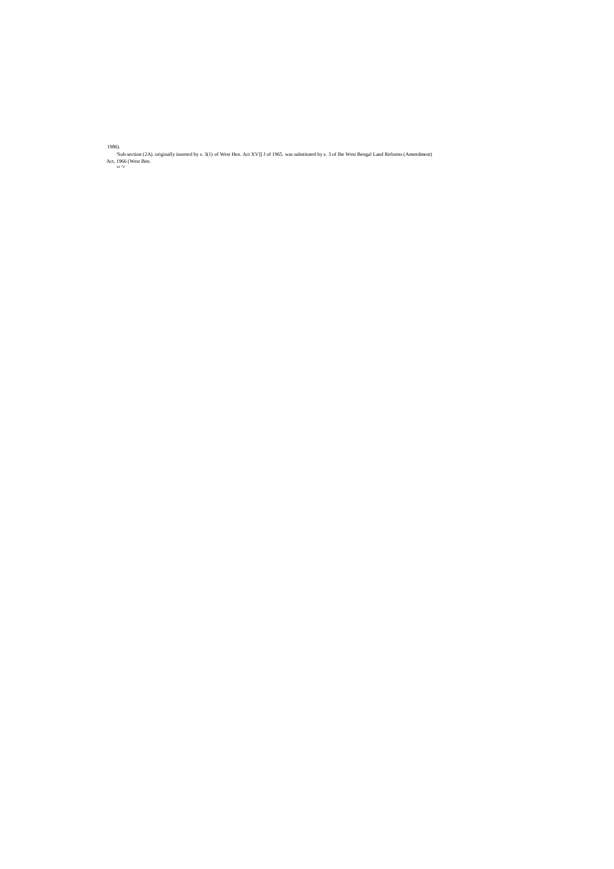1986).

'Sub-section (2A). originally inserted by s. 3(1) of West Hen. Act XV]] J of 1965. was substituted by s. 3 of Ihe West Bengal Land Reforms (Amendment) Act, 1966 (West Ben. vr  $\frac{\lambda}{r}$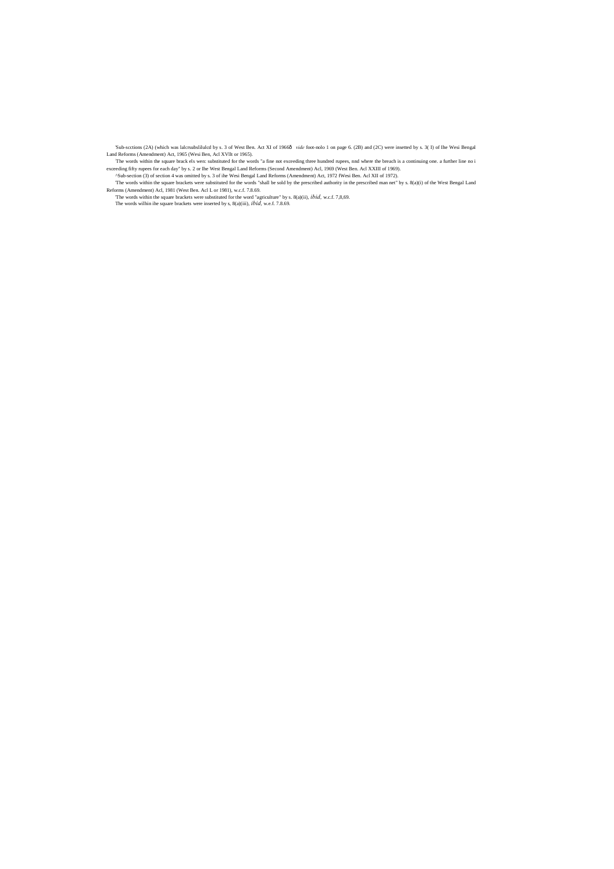'Sub-scctions (2A) (which was lalcrsubslilulcd by s. 3 of West Ben. Act XI of 1966 vide foot-nolo 1 on page 6. (2B) and (2C) were insetted by s. 3( I) of Ihe Wesi Bengal Land Reforms (Amendment) Act, 1965 (Wesi Ben, Acl XVllt or 1965).

The words within the square brack els wen: substituted for the words "a fine not exceeding three hundred rupees, nnd where the breach is a continuing one. a further line no i exceeding fifty rupees for each day" by s. 2 or Ihe West Bengal Land Reforms (Second Amendment) Acl, 1969 (West Ben. Acl XXIII of 1969).

^Sub-section (3) of section 4 was omitted by s. 3 of ihe Wesi Bengal Land Reforms (Amendment) Act, 1972 fWesi Ben. Acl XII of 1972).

'The words within the square brackets were substituted for the words "shall be sold by the prescribed authority in the prescribed man net" by s. 8(a)(i) of the West Bengal Land Reforms (Amendment) Acl, 1981 (West Ben. Acl L or 1981), w.c.f. 7.8.69.

'The words within the square brackets were substituted for the word "agriculture" by s. 8(a)(ii), *ibid,* w.c.f. 7,8,69. The words wilhin ihe square brackets were inserted by s, 8(a)(iii), *ibid,* w.e.f. 7.8.69.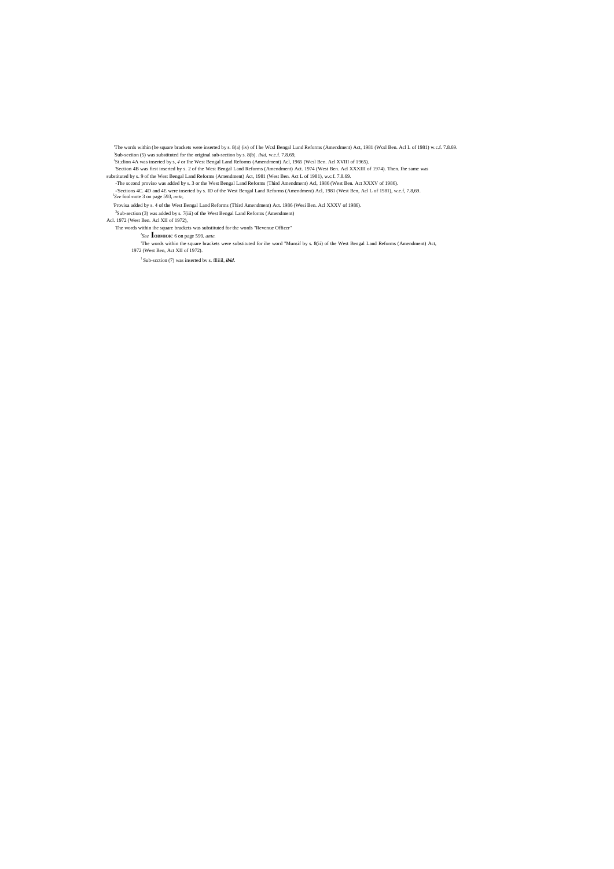'The words within (he square brackets were inserted by s. 8(a) (iv) of I he Wcsl Bengal Lund Reforms (Amendment) Act, 1981 (Wcsl Ben. Acl L of 1981) w.c.f. 7.8.69. : Sub-seciion (5) was substituted for the original sub-section by s. 8(b). *ibid,* w.e.f. 7.8.69,

J St;clion 4A was inserted by s, *4* or Ihe West Bengal Land Reforms (Amendment) Acl, 1965 (Wcsl Ben. Acl XVIII of 1965).

'Section 4B was first inserted by s. 2 of the West Bengal Land Reforms (Amendment) Act. 1974 (West Ben. Acl XXXIII of 1974). Then. Ihe same was substituted by s. 9 of the West Bengal Land Reforms (Amendment) Act, 1981 (West Ben. Act L of 1981), w.c.f. 7.8.69.

-The sccond proviso was added by s. 3 or the West Bengal Land Reforms (Third Amendment) Acl, 1986 (West Ben. Act XXXV of 1986).

-'Sections 4C. 4D and 4E were inserted by s. ID of the West Bengal Land Reforms (Amendment) Acl, 1981 (West Ben, Acl L of 1981), w.e.f, 7.8,69. *<sup>l</sup> See* fool-note 3 on page 593, *ante,*

: Provisa added by s. 4 of the West Bengal Land Reforms (Third Amendment) Act. 1986 (Wesi Ben. Acl XXXV of 1986).

<sup>3</sup>Sub-section (3) was added by s. 7(iii) of the West Bengal Land Reforms (Amendment)

Acl. 1972 (West Ben. Acl XII of 1972),

The words within ihe square brackets was substituted for the words "Revenue Officer"

*l See* **IODMIOIC** 6 on page 599. *ante.*

: The words within the square brackets were substituted for ihe word "Munsif by s. 8(ii) of the West Bengal Land Reforms (Amendment) Act, 1972 (West Ben, Act XII of 1972).

! Sub-scction (7) was inserted bv s. flliiil, *ibid.*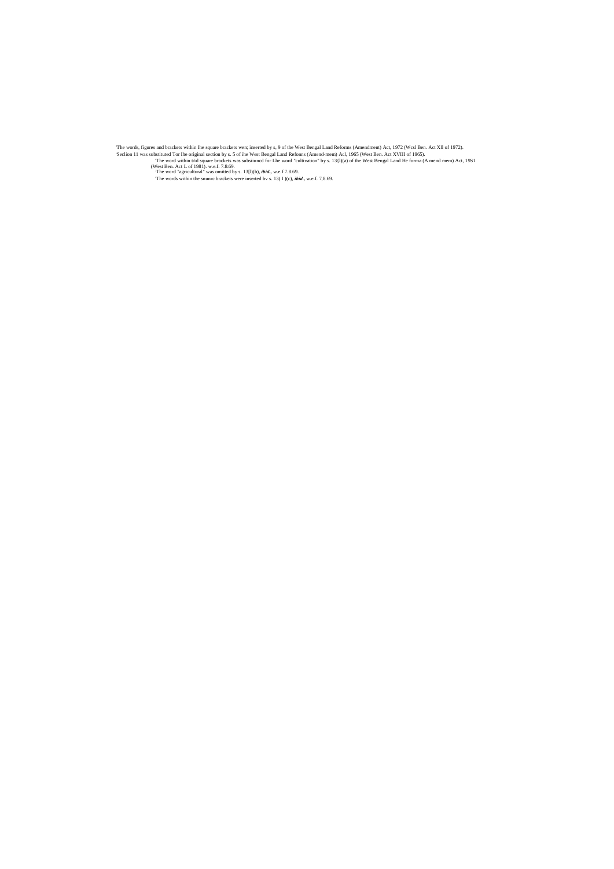'The words, figures and brackets within Ihe square brackets wen; inserted by s, 9 of the West Bengal Land Reforms (Amendment) Act, 1972 (Wcsl Ben. Act Xll of 1972). ; Seclion 11 was substituted Tor Ihe original section by s. 5 of ihe West Bengal Land Refonns (Amend-mem) Acl, 1965 (West Ben. Act XVIII of 1965).

'The word within t/id square brackets was subsiiuncd for Lhe word "cultivation" by s. 13{l)(a) of the West Bengal Land He forma (A mend mem) Act, 19S1

(West Ben. Act L of 1981). w.e.f. 7.8.69.<br>The word "agricultural" was omitted by s. 13[l)(b), *ibid.*, w.e.f 7.8.69.

'The words within the snunrc brackets were inserted bv s. 13( I )(c), *ibid.,* w.e.f. 7,8.69.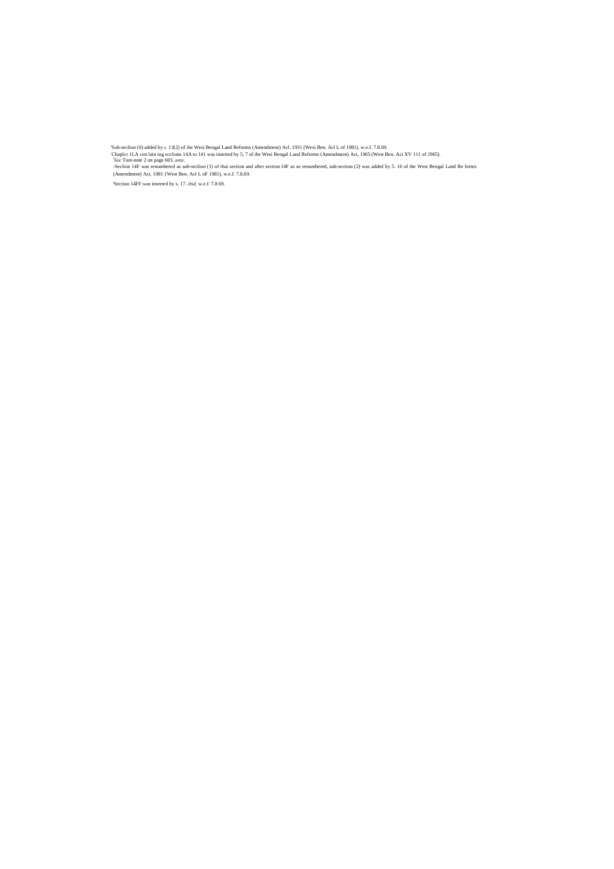'Sub-seclion (6) added by *s.* 13(2) of ihe Wesi Bengal Land Reforms (Amendment) Acl. 1931 (Wesi Ben. Acl L of 1981), w.e.f. 7.8.69.

; Chaplcr 1LA con lain ing scclions 14A to 141 was inserted by 5, 7 of ihe Wesi Bengal Land Reforms (Amendment) Act, 1965 (West Ben. Aci XV 111 of 1965). *<sup>l</sup> See* Toot-note 2 on page 603. *ante,*

-Seclion 14F was renumbered as sub-seclion (1) of thai section and after section I4F as so renumbered, sub-section (2) was added by 5. 16 of the West Bengal Land Re forms (Amendment) Act, 1981 {West Ben. Acl L oF 1981), w.e.f. 7.8,69.

'Section 14FF was inserted by s. 17. *ibid,* w.e.f. 7.8 69.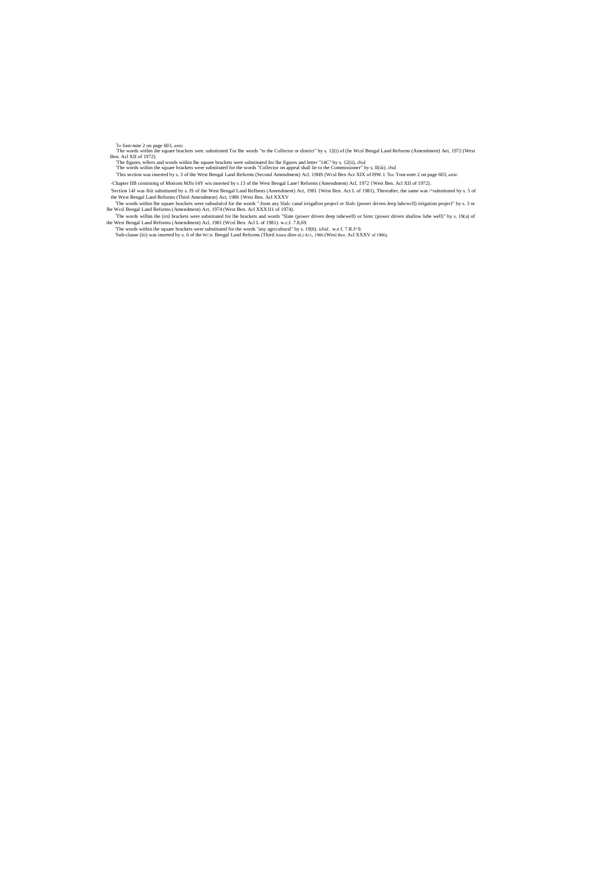<sup>1</sup>J<sub>«</sub> foot-note 2 on page 603, ante.<br>The words within ihe square brackets wen: substituted Tor Ihe words "to the Collector or district" by s. 12(i) of (he Wcsl Bengal Land Reforms (Amendment) Aei, 1972 (West<br>Ben. Acl XII

'The figures, tellers and words wiihin lhe square brackets were substituted for lhe figures and letter "14C" by s. 12(ii), *ibid.*

'The words wiihin the square brackets were substituted for the words "Collector on appeal shall lie to the Commissioner" by s, ll(iii). *ibid.* 'This section was inserted by s. 3 of the West Bengal Land Reforms (Second Amendment) Acl. 19HS (Wcsl Ben Acr XIX of I9W.1 *'Sec* Toot-note 2 on page 603, *ante.*

'Section 14J was fiiit substituted by s. IS of the West Bengal Land ReIbmis (Amendment) Act, 1981 {West Ben. Act L of 1981), Thereafter, the same was /^substituted by s. 5 of the West Bengal Land Reforms (Third Amendment) Act, 1986 {Wesi Ben. Acl XXXV

-Chapter IIB consisting of Motions MJlo I4Y wis inserted by s 13 of the West Bengal Lane! Reforms (Amendment) Acl, 1972 {West Ben. Acl XII of 1972).

'The words within lhe square brackets were subsululcd for the words ".from any Slalc canal irrigallon projecl or Slalc (power driven Jeep lubcwcll) irrigation projecl" by s. 3 or lhe Wcsl Bengal Land Reforms (Amendment) Act, 1974 (West Ben. Acl XXX1I1 of 1974).

- ! The words wilhin ihe (irsl brackets were substituted for lhe brackets and words "Slate (power driven deep tubewell) or Simc (power driven shallow lube well)" by s. 19(a) of the West Bengal Land Reforms (Amendment) Acl, 1981 (Wcsl Ben. Acl L of 1981). w.c.f. 7.8,69.
- 'The words within ihe square brackets were substituted for the words "any agricultural" by s. 19(h). i*ibid.,* w.e f. 7.R.f>9. 'Sub-clause (iii) was inserted by s. 6 of the WCSL Bengal Land Reforms (Third Amen dine nL) ACL, 1986 (Wesi Ben. Acl XXXV of 1986),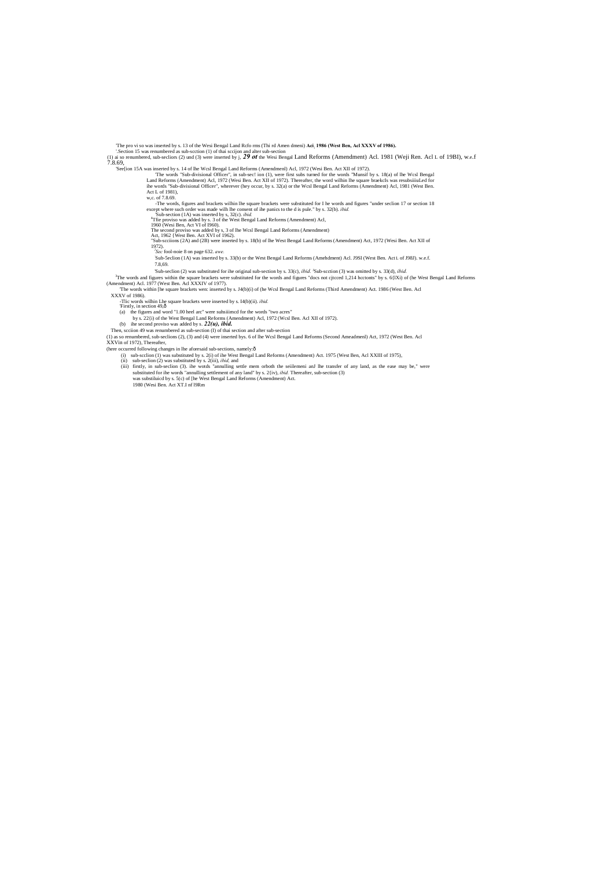The pro vi so was inserted by s. 13 of the Wesi Bengal Land Rcfo rms (Thi rd Amen dmeni) Aci, 1986 (West Ben, Acl XXXV of 1986).<br>'.Section 15 was renumbered as sub-scction (1) of thai sccijon and alter sub-section

(1) ai so renumbered, sub-secliors (2) und (3) were inserted by j, *29 ot* the Wesi Bengal Land Reforms (Amendment) Acl. 1981 (Weji Ren. Acl L of 19BI), w.e.f 7.8.69,

'See[ion 15A was inserted by s. 14 of lhe Wcsl Bengal Land Reforms (Amendmenl) Acl, 1972 (Wesi Ben. Act XII of 1972).

The words "Sub-divisional Officer", in sub-sec! ion (1), were first subs turned for the words "Munsif by s. 18(a) of lhe Wcsl Bengal Land Reforms (Amendment) Acl, 1972 (Wesi Ben. Act XII of 1972). Thereafter, the word wilh Act L of 1981),

w,c. of 7.8.69.

-The words, figures and brackets wilhin lhe square brackets were substituted for I he words and figures "under seclion 17 or section 18

except where such order was made wilh lhe consent of ihe panics to the d is pule." by s. 32(b). *ibid.*<br>
"Sub-section (1A) was inserted by s, 32(c). *ibid.*<br>
"The proviso was added by s, 3 of the West Bengal Land Reforms

<sup>3</sup>The words and figures within the square brackets were substituted for the words and figures "docs not cjtcced 1,214 hcctonts" by s. 6{1Xi) of (he West Bengal Land Reforms (Amendment) Acl. 1977 (West Ben. Acl XXXIV of 19 'The words within [he square brackets wen: inserted by s. J4(b)(i) of (he Wcsl Bengal Land Reforms (Third Amendment) Act. 1986 (West Ben. Acl

- (a) the figures and word "1.00 heel arc" were subsisted for the words "two acres" by s. 22{i) of the West Bengal Land Reforms (Amendment) Acl, 1972 (Wcsl Ben. Acl XII of 1972).
- (b) ihe second proviso was added by s. *22(u), ibid.*
- Then, scciion 49 was renumbered as sub-section (I) of thai section and after sub-section

"Sub-scciions (2A) and (2B) were inserted by s. 18(b) of lhe West Bengal Land Reforms (Amendment) Act, 1972 (Wesi Ben. Act XII of 1972). *<sup>l</sup> Sec* fool-noie 8 on page 632. *awe.*

: Sub-5eclion (1A) was inserted by s. 33(b) or the West Bengal Land Reforms (Amehdment) Acl. J9SI (West Ben. Act L of J98J). w.e.f. 7.8,69.

Sub-seclion (2) was substituted for ihe original sub-section by s. 33(c), *ibid.* <sup>1</sup>Sub-section (3) was omitted by s. 33(d), *ibid.* 

- (here occurred following changes in lhe aforesaid sub-sections, namely: $\hat{o}$ 
	- (i) sub-scclion (1) was substituted by s. 2(i) of ihe West Bengal Land Reforms (Amendment) Act. 1975 (West Ben, Acl XXIII of 1975),
	- (ii) sub-seclion (2) was substituted by s. 2(iii), *ibid,* and
	- (iii) firstly, in sub-seclion (3). ihe wotds "annulling settle mem orboth the seiilemeni anJ lhe transfer of any land, as the ease may be," were substituted for ihe words "annulling settlement of any land" by s. 2{iv), *ibid.* Thereafter, sub-section (3) was substiluicd by s. 5(c) of [he West Bengal Land Reforms (Amendment) Act.

XXXV of 1986).

-Tlic words wilhin Lhe square brackets were inserted by s. I4(b)(ii). *ibid*. Firstly, in section 49,ô

(1) as so renumbered, sub-seclions (2), (3) and (4) were inserted bys. 6 of lhe Wcsl Bengal Land Reforms (Second Ameadmenl) Act, 1972 (West Ben. Acl

XXVin of 1972), Thereafter,

1980 (Wesi Ben. Act XT.I nf l9Rm